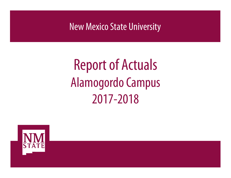New Mexico State University

# Report of Actuals Alamogordo Campus 2017-2018

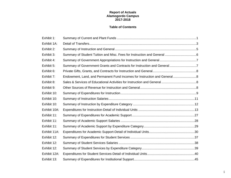### **Report of Actuals Alamogordo Campus 2017-2018**

### **Table of Contents**

| Exhibit 1:   |                                                                           |  |
|--------------|---------------------------------------------------------------------------|--|
| Exhibit 1A:  |                                                                           |  |
| Exhibit 2:   |                                                                           |  |
| Exhibit 3:   |                                                                           |  |
| Exhibit 4:   |                                                                           |  |
| Exhibit 5:   | Summary of Government Grants and Contracts for Instruction and General7   |  |
| Exhibit 6:   |                                                                           |  |
| Exhibit 7:   | Endowment, Land, and Permanent Fund Incomes for Instruction and General 8 |  |
| Exhibit 8:   |                                                                           |  |
| Exhibit 9:   |                                                                           |  |
| Exhibit 10:  |                                                                           |  |
| Exhibit 10:  |                                                                           |  |
| Exhibit 10:  |                                                                           |  |
| Exhibit 10A: |                                                                           |  |
| Exhibit 11:  |                                                                           |  |
| Exhibit 11:  |                                                                           |  |
| Exhibit 11:  |                                                                           |  |
| Exhibit 11A: |                                                                           |  |
| Exhibit 12:  |                                                                           |  |
| Exhibit 12:  |                                                                           |  |
| Exhibit 12:  |                                                                           |  |
| Exhibit 12A: |                                                                           |  |
| Exhibit 13:  |                                                                           |  |

i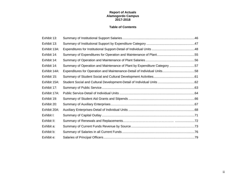### **Report of Actuals Alamogordo Campus 2017-2018**

### **Table of Contents**

| Exhibit 13:  |                                                                          |  |
|--------------|--------------------------------------------------------------------------|--|
| Exhibit 13:  |                                                                          |  |
| Exhibit 13A: |                                                                          |  |
| Exhibit 14:  |                                                                          |  |
| Exhibit 14:  |                                                                          |  |
| Exhibit 14:  | Summary of Operation and Maintenance of Plant by Expenditure Category 57 |  |
| Exhibit 14A: | Expenditures for Operation and Maintenance-Detail of Individual Units58  |  |
| Exhibit 15:  |                                                                          |  |
| Exhibit 15A: |                                                                          |  |
| Exhibit 17:  |                                                                          |  |
| Exhibit 17A: |                                                                          |  |
| Exhibit 19:  |                                                                          |  |
| Exhibit 20:  |                                                                          |  |
| Exhibit 20A: |                                                                          |  |
| Exhibit I:   |                                                                          |  |
| Exhibit II:  |                                                                          |  |
| Exhibit a:   |                                                                          |  |
| Exhibit b:   |                                                                          |  |
| Exhibit e:   |                                                                          |  |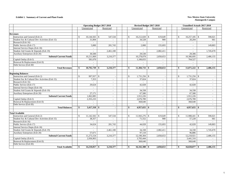#### **Exhibit 1. Summary of Current and Plant Funds New Mexico State University**

|                                                | <b>Operating Budget 2017-2018</b> |                          | Revised Budget 2017-2018 |               |                 |                          |  |               |                 | <b>Unaudited Actuals 2017-2018</b> |                          |  |
|------------------------------------------------|-----------------------------------|--------------------------|--------------------------|---------------|-----------------|--------------------------|--|---------------|-----------------|------------------------------------|--------------------------|--|
|                                                | Unrestricted                      | Restricted               |                          |               | Unrestricted    | Restricted               |  |               | Unrestricted    |                                    | Restricted               |  |
|                                                |                                   |                          |                          |               |                 |                          |  |               |                 |                                    |                          |  |
| <b>Revenues</b>                                |                                   |                          |                          |               |                 |                          |  |               |                 |                                    |                          |  |
| Instruction and General (Exh 2)                | $\mathbf{s}$                      | 547,534                  |                          | $\mathbb{S}$  | $10,212,020$ \$ | 619,649                  |  | $\mathcal{S}$ | $10,257,185$ \$ |                                    | 590,021                  |  |
| Student Soc & Cultural Dev Activities (Exh 15) | 31,004                            | $\sim$                   |                          |               | 34,528          | 900                      |  |               | 20,204          |                                    | 661                      |  |
| Research (Exh 16)                              |                                   |                          |                          |               |                 |                          |  |               |                 |                                    |                          |  |
| Public Service (Exh 17)                        | 5,000                             | 201,743                  |                          |               | 2,000           | 155,693                  |  |               |                 |                                    | 149,803                  |  |
| Internal Service Depts (Exh 18)                | $\sim$                            |                          |                          |               | $\sim$          | $\overline{a}$           |  |               | $\overline{a}$  |                                    |                          |  |
| Student Aid Grants & Stipends (Exh 19)         |                                   | 2,461,100                |                          |               | $\blacksquare$  | 2,082,411                |  |               |                 |                                    | 1,745,670                |  |
| Auxiliary Enterprises (Exh 20)                 | 30.500                            |                          |                          |               | 29,530          |                          |  |               | 29,306          |                                    |                          |  |
| <b>Subtotal Current Funds</b>                  | 10,211,069                        | 3,210,377                |                          |               | 10,278,078      | 2,858,653                |  |               | 10,306,695      |                                    | 2,486,155                |  |
| Capital Outlay (Exh I)                         | 581,670                           |                          |                          |               | 1,106,655       |                          |  |               | 764,527         |                                    |                          |  |
| Renewal & Replacement (Exh II)                 | $\sim$                            | $\overline{\phantom{a}}$ |                          |               | $\sim$          | $\sim$                   |  |               | $\sim$          |                                    | $\overline{\phantom{a}}$ |  |
| Debt Service (Exh III)                         |                                   |                          |                          |               |                 | $\overline{a}$           |  |               |                 |                                    |                          |  |
| <b>Total Revenues</b>                          | $10,792,739$ \$<br>\$             | 3,210,377                |                          | \$            | $11,384,733$ \$ | 2,858,653                |  | \$            | $11,071,222$ \$ |                                    | 2,486,155                |  |
|                                                |                                   |                          |                          |               |                 |                          |  |               |                 |                                    |                          |  |
| <b>Beginning Balances</b>                      |                                   |                          |                          |               |                 |                          |  |               |                 |                                    |                          |  |
| Instruction and General (Exh 2)                | $\mathbb{S}$<br>$997,937$ \$      |                          |                          | $\mathbb{S}$  |                 |                          |  | $\mathcal{S}$ | 1,731,256 \$    |                                    |                          |  |
| Student Soc & Cultural Dev Activities (Exh 15) | 7,353                             | $\overline{\phantom{m}}$ |                          |               | 37,024          | $\overline{\phantom{a}}$ |  |               | 37,024          |                                    | $\overline{\phantom{a}}$ |  |
| Research (Exh 16)                              |                                   | $\overline{\phantom{a}}$ |                          |               |                 | $\sim$                   |  |               |                 |                                    | $\overline{\phantom{a}}$ |  |
| Public Service (Exh 17)                        | 29,624                            | $\sim$                   |                          |               | 42,028          | $\sim$                   |  |               | 42,028          |                                    | $\overline{a}$           |  |
| Internal Service Depts (Exh 18)                | $\sim$                            | $\overline{\phantom{a}}$ |                          |               | $\overline{a}$  | $\sim$                   |  |               |                 |                                    | $\overline{a}$           |  |
| Student Aid Grants & Stipends (Exh 19)         |                                   | $\sim$                   |                          |               | 34,338          | $\sim$                   |  |               | 34,338          |                                    | $\overline{a}$           |  |
| Auxiliary Enterprises (Exh 20)                 | 27,171                            | $\sim$                   |                          |               | 67,580          | $\sim$                   |  |               | 67,580          |                                    | $\sim$                   |  |
| <b>Subtotal Current Funds</b>                  | 1,062,085                         | $\overline{\phantom{a}}$ |                          |               | 1,912,226       | $\sim$                   |  |               | 1,912,226       |                                    | $\sim$                   |  |
| Capital Outlay (Exh I)                         | 2,355,233                         | $\sim$                   |                          |               | 2,676,789       | $\sim$                   |  |               | 2,676,789       |                                    | $\sim$                   |  |
| Renewal & Replacement (Exh II)                 |                                   | ٠                        |                          |               | 368,640         | $\sim$                   |  |               | 368,640         |                                    |                          |  |
| Debt Service (Exh III)                         | $\blacksquare$                    | $\sim$                   |                          |               |                 | $\sim$                   |  |               |                 |                                    | $\blacksquare$           |  |
| <b>Total Balances</b>                          | $3,417,318$ \$<br>\$              |                          |                          | \$            | $4,957,655$ \$  |                          |  | -\$           | $4,957,655$ \$  |                                    |                          |  |
|                                                |                                   |                          |                          |               |                 |                          |  |               |                 |                                    |                          |  |
| <b>Total Available</b>                         |                                   |                          |                          |               |                 |                          |  |               |                 |                                    |                          |  |
| Instruction and General (Exh 2)                | $\mathcal{S}$<br>$11,142,502$ \$  | 547,534                  |                          | <sup>\$</sup> |                 | 619,649                  |  | -S            | $11,988,441$ \$ |                                    | 590,021                  |  |
| Student Soc & Cultural Dev Activities (Exh 15) | 38,357                            | $\sim$                   |                          |               | 71,552          | 900                      |  |               | 57,228          |                                    | 661                      |  |
| Research (Exh 16)                              |                                   | $\overline{a}$           |                          |               | $\overline{a}$  | $\overline{a}$           |  |               |                 |                                    |                          |  |
| Public Service (Exh 17)                        | 34,624                            | 201,743                  |                          |               | 44,028          | 155,693                  |  |               | 42,028          |                                    | 149,803                  |  |
| Internal Service Depts (Exh 18)                | $\overline{a}$                    | $\overline{\phantom{a}}$ |                          |               | $\sim$          | $\sim$                   |  |               | $\sim$          |                                    |                          |  |
| Student Aid Grants & Stipends (Exh 19)         |                                   | 2,461,100                |                          |               | 34,338          | 2,082,411                |  |               | 34,338          |                                    | 1,745,670                |  |
| Auxiliary Enterprises (Exh 20)                 | 57,671                            |                          |                          |               | 97,110          |                          |  |               | 96,886          |                                    |                          |  |
| <b>Subtotal Current Funds</b>                  | 11,273,154                        | 3,210,377                |                          |               | 12,190,304      | 2,858,653                |  |               | 12,218,921      |                                    | 2,486,155                |  |
| Capital Outlay (Exh I)                         | 2,936,903                         |                          |                          |               | 3,783,444       |                          |  |               | 3,441,316       |                                    |                          |  |
| Renewal & Replacement (Exh II)                 | $\overline{a}$                    | $\sim$                   |                          |               | 368,640         | $\sim$                   |  |               | 368,640         |                                    | $\sim$                   |  |
| Debt Service (Exh III)                         |                                   | $\overline{a}$           |                          |               | ÷               | $\overline{a}$           |  |               |                 |                                    |                          |  |
| <b>Total Available</b>                         | \$                                | 3,210,377                |                          | S.            | $16,342,388$ \$ | 2,858,653                |  | -\$           | $16,028,877$ \$ |                                    | 2,486,155                |  |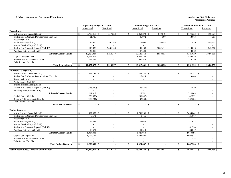#### **Exhibit 1. Summary of Current and Plant Funds New Mexico State University**

|                                                   | <b>Operating Budget 2017-2018</b> |            |                          |  |                              | Revised Budget 2017-2018 |               |                          | <b>Unaudited Actuals 2017-2018</b> |                          |
|---------------------------------------------------|-----------------------------------|------------|--------------------------|--|------------------------------|--------------------------|---------------|--------------------------|------------------------------------|--------------------------|
|                                                   | Unrestricted                      | Restricted |                          |  | Unrestricted                 | Restricted               |               | Unrestricted             | Restricted                         |                          |
| <b>Expenditures</b>                               |                                   |            |                          |  |                              |                          |               |                          |                                    |                          |
| Instruction and General (Exh 2)                   | 9,786,418 \$<br>$\mathcal{S}$     |            | 547,534                  |  | $\mathbb{S}$<br>9,853,873 \$ | 619,649                  | <sup>\$</sup> |                          |                                    | 590,021                  |
| Student Soc & Cultural Dev Activities (Exh 15)    | 31,786                            |            |                          |  | 45,972                       | 900                      |               | 18,673                   |                                    | 661                      |
| Research (Exh 16)                                 |                                   |            | $\overline{\phantom{a}}$ |  |                              |                          |               |                          |                                    |                          |
| Public Service (Exh 17)                           | 15,000                            |            | 201,743                  |  | 12,000                       | 155.693                  |               | 416                      |                                    | 149,803                  |
| Internal Service Depts (Exh 18)                   |                                   |            |                          |  |                              |                          |               |                          |                                    |                          |
| Student Aid Grants & Stipends (Exh 19)            | 146,830                           |            | 2,461,100                |  | 181,168                      | 2,082,411                |               | 118,810                  | 1,745,670                          |                          |
| Auxiliary Enterprises (Exh 20)                    | 47,000                            |            |                          |  | 47,500                       | $\overline{a}$           |               | 8.869                    |                                    |                          |
| <b>Subtotal Current Funds</b>                     | 10,027,034                        |            | 3,210,377                |  | 10,140,513                   | 2,858,653                |               | 9,321,020                | 2,486,155                          |                          |
| Capital Outlay (Exh I)                            | 1,768,409                         |            | $\sim$                   |  | 1,626,144                    | $\overline{a}$           |               | 880,946                  |                                    |                          |
| Renewal & Replacement (Exh II)                    | 182,234                           |            | $\overline{\phantom{a}}$ |  | 550,874                      | $\sim$                   |               | 179,356                  |                                    |                          |
| Debt Service (Exh III)                            |                                   |            |                          |  |                              |                          |               |                          |                                    |                          |
| <b>Total Expenditures</b>                         | $11,977,677$ \$<br>-\$            |            | 3,210,377                |  | $12,317,531$ \$<br>\$        | 2,858,653                | -\$           | 10,381,322               | 2,486,155<br>- \$                  |                          |
|                                                   |                                   |            |                          |  |                              |                          |               |                          |                                    |                          |
| <b>Transfers To or (From)</b>                     |                                   |            |                          |  |                              |                          |               |                          |                                    |                          |
| Instruction and General (Exh 2)                   | $\mathcal{S}$                     |            |                          |  | $\mathcal{S}$<br>358,147 \$  |                          | $\mathcal{S}$ | 358,147 \$               |                                    |                          |
| Student Soc & Cultural Dev Activities (Exh 15)    |                                   |            | $\overline{\phantom{a}}$ |  | 17,424                       | $\sim$                   |               | 13,488                   |                                    | $\overline{\phantom{a}}$ |
| Research (Exh 16)                                 | $\sim$                            |            | $\overline{\phantom{a}}$ |  | $\mathcal{L}^{\pm}$          | $\sim$                   |               | $\sim$                   |                                    | $\overline{a}$           |
| Public Service (Exh 17)                           | $\overline{\phantom{a}}$          |            | $\overline{\phantom{a}}$ |  | $\sim$                       | $\overline{\phantom{a}}$ |               | $\overline{\phantom{a}}$ |                                    | $\overline{a}$           |
| Internal Service Depts (Exh 18)                   |                                   |            | $\overline{\phantom{a}}$ |  | $\overline{a}$               | $\sim$                   |               |                          |                                    |                          |
| Student Aid Grants & Stipends (Exh 19)            | (146, 830)                        |            | $\sim$                   |  | (146, 830)                   | $\sim$                   |               | (146, 830)               |                                    | $\overline{a}$           |
| Auxiliary Enterprises (Exh 20)                    |                                   |            | $\sim$                   |  |                              | $\sim$                   |               |                          |                                    | $\overline{a}$           |
| <b>Subtotal Current Funds</b>                     | 211,317                           |            | $\overline{\phantom{a}}$ |  | 228,741                      | $\sim$                   |               | 224,805                  |                                    |                          |
| Capital Outlay (Exh I)                            | (29,083)                          |            | $\sim$                   |  | (46,507)                     | $\sim$                   |               | (42,571)                 |                                    | $\overline{a}$           |
| Renewal & Replacement (Exh II)                    | (182, 234)                        |            | $\overline{\phantom{a}}$ |  | (182, 234)                   | $\sim$                   |               | (182, 234)               |                                    | $\overline{\phantom{a}}$ |
| Debt Service (Exh III)                            |                                   |            | $\overline{\phantom{a}}$ |  |                              | $\overline{a}$           |               |                          |                                    |                          |
| <b>Total Net Transfers</b>                        | -\$                               | $-1$ \$    | $\sim$                   |  | -S                           | - 18<br>$\blacksquare$   | -\$           | $\mathbf{r}$             | -S                                 | $\overline{a}$           |
|                                                   |                                   |            |                          |  |                              |                          |               |                          |                                    |                          |
| <b>Ending Balances</b>                            |                                   |            |                          |  |                              |                          |               |                          |                                    |                          |
| Instruction and General (Exh 2)                   | $\mathcal{S}$                     |            | $\overline{\phantom{a}}$ |  | $\mathbb{S}$<br>1,731,256    | <sup>\$</sup>            | $\mathbb{S}$  | 2,456,042                | <sup>\$</sup>                      |                          |
| Student Soc & Cultural Dev Activities (Exh 15)    | 6,571                             |            | $\overline{a}$           |  | 8,156                        | $\overline{\phantom{a}}$ |               | 25,067                   |                                    |                          |
| Research (Exh 16)                                 |                                   |            | $\overline{a}$           |  |                              | $\overline{a}$           |               |                          |                                    |                          |
| Public Service (Exh 17)                           | 19,624                            |            | $\sim$                   |  | 32,028                       | $\sim$                   |               | 41,612                   |                                    | $\overline{\phantom{a}}$ |
| Internal Service Depts (Exh 18)                   | $\overline{a}$                    |            | $\overline{\phantom{a}}$ |  | $\overline{a}$               | $\overline{a}$           |               |                          |                                    | $\overline{a}$           |
| Student Aid Grants & Stipends (Exh 19)            |                                   |            | $\sim$                   |  |                              | $\sim$                   |               | 62,358                   |                                    |                          |
| Auxiliary Enterprises (Exh 20)                    | 10,671                            |            | $\sim$                   |  | 49,610                       | $\sim$                   |               | 88,017                   |                                    | $\blacksquare$           |
| <b>Subtotal Current Funds</b>                     | 1,034,803                         |            | $\sim$                   |  | 1,821,050                    | $\sim$                   |               | 2,673,096                |                                    | $\overline{a}$           |
| Capital Outlay (Exh I)                            | 1,197,577                         |            | $\overline{\phantom{a}}$ |  | 2,203,807                    | $\sim$                   |               | 2,602,941                |                                    |                          |
| Renewal & Replacement (Exh II)                    | $\sim$                            |            | $\sim$                   |  | $\sim$                       | $\blacksquare$           |               | 371,518                  |                                    | $\overline{a}$           |
| Debt Service (Exh III)                            | $\sim$                            |            | $\sim$                   |  | $\sim$                       | $\sim$                   |               |                          |                                    | $\overline{\phantom{a}}$ |
| <b>Total Ending Balances</b>                      | $2,232,380$ \$<br>\$              |            | $\sim$                   |  | \$                           |                          | S.            | $5,647,555$ \$           |                                    |                          |
|                                                   |                                   |            |                          |  |                              |                          |               |                          |                                    |                          |
| <b>Total Expenditures, Transfers and Balances</b> | \$<br>$14,210,057$ \$             |            | 3,210,377                |  | \$<br>$16,342,388$ \$        | 2,858,653                | \$            | 16,028,877 \$            | 2,486,155                          |                          |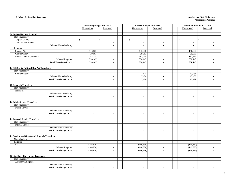#### **Exhibit 1A. Detail of Transfers**

#### **New Mexico State University Alamogordo Campus**

|                                                      | <b>Operating Budget 2017-2018</b> |                                |                          | Revised Budget 2017-2018 | <b>Unaudited Actuals 2017-2018</b>        |                                |  |
|------------------------------------------------------|-----------------------------------|--------------------------------|--------------------------|--------------------------|-------------------------------------------|--------------------------------|--|
|                                                      | Unrestricted                      | Restricted                     | Unrestricted             | Restricted               | Unrestricted                              | Restricted                     |  |
|                                                      |                                   |                                |                          |                          |                                           |                                |  |
| A. Instruction and General:                          |                                   |                                |                          |                          |                                           |                                |  |
| Non-Mandatory                                        |                                   |                                |                          |                          |                                           |                                |  |
| Capital Outlay                                       | $\mathbb S$                       | \$<br>$\overline{\phantom{a}}$ | \$<br>$\sim$             | $\mathsf{\$}$<br>$\sim$  | $\mathcal{S}$<br>$\overline{\phantom{a}}$ | $\mathbb{S}$<br>$\overline{a}$ |  |
| Las Cruces Campus                                    | $\overline{a}$                    | $\sim$                         | $\overline{a}$           | $\sim$                   | $\sim$                                    | $\overline{a}$                 |  |
| Subtotal Non-Mandatory                               | $\overline{a}$                    | $\sim$                         | $\overline{\phantom{a}}$ | $\sim$                   | $\mathbb{L}$                              | $\overline{a}$                 |  |
| Required                                             |                                   |                                |                          |                          |                                           |                                |  |
| Student Aid                                          | 146,830                           | $\overline{\phantom{a}}$       | 146,830                  | $\blacksquare$           | 146,830                                   | $\overline{a}$                 |  |
| Capital Outlay                                       | 29,083                            | $\sim$                         | 29,083                   | $\sim$                   | 29,083                                    | $\sim$                         |  |
| Renewal and Replacement                              | 182,234                           | $\sim$                         | 182,234                  | $\sim$                   | 182,234                                   | $\overline{a}$                 |  |
| <b>Subtotal Required</b>                             | 358,147                           | $\sim$                         | 358,147                  | $\sim$                   | 358,147                                   | $\overline{\phantom{a}}$       |  |
| <b>Total Transfers (Exh 2)</b>                       | 358,147                           | $\blacksquare$                 | 358,147                  | $\blacksquare$           | 358,147                                   | $\blacksquare$                 |  |
| <b>B. Stdt Soc &amp; Cultural Dev Act Transfers:</b> |                                   |                                |                          |                          |                                           |                                |  |
| Non-Mandatory                                        |                                   |                                |                          |                          |                                           |                                |  |
| Capital Outlay                                       | $\sim$                            | $\overline{\phantom{a}}$       | 17,424                   | $\sim$                   | 13,488                                    | $\overline{\phantom{a}}$       |  |
| Subtotal Non-Mandatory                               | $\frac{1}{2}$                     |                                | 17,424                   | $\overline{\phantom{a}}$ | 13,488                                    | $\overline{a}$                 |  |
| <b>Total Transfers (Exh 15)</b>                      | $\mathbf{r}$                      | $\sim$                         | 17,424                   | $\blacksquare$           | 13,488                                    | $\blacksquare$                 |  |
|                                                      |                                   |                                |                          |                          |                                           |                                |  |
| C. Research Transfers:                               |                                   |                                |                          |                          |                                           |                                |  |
| Non-Mandatory                                        |                                   |                                |                          |                          |                                           |                                |  |
| Research                                             | $\sim$                            | $\sim$                         | $\overline{\phantom{a}}$ | $\sim$                   | $\sim$                                    | $\sim$                         |  |
| Subtotal Non-Mandatory                               | $\overline{\phantom{a}}$          | $\sim$                         | $\overline{\phantom{a}}$ | $\overline{\phantom{a}}$ | $\overline{\phantom{a}}$                  | $\overline{\phantom{a}}$       |  |
| <b>Total Transfers (Exh 16)</b>                      | $\blacksquare$                    | $\blacksquare$                 | $\sim$                   | $\sim$                   | $\sim$                                    | $\sim$                         |  |
|                                                      |                                   |                                |                          |                          |                                           |                                |  |
| <b>D. Public Service Transfers:</b>                  |                                   |                                |                          |                          |                                           |                                |  |
| Non-Mandatory                                        |                                   |                                |                          |                          |                                           |                                |  |
| Public Service                                       | $\sim$                            | $\sim$                         | $\sim$                   | $\sim$                   | $\overline{\phantom{a}}$                  | $\overline{\phantom{a}}$       |  |
| Subtotal Non-Mandatory                               | $\sim$                            | $\sim$                         | $\overline{\phantom{a}}$ | $\overline{\phantom{a}}$ | $\overline{\phantom{a}}$                  | $\overline{a}$                 |  |
| <b>Total Transfers (Exh 17)</b>                      | $\sim$                            | $\sim$                         | $\sim$                   | $\blacksquare$           | $\mathbf{r}$                              | ä,                             |  |
| <b>E. Internal Service Transfers:</b>                |                                   |                                |                          |                          |                                           |                                |  |
| Non-Mandatory                                        |                                   |                                |                          |                          |                                           |                                |  |
| <b>Internal Service</b>                              | $\sim$                            | $\sim$                         | $\sim$                   | $\sim$                   | $\overline{a}$                            | $\overline{a}$                 |  |
| Subtotal Non-Mandatory                               | $\sim$                            | $\sim$                         | $\sim$                   | $\sim$                   | $\sim$                                    | $\sim$                         |  |
| <b>Total Transfers (Exh 18)</b>                      | $\sim$                            | $\blacksquare$                 | $\sim$                   | $\sim$                   | $\blacksquare$                            | $\blacksquare$                 |  |
|                                                      |                                   |                                |                          |                          |                                           |                                |  |
| F. Student Aid Grants and Stipends Transfers:        |                                   |                                |                          |                          |                                           |                                |  |
| Non-Mandatory                                        |                                   |                                |                          |                          |                                           |                                |  |
| Required                                             |                                   |                                |                          |                          |                                           |                                |  |
| I & G                                                | (146, 830)                        | $\overline{\phantom{a}}$       | (146, 830)               | $\sim$                   | (146, 830)                                | $\overline{a}$                 |  |
| <b>Subtotal Required</b>                             | (146, 830)                        | $\overline{\phantom{a}}$       | (146, 830)               | $\mathbb{Z}^2$           | (146, 830)                                | $\overline{a}$                 |  |
| <b>Total Transfers (Exh 19)</b>                      | (146, 830)                        | $\blacksquare$                 | (146, 830)               | $\blacksquare$           | (146, 830)                                | $\blacksquare$                 |  |
|                                                      |                                   |                                |                          |                          |                                           |                                |  |
| <b>G. Auxiliary Enterprises Transfers:</b>           |                                   |                                |                          |                          |                                           |                                |  |
| Non-Mandatory                                        |                                   |                                |                          |                          |                                           |                                |  |
| <b>Auxiliary Enterprises</b>                         | $\sim$                            | $\sim$                         | $\sim$                   | $\sim$                   | $\sim$                                    | $\overline{\phantom{a}}$       |  |
| Subtotal Non-Mandatory                               | $\sim$                            | $\sim$                         | $\sim$                   | $\sim$                   | $\sim$                                    | $\sim$                         |  |
| <b>Total Transfers (Exh 20)</b>                      | $\blacksquare$                    | $\sim$                         | $\sim$                   | $\sim$                   | $\blacksquare$                            | $\blacksquare$                 |  |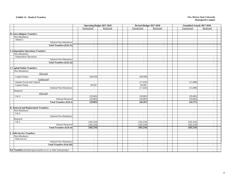#### **Exhibit 1A. Detail of Transfers**

#### **New Mexico State University Alamogordo Campus**

|                                                                  | <b>Operating Budget 2017-2018</b>  |                          | Revised Budget 2017-2018 |                          | <b>Unaudited Actuals 2017-2018</b> |                          |
|------------------------------------------------------------------|------------------------------------|--------------------------|--------------------------|--------------------------|------------------------------------|--------------------------|
|                                                                  | Unrestricted                       | Restricted               | Unrestricted             | Restricted               | Unrestricted                       | Restricted               |
|                                                                  |                                    |                          |                          |                          |                                    |                          |
| H. Intercollegiate Transfers:                                    |                                    |                          |                          |                          |                                    |                          |
| Non-Mandatory                                                    |                                    |                          |                          |                          |                                    |                          |
| Athletics                                                        | $\sim$                             | $\sim$                   | $\sim$                   | $\sim$                   | $\sim$                             | $\sim$                   |
| Subtotal Non-Mandatory                                           | $\overline{a}$                     | $\sim$                   | $\sim$                   | $\sim$                   | $\sim$                             | $\sim$                   |
| <b>Total Transfers (Exh 21)</b>                                  | $\blacksquare$                     | $\blacksquare$           | $\sim$                   | $\sim$                   | $\sim$                             | $\blacksquare$           |
|                                                                  |                                    |                          |                          |                          |                                    |                          |
| . Independent Operations Transfers:                              |                                    |                          |                          |                          |                                    |                          |
| Non-Mandatory                                                    |                                    |                          |                          |                          |                                    |                          |
| <b>Independent Operations</b>                                    | $\sim$                             | $\sim$                   | $\sim$                   | $\sim$                   | $\sim$                             | $\sim$                   |
| Subtotal Non-Mandatory                                           | $\overline{\phantom{a}}$           | $\sim$                   | $\sim$                   | $\sim$                   | $\sim$                             | $\sim$                   |
| <b>Total Transfers (Exh 22)</b>                                  | $\blacksquare$                     | $\blacksquare$           | $\mathbf{r}$             | $\mathbf{r}$             | $\blacksquare$                     | $\blacksquare$           |
|                                                                  |                                    |                          |                          |                          |                                    |                          |
| <b>J. Capital Outlay Transfers:</b>                              |                                    |                          |                          |                          |                                    |                          |
| Non-Mandatory                                                    |                                    |                          |                          |                          |                                    |                          |
| Allocated                                                        |                                    |                          |                          |                          |                                    |                          |
| Capital Outlay                                                   | (49, 429)                          | $\sim$                   | (49,500)                 | $\sim$                   | $\sim$                             | $\sim$                   |
| Unallocated                                                      |                                    |                          |                          |                          |                                    |                          |
| Student Social and Cultural                                      | $\overline{\phantom{a}}$           | $\sim$                   | (17, 424)                | $\sim$                   | (13, 488)                          | $\mathbb{L}$             |
| Capital Outlay<br>Subtotal Non-Mandatory                         | 49,429<br>$\overline{\phantom{a}}$ | $\sim$                   | 49,500<br>(17, 424)      | $\sim$                   | (13, 488)                          | $\sim$                   |
| Required                                                         |                                    | $\sim$                   |                          | $\sim$                   |                                    | $\overline{a}$           |
| Allocated                                                        |                                    |                          |                          |                          |                                    |                          |
| I & G                                                            | (29,083)                           | $\sim$                   | (29,083)                 | $\sim$                   | (29,083)                           | $\sim$                   |
| Subtotal Required                                                | (29,083)                           | $\overline{\phantom{a}}$ | (29,083)                 | $\overline{\phantom{a}}$ | (29,083)                           | $\blacksquare$           |
| <b>Total Transfers (Exh I)</b>                                   | (29,083)                           | $\sim$                   | (46,507)                 | $\sim$                   | (42, 571)                          | $\sim$                   |
|                                                                  |                                    |                          |                          |                          |                                    |                          |
| K. Renewal and Replacement Transfers:                            |                                    |                          |                          |                          |                                    |                          |
| Non-Mandatory                                                    |                                    |                          |                          |                          |                                    |                          |
| I & G                                                            | $\sim$                             | $\sim$                   | $\sim$                   | $\sim$                   | $\sim$                             | $\mathbb{L}$             |
| Subtotal Non-Mandatory                                           | $\sim$                             | $\sim$                   | $\sim$                   | $\sim$                   | $\sim$                             | $\mathbb{L}$             |
| Required                                                         |                                    |                          |                          |                          |                                    |                          |
| $\rm I\,\&\, G$                                                  | (182, 234)                         | $\sim$                   | (182, 234)               | $\sim$                   | (182, 234)                         | $\sim$                   |
| <b>Subtotal Required</b>                                         | (182, 234)                         | $\overline{\phantom{a}}$ | (182, 234)               | $\sim$                   | (182, 234)                         | $\overline{\phantom{a}}$ |
| <b>Total Transfers (Exh II)</b>                                  | (182, 234)                         | $\blacksquare$           | (182, 234)               | $\blacksquare$           | (182, 234)                         | $\blacksquare$           |
|                                                                  |                                    |                          |                          |                          |                                    |                          |
| Debt Service Transfers:<br>T                                     |                                    |                          |                          |                          |                                    |                          |
| Non-Mandatory                                                    |                                    |                          |                          |                          |                                    |                          |
| Debt Service                                                     | $\sim$                             | $\sim$                   | $\sim$                   | $\sim$                   | $\sim$                             | $\sim$                   |
| Subtotal Non-Mandatory                                           | $\overline{a}$                     | $\sim$                   | $\sim$                   | $\sim$                   | $\sim$                             | $\sim$                   |
| <b>Total Transfers (Exh III)</b>                                 | $\overline{\phantom{a}}$           | $\blacksquare$           | $\blacksquare$           | $\blacksquare$           | $\sim$                             | $\blacksquare$           |
|                                                                  |                                    |                          |                          |                          |                                    |                          |
| Net Transfers (should equal transfer to LC or other fund groups) | $\overline{\phantom{a}}$           | $\sim$                   | $\sim$                   | $\sim$                   | $\sim$                             | $\sim$                   |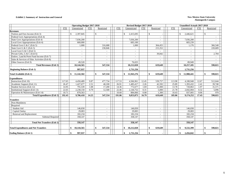#### **Exhibit 2. Summary of Instruction and General New Mexico State University**

|                                             |            | <b>Operating Budget 2017-2018</b> |            |                          |            |     | Revised Budget 2017-2018 |            |                          |            | <b>Unaudited Actuals 2017-2018</b> |            |              |                          |  |
|---------------------------------------------|------------|-----------------------------------|------------|--------------------------|------------|-----|--------------------------|------------|--------------------------|------------|------------------------------------|------------|--------------|--------------------------|--|
|                                             | <b>FTE</b> | Unrestricted                      | <b>FTE</b> | Restricted               | <b>FTE</b> |     | Unrestricted             | <b>FTE</b> | Restricted               | <b>FTE</b> | Unrestricted                       | <b>FTE</b> |              | Restricted               |  |
| <b>Revenues</b>                             |            |                                   |            |                          |            |     |                          |            |                          |            |                                    |            |              |                          |  |
| Tuition and Fees Income (Exh 3)             |            | 2,397,845<br>-8                   |            | $\mathbb{S}$             |            | \$. | 2,415,695                |            | $\mathbb{S}$             |            | 2,446,621<br>£.                    |            | $\mathbb{S}$ |                          |  |
| Federal Govt Appropriations (Exh 4)         |            |                                   |            | $\overline{\phantom{a}}$ |            |     |                          |            |                          |            |                                    |            |              |                          |  |
| State Govt Appropriations (Exh 4)           |            | 7,036,200                         |            | $\overline{a}$           |            |     | 7,036,200                |            |                          |            | 7,036,200                          |            |              | $\sim$                   |  |
| Local Govt Appropriations (Exh 4)           |            | 660,000                           |            | $\overline{a}$           |            |     | 683,100                  |            |                          |            | 683,239                            |            |              | $\overline{a}$           |  |
| Federal Govt G & C (Exh 5)                  |            | 1,000                             |            | 316,688                  |            |     | 1,000                    |            | 364,455                  |            | 1,176                              |            |              | 366,548                  |  |
| State Govt G & C (Exh 5)                    |            |                                   |            | 230,846                  |            |     |                          |            | 215,352                  |            |                                    |            |              | 220,689                  |  |
| Local Govt G & C (Exh 5)                    |            |                                   |            |                          |            |     | $\sim$                   |            |                          |            |                                    |            |              |                          |  |
| Private Gifts, G & C (Exh 6)                |            |                                   |            | $\overline{a}$           |            |     | $\sim$                   |            | 39,842                   |            |                                    |            |              | 2,784                    |  |
| Endow, Land & Perm Fund Income (Exh 7)      |            |                                   |            | $\overline{a}$           |            |     | $\sim$                   |            |                          |            |                                    |            |              | $\overline{\phantom{a}}$ |  |
| Sales & Services of Educ Activities (Exh 8) |            |                                   |            | $\sim$                   |            |     |                          |            |                          |            |                                    |            |              | $\sim$                   |  |
| Other Sources (Exh 9)                       |            | 49,520                            |            |                          |            |     | 76,025                   |            |                          |            | 89,949                             |            |              |                          |  |
| <b>Total Revenues (Exh 1)</b>               |            | 10,144,565                        |            | 547.534                  |            |     | 10,212,020               |            | 619.649                  |            | 10,257,185                         |            |              | 590,021                  |  |
| <b>Beginning Balance (Exh 1)</b>            |            | 997,937                           |            |                          |            |     | 1,731,256                |            |                          |            | 1,731,256                          |            |              |                          |  |
| <b>Total Available (Exh 1)</b>              |            | \$<br>11,142,502                  |            | \$<br>547,534            |            | \$  | 11,943,276               |            | 619,649<br>\$            |            | \$<br>11,988,441                   |            | \$           | 590,021                  |  |
| <b>Expenditures</b>                         |            |                                   |            |                          |            |     |                          |            |                          |            |                                    |            |              |                          |  |
| Instruction (Exh 10)                        | 117.65     | 4,450,489                         | 9.87       | 477,734                  | 117.53     |     | 4,566,961                | 12.45      | 539,757                  | 113.98     | 4,180,948                          | 12.67      |              | 512,644                  |  |
| Academic Support (Exh 11)                   | 26.47      | 1,427,677                         | 2.51       | 40.100                   | 26.91      |     | 1,485,417                | 2.26       | 42.592                   | 25.89      | 1,393,432                          | 2.41       |              | 39,740                   |  |
| Student Services (Exh 12)                   | 14.95      | 791,539                           | 1.08       | 17,200                   | 14.36      |     | 772,677                  | 1.69       | 31,000                   | 13.78      | 720,863                            | 1.97       |              | 31,571                   |  |
| Institutional Support (Exh 13)              | 22.65      | 2,238,150                         | 0.79       | 12,500                   | 22.46      |     | 2,144,752                | 0.31       | 5,000                    | 21.78      | 2,042,004                          | 0.32       |              | 5,096                    |  |
| Operation & Maintenance (Exh 14)            | 10.71      | 878,563                           | $\sim$     | $\overline{\phantom{a}}$ | 10.60      |     | 884,066                  | 0.08       | 1,300                    | 10.43      | 837,005                            | 0.06       |              | 970                      |  |
| <b>Total Expenditures (Exh 1)</b>           | 192.43     | 9,786,418                         | 14.25      | 547,534                  | 191.86     |     | 9,853,873                | 16.79      | 619,649                  | 185.86     | 9,174,252                          | 17.43      |              | 590,021                  |  |
| <b>Transfers</b>                            |            |                                   |            |                          |            |     |                          |            |                          |            |                                    |            |              |                          |  |
| Non-Mandatory                               |            |                                   |            |                          |            |     |                          |            |                          |            |                                    |            |              |                          |  |
| Required                                    |            |                                   |            |                          |            |     |                          |            |                          |            |                                    |            |              |                          |  |
| Student Aid                                 |            | 146,830                           |            | $\sim$                   |            |     | 146,830                  |            | $\overline{\phantom{a}}$ |            | 146,830                            |            |              | $\overline{\phantom{a}}$ |  |
| Capital Outlay                              |            | 29,083                            |            | $\sim$                   |            |     | 29,083                   |            |                          |            | 29.083                             |            |              | $\overline{a}$           |  |
| Renewal and Replacement                     |            | 182,234                           |            |                          |            |     | 182,234                  |            |                          |            | 182,234                            |            |              | $\overline{\phantom{a}}$ |  |
| <b>Subtotal Required</b>                    |            | 358,147                           |            | $\sim$                   |            |     | 358,147                  |            |                          |            | 358,147                            |            |              | $\sim$                   |  |
| <b>Total Net Transfers (Exh 1)</b>          |            | 358,147                           |            | $\blacksquare$           |            |     | 358,147                  |            |                          |            | 358,147                            |            |              | $\blacksquare$           |  |
|                                             |            |                                   |            |                          |            |     |                          |            |                          |            |                                    |            |              |                          |  |
| <b>Total Expenditures and Net Transfers</b> |            | \$<br>10,144,565                  |            | 547,534<br>\$            |            | \$  | 10,212,020               |            | 619.649<br>\$            |            | \$<br>9,532,399                    |            | \$           | 590,021                  |  |
| <b>Ending Balance (Exh 1)</b>               |            | 997,937<br>\$                     |            | \$                       |            | \$  | 1,731,256                |            | \$                       |            | \$<br>2,456,042                    |            | \$           |                          |  |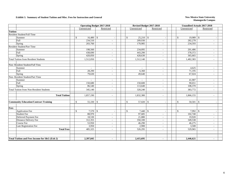#### **Exhibit 3. Summary of Student Tuition and Misc. Fees for Instruction and General <b>New Mexico State University New Mexico State University**

|                |                                                 |                              | <b>Operating Budget 2017-2018</b> |  |                              | Revised Budget 2017-2018 |                            | <b>Unaudited Actuals 2017-2018</b> |
|----------------|-------------------------------------------------|------------------------------|-----------------------------------|--|------------------------------|--------------------------|----------------------------|------------------------------------|
|                |                                                 | Unrestricted                 | Restricted                        |  | Unrestricted                 | Restricted               | Unrestricted               | Restricted                         |
| <b>Tuition</b> |                                                 |                              |                                   |  |                              |                          |                            |                                    |
|                | Resident Student/Full Time                      |                              |                                   |  |                              |                          |                            |                                    |
|                | Summer                                          | $\mathbb{S}$                 |                                   |  | $\mathbb{S}$                 |                          | $\mathbb{S}$               |                                    |
|                | Fall                                            | 234,510                      |                                   |  | 209,930                      |                          | 282,278                    |                                    |
|                | Spring                                          | 203,760                      | $\sim$                            |  | 170,985                      | $\sim$                   | 234,593                    | $\sim$                             |
|                | <b>Resident Student/Part Time</b>               |                              |                                   |  |                              |                          |                            |                                    |
|                | Summer                                          | 198,560                      | $\sim$                            |  | 234,095                      | $\sim$                   | 201,486                    | $\sim$                             |
|                | Fall                                            | 438,690                      | $\sim$                            |  | 443,290                      | $\sim$                   | 378,372                    | $\sim$                             |
|                | Spring                                          | 420,050                      | $\sim$                            |  | 428,630                      | $\sim$                   | 365,665                    | $\sim$                             |
|                | <b>Total Tuition from Resident Students</b>     | 1,512,050                    | $\overline{\phantom{a}}$          |  | 1,512,140                    | $\overline{\phantom{a}}$ | 1,482,383                  | $\overline{\phantom{a}}$           |
|                | Non-Resident Student/Full Time                  |                              |                                   |  |                              |                          |                            |                                    |
|                | Summer                                          | $\overline{\phantom{a}}$     | $\sim$                            |  | $\sim$                       | $\sim$                   | 4,625                      | $\sim$                             |
|                | Fall                                            | 28,290                       | $\sim$                            |  | 6,360                        | $\sim$                   | 71,195                     | $\sim$                             |
|                | Spring                                          | 79,630                       | $\sim$                            |  | 49,640                       | $\sim$                   | 67,024                     | $\sim$                             |
|                | Non-Resident Student/Part Time                  |                              |                                   |  |                              |                          |                            |                                    |
|                | Summer                                          |                              | $\sim$                            |  |                              | $\sim$                   | 41,907                     | $\sim$                             |
|                | Fall                                            | 150,680                      | $\sim$                            |  | 150,600                      | $\sim$                   | 90,651                     | ÷.                                 |
|                | Spring                                          | 86,540                       | $\sim$                            |  | 113,640                      | $\sim$                   | 108,370                    | $\omega$                           |
|                | <b>Total Tuition from Non-Resident Students</b> | 345,140                      | $\sim$                            |  | 320,240                      | $\sim$                   | 383,772                    | $\blacksquare$                     |
|                | <b>Total Tuition</b>                            | 1,857,190                    | $\sim$                            |  | 1,832,380                    | $\overline{\phantom{a}}$ | 1,866,155                  | $\overline{\phantom{a}}$           |
|                | <b>Community Education/Contract Training</b>    | $\mathcal{S}$<br>$55,330$ \$ |                                   |  | $\mathcal{S}$<br>$57,020$ \$ |                          | $\mathbb{S}$<br>50,501     | <sup>\$</sup>                      |
|                |                                                 |                              |                                   |  |                              |                          |                            |                                    |
| Fees           |                                                 |                              |                                   |  |                              |                          |                            |                                    |
|                | Application Fee                                 | $7,570$ \$<br><sup>\$</sup>  |                                   |  | $\mathbb{S}$<br>7,440        | -S                       | $7,992$ \$<br>$\mathbb{S}$ |                                    |
|                | <b>Student Fee</b>                              | 88,970                       | $\sim$                            |  | 97,685                       | $\sim$                   | 102,740                    | $\omega$                           |
|                | Deferred Payment Fee                            | 18,530                       | $\sim$                            |  | 21,880                       | $\sim$                   | 19,920                     | $\sim$                             |
|                | Distance Delivery Fee                           | 312,355                      | $\sim$                            |  | 350,100                      | $\sim$                   | 349,538                    | $\sim$                             |
|                | Course Fee                                      | 53,950                       | $\sim$                            |  | 46,290                       | $\sim$                   | 46,275                     | $\sim$                             |
|                | Late Registration Fee                           | 3,950                        | $\sim$                            |  | 2,900                        | $\sim$                   | 3,500                      | $\overline{\phantom{a}}$           |
|                | <b>Total Fees</b>                               | 485,325                      | $\sim$                            |  | 526,295                      | $\sim$                   | 529,965                    | $\sim$                             |
|                |                                                 |                              |                                   |  |                              |                          |                            |                                    |
|                | Total Tuition and Fees Income for I&G (Exh 2)   | 2,397,845                    | $\blacksquare$                    |  | 2,415,695                    | $\blacksquare$           | 2,446,621                  | $\blacksquare$                     |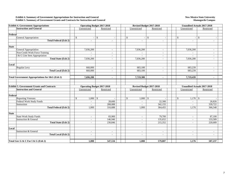#### **Exhibit 4. Summary of Government Appropriations for Instruction and General Exhibit 5. Summary of Government Grants and Contracts for Instruction and General**

#### **New Mexico State University Alamogordo Campus**

| <b>Exhibit 4. Government Appropriations</b>                | <b>Operating Budget 2017-2018</b>       |                | Revised Budget 2017-2018                 |                          |                          | <b>Unaudited Actuals 2017-2018</b> |
|------------------------------------------------------------|-----------------------------------------|----------------|------------------------------------------|--------------------------|--------------------------|------------------------------------|
| <b>Instruction and General</b>                             | Unrestricted                            | Restricted     | Unrestricted                             | Restricted               | Unrestricted             | Restricted                         |
|                                                            |                                         |                |                                          |                          |                          |                                    |
| Federal                                                    |                                         |                |                                          |                          |                          |                                    |
| General Appropriation                                      | $\mathbb{S}$<br>$\mathcal{S}$<br>$\sim$ |                | $\mathbb{S}$<br>$\overline{\phantom{a}}$ | $\mathcal{S}$            | $\mathbb{S}$<br>$\sim$   | $\mathcal{S}$                      |
| <b>Total Federal (Exh 2)</b>                               |                                         | ÷.             |                                          | $\sim$                   |                          | $\sim$                             |
|                                                            |                                         |                |                                          |                          |                          |                                    |
| <b>State</b>                                               |                                         |                |                                          |                          |                          |                                    |
| General Appropriation                                      | 7,036,200                               | $\sim$         | 7,036,200                                | $\sim$                   | 7,036,200                | $\sim$                             |
| Non-Credit Work Force Training                             | $\sim$                                  | $\sim$         |                                          | $\sim$                   |                          | $\sim$                             |
| I & G Line Item Appropriation                              |                                         | $\sim$         |                                          | $\sim$                   |                          | $\sim$                             |
| <b>Total State (Exh 2)</b>                                 | 7,036,200                               | $\sim$         | 7,036,200                                | $\sim$                   | 7,036,200                | $\sim$                             |
|                                                            |                                         |                |                                          |                          |                          |                                    |
| Local                                                      |                                         |                |                                          |                          |                          |                                    |
| <b>Regular Levy</b>                                        | 660,000                                 | $\sim$         | 683,100                                  | $\sim$                   | 683,239                  | $\sim$                             |
| <b>Total Local (Exh 2)</b>                                 | 660,000                                 | $\sim$         | 683,100                                  | $\overline{\phantom{a}}$ | 683,239                  | ÷.                                 |
|                                                            |                                         |                |                                          |                          |                          |                                    |
| <b>Total Government Appropriations for I&amp;G (Exh 2)</b> | 7,696,200                               | $\blacksquare$ | 7,719,300                                | $\blacksquare$           | 7,719,439                | $\blacksquare$                     |
|                                                            |                                         |                |                                          |                          |                          |                                    |
|                                                            |                                         |                |                                          |                          |                          |                                    |
| <b>Exhibit 5. Government Grants and Contracts</b>          | <b>Operating Budget 2017-2018</b>       |                | Revised Budget 2017-2018                 |                          |                          | <b>Unaudited Actuals 2017-2018</b> |
| <b>Instruction and General</b>                             | Unrestricted                            | Restricted     | Unrestricted                             | Restricted               | Unrestricted             | Restricted                         |
|                                                            |                                         |                |                                          |                          |                          |                                    |
| Federal                                                    |                                         |                |                                          |                          |                          |                                    |
| <b>Reporting Veterans</b>                                  | $\mathbb{S}$<br>1,000<br>$\mathcal{S}$  |                | \$<br>$1,000$ \$                         |                          | \$<br>$1,176$ \$         |                                    |
| Federal Work Study Funds                                   | $\sim$                                  | 28,600         | $\sim$                                   | 22,300                   | $\sim$                   | 26,826                             |
| Instruction                                                | $\sim$                                  | 288,088        | $\sim$                                   | 342,155                  | $\sim$                   | 339,722                            |
| <b>Total Federal (Exh 2)</b>                               | 1,000                                   | 316,688        | 1,000                                    | 364,455                  | 1,176                    | 366,548                            |
|                                                            |                                         |                |                                          |                          |                          |                                    |
| <b>State</b>                                               |                                         |                |                                          |                          |                          |                                    |
| <b>State Work Study Funds</b>                              |                                         | 83,900         |                                          | 79,700                   | $\overline{\phantom{a}}$ | 87,100                             |
| <b>Instruction &amp; General</b>                           |                                         | 146,946        | $\sim$                                   | 135,652                  | $\overline{\phantom{a}}$ | 133,589                            |
| <b>Total State (Exh 2)</b>                                 |                                         | 230,846        | $\sim$                                   | 215,352                  |                          | 220,689                            |
|                                                            |                                         |                |                                          |                          |                          |                                    |
| Local                                                      |                                         |                |                                          |                          |                          |                                    |
| Instruction & General                                      | $\sim$                                  | $\sim$         | $\overline{\phantom{a}}$                 | $\sim$                   | $\overline{\phantom{a}}$ | $\sim$                             |
| Total Local (Exh 2)                                        | $\sim$                                  | $\sim$         | $\sim$                                   | $\sim$                   | $\overline{\phantom{a}}$ | $\sim$                             |
|                                                            |                                         |                |                                          |                          |                          |                                    |
| Total Gov G & C For I & G (Exh 2)                          | 1,000                                   | 547,534        | 1,000                                    | 579,807                  | 1,176                    | 587,237                            |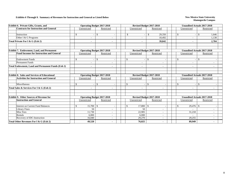#### **Exhibits 6 Through 9. Summary of Revenues for Instruction and General as Listed Below New Mexico State University**

| Exhibit 6. Private Gifts, Grants, and                    |                | <b>Operating Budget 2017-2018</b> |                    | Revised Budget 2017-2018 | <b>Unaudited Actuals 2017-2018</b> |                          |
|----------------------------------------------------------|----------------|-----------------------------------|--------------------|--------------------------|------------------------------------|--------------------------|
| <b>Contracts for Instruction and General</b>             | Unrestricted   | Restricted                        | Unrestricted       | Restricted               | Unrestricted                       | Restricted               |
|                                                          |                |                                   |                    |                          |                                    |                          |
| Instruction                                              | \$             | $\mathbb{S}$                      | \$                 | 29.350<br>\$             | \$                                 | <sup>\$</sup><br>1.646   |
| Other I & G Programs                                     |                |                                   |                    | 10.492                   | $\overline{\phantom{a}}$           | 1.138                    |
| Total Private For I & G (Exh 2)                          |                | $\blacksquare$                    |                    | 39,842                   | $\blacksquare$                     | 2,784                    |
|                                                          |                |                                   |                    |                          |                                    |                          |
| <b>Exhibit 7. Endowment, Land, and Permanent</b>         |                | <b>Operating Budget 2017-2018</b> |                    | Revised Budget 2017-2018 | <b>Unaudited Actuals 2017-2018</b> |                          |
| <b>Fund Incomes for Instruction and General</b>          | Unrestricted   | Restricted                        | Unrestricted       | Restricted               | Unrestricted                       | Restricted               |
|                                                          |                |                                   |                    |                          |                                    |                          |
| <b>Endowment Funds</b>                                   | $\mathcal{S}$  | $\mathcal{S}$                     | $\mathbb{S}$       | $\mathcal{S}$            | $\mathcal{S}$                      | $\mathcal{S}$            |
| <b>Permanent Funds</b>                                   |                |                                   |                    |                          |                                    |                          |
| <b>Total Endowment, Land and Permanent Funds (Exh 2)</b> |                |                                   |                    |                          |                                    |                          |
|                                                          |                |                                   |                    |                          |                                    |                          |
|                                                          |                |                                   |                    |                          |                                    |                          |
| <b>Exhibit 8. Sales and Services of Educational</b>      |                | <b>Operating Budget 2017-2018</b> |                    | Revised Budget 2017-2018 | <b>Unaudited Actuals 2017-2018</b> |                          |
| <b>Activities for Instruction and General</b>            | Unrestricted   | Restricted                        | Unrestricted       | Restricted               | Unrestricted                       | Restricted               |
|                                                          |                |                                   |                    |                          |                                    |                          |
| Miscellanous                                             | \$             | $\mathbb{S}$                      | \$<br>$\sim$       | <sup>\$</sup>            | \$                                 | $\mathbb{S}$             |
| Total Sales & Services For I & G (Exh 2)                 | $\blacksquare$ | $\blacksquare$                    |                    | $\blacksquare$           | $\blacksquare$                     |                          |
|                                                          |                |                                   |                    |                          |                                    |                          |
|                                                          |                |                                   |                    |                          |                                    |                          |
| <b>Exhibit 9. Other Sources of Revenue for</b>           |                | <b>Operating Budget 2017-2018</b> |                    | Revised Budget 2017-2018 | <b>Unaudited Actuals 2017-2018</b> |                          |
| <b>Instruction and General</b>                           | Unrestricted   | Restricted                        | Unrestricted       | Restricted               | Unrestricted                       | Restricted               |
|                                                          |                |                                   |                    |                          |                                    |                          |
| <b>Interest on Current Fund Balances</b>                 | 15,700<br>\$.  | <sup>\$</sup>                     | 17,800<br><b>S</b> | <sup>\$</sup>            | \$                                 |                          |
| <b>Library Fines</b>                                     | 50             |                                   | 50                 |                          |                                    |                          |
| Misc Fees                                                | 11,730         | $\sim$                            | 22,905             | $\overline{\phantom{a}}$ | 31,218                             | $\overline{\phantom{a}}$ |
| Rentals                                                  | 6,000          | $\sim$                            | 6,000              | $\overline{\phantom{a}}$ |                                    | $\overline{\phantom{a}}$ |
| Recovery of IDC-Instruction                              | 16,040         |                                   | 29,270             |                          | 29,255                             |                          |
| Total Other Revenues For I & G (Exh 2)                   | 49,520         | $\blacksquare$                    | 76,025             | $\blacksquare$           | 89,949                             |                          |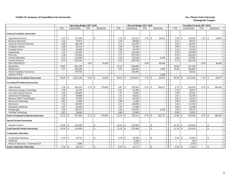#### **Exhibit 10. Summary of Expenditures for Instruction New Mexico State University New Mexico State University**

|                                               |                          | <b>Operating Budget 2017-2018</b> |                          |                          |                          | Revised Budget 2017-2018     |                             |                          |                          | <b>Unaudited Actuals 2017-2018</b> |                          |                    |                          |
|-----------------------------------------------|--------------------------|-----------------------------------|--------------------------|--------------------------|--------------------------|------------------------------|-----------------------------|--------------------------|--------------------------|------------------------------------|--------------------------|--------------------|--------------------------|
|                                               | <b>FTE</b>               | Unrestricted                      | <b>FTE</b>               | Restricted               | <b>FTE</b>               | Unrestricted                 | <b>FTE</b>                  | Restricted               | <b>FTE</b>               | Unrestricted                       | <b>FTE</b>               | Restricted         |                          |
|                                               |                          |                                   |                          |                          |                          |                              |                             |                          |                          |                                    |                          |                    |                          |
| <b>General Academic Instruction</b>           |                          |                                   |                          |                          |                          |                              |                             |                          |                          |                                    |                          |                    |                          |
| <b>Agricultural Science</b>                   | 2.22                     | $\mathcal{S}$<br>121,590          | $\overline{\phantom{a}}$ | $\mathbb{S}$             | 2.32                     | 124,252<br><sup>\$</sup>     |                             | 24,032                   | 2.28<br>$\mathbf{s}$     | 124,503                            | 1.35                     | $\mathbf{\hat{S}}$ | 24,032                   |
| <b>Business Education</b>                     | 2.33                     | 76,673                            | $\overline{\phantom{a}}$ |                          | 3.29                     | 89,648                       | $\sim$                      |                          | 3.31                     | 90,232                             |                          |                    |                          |
| Career & Technical Director                   | 2.86                     | 140,148                           |                          |                          | 3.12                     | 147,879                      | $\overline{\phantom{a}}$    |                          | 3.02                     | 142,921                            | $\sim$                   |                    |                          |
| <b>Computer Science</b>                       | 2.88                     | 85,314                            | $\overline{\phantom{a}}$ |                          | 3.30                     | 87,264                       | $\sim$                      |                          | 2.88                     | 81,652                             | $\sim$                   |                    |                          |
| Criminal Justice                              | 3.50                     | 40,500                            | $\sim$                   |                          | 2.08                     | 54,750                       | $\sim$                      |                          | 2.25                     | 55,294                             | $\sim$                   |                    | $\overline{\phantom{a}}$ |
| Engineering                                   | 2.53                     | 134,496                           | $\overline{\phantom{a}}$ | $\overline{\phantom{a}}$ | 2.47                     | 134,494                      | $\sim$                      | $\overline{\phantom{a}}$ | 2.29                     | 126,998                            | $\sim$                   |                    | $\sim$                   |
| Fine Arts                                     | 5.30                     | 174,366                           | $\blacksquare$           | $\sim$                   | 5.77                     | 237,138                      | $\sim$                      |                          | 6.76                     | 242,242                            | $\sim$                   |                    | $\sim$                   |
| <b>General Education</b>                      | 5.15                     | 176,090                           | $\sim$                   |                          | 5.54                     | 179,540                      | $\omega$                    | 2,500                    | 5.84                     | 179,991                            | $\sim$                   |                    |                          |
| <b>General Sciences</b>                       | 8.73                     | 267,162                           | $\overline{\phantom{a}}$ | $\sim$                   | 9.55                     | 289,720                      | $\sim$                      |                          | 9.73                     | 292,370                            | $\sim$                   |                    |                          |
| <b>HSI STEM SECO</b>                          | $\sim$                   |                                   | 0.42                     | 24,454                   | $\sim$                   |                              | 0.44                        | 40,446                   | $\sim$                   |                                    | 0.44                     |                    | 40,445                   |
| Humanities                                    | 20.82                    | 661,190                           |                          |                          | 22.19                    | 694,090                      | $\sim$                      |                          | 20.80                    | 671,536                            | $\sim$                   |                    |                          |
| Mathematics                                   | 9.77                     | 204,248                           | $\overline{\phantom{a}}$ | $\overline{\phantom{a}}$ | 9.87                     | 203,909                      | $\sim$                      | 1,000                    | 10.48                    | 206,865                            | $\sim$                   |                    | $\overline{\phantom{a}}$ |
| Shared Academic Instruction                   | $\blacksquare$           | 179,763                           | $\overline{\phantom{a}}$ |                          | $\sim$                   | 236,363                      | $\sim$                      |                          | $\sim$                   | 58,422                             | $\sim$                   |                    |                          |
| <b>Summer STEM</b>                            | $\sim$                   |                                   |                          |                          | $\sim$                   |                              | $\sim$                      | 2.000                    | $\overline{\phantom{a}}$ |                                    | $\sim$                   |                    |                          |
| <b>Total General Academic Instruction</b>     | 66.09                    | 2,261,540<br>£.                   | 0.42                     | $\mathbf{s}$<br>24,454   | 69.50                    | 2,479,047<br>-S              | 1.79                        | 69,978<br>-S             | 69.64<br>-\$             | 2,273,026                          | 1.79                     | -8                 | 64,477                   |
| <b>Vocational/Technical Instruction</b>       |                          |                                   |                          |                          |                          |                              |                             |                          |                          |                                    |                          |                    |                          |
|                                               |                          |                                   |                          |                          |                          |                              |                             |                          |                          |                                    |                          |                    |                          |
| Allied Health                                 | 5.59                     | \$<br>264,226                     | 2.75                     | 178,995<br>$\mathcal{S}$ | 4.87                     | 259,503<br>-S                | 4.79                        | 196,627<br>-8            | 4.79<br>$\mathbf{s}$     | 236,939                            | 4.79                     | -\$                | 189,445                  |
| <b>Alternative Energy Technology</b>          | 1.90                     | 22,150                            | $\sim$                   |                          | 2.61                     | 35,200                       | $\sim$                      |                          | 2.18                     | 28,015                             | $\sim$                   |                    |                          |
| Arts and Sciences Director                    | 3.43                     | 159,494                           | $\overline{\phantom{a}}$ |                          | 1.97                     | 73,864                       | $\sim$                      |                          | 1.88                     | 65,541                             | $\sim$                   |                    |                          |
| <b>Automotive Technology</b>                  | 2.14                     | 78,890                            | $\overline{\phantom{a}}$ | $\overline{\phantom{a}}$ | 1.31                     | 68,625                       | $\sim$                      | $\sim$                   | 1.61                     | 62,184                             | $\sim$                   |                    | $\overline{a}$           |
| <b>Business Office Technologies</b>           | 2.65                     | 29,550                            | $\overline{a}$           |                          | 2.21                     | 24,750                       | $\sim$                      |                          | 2.01                     | 22,533                             | $\sim$                   |                    |                          |
| <b>Electrical Technology</b>                  | 0.81                     | 11,000                            | $\overline{a}$           |                          | 0.80                     | 11,000                       | $\sim$                      |                          | 0.80                     | 10,095                             | $\sim$                   |                    |                          |
| Electronics                                   | 7.23                     | 139,949                           | $\blacksquare$           | $\sim$                   | 6.13                     | 129,896                      | $\mathcal{L}_{\mathcal{A}}$ | $\sim$                   | 5.43                     | 121,503                            | $\sim$                   |                    | $\sim$                   |
| <b>Emergency Medicine</b>                     | 4.07                     | 96,450                            | $\sim$                   |                          | 1.97                     | 57,000                       | $\sim$                      |                          | 0.69                     | 22,588                             | $\sim$                   |                    |                          |
| Photography                                   | 2.69                     | 138,275                           | $\overline{\phantom{a}}$ |                          | 2.09                     | 107,076                      | $\sim$                      | 9,100                    | 1.89                     | 99,127                             | $\sim$                   |                    |                          |
| <b>Welding Technology</b>                     | 0.81                     | 18,000                            | $\sim$                   | $\overline{\phantom{a}}$ | 0.80                     | 16,000                       | $\sim$                      |                          | 0.60                     | 10,925                             | $\sim$                   |                    |                          |
| <b>Total Vocational/Technical Instruction</b> | 31.32                    | 957,984<br>$\mathcal{S}$          | 2.75                     | $\mathbb{S}$<br>178,995  | 24.76                    | 782,914<br>-8                | 4.79                        | 205,727<br>-8            | 21.88<br>l \$            | 679,450                            | 4.79                     | - \$               | 189,445                  |
| <b>Special Session Instruction</b>            |                          |                                   |                          |                          |                          |                              |                             |                          |                          |                                    |                          |                    |                          |
| <b>Summer Session</b>                         | $19.50$ \$               | 225,650                           | $\sim$                   | \$                       | 22.18                    | 257,600<br><sup>\$</sup>     | $\sim$                      | -\$                      | 21.70<br><b>S</b>        | 253,014                            | $\sim$                   | <sup>\$</sup>      |                          |
| <b>Total Special Session Instruction</b>      | $19.50$ \$               | 225,650                           |                          | $\mathbf{s}$             | 22.18                    | $\mathbf{s}$<br>257,600      |                             | $\mathcal{S}$            | 21.70<br>$\mathbf{s}$    | 253,014                            |                          | $\mathcal{S}$      |                          |
| <b>Community Education</b>                    |                          |                                   |                          |                          |                          |                              |                             |                          |                          |                                    |                          |                    |                          |
| <b>Community Education</b>                    | 0.74                     | $\mathbf{s}$<br>39,755            | $\blacksquare$           | $\mathbb{S}$             | 0.78                     | $\mathbf{\hat{s}}$<br>36,500 | $\overline{\phantom{a}}$    | -\$                      | 0.45<br>$\mathbf{s}$     | 24,814                             | $\blacksquare$           | \$                 |                          |
| <b>NABCEP</b>                                 | $\overline{\phantom{a}}$ |                                   | $\overline{\phantom{a}}$ | $\overline{\phantom{a}}$ | $\overline{\phantom{a}}$ | 2,500                        | $\sim$                      | $\sim$                   | $\overline{\phantom{a}}$ | 250                                | $\overline{\phantom{a}}$ |                    | $\sim$                   |
| Physical Education - Community Ed             | $\sim$                   | 5,000                             | $\sim$                   |                          |                          | 4,772                        | $\sim$                      |                          | $\sim$                   | 2,619                              | $\overline{a}$           |                    |                          |
| <b>Total Community Education</b>              | 0.74                     | $\mathbf{s}$<br>44,755            |                          | $\mathbb{S}$             |                          | 43,772                       |                             | $\mathcal{S}$            | 0.45<br>$\mathbf{s}$     | 27,683                             |                          | $\mathbf{\hat{S}}$ |                          |
|                                               |                          |                                   |                          |                          |                          |                              |                             |                          |                          |                                    |                          |                    |                          |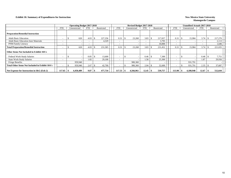#### **Exhibit 10. Summary of Expenditures for Instruction New Mexico State University New Mexico State University**

|                                                        |            | <b>Operating Budget 2017-2018</b> |            |     |            |            |   | Revised Budget 2017-2018 |            |            |         | Unaudited Actuals 2017-2018 |                          |              |           |                          |  |            |
|--------------------------------------------------------|------------|-----------------------------------|------------|-----|------------|------------|---|--------------------------|------------|------------|---------|-----------------------------|--------------------------|--------------|-----------|--------------------------|--|------------|
|                                                        | <b>FTE</b> | Unrestricted                      | <b>FTE</b> |     | Restricted | <b>FTE</b> |   | Unrestricted             | <b>FTE</b> | Restricted |         | <b>FTE</b>                  |                          | Unrestricted |           | <b>FTE</b>               |  | Restricted |
| <b>Preparation/Remedial Instruction</b>                |            |                                   |            |     |            |            |   |                          |            |            |         |                             |                          |              |           |                          |  |            |
| <b>Adult Basic Education</b>                           |            | 620                               | 4.03       |     | 227,256    | 0.31       | э | 23,268                   | 3.83       |            | 217,657 |                             | 0.31                     |              | 15,984    | 3.74                     |  | 217,276    |
| <b>Adult Basic Education Instr Materials</b>           |            |                                   |            |     | 4,329      |            |   |                          |            |            | 3,795   |                             | $\overline{\phantom{0}}$ |              |           | $\overline{\phantom{0}}$ |  | 2,113      |
| PNM Family Literacy                                    |            |                                   |            |     |            |            |   |                          |            |            | 10,000  |                             | $\overline{\phantom{0}}$ |              |           | $\sim$                   |  | 1,646      |
| <b>Total Preparation/Remedial Instruction</b>          |            | 620                               | 4.03       |     | 231,585    | 0.31       |   | 23,268                   | 3.83       |            | 231,452 |                             | 0.31                     |              | 15,984    | 3.74                     |  | 221,035    |
| Other Items Not Included in Exhibit 10A's              |            |                                   |            |     |            |            |   |                          |            |            |         |                             |                          |              |           |                          |  |            |
| <b>Federal Work-Study Salaries</b>                     |            |                                   | 0.85       |     | 13.600     |            |   |                          | 0.46       |            | 7,300   |                             |                          |              |           | 0.48                     |  | 7,751      |
| <b>State Work-Study Salaries</b>                       |            |                                   | 1.82       |     | 29,100     |            |   |                          | 1.58       |            | 25,300  |                             | $\overline{\phantom{0}}$ |              |           | 1.87                     |  | 29,936     |
| Fringe Benefits                                        |            | 959,940                           |            |     |            |            |   | 980,360                  |            |            |         |                             |                          |              | 931,791   |                          |  |            |
| <b>Total Other Items Not Included in Exhibit 10A's</b> |            | 959,940                           | 2.67       |     | 42,700     |            |   | 980,360                  | 2.04       |            | 32,600  |                             | $\overline{\phantom{0}}$ |              | 931,791   | 2.35                     |  | 37,687     |
| Net Expense for Instruction in $I\&G$ (Exh 2)          | 117.65     | 4,450,489                         | 9.87       | - 7 | 477.734    | 117.53     |   | 4.566.961                | 12.45      |            | 539,757 |                             | 113.98                   |              | 4,180,948 | 12.67                    |  | 512,644    |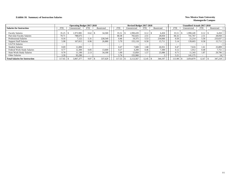### **Exhibit 10. Summary of Instruction Salaries** New Mexico State University

|                                       |            | <b>Operating Budget 2017-2018</b> |            |            |            | Revised Budget 2017-2018 |            |            |            | <b>Unaudited Actuals 2017-2018</b> |                          |            |  |
|---------------------------------------|------------|-----------------------------------|------------|------------|------------|--------------------------|------------|------------|------------|------------------------------------|--------------------------|------------|--|
| <b>Salaries for Instruction</b>       | <b>FTE</b> | Unrestricted                      | <b>FTE</b> | Restricted | <b>FTE</b> | Unrestricted             | <b>FTE</b> | Restricted | <b>FTE</b> | Unrestricted                       | <b>FTE</b>               | Restricted |  |
| <b>Faculty Salaries</b>               | 35.25      | 1,973,985                         | 0.62       | 34,500     | 35.51      | 1.990.439                | 0.12       | 6.450      | 35.51      | 1.990.249                          | 0.12                     | 6,450      |  |
| Part-time Faculty Salaries            | 70.71      | 788.675                           |            |            | 68.38      | 765,025                  | 2.51       | 28,050     | 66.32      | 741.767                            | 2.51                     | 28,050     |  |
| <b>Professional Salaries</b>          | 0.16       | 7,122                             | 5.31       | 228,549    | 0.46       | 19.375                   | 5.53       | 234,666    | 0.50       | 21.214                             | 5.50                     | 233,637    |  |
| <b>Support Staff Salaries</b>         | 5.98       | 167,815                           | 0.96       | 26,880     | 5.70       | 155,118                  | 0.58       | 15,711     | 5.14       | 139,603                            | 0.58                     | 15,711     |  |
| GA/TA Salaries                        |            |                                   |            |            |            |                          |            |            |            |                                    | $\overline{\phantom{0}}$ |            |  |
| <b>Student Salaries</b>               | 0.69       | 11.000                            |            |            | 0.47       | 7.600                    | 1.68       | 26,931     | 0.47       | 7,616                              | 1.61                     | 25,809     |  |
| Federal Work-Study Salaries           | 0.77       | 12.300                            | 0.85       | 13,600     | 0.27       | 4.200                    | 0.46       | 7.300      | 0.12       | 1.912                              | 0.48                     | 7.751      |  |
| <b>State Work-Study Salaries</b>      | 0.70       | 11.190                            | 2.13       | 34,100     | 1.00       | 15,850                   | 1.57       | 25,086     | 0.71       | 11,343                             | 1.87                     | 29,796     |  |
| Other Salaries                        | 3.39       | 95,290                            |            |            | 5.74       | 155,960                  |            |            | 5.21       | 141.175                            | $\overline{\phantom{0}}$ |            |  |
| <b>Total Salaries for Instruction</b> | 117.65     | 3,067,377                         | 9.87       | 337,629    | 117.53     | 3,113,567                | 12.45      | 344.197    | 13.98      | 3,054,879                          | 12.67                    | 347,218    |  |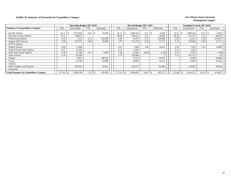### **Exhibit 10. Summary of Instruction by Expenditure Category New Mexico State University**

|                                              |            | <b>Operating Budget 2017-2018</b> |                          |            |            | Revised Budget 2017-2018 |            |            |                          | <b>Unaudited Actuals 2017-2018</b> |                          |            |
|----------------------------------------------|------------|-----------------------------------|--------------------------|------------|------------|--------------------------|------------|------------|--------------------------|------------------------------------|--------------------------|------------|
| <b>Summary by Expenditure Category</b>       | <b>FTE</b> | Unrestricted                      | <b>FTE</b>               | Restricted | <b>FTE</b> | Unrestricted             | <b>FTE</b> | Restricted | <b>FTE</b>               | Unrestricted                       | <b>FTE</b>               | Restricted |
| <b>Faculty Salaries</b>                      | 35.25      | 1,973,985                         | 0.62                     | 34,500     | 35.51      | 1,990,439                | 0.12       | 6,450      | 35.51                    | 1,990,249                          | 0.12                     | 6,450      |
| Part-time Faculty Salaries                   | 70.71      | 788.675                           |                          |            | 68.38      | 765,025                  | 2.51       | 28,050     | 66.32                    | 741.767                            | 2.51                     | 28,050     |
| <b>Professional Salaries</b>                 | 0.16       | 7,122                             | 5.31                     | 228,549    | 0.46       | 19,375                   | 5.53       | 234,666    | 0.50                     | 21,214                             | 5.50                     | 233,637    |
| <b>Support Staff Salaries</b>                | 5.98       | 167,815                           | 0.96                     | 26,880     | 5.70       | 155,118                  | 0.58       | 15,711     | 5.14                     | 139,603                            | 0.58                     | 15,711     |
| GA/TA Salaries                               |            |                                   |                          |            |            |                          |            |            | $\overline{\phantom{0}}$ |                                    |                          |            |
| <b>Student Salaries</b>                      | 0.69       | 11,000                            | $\overline{\phantom{0}}$ |            | 0.47       | 7,600                    | 1.68       | 26,931     | 0.47                     | 7,616                              | 1.61                     | 25,809     |
| <b>Federal Work-Study Salaries</b>           | 0.77       | 12,300                            |                          |            | 0.27       | 4,200                    | $\sim$     |            | 0.12                     | 1,912                              | $\overline{\phantom{a}}$ |            |
| <b>State Work-Study Salaries</b>             | 0.70       | 11,190                            | 0.31                     | 5,000      | 1.00       | 15,850                   | (0.01)     | (214)      | 0.71                     | 11,343                             | $\overline{\phantom{a}}$ | (140)      |
| Other Salaries                               | 3.39       | 95,290                            |                          |            | 5.74       | 155,960                  |            |            | 5.21                     | 141,175                            |                          | 14         |
| Fringes                                      |            | 6,853                             |                          | 100,356    |            | 9,213                    |            | 95,207     |                          | 6,596                              |                          | 94,988     |
| Travel                                       |            | 22,700                            |                          | 18,898     |            | 30,850                   |            | 14,514     |                          | 17.019                             |                          | 10,934     |
| <b>Utilities</b>                             |            |                                   |                          |            |            |                          |            |            |                          |                                    |                          |            |
| Other Supplies and Expenses                  |            | 393,619                           |                          | 20,851     |            | 432,971                  |            | 85,839     |                          | 170.663                            |                          | 59,504     |
| Equipment                                    |            |                                   |                          |            |            |                          |            |            |                          |                                    |                          |            |
| <b>Total Summary by Expenditure Category</b> | 117.65     | 3,490,549                         | 7.20                     | 435,034    | 117.53     | 3,586,601                | 10.41      | 507,157    | 113.98                   | 3,249,157                          | 10.32                    | 474,957    |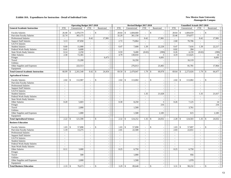|                                           | <b>Operating Budget 2017-2018</b> |                            |                          |                          |  |                            | Revised Budget 2017-2018 |                                           |                          |                             | <b>Unaudited Actuals 2017-2018</b> |                             |                                   |
|-------------------------------------------|-----------------------------------|----------------------------|--------------------------|--------------------------|--|----------------------------|--------------------------|-------------------------------------------|--------------------------|-----------------------------|------------------------------------|-----------------------------|-----------------------------------|
| <b>General Academic Instruction</b>       | <b>FTE</b>                        | Unrestricted               | <b>FTE</b>               | Restricted               |  | <b>FTE</b>                 | Unrestricted             | <b>FTE</b>                                | Restricted               | <b>FTE</b>                  | Unrestricted                       | <b>FTE</b>                  | Restricted                        |
| <b>Faculty Salaries</b>                   | 26.40                             | 1,478,579<br>$\mathcal{S}$ | $\sim$                   | $\mathsf{\$}$            |  | 28.64<br>\$                | 1,604,660                | $\mathcal{S}$<br>$\overline{\phantom{a}}$ |                          | 28.64                       | 1,604,659<br>\$                    | $\sim$                      | $\mathbf{\hat{S}}$                |
| Part-time Faculty Salaries                | 32.74                             | 365,175                    | $\sim$                   |                          |  | 32.29                      | 361,150                  | $\sim$                                    | $\sim$                   | 33.46                       | 374,077                            | $\sim$                      |                                   |
| Professional Salaries                     | $\omega$                          |                            | 0.42                     | 17,981                   |  | $\omega$ .                 |                          | 0.42                                      | 17,981                   | $\omega$                    |                                    | 0.42                        | 17,981                            |
| <b>Support Staff Salaries</b>             | 3.13                              | 87,858                     | $\blacksquare$           |                          |  | 2.72                       | 73,864                   | $\blacksquare$                            |                          | 2.60                        | 70,706                             | $\mathcal{L}_{\mathcal{A}}$ |                                   |
| GA/TA Salaries                            | $\overline{a}$                    |                            | $\sim$                   |                          |  | $\sim$                     |                          | $\overline{\phantom{a}}$                  |                          | $\mathbf{r}$                |                                    | $\overline{a}$              |                                   |
| <b>Student Salaries</b>                   | 0.69                              | 11,000                     | $\sim$                   | $\overline{\phantom{a}}$ |  | 0.47                       | 7,600                    | 1.39                                      | 22,228                   | 0.47                        | 7,616                              | 1.39                        | 22,217                            |
| Federal Work-Study Salaries               | 0.41                              | 6,600                      | $\sim$                   | $\sim$                   |  | $\sim$                     |                          | $\sim$                                    |                          | 0.02                        | 284                                | $\sim$                      |                                   |
| <b>State Work-Study Salaries</b>          | 0.14                              | 2,250                      | $\sim$                   | $\sim$                   |  | 0.59                       | 9,400                    | (0.02)                                    | (390)                    | 0.26                        | 4,159                              | (0.02)                      | (390)                             |
| Other Salaries                            | 2.58                              | 72,365                     | $\sim$                   | $\sim$                   |  | 4.79                       | 130,010                  | $\sim$                                    | $\mathfrak{Z}$           | 4.19                        | 113,625                            | $\sim$                      | 14                                |
| Fringes                                   |                                   |                            |                          | 6,473                    |  |                            | $\overline{\phantom{a}}$ |                                           | 6,691                    |                             |                                    |                             | 6,691                             |
| Travel                                    |                                   | 15,200                     |                          | $\overline{\phantom{a}}$ |  |                            | 16,350                   |                                           | $\sim$                   |                             | 16,119                             |                             |                                   |
| Utilities                                 |                                   |                            |                          | $\sim$                   |  |                            |                          |                                           |                          |                             |                                    |                             |                                   |
| Other Supplies and Expenses               |                                   | 222,513                    |                          | $\overline{\phantom{a}}$ |  |                            | 276,013                  |                                           | 23,465                   |                             | 81,781                             |                             | 17,964                            |
| Equipment                                 |                                   |                            |                          | $\overline{\phantom{a}}$ |  |                            |                          |                                           |                          |                             |                                    |                             |                                   |
| <b>Total General Academic Instruction</b> | 66.09                             | 2,261,540<br>-\$           | 0.42                     | 24,454<br>$\mathbf{s}$   |  | 69.50<br>\$                | 2,479,047                | 1.79<br>$\mathbf{s}$                      | 69,978                   | 69.64                       | 2,273,026<br>$\mathcal{S}$         | 1.79                        | 64,477<br>$\mathbb{S}$            |
| <b>Agricultural Science</b>               |                                   |                            |                          |                          |  |                            |                          |                                           |                          |                             |                                    |                             |                                   |
| <b>Faculty Salaries</b>                   | 2.02                              | $\mathbb{S}$<br>112,987    | $\sim$                   | $\mathbb{S}$             |  | 2.02<br>$\mathbb{S}$       | 113,002                  | \$<br>$\sim$                              |                          | 2.02                        | \$<br>113,002                      | $\sim$                      | $\mathbf{\hat{S}}$                |
| Part-time Faculty Salaries                | $\sim$                            |                            | $\sim$                   |                          |  | $\sim$                     | $\overline{\phantom{a}}$ | $\sim$                                    | $\sim$                   | $\sim$                      |                                    | $\sim$                      | $\sim$                            |
| <b>Professional Salaries</b>              | $\sim$                            |                            | $\overline{\phantom{a}}$ | $\sim$                   |  | $\sim$                     | $\sim$                   | $\sim$                                    | $\sim$                   | $\sim$                      | $\overline{a}$                     | $\sim$                      | $\sim$                            |
| <b>Support Staff Salaries</b>             | $\sim$                            |                            | $\sim$                   | $\sim$                   |  | $\sim$                     | $\sim$                   | $\sim$                                    | $\sim$                   | $\sim$                      | $\overline{\phantom{a}}$           | $\sim$                      | $\mathcal{L}$                     |
| GA/TA Salaries                            | $\sim$                            |                            | $\overline{\phantom{a}}$ |                          |  | $\sim$                     |                          | $\sim$                                    |                          | $\sim$                      | $\overline{\phantom{a}}$           | $\sim$                      |                                   |
| <b>Student Salaries</b>                   | $\sim$                            |                            | $\blacksquare$           | $\sim$                   |  | $\sim$                     | $\sim$                   | 1.35                                      | 21,628                   | $\blacksquare$              | $\overline{\phantom{a}}$           | 1.35                        | 21,617                            |
| Federal Work-Study Salaries               | $\sim$                            |                            | $\sim$                   | $\sim$                   |  | $\sim$                     |                          | $\omega$                                  | $\sim$                   | $\sim$                      | $\overline{\phantom{a}}$           | $\omega$                    |                                   |
| <b>State Work-Study Salaries</b>          | $\sim$                            |                            | $\sim$                   | $\overline{a}$           |  | $\overline{a}$             | $\overline{a}$           | $\mathcal{L}^{\pm}$                       | $\overline{a}$           | $\sim$                      | $\sim$                             | $\mathcal{L}^{\pm}$         | $\sim$                            |
| Other Salaries                            | 0.20                              | 5,603                      | $\sim$                   | $\sim$                   |  | 0.30                       | 8,250                    | $\omega$                                  | 3                        | 0.26                        | 7,125                              | $\sim$                      | 14                                |
| Fringes                                   |                                   |                            |                          | $\sim$                   |  |                            | $\sim$                   |                                           | 216                      |                             |                                    |                             | 216                               |
| Travel                                    |                                   | 2,000                      |                          | $\omega$                 |  |                            | 1,500                    |                                           | $\sim$                   |                             | 3,761                              |                             | $\sim$                            |
| Utilities                                 |                                   |                            |                          | $\sim$                   |  |                            |                          |                                           |                          |                             |                                    |                             |                                   |
| Other Supplies and Expenses               |                                   | 1.000                      |                          | $\sim$                   |  |                            | 1,500                    |                                           | 2,185                    |                             | 615                                |                             | 2,185                             |
| Equipment                                 |                                   |                            |                          | $\omega$                 |  |                            |                          |                                           |                          |                             |                                    |                             |                                   |
| <b>Total Agricultural Science</b>         | 2.22                              | 121,590<br>$\mathcal{S}$   | $\sim$                   | $\mathcal{S}$<br>$\sim$  |  | 2.32<br>$\mathbf{\hat{S}}$ | 124,252                  | 1.35<br>£.                                | 24,032                   | 2.28                        | 124,503<br>$\mathbf{\hat{S}}$      | 1.35                        | 24,032<br>$\mathcal{S}$           |
| <b>Business Education</b>                 |                                   |                            |                          |                          |  |                            |                          |                                           |                          |                             |                                    |                             |                                   |
| <b>Faculty Salaries</b>                   | 1.03                              | $\mathbb{S}$<br>57,898     | $\overline{a}$           | $\mathsf{\$}$            |  | $\mathbb{S}$<br>1.03       | 57,898                   | $\mathbf{\hat{S}}$<br>$\overline{a}$      | $\overline{a}$           | 1.03                        | $\mathbf{\hat{S}}$<br>57,897       | $\overline{a}$              | $\mathbb{S}$                      |
| Part-time Faculty Salaries                | 1.19                              | 13,275                     | $\sim$                   | $\sim$                   |  | 2.01                       | 22,500                   | $\sim$                                    | $\sim$                   | 2.03                        | 22,651                             | $\sim$                      | $\sim$                            |
| <b>Professional Salaries</b>              | $\sim$                            |                            | $\sim$                   | $\sim$                   |  | $\sim$                     | $\sim$                   | $\omega$                                  | $\sim$                   | $\mathcal{L}_{\mathcal{A}}$ | $\overline{\phantom{a}}$           | $\sim$                      | $\sim$                            |
| <b>Support Staff Salaries</b>             | $\sim$                            | $\overline{a}$             | $\sim$                   | $\sim$                   |  | $\sim$                     | $\sim$                   | $\sim$                                    | $\sim$                   | $\sim$                      | $\sim$                             | $\sim$                      | $\sim$                            |
| GA/TA Salaries                            | $\sim$                            |                            | $\sim$                   | $\sim$                   |  | $\sim$                     | $\sim$                   | $\sim$                                    | $\sim$                   | $\sim$                      | $\overline{\phantom{a}}$           | $\sim$                      | $\blacksquare$                    |
| <b>Student Salaries</b>                   |                                   |                            | $\sim$                   |                          |  |                            |                          | $\sim$                                    | $\mathbb{L}$             | $\blacksquare$              | $\overline{\phantom{a}}$           | $\sim$                      | $\sim$                            |
| Federal Work-Study Salaries               | $\overline{\phantom{a}}$          |                            | $\sim$                   | $\sim$                   |  | $\sim$                     |                          | $\overline{\phantom{a}}$                  | $\overline{\phantom{a}}$ | $\overline{\phantom{a}}$    | $\overline{\phantom{a}}$           | $\overline{a}$              | $\sim$                            |
| <b>State Work-Study Salaries</b>          | $\sim$                            |                            | $\mathcal{L}$            | $\sim$                   |  | $\sim$                     | $\sim$                   | $\omega$                                  | $\sim$                   | $\overline{a}$              | $\sim$                             | $\sim$                      | $\blacksquare$                    |
| Other Salaries                            | 0.11                              | 3,000                      | $\sim$                   | $\sim$                   |  | 0.25                       | 6,750                    | $\omega$                                  | $\sim$                   | 0.25                        | 6,750                              | $\sim$                      | $\sim$                            |
| Fringes                                   |                                   |                            |                          | $\sim$                   |  |                            |                          |                                           | $\sim$                   |                             |                                    |                             | $\sim$                            |
| Travel                                    |                                   | 500                        |                          | $\sim$                   |  |                            | 1,000                    |                                           | $\sim$                   |                             | 956                                |                             | $\blacksquare$                    |
| Utilities                                 |                                   |                            |                          | $\omega$                 |  |                            |                          |                                           | $\sim$                   |                             |                                    |                             | $\omega$                          |
| Other Supplies and Expenses               |                                   | 2,000                      |                          | $\sim$                   |  |                            | 1,500                    |                                           | $\mathbb{Z}^2$           |                             | 1,978                              |                             | $\omega$                          |
| Equipment                                 |                                   |                            |                          | $\sim$                   |  |                            |                          |                                           | $\sim$                   |                             |                                    |                             | $\mathcal{L}_{\mathcal{A}}$       |
| <b>Total Business Education</b>           | 2.33                              | 76,673<br>\$               | $\sim$                   | $\mathbf{\hat{S}}$       |  | 3.29<br>$\mathbb{S}$       | 89,648                   | \$                                        |                          | 3.31                        | 90,232<br>$\mathcal{S}$            | $\sim$                      | \$<br>$\mathcal{L}_{\mathcal{A}}$ |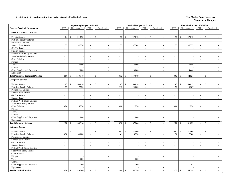|                                              | <b>Operating Budget 2017-2018</b><br>Unrestricted<br><b>FTE</b><br><b>FTE</b><br>Restricted |                          |                          |                                           |  |                             | Revised Budget 2017-2018    |                          |                              |                             | Unaudited Actuals 2017-2018  |                             |                             |
|----------------------------------------------|---------------------------------------------------------------------------------------------|--------------------------|--------------------------|-------------------------------------------|--|-----------------------------|-----------------------------|--------------------------|------------------------------|-----------------------------|------------------------------|-----------------------------|-----------------------------|
| <b>General Academic Instruction</b>          |                                                                                             |                          |                          |                                           |  | <b>FTE</b>                  | Unrestricted                | <b>FTE</b>               | Restricted                   | <b>FTE</b>                  | Unrestricted                 | <b>FTE</b>                  | Restricted                  |
| <b>Career &amp; Technical Director</b>       |                                                                                             |                          |                          |                                           |  |                             |                             |                          |                              |                             |                              |                             |                             |
| <b>Faculty Salaries</b>                      | 1.64                                                                                        | $\mathcal{S}$<br>91,890  | $\sim$                   | \$                                        |  | $\mathbb{S}$<br>1.75        | 97,815                      | $\sim$                   | \$<br>$\sim$                 | 1.75                        | $\mathcal{S}$<br>97,815      | $\blacksquare$              | \$                          |
| Part-time Faculty Salaries                   | $\blacksquare$                                                                              |                          | $\blacksquare$           | $\sim$                                    |  | $\blacksquare$              |                             | $\blacksquare$           | $\mathbb{L}$                 | $\mathcal{L}_{\mathcal{A}}$ |                              | $\blacksquare$              | $\sim$                      |
| <b>Professional Salaries</b>                 | $\overline{\phantom{a}}$                                                                    |                          | $\blacksquare$           | $\sim$                                    |  | $\blacksquare$              |                             | $\equiv$                 | $\blacksquare$               | $\blacksquare$              |                              | $\equiv$                    | $\blacksquare$              |
| <b>Support Staff Salaries</b>                | 1.22                                                                                        | 34,258                   | $\omega$                 | $\sim$                                    |  | 1.37                        | 37,264                      | $\omega$                 | $\sim$                       | 1.27                        | 34,557                       | $\omega$                    | $\mathcal{L}$               |
| GA/TA Salaries                               | $\mathcal{L}_{\mathcal{A}}$                                                                 |                          | $\blacksquare$           | $\sim$                                    |  | $\omega$                    |                             | $\blacksquare$           | $\mathbb{L}$                 | $\mathcal{L}_{\mathcal{A}}$ |                              | $\blacksquare$              | $\blacksquare$              |
| <b>Student Salaries</b>                      | $\sim$                                                                                      | $\overline{\phantom{a}}$ | $\sim$                   | $\blacksquare$                            |  | $\sim$                      | $\mathcal{L}_{\mathcal{A}}$ | $\mathcal{L}$            | $\sim$                       | $\sim$                      | $\sim$                       | $\sim$                      | $\omega$                    |
| Federal Work-Study Salaries                  | $\overline{\phantom{a}}$                                                                    |                          | $\overline{\phantom{a}}$ | $\overline{\phantom{a}}$                  |  | $\overline{\phantom{a}}$    |                             | $\omega$                 | $\sim$                       | $\overline{\phantom{a}}$    | $\overline{\phantom{a}}$     | $\sim$                      | $\sim$                      |
| <b>State Work-Study Salaries</b>             | $\omega$                                                                                    | $\overline{\phantom{a}}$ | $\sim$                   | $\blacksquare$                            |  | $\mathcal{L}$               | $\overline{\phantom{a}}$    | $\omega$                 | $\blacksquare$               | $\sim$                      | $\overline{\phantom{a}}$     | $\mathcal{L}$               | $\blacksquare$              |
| Other Salaries                               | $\mathcal{L}$                                                                               | $\overline{\phantom{a}}$ | $\mathcal{L}$            | $\blacksquare$                            |  | $\blacksquare$              | $\sim$                      | $\omega$                 | $\sim$                       | $\mathcal{L}_{\mathcal{A}}$ | $\sim$                       | $\omega$                    | $\mathcal{L}$               |
| Fringes                                      |                                                                                             |                          |                          | $\sim$                                    |  |                             |                             |                          | $\sim$                       |                             |                              |                             | $\omega$                    |
| Travel                                       |                                                                                             | 2,000                    |                          | $\sim$                                    |  |                             | 2,000                       |                          | $\sim$                       |                             | 4,089                        |                             | $\equiv$                    |
| Utilities                                    |                                                                                             |                          |                          | $\sim$                                    |  |                             |                             |                          | $\omega$                     |                             |                              |                             | $\mathcal{L}_{\mathcal{A}}$ |
| Other Supplies and Expenses                  |                                                                                             | 12,000                   |                          | $\sim$                                    |  |                             | 10,800                      |                          | $\sim$                       |                             | 6,460                        |                             | $\sim$                      |
| Equipment                                    |                                                                                             |                          |                          | $\sim$                                    |  |                             |                             |                          | $\sim$                       |                             |                              |                             | $\sim$                      |
| <b>Total Career &amp; Technical Director</b> | 2.86                                                                                        | 140,148<br>\$            | $\sim$                   | $\mathbb S$<br>$\sim$                     |  | 3.12<br>$\mathbf{\$}$       | 147,879                     | $\omega$                 | $\mathbf{\hat{S}}$<br>$\sim$ | 3.02                        | $\sqrt{3}$<br>142,921        | $\mathbb{Z}^+$              | $\mathbb S$<br>$\mathbf{r}$ |
| <b>Computer Science</b>                      |                                                                                             |                          |                          |                                           |  |                             |                             |                          |                              |                             |                              |                             |                             |
| <b>Faculty Salaries</b>                      | 1.07                                                                                        | $\mathbb{S}$<br>60,014   | $\sim$                   | $\mathbb S$                               |  | $\mathbb{S}$<br>1.07        | 60,014                      | $\sim$                   | $\mathcal{S}$                | 1.07                        | $\mathsf{\$}$<br>60,015      | $\sim$                      | \$                          |
| Part-time Faculty Salaries                   | 1.57                                                                                        | 17,550                   | $\mathbf{r}$             |                                           |  | 2.15                        | 24,000                      | $\omega$                 | $\sim$                       | 1.73                        | 19,387                       | $\mathcal{L}^{\mathcal{A}}$ | $\sim$                      |
| <b>Professional Salaries</b>                 | $\omega$                                                                                    |                          | $\blacksquare$           | $\blacksquare$                            |  | $\omega$                    |                             | $\blacksquare$           | $\sim$                       | $\omega$                    |                              | $\blacksquare$              | $\mathcal{L}_{\mathcal{A}}$ |
| <b>Support Staff Salaries</b>                | $\sim$                                                                                      | $\sim$                   | $\blacksquare$           | $\sim$                                    |  | $\mathcal{L}_{\mathcal{A}}$ | $\blacksquare$              | $\blacksquare$           | $\sim$                       | $\sim$                      | $\overline{\phantom{a}}$     | $\blacksquare$              | $\blacksquare$              |
| GA/TA Salaries                               | $\sim$                                                                                      |                          | $\sim$                   | $\sim$                                    |  | $\sim$                      | $\sim$                      | $\sim$                   | $\blacksquare$               | $\sim$                      | $\overline{\phantom{a}}$     | $\sim$                      | $\equiv$                    |
| <b>Student Salaries</b>                      | $\blacksquare$                                                                              |                          | $\blacksquare$           | $\sim$                                    |  | $\blacksquare$              | $\overline{\phantom{a}}$    | $\equiv$                 | $\blacksquare$               | $\blacksquare$              | $\overline{\phantom{a}}$     | $\equiv$                    | $\blacksquare$              |
| Federal Work-Study Salaries                  | $\sim$                                                                                      | $\overline{a}$           | $\sim$                   | $\sim$                                    |  | $\sim$                      | $\omega$                    | $\omega$                 | $\sim$                       | $\mathcal{L}$               | $\overline{a}$               | $\mathcal{L}$               | $\mathcal{L}$               |
| State Work-Study Salaries                    | $\blacksquare$                                                                              | $\sim$                   | $\blacksquare$           | $\sim$                                    |  | $\blacksquare$              | $\sim$                      | $\blacksquare$           | $\omega$                     | $\blacksquare$              | $\sim$                       | $\blacksquare$              | $\blacksquare$              |
| Other Salaries                               | 0.24                                                                                        | 6,750                    | $\blacksquare$           | $\omega$                                  |  | 0.08                        | 2,250                       | $\sim$                   | $\sim$                       | 0.08                        | 2,250                        | $\sim$                      | $\omega$                    |
| Fringes                                      |                                                                                             |                          |                          | $\sim$                                    |  |                             | $\overline{\phantom{a}}$    |                          | $\blacksquare$               |                             | $\overline{\phantom{a}}$     |                             | $\sim$                      |
| Travel                                       |                                                                                             |                          |                          | $\blacksquare$                            |  |                             | $\overline{\phantom{a}}$    |                          | $\mathcal{L}_{\mathcal{A}}$  |                             | $\sim$                       |                             | $\sim$                      |
| Utilities                                    |                                                                                             |                          |                          | $\sim$                                    |  |                             | $\sim$                      |                          | $\sim$                       |                             | $\overline{a}$               |                             | $\mathcal{L}$               |
| Other Supplies and Expenses                  |                                                                                             | 1,000                    |                          | $\sim$                                    |  |                             | 1,000                       |                          | $\mathbb{L}$                 |                             |                              |                             | $\mathcal{L}$               |
| Equipment                                    |                                                                                             |                          |                          | $\sim$                                    |  |                             |                             |                          | $\sim$                       |                             | $\sim$                       |                             | $\mathcal{L}$               |
| <b>Total Computer Science</b>                | 2.88                                                                                        | \$<br>85,314             | $\sim$                   | $\mathsf{\$}$<br>$\overline{\phantom{a}}$ |  | $\mathcal{S}$<br>3.30       | 87,264                      | $\sim$                   | $\mathbf{\hat{S}}$<br>$\sim$ | 2.88                        | 81,652<br>$\mathbb{S}$       | $\sim$                      | \$<br>$\sim$                |
| <b>Criminal Justice</b>                      |                                                                                             |                          |                          |                                           |  |                             |                             |                          |                              |                             |                              |                             |                             |
| <b>Faculty Salaries</b>                      |                                                                                             | $\mathbf{\hat{S}}$       |                          | $\mathsf{\$}$                             |  | 0.67<br>$\mathbb{S}$        | 37,500                      | $\sim$                   | \$<br>$\overline{a}$         | 0.67                        | $\mathbf{\hat{S}}$<br>37,500 | $\sim$                      | $\mathsf{\$}$               |
| Part-time Faculty Salaries                   | 3.50                                                                                        | 39,000                   | $\sim$                   | $\sim$                                    |  | 1.41                        | 15,750                      | $\omega$                 | $\sim$                       | 1.58                        | 17,700                       | $\omega$                    | $\sim$                      |
| Professional Salaries                        | $\sim$                                                                                      |                          | $\sim$                   | $\sim$                                    |  | $\sim$                      | $\sim$                      | $\sim$                   | $\sim$                       | $\sim$                      | $\overline{\phantom{a}}$     | $\sim$                      | $\sim$                      |
| <b>Support Staff Salaries</b>                | $\sim$                                                                                      |                          | $\sim$                   | $\sim$                                    |  | $\sim$                      | $\sim$                      | $\sim$                   | $\blacksquare$               | $\sim$                      | $\overline{\phantom{a}}$     | $\sim$                      | $\sim$                      |
| GA/TA Salaries                               | $\sim$                                                                                      |                          | $\mathcal{L}$            | $\sim$                                    |  | $\sim$                      | $\sim$                      | $\omega$                 | $\blacksquare$               | $\mathcal{L}$               | $\overline{\phantom{a}}$     | $\mathbf{r}$                | $\sim$                      |
| <b>Student Salaries</b>                      | $\sim$                                                                                      | $\overline{\phantom{a}}$ | $\mathcal{L}$            | $\sim$                                    |  | $\sim$                      | $\overline{a}$              | $\mathcal{L}$            | $\sim$                       | $\sim$                      | $\overline{\phantom{a}}$     | $\mathcal{L}$               | $\sim$                      |
| Federal Work-Study Salaries                  | $\sim$                                                                                      | $\sim$                   | $\blacksquare$           | $\blacksquare$                            |  | $\blacksquare$              | $\sim$                      | $\blacksquare$           | $\sim$                       | $\sim$                      | $\overline{\phantom{a}}$     | $\blacksquare$              | $\blacksquare$              |
| <b>State Work-Study Salaries</b>             | $\sim$                                                                                      | $\overline{a}$           | $\sim$                   | $\sim$                                    |  | $\sim$                      | $\sim$                      | $\sim$                   | $\sim$                       | $\sim$                      | $\overline{\phantom{a}}$     | $\sim$                      | $\equiv$                    |
| Other Salaries                               | $\blacksquare$                                                                              | $\sim$                   | $\sim$                   | $\mathcal{L}_{\mathcal{A}}$               |  | $\sim$                      | $\overline{\phantom{a}}$    | $\overline{\phantom{a}}$ | $\blacksquare$               | $\overline{\phantom{a}}$    | $\overline{\phantom{a}}$     | $\overline{a}$              | $\blacksquare$              |
| Fringes                                      |                                                                                             |                          |                          | $\sim$                                    |  |                             | $\sim$                      |                          | $\sim$                       |                             | $\sim$                       |                             | $\sim$                      |
| Travel                                       |                                                                                             | 1,200                    |                          | $\sim$                                    |  |                             | 1,200                       |                          | $\sim$                       |                             | $\overline{a}$               |                             | $\sim$                      |
| Utilities                                    |                                                                                             |                          |                          | $\mathcal{L}_{\mathcal{A}}$               |  |                             | $\sim$                      |                          | $\sim$                       |                             | $\overline{\phantom{a}}$     |                             | $\sim$                      |
| Other Supplies and Expenses                  |                                                                                             | 300                      |                          | $\sim$                                    |  |                             | 300                         |                          | $\mathbb{Z}^2$               |                             | 94                           |                             | $\omega$                    |
| Equipment                                    |                                                                                             |                          |                          | $\sim$                                    |  |                             |                             |                          | $\mathbb{Z}^2$               |                             |                              |                             | $\mathcal{L}_{\mathcal{A}}$ |
| <b>Total Criminal Justice</b>                | 3.50                                                                                        | 40,500<br>\$             | $\sim$                   | $\mathcal{S}$                             |  | 2.08<br>$\mathbb{S}$        | 54,750                      | $\sim$                   | $\mathbf{\hat{S}}$<br>$\sim$ | 2.25                        | 55,294<br>\$                 | $\sim$                      | $\mathbb{S}$                |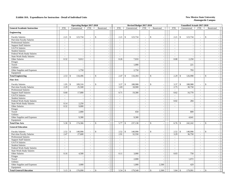|                                     |                          | <b>Operating Budget 2017-2018</b> |                          |                              |                       | Revised Budget 2017-2018 |                          |                                    |                             | Unaudited Actuals 2017-2018 |                          |                              |
|-------------------------------------|--------------------------|-----------------------------------|--------------------------|------------------------------|-----------------------|--------------------------|--------------------------|------------------------------------|-----------------------------|-----------------------------|--------------------------|------------------------------|
| <b>General Academic Instruction</b> | FTE                      | Unrestricted                      | FTE                      | Restricted                   | <b>FTE</b>            | Unrestricted             | <b>FTE</b>               | Restricted                         | <b>FTE</b>                  | Unrestricted                | FTE                      | Restricted                   |
| <b>Engineering</b>                  |                          |                                   |                          |                              |                       |                          |                          |                                    |                             |                             |                          |                              |
| <b>Faculty Salaries</b>             | 2.21                     | \$<br>123,734                     | $\sim$                   | $\mathsf{\$}$                | \$<br>2.21            | 123,734                  | $\sim$                   | \$<br>$\overline{\phantom{a}}$     | 2.21                        | $\mathbb{S}$<br>123,734     | $\sim$                   | \$                           |
| Part-time Faculty Salaries          |                          |                                   | $\sim$                   |                              |                       |                          | $\overline{\phantom{a}}$ | $\sim$                             | $\blacksquare$              |                             | $\bar{\phantom{a}}$      |                              |
| <b>Professional Salaries</b>        | $\sim$                   |                                   | $\sim$                   | $\sim$                       | $\sim$                | $\overline{\phantom{a}}$ | $\overline{a}$           | $\blacksquare$                     | $\sim$                      | $\overline{\phantom{a}}$    | $\overline{a}$           | $\sim$                       |
| <b>Support Staff Salaries</b>       | $\sim$                   |                                   | $\sim$                   | $\blacksquare$               | $\sim$                | $\sim$                   | $\sim$                   | $\omega$                           | $\mathcal{L}_{\mathcal{A}}$ | $\overline{a}$              | $\sim$                   | $\sim$                       |
| GA/TA Salaries                      | $\sim$                   | $\sim$                            | $\overline{\phantom{a}}$ | $\sim$                       | $\sim$                | $\sim$                   | $\sim$                   | $\blacksquare$                     | $\sim$                      | $\overline{\phantom{a}}$    | $\blacksquare$           | $\blacksquare$               |
| <b>Student Salaries</b>             | $\sim$                   |                                   | $\sim$                   | $\blacksquare$               | $\sim$                | $\sim$                   | $\sim$                   | $\sim$                             | $\sim$                      | $\overline{\phantom{a}}$    | $\sim$                   | $\blacksquare$               |
| Federal Work-Study Salaries         | $\overline{\phantom{a}}$ |                                   | $\sim$                   |                              | $\sim$                |                          | $\overline{\phantom{a}}$ | $\sim$                             | $\overline{\phantom{a}}$    | $\overline{\phantom{a}}$    | $\bar{\phantom{a}}$      | $\sim$                       |
| <b>State Work-Study Salaries</b>    | $\sim$                   | $\sim$                            | $\sim$                   | $\sim$                       | $\sim$                | $\sim$                   | $\sim$                   | $\sim$                             | $\sim$                      | $\sim$                      | $\sim$                   | $\equiv$                     |
| Other Salaries                      | 0.32                     | 9,012                             | $\mathcal{L}$            | $\sim$                       | 0.26                  | 7,010                    | $\blacksquare$           | $\sim$                             | 0.08                        | 2,250                       | $\mathcal{L}$            | $\mathcal{L}_{\mathcal{A}}$  |
| Fringes                             |                          | $\overline{a}$                    |                          | $\blacksquare$               |                       | $\sim$                   |                          | $\sim$                             |                             |                             |                          | $\omega$                     |
| Travel                              |                          |                                   |                          | $\blacksquare$               |                       | 1,000                    |                          | $\sim$                             |                             | 221                         |                          | $\sim$                       |
| Utilities                           |                          |                                   |                          | $\sim$                       |                       |                          |                          | $\blacksquare$                     |                             |                             |                          | $\mathcal{L}_{\mathcal{A}}$  |
| Other Supplies and Expenses         |                          | 1,750                             |                          | $\sim$                       |                       | 2,750                    |                          | $\sim$                             |                             | 793                         |                          | $\mathbf{r}$                 |
| Equipment                           |                          |                                   |                          | $\sim$                       |                       |                          |                          | $\sim$                             |                             |                             |                          | $\omega$                     |
| <b>Total Engineering</b>            | 2.53                     | 134,496<br>\$                     | $\sim$                   | $\mathbf{\hat{S}}$<br>$\sim$ | 2.47<br>$\mathcal{S}$ | 134,494                  | $\sim$                   | $\mathbf{\hat{S}}$<br>$\mathbf{u}$ | 2.29                        | 126,998<br>$\mathcal{S}$    | $\mathbb{Z}^+$           | $\mathbb{S}$<br>$\mathbf{r}$ |
| <b>Fine Arts</b>                    |                          |                                   |                          |                              |                       |                          |                          |                                    |                             |                             |                          |                              |
| <b>Faculty Salaries</b>             | 1.95                     | $\mathbb{S}$<br>109,316           | $\overline{\phantom{a}}$ | $\mathbf{\hat{S}}$           | 3.37<br>$\mathbb{S}$  | 188,988                  | $\overline{\phantom{a}}$ | $\mathbf{\hat{S}}$                 | 3.37                        | $\mathcal{S}$<br>188,988    | $\blacksquare$           | $\mathbb{S}$                 |
| Part-time Faculty Salaries          | 2.29                     | 25,500                            | $\sim$                   | $\sim$                       | 1.69                  | 18,900                   | $\mathcal{L}$            | $\sim$                             | 2.75                        | 30,750                      | $\mathcal{L}$            | $\sim$                       |
| <b>Professional Salaries</b>        | $\sim$                   |                                   | $\sim$                   | $\sim$                       | $\sim$                |                          | $\sim$                   | $\sim$                             | $\omega$                    |                             | $\sim$                   | $\sim$                       |
| <b>Support Staff Salaries</b>       | 0.60                     | 17,000                            | $\sim$                   | $\sim$                       | 0.71                  | 19,300                   | $\omega$                 | $\sim$                             | 0.62                        | 16,770                      | $\sim$                   | $\sim$                       |
| GA/TA Salaries                      | $\sim$                   |                                   | $\overline{\phantom{a}}$ | $\sim$                       | $\sim$                |                          | $\omega$                 | $\sim$                             | $\sim$                      |                             | $\sim$                   | $\blacksquare$               |
| <b>Student Salaries</b>             | $\blacksquare$           |                                   | $\overline{\phantom{a}}$ | $\sim$                       | $\blacksquare$        | $\overline{\phantom{a}}$ | $\blacksquare$           | $\blacksquare$                     | $\blacksquare$              | $\overline{\phantom{a}}$    | $\overline{\phantom{a}}$ | $\blacksquare$               |
| Federal Work-Study Salaries         | $\sim$                   |                                   | $\sim$                   | $\sim$                       | $\sim$                | $\sim$                   | $\omega$                 | $\sim$                             | 0.02                        | 284                         | $\sim$                   | $\sim$                       |
| <b>State Work-Study Salaries</b>    | 0.14                     | 2,250                             | $\sim$                   | $\blacksquare$               | $\sim$                | $\sim$                   | $\sim$                   | $\sim$                             | $\sim$                      | $\overline{\phantom{a}}$    | $\sim$                   | $\sim$                       |
| Other Salaries                      | 0.32                     | 9,000                             | $\sim$                   | $\sim$                       | $\sim$                | $\sim$                   | $\sim$                   | $\sim$                             | $\sim$                      | $\sim$                      | $\sim$                   | $\mathcal{L}_{\mathcal{A}}$  |
| Fringes                             |                          |                                   |                          | $\overline{\phantom{a}}$     |                       |                          |                          | $\sim$                             |                             |                             |                          | $\sim$                       |
| Travel                              |                          | 2,000                             |                          | $\sim$                       |                       | 650                      |                          | $\mathbb{L}$                       |                             | 809                         |                          | $\sim$                       |
| Utilities                           |                          |                                   |                          | $\sim$                       |                       |                          |                          | $\sim$                             |                             |                             |                          | $\sim$                       |
| Other Supplies and Expenses         |                          | 9,300                             |                          | $\blacksquare$               |                       | 9,300                    |                          | $\sim$                             |                             | 4,641                       |                          | $\sim$                       |
| Equipment                           |                          |                                   |                          | $\sim$                       |                       |                          |                          | $\sim$                             |                             |                             |                          | $\sim$                       |
| <b>Total Fine Arts</b>              | 5.30                     | 174,366<br>$\sqrt{3}$             | $\sim$                   | \$                           | 5.77<br>\$            | 237,138                  | $\sim$                   | \$<br>$\overline{a}$               | 6.76                        | 242,242<br>$\mathcal{S}$    | $\sim$                   | \$<br>$\sim$                 |
| <b>General Education</b>            |                          |                                   |                          |                              |                       |                          |                          |                                    |                             |                             |                          |                              |
| <b>Faculty Salaries</b>             | 2.52                     | $\mathbb{S}$<br>140,990           | $\overline{a}$           | \$                           | 2.52<br>\$            | 140,990                  | $\overline{a}$           | $\mathcal{S}$                      | 2.52                        | $\mathbb{S}$<br>140,990     | $\sim$                   | \$                           |
| Part-time Faculty Salaries          | 2.47                     | 27,600                            | $\blacksquare$           | $\blacksquare$               | 2.91                  | 32,550                   | $\blacksquare$           | $\sim$                             | 3.29                        | 36,750                      | $\mathcal{L}$            | $\mathcal{L}_{\mathcal{A}}$  |
| Professional Salaries               | $\sim$                   |                                   | $\sim$                   | $\blacksquare$               | $\sim$                | $\overline{\phantom{a}}$ | $\sim$                   | $\sim$                             | $\sim$                      | $\overline{\phantom{a}}$    | $\sim$                   | $\omega$                     |
| <b>Support Staff Salaries</b>       | $\sim$                   |                                   | $\sim$                   | $\sim$                       | $\blacksquare$        | $\sim$                   | $\blacksquare$           | $\blacksquare$                     | $\blacksquare$              | $\overline{\phantom{a}}$    | $\blacksquare$           | $\sim$                       |
| GA/TA Salaries                      | $\sim$                   |                                   | $\sim$                   | $\sim$                       | $\omega$              | $\sim$                   | $\omega$                 | $\omega$                           | $\mathcal{L}$               | $\sim$                      | $\overline{a}$           | $\equiv$                     |
| <b>Student Salaries</b>             | $\sim$                   | $\overline{a}$                    | $\sim$                   | $\blacksquare$               | $\sim$                | $\sim$                   | $\sim$                   | $\sim$                             | $\mathbb{Z}^2$              | $\overline{\phantom{a}}$    | $\sim$                   | $\mathcal{L}_{\mathcal{A}}$  |
| Federal Work-Study Salaries         | $\sim$                   | $\sim$                            | $\blacksquare$           | $\blacksquare$               | $\blacksquare$        | $\sim$                   | $\sim$                   | $\sim$                             | $\sim$                      | $\sim$                      | $\blacksquare$           | $\blacksquare$               |
| State Work-Study Salaries           | $\sim$                   |                                   | $\sim$                   | $\sim$                       | $\sim$                | $\sim$                   | $\sim$                   | $\sim$                             | $\sim$                      | $\sim$                      | $\sim$                   | $\equiv$                     |
| Other Salaries                      | 0.16                     | 4,500                             | $\blacksquare$           | $\mathcal{L}_{\mathcal{A}}$  | 0.11                  | 3,000                    | $\equiv$                 | $\blacksquare$                     | 0.03                        | 750                         | $\bar{\phantom{a}}$      | $\blacksquare$               |
| Fringes                             |                          |                                   |                          | $\sim$                       |                       |                          |                          | $\sim$                             |                             |                             |                          | $\sim$                       |
| Travel                              |                          |                                   |                          | $\sim$                       |                       | 2,000                    |                          | $\sim$                             |                             | 1,072                       |                          | $\sim$                       |
| Utilities                           |                          |                                   |                          | $\omega$                     |                       |                          |                          | $\sim$                             |                             |                             |                          | $\sim$                       |
| Other Supplies and Expenses         |                          | 3,000                             |                          | $\sim$                       |                       | 1,000                    |                          | 2,500                              |                             | 429                         |                          | $\omega$                     |
| Equipment                           |                          |                                   |                          | $\sim$                       |                       |                          |                          |                                    |                             |                             |                          | $\overline{\phantom{a}}$     |
| <b>Total General Education</b>      | 5.15                     | $\mathbf{\hat{s}}$<br>176,090     | $\sim$                   | $\mathcal{S}$                | 5.54<br>\$            | 179,540                  | $\sim$                   | 2,500<br>$\mathbf{\hat{S}}$        | 5.84                        | $\mathcal{S}$<br>179,991    | $\sim$                   | $\mathbb{S}$                 |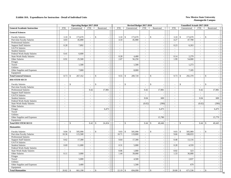|                                     |                             | <b>Operating Budget 2017-2018</b> |                                                      |                          |                        | Revised Budget 2017-2018 |                  |                                |                             | Unaudited Actuals 2017-2018    |                          |              |                             |
|-------------------------------------|-----------------------------|-----------------------------------|------------------------------------------------------|--------------------------|------------------------|--------------------------|------------------|--------------------------------|-----------------------------|--------------------------------|--------------------------|--------------|-----------------------------|
| <b>General Academic Instruction</b> | <b>FTE</b>                  | Unrestricted                      | <b>FTE</b>                                           | Restricted               | <b>FTE</b>             | Unrestricted             | <b>FTE</b>       | Restricted                     | <b>FTE</b>                  | Unrestricted                   | <b>FTE</b>               |              | Restricted                  |
| <b>General Sciences</b>             |                             |                                   |                                                      |                          |                        |                          |                  |                                |                             |                                |                          |              |                             |
| <b>Faculty Salaries</b>             | 3.10                        | $\mathcal{S}$<br>173,670          | $\overline{\phantom{a}}$                             | \$                       | $\mathbb{S}$<br>3.10   | 173,670                  | $\blacksquare$   | \$<br>$\overline{\phantom{a}}$ | 3.10                        | $\mathcal{S}$<br>173,670       | $\blacksquare$           | \$           |                             |
| Part-time Faculty Salaries          | 4.03                        | 45,000                            | $\blacksquare$                                       |                          | 4.10                   | 45,900                   | $\equiv$         | $\mathbb{L}$                   | 4.27                        | 47,700                         | $\bar{\phantom{a}}$      |              | $\sim$                      |
| Professional Salaries               | $\omega$                    |                                   | $\blacksquare$                                       | $\sim$                   | $\omega$               |                          | $\equiv$         | $\blacksquare$                 | $\blacksquare$              |                                | $\frac{1}{2}$            |              | $\blacksquare$              |
| <b>Support Staff Salaries</b>       | 0.28                        | 7,892                             | $\omega$                                             | $\sim$                   | $\omega$               | $\sim$                   | $\omega$         | $\sim$                         | 0.23                        | 6,263                          | $\omega$                 |              | $\mathcal{L}$               |
| GA/TA Salaries                      | $\mathcal{L}_{\mathcal{A}}$ |                                   | $\blacksquare$                                       | $\blacksquare$           | $\mathcal{L}$          | $\sim$                   | $\mathcal{L}$    | $\omega$                       | $\mathcal{L}_{\mathcal{A}}$ |                                | $\blacksquare$           |              | $\blacksquare$              |
| <b>Student Salaries</b>             | $\mathcal{L}$               |                                   | $\sim$                                               | $\sim$                   | $\sim$                 | $\sim$                   | $\sim$           | $\sim$                         | $\sim$                      | $\overline{\phantom{a}}$       | $\sim$                   |              | $\omega$                    |
| Federal Work-Study Salaries         | 0.41                        | 6,600                             | $\sim$                                               | $\overline{\phantom{a}}$ |                        |                          | $\bar{a}$        | $\sim$                         | $\sim$                      |                                | $\sim$                   |              | $\sim$                      |
| <b>State Work-Study Salaries</b>    | $\mathbf{r}$                |                                   | $\overline{a}$                                       | $\omega$                 | 0.28                   | 4,400                    | $\omega$         | $\omega$                       | 0.14                        | 2,279                          | $\omega$                 |              | $\mathcal{L}$               |
| Other Salaries                      | 0.91                        | 25,500                            | $\sim$                                               | $\sim$                   | 2.07                   | 56,250                   | $\omega$         | $\omega$                       | 1.99                        | 54,000                         | $\omega$                 |              | $\sim$                      |
| Fringes                             |                             |                                   |                                                      | $\sim$                   |                        |                          |                  | $\sim$                         |                             |                                |                          |              | $\mathcal{L}_{\mathcal{A}}$ |
| Travel                              |                             | 1,500                             |                                                      | $\blacksquare$           |                        | 1,500                    |                  | $\sim$                         |                             | 1,273                          |                          |              | $\blacksquare$              |
| Utilities                           |                             |                                   |                                                      | $\sim$                   |                        |                          |                  | $\mathbb{L}$                   |                             |                                |                          |              | $\blacksquare$              |
| Other Supplies and Expenses         |                             | 7,000                             |                                                      | $\sim$                   |                        | 8,000                    |                  | $\sim$                         |                             | 7,185                          |                          |              | $\sim$                      |
| Equipment                           |                             |                                   |                                                      | $\sim$                   |                        |                          |                  | $\sim$                         |                             |                                |                          |              | $\sim$                      |
| <b>Total General Sciences</b>       | 8.73                        | 267,162<br>\$                     | $\overline{a}$                                       | \$                       | 9.55<br>\$             | 289,720                  | $\overline{a}$   | \$<br>$\sim$                   | 9.73                        | 292,370<br>\$                  | $\mathbf{r}$             | $\mathbb{S}$ | $\overline{a}$              |
| <b>HSI STEM SECO</b>                |                             |                                   |                                                      |                          |                        |                          |                  |                                |                             |                                |                          |              |                             |
| <b>Faculty Salaries</b>             |                             | $\mathbb{S}$                      | $\overline{\phantom{a}}$                             | $\mathsf{\$}$            | $\mathbf{s}$           |                          | $\sim$           | \$                             | $\blacksquare$              | $\mathbf{\hat{S}}$             | $\overline{\phantom{a}}$ | $\mathbb{S}$ |                             |
| Part-time Faculty Salaries          | $\sim$                      |                                   | $\overline{a}$<br>$\sim$                             |                          | $\overline{a}$         | $\sim$                   | $\overline{a}$   |                                | $\mathbf{r}$                | $\overline{\phantom{a}}$       | $\mathbf{r}$             |              |                             |
| <b>Professional Salaries</b>        | $\sim$                      |                                   | 0.42<br>$\overline{a}$                               | 17,981                   | $\sim$                 | $\sim$                   | 0.42             | 17,981                         | $\sim$                      | $\sim$                         | 0.42                     |              | 17,981                      |
| <b>Support Staff Salaries</b>       | $\sim$                      |                                   | $\sim$<br>$\sim$                                     | $\blacksquare$           | $\sim$                 | $\overline{\phantom{a}}$ | $\sim$           | $\sim$                         | $\sim$                      | $\overline{\phantom{a}}$       | $\sim$                   |              |                             |
| GA/TA Salaries                      | $\sim$                      |                                   | $\sim$                                               | $\overline{\phantom{a}}$ | $\sim$                 | $\sim$                   | $\sim$           | $\overline{a}$                 | $\sim$                      | $\overline{\phantom{a}}$       | $\sim$                   |              |                             |
| <b>Student Salaries</b>             | $\sim$                      |                                   | $\overline{\phantom{a}}$<br>$\blacksquare$           | $\sim$                   | $\sim$                 | $\sim$                   | 0.04             | 600                            | $\mathcal{L}_{\mathcal{A}}$ | $\overline{\phantom{a}}$       | 0.04                     |              | 600                         |
| Federal Work-Study Salaries         | $\sim$                      |                                   | $\overline{\phantom{a}}$<br>$\sim$                   | $\sim$                   | $\sim$                 | $\sim$                   | $\mathcal{L}$    |                                | $\sim$                      | $\overline{\phantom{a}}$       | $\omega$                 |              | $\sim$                      |
| <b>State Work-Study Salaries</b>    | $\sim$                      |                                   | $\overline{\phantom{a}}$<br>$\overline{\phantom{a}}$ | $\blacksquare$           | $\sim$                 | $\blacksquare$           | (0.02)           | (390)                          | $\sim$                      | $\overline{\phantom{a}}$       | (0.02)                   |              | (390)                       |
| Other Salaries                      | $\sim$                      |                                   | $\sim$<br>$\sim$                                     | $\sim$                   | $\sim$                 | $\sim$                   | $\sim$           |                                | $\sim$                      | $\overline{\phantom{a}}$       | $\sim$                   |              |                             |
| Fringes                             |                             |                                   |                                                      | 6,473                    |                        |                          |                  | 6,475                          |                             | $\overline{a}$                 |                          |              | 6,475                       |
| Travel                              |                             |                                   | $\overline{\phantom{a}}$                             | $\sim$                   |                        | $\sim$                   |                  |                                |                             | $\overline{a}$                 |                          |              |                             |
| Utilities                           |                             |                                   | $\overline{a}$                                       | $\sim$                   |                        | $\overline{a}$           |                  |                                |                             | $\overline{\phantom{a}}$       |                          |              |                             |
| Other Supplies and Expenses         |                             |                                   | $\overline{\phantom{a}}$                             | $\sim$                   |                        | $\sim$                   |                  | 15,780                         |                             | $\overline{\phantom{a}}$       |                          |              | 15,779                      |
| Equipment                           |                             |                                   | $\overline{a}$                                       | $\sim$                   |                        | $\sim$                   |                  |                                |                             | $\overline{a}$                 |                          |              |                             |
| <b>Total HSI STEM SECO</b>          |                             | $\mathcal{S}$                     | 0.42                                                 | 24,454<br><sup>\$</sup>  | $\mathbb{S}$<br>$\sim$ | $\sim$                   | 0.44             | 40,446<br>\$                   | $\sim$                      | \$<br>$\overline{\phantom{a}}$ | 0.44                     | \$           | 40,445                      |
| <b>Humanities</b>                   |                             |                                   |                                                      |                          |                        |                          |                  |                                |                             |                                |                          |              |                             |
| <b>Faculty Salaries</b>             | 9.04                        | $\mathbb{S}$<br>505,990           | $\sim$                                               | $\mathsf{\$}$            | 9.03<br>$\mathbb{S}$   | 505,990                  | $\overline{a}$   | \$<br>$\sim$                   | 9.03                        | $\mathcal{S}$<br>505,989       | $\sim$                   | \$           |                             |
| Part-time Faculty Salaries          | 10.36                       | 115,500                           | $\sim$                                               | $\sim$                   | 10.71                  | 119,800                  | $\sim$           | $\sim$                         | 9.66                        | 108,033                        | $\sim$                   |              | $\sim$                      |
| <b>Professional Salaries</b>        | $\sim$                      |                                   | $\sim$                                               | $\omega$                 | $\omega$               |                          | $\sim$           | $\overline{\phantom{a}}$       | $\sim$                      |                                | $\sim$                   |              | $\equiv$                    |
| <b>Support Staff Salaries</b>       | 0.62                        | 17,300                            | $\blacksquare$                                       | $\sim$                   | 0.64                   | 17,300                   | $\equiv$         | $\blacksquare$                 | 0.48                        | 13,116                         | $\blacksquare$           |              | $\sim$                      |
| GA/TA Salaries                      | $\sim$                      |                                   | $\sim$                                               | $\overline{\phantom{a}}$ | $\mathcal{L}$          |                          | $\mathcal{L}$    | $\sim$                         | $\mathcal{L}$               |                                | $\sim$                   |              | $\sim$                      |
| <b>Student Salaries</b>             | 0.69                        | 11,000                            | $\sim$                                               | $\sim$                   | 0.31                   | 5,000                    | $\omega$         | $\sim$                         | 0.28                        | 4,559                          | $\omega$                 |              | $\sim$                      |
| Federal Work-Study Salaries         | $\sim$                      |                                   | $\sim$                                               | $\sim$                   | $\sim$                 | $\sim$                   | $\sim$           | $\sim$                         | $\mathbb{Z}^2$              |                                | $\sim$                   |              | $\sim$                      |
| State Work-Study Salaries           |                             |                                   | $\sim$                                               | $\sim$                   | 0.06                   | 1.000                    | $\mathcal{L}$    | $\sim$                         | 0.02                        | 323                            | $\sim$                   |              | $\blacksquare$              |
| Other Salaries                      | 0.11                        | 3,000                             | $\blacksquare$                                       | $\sim$                   | 1.44                   | 39,000                   | $\omega_{\rm c}$ | $\mathbb{L}$                   | 1.33                        | 36,000                         | $\mathbf{r}$             |              | $\blacksquare$              |
| Fringes                             |                             |                                   |                                                      | $\sim$                   |                        | ÷.                       |                  | $\sim$                         |                             |                                |                          |              | $\sim$                      |
| Travel                              |                             | 5,000                             |                                                      | $\sim$                   |                        | 4,500                    |                  | $\sim$                         |                             | 2,837                          |                          |              | $\sim$                      |
| Utilities                           |                             |                                   |                                                      | $\sim$                   |                        | ÷.                       |                  | $\sim$                         |                             | $\sim$                         |                          |              | $\mathcal{L}_{\mathcal{A}}$ |
| Other Supplies and Expenses         |                             | 3,400                             |                                                      | $\sim$                   |                        | 1,500                    |                  | $\sim$                         |                             | 679                            |                          |              | $\sim$                      |
| Equipment                           |                             |                                   |                                                      | $\sim$                   |                        |                          |                  | $\mathbf{u}$                   |                             |                                |                          |              | $\mathcal{L}$               |
| <b>Total Humanities</b>             | 20.82                       | 661,190<br>\$                     |                                                      | \$                       | 22.19<br>\$            | 694,090                  |                  | $\mathbb{S}$<br>$\sim$         | 20.80                       | 671,536<br>$\mathcal{S}$       | $\sim$                   | \$           |                             |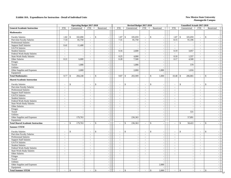|                                          |                          |               |                          | <b>Operating Budget 2017-2018</b> |                                          |                          |                    | Revised Budget 2017-2018 |                          |                    |                          |                          | Unaudited Actuals 2017-2018  |                          |                          |                                |
|------------------------------------------|--------------------------|---------------|--------------------------|-----------------------------------|------------------------------------------|--------------------------|--------------------|--------------------------|--------------------------|--------------------|--------------------------|--------------------------|------------------------------|--------------------------|--------------------------|--------------------------------|
| <b>General Academic Instruction</b>      | <b>FTE</b>               |               | Unrestricted             | <b>FTE</b>                        | Restricted                               | <b>FTE</b>               |                    | Unrestricted             | <b>FTE</b>               | Restricted         |                          | <b>FTE</b>               | Unrestricted                 |                          | <b>FTE</b>               | Restricted                     |
| <b>Mathematics</b>                       |                          |               |                          |                                   |                                          |                          |                    |                          |                          |                    |                          |                          |                              |                          |                          |                                |
| <b>Faculty Salaries</b>                  | 1.82                     | $\mathbb{S}$  | 102,090                  | $\sim$                            | $\mathbf{\hat{S}}$                       | 1.87                     | $\mathbb{S}$       | 105,059                  | $\sim$                   | $\mathbf S$        | $\sim$                   | 1.87                     | $\$$<br>105,059              |                          | $\blacksquare$           | $\mathsf{\$}$                  |
| Part-time Faculty Salaries               | 7.33                     |               | 81,750                   | $\sim$                            | $\sim$                                   | 7.31                     |                    | 81,750                   | $\mathcal{L}$            |                    | $\sim$                   | 8.15                     | 91,106                       |                          | $\sim$                   | $\sim$                         |
| Professional Salaries                    | $\overline{\phantom{a}}$ |               |                          | $\sim$                            | $\sim$                                   | $\sim$                   |                    |                          | $\mathcal{L}$            |                    | $\sim$                   | $\omega$                 |                              |                          | $\mathcal{L}$            | $\sim$                         |
| <b>Support Staff Salaries</b>            | 0.41                     |               | 11,408                   | $\sim$                            | $\sim$                                   | $\sim$                   |                    | $\sim$                   | $\sim$                   |                    | $\sim$                   | $\mathcal{L}$            |                              | $\overline{\phantom{a}}$ | $\sim$                   | $\sim$                         |
| <b>GA/TA Salaries</b>                    | $\sim$                   |               |                          | $\sim$                            | $\sim$                                   | $\sim$                   |                    | $\sim$                   | $\omega$                 |                    | $\sim$                   | $\sim$                   |                              | $\overline{\phantom{a}}$ | $\omega$                 | $\sim$                         |
| <b>Student Salaries</b>                  | $\sim$                   |               | $\sim$                   | $\sim$                            | $\sim$                                   | 0.16                     |                    | 2,600                    | $\blacksquare$           |                    | $\sim$                   | 0.19                     | 3,057                        |                          | $\sim$                   | $\sim$                         |
| Federal Work-Study Salaries              | $\sim$                   |               |                          | $\overline{\phantom{a}}$          | $\sim$                                   | $\sim$                   |                    |                          | $\sim$                   |                    | $\sim$                   | $\sim$                   |                              |                          | $\sim$                   | $\blacksquare$                 |
| <b>State Work-Study Salaries</b>         | $\sim$                   |               | ÷,                       | $\blacksquare$                    | $\sim$                                   | 0.25                     |                    | 4,000                    | $\omega$                 |                    | $\blacksquare$           | 0.10                     | 1,557                        |                          | $\blacksquare$           | $\blacksquare$                 |
| Other Salaries                           | 0.21                     |               | 6,000                    | $\sim$                            | $\sim$                                   | 0.28                     |                    | 7,500                    | $\sim$                   |                    | $\sim$                   | 0.17                     | 4,500                        |                          | $\mathbf{r}$             | $\mathcal{L}$                  |
| Fringes                                  |                          |               |                          |                                   | $\sim$                                   |                          |                    |                          |                          |                    | $\sim$                   |                          |                              |                          |                          | $\sim$                         |
| Travel                                   |                          |               | 1,000                    |                                   | $\sim$                                   |                          |                    | 1,000                    |                          |                    | $\sim$                   |                          |                              | 570                      |                          | $\sim$                         |
| Utilities                                |                          |               |                          |                                   | $\blacksquare$                           |                          |                    |                          |                          |                    | $\sim$                   |                          |                              |                          |                          | $\sim$                         |
| Other Supplies and Expenses              |                          |               | 2,000                    |                                   | $\sim$                                   |                          |                    | 2,000                    |                          |                    | 1,000                    |                          | 1,016                        |                          |                          | $\sim$                         |
| Equipment                                |                          |               |                          |                                   | $\sim$                                   |                          |                    |                          |                          |                    |                          |                          |                              |                          |                          | $\mathcal{L}$                  |
| <b>Total Mathematics</b>                 | 9.77                     | \$            | 204,248                  | $\sim$                            | $\mathbf{s}$<br>$\overline{\phantom{a}}$ | 9.87                     | $\mathbf{\hat{S}}$ | 203,909                  | $\sim$                   | $\mathbf{s}$       | 1,000                    | 10.48                    | 206,865<br>-\$               |                          | $\omega$                 | \$<br>$\sim$                   |
| <b>Shared Academic Instruction</b>       |                          |               |                          |                                   |                                          |                          |                    |                          |                          |                    |                          |                          |                              |                          |                          |                                |
| <b>Faculty Salaries</b>                  |                          | \$            |                          | $\sim$                            | $\mathsf{\$}$                            | $\overline{\phantom{a}}$ | \$                 | $\sim$                   | $\overline{\phantom{a}}$ | $\mathbf{\hat{S}}$ | $\overline{\phantom{a}}$ | $\sim$                   | \$                           | $\overline{\phantom{a}}$ | $\overline{\phantom{a}}$ | $\mathbf{\hat{S}}$             |
| Part-time Faculty Salaries               | $\sim$                   |               |                          | $\sim$                            |                                          |                          |                    |                          | $\sim$                   |                    | $\sim$                   | $\sim$                   |                              | $\overline{\phantom{a}}$ | $\sim$                   |                                |
| <b>Professional Salaries</b>             | $\sim$                   |               |                          | $\sim$                            | $\sim$                                   | $\sim$                   |                    | $\sim$                   | $\mathbb{Z}^+$           |                    | $\overline{\phantom{a}}$ | $\mathcal{L}$            |                              | $\overline{\phantom{a}}$ | $\sim$                   | $\sim$                         |
| <b>Support Staff Salaries</b>            | $\sim$                   |               | $\overline{\phantom{a}}$ | $\sim$                            | $\sim$                                   | $\omega$                 |                    | $\sim$                   | $\omega_{\rm c}$         |                    | $\sim$                   | $\omega$                 |                              | $\sim$                   | $\omega$                 | $\sim$                         |
| GA/TA Salaries                           | $\sim$                   |               | $\sim$                   | $\overline{\phantom{a}}$          | $\sim$                                   | $\sim$                   |                    | $\sim$                   | $\sim$                   |                    | $\sim$                   | $\blacksquare$           |                              | $\overline{\phantom{a}}$ | $\blacksquare$           | $\sim$                         |
| <b>Student Salaries</b>                  | $\mathcal{L}$            |               | ÷.                       | $\sim$                            | $\sim$                                   | $\mathcal{L}$            |                    | $\sim$                   | $\omega$                 |                    | $\sim$                   | $\sim$                   |                              | $\overline{\phantom{a}}$ | $\mathcal{L}$            | $\equiv$                       |
| Federal Work-Study Salaries              | $\mathcal{L}$            |               |                          | $\bar{\phantom{a}}$               | $\sim$                                   | $\sim$                   |                    |                          | $\blacksquare$           |                    | $\mathbb{L}$             | $\blacksquare$           |                              | $\overline{\phantom{a}}$ | $\bar{\phantom{a}}$      | $\blacksquare$                 |
| State Work-Study Salaries                | $\sim$                   |               | $\overline{a}$           | $\sim$                            | $\omega$                                 | $\sim$                   |                    | $\sim$                   | $\sim$                   |                    | $\sim$                   | $\sim$                   |                              | $\sim$                   | $\sim$                   | $\equiv$                       |
| Other Salaries                           | $\sim$                   |               | $\overline{\phantom{a}}$ | $\sim$                            | $\sim$                                   | $\mathcal{L}$            |                    | $\sim$                   | $\mathcal{L}$            |                    | $\sim$                   | $\omega$                 |                              | $\sim$                   | $\mathcal{L}$            | $\mathcal{L}$                  |
| Fringes                                  |                          |               | $\overline{\phantom{a}}$ |                                   | $\blacksquare$                           |                          |                    | $\sim$                   |                          |                    | $\sim$                   |                          |                              | $\sim$                   |                          | $\mathcal{L}_{\mathcal{A}}$    |
| Travel                                   |                          |               |                          |                                   | $\sim$                                   |                          |                    |                          |                          |                    | $\mathbb{Z}^2$           |                          |                              | 531                      |                          | $\sim$                         |
| Utilities                                |                          |               |                          |                                   | $\sim$                                   |                          |                    |                          |                          |                    | $\mathbb{Z}^2$           |                          |                              |                          |                          | $\sim$                         |
| Other Supplies and Expenses              |                          |               | 179,763                  |                                   | $\sim$                                   |                          |                    | 236,363                  |                          |                    | $\sim$                   |                          | 57,891                       |                          |                          | $\overline{a}$                 |
| Equipment                                |                          |               |                          |                                   | $\sim$                                   |                          |                    |                          |                          |                    | $\sim$                   |                          |                              |                          |                          | $\sim$                         |
| <b>Total Shared Academic Instruction</b> |                          | $\mathbb{S}$  | 179,763                  | $\sim$                            | $\mathbf{\hat{S}}$<br>$\sim$             | $\sim$                   | $\mathbf{\hat{S}}$ | 236,363                  | $\sim$                   | $\mathbf{\hat{S}}$ | $\omega$                 | $\overline{\phantom{a}}$ | $\mathbf{\hat{S}}$<br>58,422 |                          | $\blacksquare$           | $\mathsf{\$}$<br>$\mathcal{L}$ |
| <b>Summer STEM</b>                       |                          |               |                          |                                   |                                          |                          |                    |                          |                          |                    |                          |                          |                              |                          |                          |                                |
| <b>Faculty Salaries</b>                  |                          | $\mathcal{S}$ |                          | $\overline{\phantom{a}}$          | $\mathsf{\$}$                            |                          | $\mathbf{\hat{S}}$ |                          | $\overline{\phantom{a}}$ | \$                 | $\overline{\phantom{a}}$ | $\sim$                   | $\mathbf{\hat{S}}$           | $\overline{\phantom{a}}$ | $\overline{\phantom{a}}$ | $\mathsf{\$}$                  |
| Part-time Faculty Salaries               | $\sim$                   |               |                          | $\sim$                            | $\sim$                                   | $\omega$                 |                    | $\sim$                   | $\omega$                 |                    | $\blacksquare$           | $\omega$                 |                              | $\sim$                   | $\overline{a}$           | $\sim$                         |
| Professional Salaries                    | $\sim$                   |               | $\overline{a}$           | $\blacksquare$                    | $\blacksquare$                           | $\sim$                   |                    | $\overline{a}$           | $\sim$                   |                    | $\sim$                   | $\omega$                 |                              | $\sim$                   | $\blacksquare$           | $\sim$                         |
| <b>Support Staff Salaries</b>            | $\blacksquare$           |               |                          | $\blacksquare$                    | $\sim$                                   | $\blacksquare$           |                    |                          | $\blacksquare$           |                    | $\sim$                   | $\omega$                 |                              | $\sim$                   | $\blacksquare$           | $\mathcal{L}_{\mathcal{A}}$    |
| GA/TA Salaries                           | $\sim$                   |               |                          | $\sim$                            | $\sim$                                   | $\sim$                   |                    | $\sim$                   | $\sim$                   |                    | $\sim$                   | $\sim$                   |                              | $\sim$                   | $\sim$                   | $\omega$                       |
| <b>Student Salaries</b>                  | $\sim$                   |               |                          | $\sim$                            | $\overline{\phantom{a}}$                 | $\sim$                   |                    | $\overline{\phantom{a}}$ | $\overline{\phantom{a}}$ |                    | $\blacksquare$           | $\sim$                   |                              | $\overline{\phantom{a}}$ | $\mathcal{L}$            | $\blacksquare$                 |
| Federal Work-Study Salaries              | $\sim$                   |               | $\overline{\phantom{a}}$ | $\sim$                            | $\sim$                                   | $\sim$                   |                    | $\sim$                   | $\sim$                   |                    | $\sim$                   | $\sim$                   |                              | $\sim$                   | $\sim$                   | $\sim$                         |
| State Work-Study Salaries                | $\sim$                   |               | $\overline{\phantom{a}}$ | $\sim$                            | $\blacksquare$                           | $\sim$                   |                    | $\sim$                   | $\sim$                   |                    | $\sim$                   | $\overline{\phantom{a}}$ |                              | $\overline{\phantom{a}}$ | $\sim$                   | $\blacksquare$                 |
| Other Salaries                           | $\sim$                   |               | $\sim$                   | $\blacksquare$                    | $\omega$                                 | $\sim$                   |                    | $\sim$                   | $\omega$                 |                    | $\sim$                   | $\sim$                   |                              | $\sim$                   | $\sim$                   | $\blacksquare$                 |
| Fringes                                  |                          |               | $\overline{\phantom{a}}$ |                                   | $\sim$                                   |                          |                    | $\sim$                   |                          |                    | $\sim$                   |                          |                              | $\overline{\phantom{a}}$ |                          | $\sim$                         |
| Travel                                   |                          |               |                          |                                   | $\sim$                                   |                          |                    |                          |                          |                    | $\blacksquare$           |                          |                              | $\overline{\phantom{a}}$ |                          | $\sim$                         |
| Utilities                                |                          |               | $\overline{\phantom{a}}$ |                                   | $\overline{\phantom{a}}$                 |                          |                    | $\sim$                   |                          |                    |                          |                          |                              | $\sim$                   |                          | $\sim$                         |
| Other Supplies and Expenses              |                          |               |                          |                                   | $\overline{\phantom{a}}$                 |                          |                    |                          |                          |                    | 2,000                    |                          |                              |                          |                          |                                |
| Equipment                                |                          |               | $\sim$                   |                                   | $\sim$                                   |                          |                    | $\sim$                   |                          |                    |                          |                          |                              | $\overline{\phantom{a}}$ |                          | $\sim$                         |
| <b>Total Summer STEM</b>                 | $\sim$                   | $\$\,$        | $\sim$                   | $\sim$                            | $\mathbb{S}$<br>$\sim$                   | $\sim$                   | $\mathbb{S}$       | $\sim$                   | $\sim$                   | \$                 | 2,000                    | $\sim$                   | $\mathbb{S}$                 | $\sim$                   | $\sim$                   | $\mathbb S$<br>$\sim$          |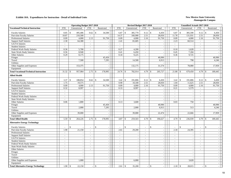|                                               | <b>Operating Budget 2017-2018</b> |                               |                          |                               |  |                            |                          | Revised Budget 2017-2018   |                          |                          | <b>Unaudited Actuals 2017-2018</b> |                          |                             |
|-----------------------------------------------|-----------------------------------|-------------------------------|--------------------------|-------------------------------|--|----------------------------|--------------------------|----------------------------|--------------------------|--------------------------|------------------------------------|--------------------------|-----------------------------|
| <b>Vocational/Technical Instruction</b>       | ${\rm FTE}$                       | Unrestricted                  | <b>FTE</b>               | Restricted                    |  | <b>FTE</b>                 | Unrestricted             | <b>FTE</b>                 | Restricted               | <b>FTE</b>               | Unrestricted                       | <b>FTE</b>               | Restricted                  |
| <b>Faculty Salaries</b>                       | 8.85                              | $\mathbf{\hat{S}}$<br>495,406 | 0.62                     | $\mathcal{S}$<br>34,500       |  | 6.87<br>\$                 | 385,779                  | 0.12<br>\$                 | 6,450                    | 6.87                     | \$<br>385,590                      | 0.12                     | \$<br>6,450                 |
| Part-time Faculty Salaries                    | 18.87                             | 210,500                       | $\sim$                   |                               |  | 14.37                      | 160,900                  | 2.51                       | 28,050                   | 11.78                    | 131,931                            | 2.51                     | 28,050                      |
| Professional Salaries                         | 0.09                              | 4,000                         | 2.13                     | 91,750                        |  | 0.09                       | 4,000                    | 2.16                       | 91,750                   | 0.09                     | 4,000                              | 2.16                     | 91,750                      |
| <b>Support Staff Salaries</b>                 | 2.30                              | 64,388                        | $\blacksquare$           |                               |  | 2.41                       | 65,685                   | $\blacksquare$             |                          | 2.23                     | 60,514                             | $\sim$                   |                             |
| GA/TA Salaries                                | $\overline{\phantom{a}}$          |                               | $\sim$                   |                               |  | $\omega$                   |                          | $\equiv$                   |                          | $\omega$                 |                                    | $\overline{\phantom{a}}$ |                             |
| <b>Student Salaries</b>                       | $\sim$                            |                               | $\sim$                   | $\overline{\phantom{a}}$      |  | $\mathcal{L}$              |                          | $\overline{a}$             | $\sim$                   | $\mathcal{L}$            |                                    | $\omega$                 | $\mathcal{L}$               |
| Federal Work-Study Salaries                   | 0.36                              | 5,700                         | $\sim$                   |                               |  | 0.27                       | 4,200                    | $\mathcal{L}$              | $\sim$                   | 0.10                     | 1,628                              | $\mathcal{L}$            | $\sim$                      |
| <b>State Work-Study Salaries</b>              | 0.56                              | 8,940                         | $\mathcal{L}$            | $\sim$                        |  | 0.41                       | 6,450                    | $\omega$                   | $\sim$                   | 0.45                     | 7,184                              | $\omega$                 | $\sim$                      |
| Other Salaries                                | 0.29                              | 8,175                         | $\mathcal{L}$            |                               |  | 0.34                       | 9,225                    | $\omega$                   | $\sim$                   | 0.36                     | 9,725                              | $\mathcal{L}$            | $\sim$                      |
| Fringes                                       |                                   |                               |                          | 45,450                        |  |                            | $\sim$                   |                            | 40,990                   |                          | $\overline{\phantom{a}}$           |                          | 40,990                      |
| Travel                                        |                                   | 7,500                         |                          | 7,295                         |  |                            | 14,500                   |                            | 6,913                    |                          | 798                                |                          | 4,246                       |
| Utilities                                     |                                   |                               |                          |                               |  |                            |                          |                            |                          |                          |                                    |                          |                             |
| Other Supplies and Expenses                   |                                   | 153,375                       |                          |                               |  |                            | 132,175                  |                            | 31,574                   |                          | 78,080                             |                          | 17,959                      |
| Equipment                                     |                                   |                               |                          |                               |  |                            |                          |                            |                          |                          |                                    |                          |                             |
| <b>Total Vocational/Technical Instruction</b> | 31.32                             | 957,984<br>$\mathbf{\hat{S}}$ | 2.75                     | 178,995<br>$\mathbf{\hat{S}}$ |  | 24.76<br>\$                | 782,914                  | 4.79<br>$\mathbf{\hat{S}}$ | 205,727                  | 21.88                    | 679,450<br>$\mathcal{S}$           | 4.79                     | \$<br>189,445               |
| <b>Allied Health</b>                          |                                   |                               |                          |                               |  |                            |                          |                            |                          |                          |                                    |                          |                             |
| <b>Faculty Salaries</b>                       | 3.37                              | $\mathcal{S}$<br>188,854      | 0.62                     | $\mathcal{S}$<br>34,500       |  | $\mathbb{S}$<br>3.42       | 191,806                  | $0.12 \,$ \$               | 6,450                    | 3.42                     | $\mathcal{S}$<br>191,806           | 0.12                     | \$<br>6,450                 |
| Part-time Faculty Salaries                    | 1.75                              | 19,575                        | $\sim$                   |                               |  | 0.90                       | 10,100                   | 2.51                       | 28,050                   | 1.04                     | 11,625                             | 2.51                     | 28,050                      |
| <b>Professional Salaries</b>                  | 0.09                              | 4,000                         | 2.13                     | 91,750                        |  | 0.09                       | 4,000                    | 2.16                       | 91,750                   | 0.09                     | 4,000                              | 2.16                     | 91,750                      |
| <b>Support Staff Salaries</b>                 | 0.32                              | 8,997                         | $\sim$                   |                               |  | 0.33                       | 8,997                    | $\sim$                     | $\sim$                   | 0.21                     | 5,579                              | $\omega$                 |                             |
| GA/TA Salaries                                | $\sim$                            |                               | $\overline{\phantom{a}}$ | $\sim$                        |  | $\sim$                     |                          | $\overline{\phantom{a}}$   | $\sim$                   | $\sim$                   | $\overline{\phantom{a}}$           | $\mathcal{L}$            | $\sim$                      |
| <b>Student Salaries</b>                       |                                   |                               | $\sim$                   |                               |  |                            |                          | $\sim$                     | $\sim$                   | $\sim$                   | $\overline{\phantom{a}}$           | $\bar{\phantom{a}}$      |                             |
| Federal Work-Study Salaries                   | $\sim$                            |                               | $\sim$                   | $\overline{\phantom{a}}$      |  | $\sim$                     | $\sim$                   | $\omega$                   | $\mathbb{L}$             | $\sim$                   | $\overline{\phantom{a}}$           | $\omega$                 | $\sim$                      |
| <b>State Work-Study Salaries</b>              | $\sim$                            |                               | $\sim$                   |                               |  | $\sim$                     | $\sim$                   | $\sim$                     | $\sim$                   | $\sim$                   | $\overline{\phantom{a}}$           | $\sim$                   | $\sim$                      |
| Other Salaries                                | 0.06                              | 1.800                         | $\sim$                   |                               |  | 0.13                       | 3,600                    | $\sim$                     |                          | 0.03                     | 750                                | $\sim$                   | $\sim$                      |
| Fringes                                       |                                   |                               |                          | 45,450                        |  |                            |                          |                            | 40,990                   |                          |                                    |                          | 40,990                      |
| Travel                                        |                                   | 2,000                         |                          | 7,295                         |  |                            | 2,000                    |                            | 6,913                    |                          | 513                                |                          | 4,246                       |
| Utilities                                     |                                   |                               |                          | $\sim$                        |  |                            |                          |                            |                          |                          |                                    |                          |                             |
| Other Supplies and Expenses                   |                                   | 39,000                        |                          | $\sim$                        |  |                            | 39,000                   |                            | 22,474                   |                          | 22,666                             |                          | 17,959                      |
| Equipment                                     |                                   |                               |                          |                               |  |                            |                          |                            |                          |                          |                                    |                          |                             |
| <b>Total Allied Health</b>                    | 5.59                              | 264,226<br>$\mathcal{S}$      | 2.75                     | 178,995<br>$\mathbf{\hat{S}}$ |  | 4.87<br>$\mathbf{\hat{S}}$ | 259,503                  | 4.79<br>\$                 | 196,627                  | 4.79                     | 236,939<br>$\mathbf{\hat{S}}$      | 4.79                     | \$<br>189,445               |
| <b>Alternative Energy Technology</b>          |                                   |                               |                          |                               |  |                            |                          |                            |                          |                          |                                    |                          |                             |
| <b>Faculty Salaries</b>                       |                                   | $\mathbb{S}$                  |                          | $\mathsf{\$}$                 |  | $\mathbb{S}$               |                          | \$<br>$\overline{a}$       | $\sim$                   |                          | $\mathbb{S}$                       | $\blacksquare$           | \$                          |
| Part-time Faculty Salaries                    | 1.90                              | 21,150                        | $\mathcal{L}$            | $\sim$                        |  | 2.61                       | 29,200                   | $\mathcal{L}$              | $\omega$                 | 2.18                     | 24,395                             | $\mathcal{L}$            | $\sim$                      |
| <b>Professional Salaries</b>                  | $\sim$                            |                               | $\sim$                   | $\sim$                        |  | $\sim$                     |                          | $\sim$                     | $\sim$                   | $\sim$                   |                                    | $\sim$                   | $\sim$                      |
| <b>Support Staff Salaries</b>                 | $\sim$                            |                               | $\overline{\phantom{a}}$ | $\sim$                        |  | $\sim$                     | $\overline{\phantom{a}}$ | $\omega$                   | $\sim$                   | $\overline{\phantom{a}}$ | $\sim$                             | $\sim$                   | $\blacksquare$              |
| GA/TA Salaries                                | $\sim$                            | $\overline{\phantom{a}}$      | $\sim$                   | $\sim$                        |  | $\sim$                     | $\sim$                   | $\sim$                     | $\sim$                   | $\sim$                   | $\overline{\phantom{a}}$           | $\sim$                   | $\mathcal{L}_{\mathcal{A}}$ |
| <b>Student Salaries</b>                       | $\overline{a}$                    |                               | $\sim$                   | $\sim$                        |  | $\sim$                     |                          | $\overline{a}$             | $\sim$                   | $\sim$                   | $\overline{\phantom{a}}$           | $\sim$                   | $\blacksquare$              |
| Federal Work-Study Salaries                   | $\sim$                            |                               | $\overline{\phantom{a}}$ | $\sim$                        |  |                            |                          | $\bar{a}$                  | $\sim$                   | $\overline{\phantom{a}}$ | $\overline{\phantom{a}}$           | $\bar{\phantom{a}}$      | $\sim$                      |
| <b>State Work-Study Salaries</b>              | $\sim$                            |                               | $\sim$                   | $\sim$                        |  | $\sim$                     |                          | $\overline{\phantom{a}}$   | $\mathbb{L}$             | $\blacksquare$           | $\overline{\phantom{a}}$           | $\mathcal{L}$            | $\blacksquare$              |
| Other Salaries                                | $\sim$                            | $\overline{\phantom{a}}$      | $\sim$                   | $\sim$                        |  | $\sim$                     | $\sim$                   | $\sim$                     | $\mathbf{r}$             | $\sim$                   | $\overline{\phantom{a}}$           | $\overline{a}$           | $\omega$                    |
| Fringes                                       |                                   |                               |                          | $\sim$                        |  |                            | $\sim$                   |                            | $\sim$                   |                          | $\overline{\phantom{a}}$           |                          | $\sim$                      |
| Travel                                        |                                   |                               |                          | $\sim$                        |  |                            |                          |                            | $\sim$                   |                          |                                    |                          | $\sim$                      |
| Utilities                                     |                                   |                               |                          | $\sim$                        |  |                            | $\sim$                   |                            | $\sim$                   |                          |                                    |                          | $\mathcal{L}_{\mathcal{A}}$ |
| Other Supplies and Expenses                   |                                   | 1,000                         |                          | $\sim$                        |  |                            | 6,000                    |                            | $\sim$                   |                          | 3,620                              |                          | $\overline{\phantom{a}}$    |
| Equipment                                     |                                   |                               |                          | $\sim$                        |  |                            |                          |                            | $\sim$                   |                          |                                    |                          | $\mathbf{r}$                |
| <b>Total Alternative Energy Technology</b>    | 1.90                              | -\$<br>22,150                 |                          | $\mathcal{S}$                 |  | $\mathcal{S}$<br>2.61      | 35,200                   | \$                         | $\overline{\phantom{a}}$ | 2.18                     | \$<br>28,015                       |                          | $\mathbb{S}$<br>$\sim$      |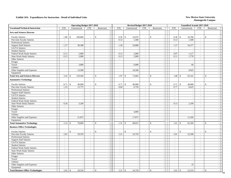|                                           |                          |                          | <b>Operating Budget 2017-2018</b> |                          |                          |                      | Revised Budget 2017-2018 |                             |                                |                             | Unaudited Actuals 2017-2018  |                |                             |
|-------------------------------------------|--------------------------|--------------------------|-----------------------------------|--------------------------|--------------------------|----------------------|--------------------------|-----------------------------|--------------------------------|-----------------------------|------------------------------|----------------|-----------------------------|
| <b>Vocational/Technical Instruction</b>   | <b>FTE</b>               | Unrestricted             | <b>FTE</b>                        |                          | Restricted               | <b>FTE</b>           | Unrestricted             | <b>FTE</b>                  | Restricted                     | <b>FTE</b>                  | Unrestricted                 | <b>FTE</b>     | Restricted                  |
| <b>Arts and Sciences Director</b>         |                          |                          |                                   |                          |                          |                      |                          |                             |                                |                             |                              |                |                             |
| <b>Faculty Salaries</b>                   | 1.80                     | $\mathcal{S}$<br>100,606 |                                   | $\sim$                   | \$                       | $\mathbb{S}$<br>0.30 | 16,976                   | $\overline{\phantom{a}}$    | \$<br>$\sim$                   | 0.30                        | $\mathbb{S}$<br>16,786       | $\blacksquare$ | \$                          |
| Part-time Faculty Salaries                | $\sim$                   |                          |                                   | $\sim$                   |                          | 0.13                 | 1,500                    | $\mathcal{L}$               | $\sim$                         | 0.13                        | 1,500                        | $\sim$         | $\sim$                      |
| Professional Salaries                     | $\sim$                   |                          |                                   | $\tilde{\phantom{a}}$    | $\sim$                   | $\mathbf{r}$         |                          | $\overline{\phantom{a}}$    | $\blacksquare$                 | $\mathbf{r}$                |                              | $\mathbf{r}$   | $\blacksquare$              |
| <b>Support Staff Salaries</b>             | 1.37                     |                          | 38,388                            | $\sim$                   | $\sim$                   | 1.28                 | 34,888                   | $\mathcal{L}^{\mathcal{A}}$ | $\sim$                         | 1.27                        | 34,377                       | $\sim$         | $\sim$                      |
| GA/TA Salaries                            | $\sim$                   |                          |                                   | $\tilde{\phantom{a}}$    | $\sim$                   | $\sim$               |                          | $\mathcal{L}$               | $\sim$                         | $\sim$                      |                              | $\sim$         | $\sim$                      |
| <b>Student Salaries</b>                   | $\sim$                   |                          | J.                                | $\sim$                   | $\sim$                   | $\omega$             | $\overline{\phantom{a}}$ | $\sim$                      | $\sim$                         | $\mathcal{L}_{\mathcal{A}}$ | $\sim$                       | $\sim$         | $\mathcal{L}_{\mathcal{A}}$ |
| Federal Work-Study Salaries               | 0.13                     |                          | 2,000                             | $\sim$                   | $\blacksquare$           | 0.13                 | 2,000                    | $\mathcal{L}$               | $\sim$                         | 0.07                        | 1,117                        | $\sim$         | $\blacksquare$              |
| <b>State Work-Study Salaries</b>          | 0.13                     |                          | 2,000                             | $\sim$                   | $\blacksquare$           | 0.13                 | 2,000                    | $\omega$                    | $\blacksquare$                 | 0.11                        | 1,770                        | $\mathcal{L}$  | $\sim$                      |
| Other Salaries                            | $\sim$                   |                          |                                   | $\sim$                   | $\sim$                   | $\sim$               | $\overline{a}$           | $\omega$                    | $\sim$                         | $\sim$                      | $\overline{\phantom{a}}$     | $\mathcal{L}$  | $\sim$                      |
| Fringes                                   |                          |                          |                                   |                          | $\sim$                   |                      | $\sim$                   |                             | $\sim$                         |                             |                              |                | $\sim$                      |
| Travel                                    |                          |                          | 3,000                             |                          | $\sim$                   |                      | 6,000                    |                             | $\sim$                         |                             | 66                           |                | $\sim$                      |
| Utilities                                 |                          |                          |                                   |                          | $\sim$                   |                      |                          |                             | $\sim$                         |                             |                              |                | $\sim$                      |
| Other Supplies and Expenses               |                          |                          | 13,500                            |                          | $\sim$                   |                      | 10,500                   |                             | $\sim$                         |                             | 9,925                        |                | $\sim$                      |
| Equipment                                 |                          |                          |                                   |                          | $\sim$                   |                      |                          |                             | $\sim$                         |                             |                              |                | $\sim$                      |
| <b>Total Arts and Sciences Director</b>   | 3.43                     | 159,494<br>\$            |                                   | $\overline{\phantom{a}}$ | $\mathbb{S}$<br>$\sim$   | 1.97<br>$\mathbb{S}$ | 73,864                   |                             | $\mathbf{s}$<br>$\sim$         | 1.88                        | $\mathcal{S}$<br>65,541      | $\mathbf{r}$   | \$<br>$\mathcal{L}$         |
| <b>Automotive Technology</b>              |                          |                          |                                   |                          |                          |                      |                          |                             |                                |                             |                              |                |                             |
| <b>Faculty Salaries</b>                   | 0.71                     | $\mathbb{S}$             | 40,000                            | $\overline{\phantom{a}}$ | $\mathbb{S}$             | $\mathbb{S}$<br>0.71 | 40,000                   | $\overline{\phantom{a}}$    | \$<br>$\overline{\phantom{a}}$ | 0.71                        | $\mathbf{\hat{S}}$<br>40,000 | $\blacksquare$ | $\mathbf{\hat{S}}$          |
| Part-time Faculty Salaries                | 1.23                     |                          | 13,775                            | $\mathbf{r}$             |                          | 0.60                 | 6,750                    | $\omega$                    | $\sim$                         | 0.77                        | 8,625                        | $\mathbf{r}$   | $\sim$                      |
| <b>Professional Salaries</b>              | $\omega$                 |                          |                                   | $\mathcal{L}$            | $\sim$                   | $\mathcal{L}$        |                          | $\sim$                      | $\mathcal{L}_{\mathcal{A}}$    | $\omega$                    |                              | $\mathbf{r}$   | $\equiv$                    |
| <b>Support Staff Salaries</b>             | $\blacksquare$           |                          | $\overline{\phantom{a}}$          | $\blacksquare$           | $\sim$                   | $\blacksquare$       | $\overline{\phantom{a}}$ | $\blacksquare$              | $\sim$                         | $\mathbb{Z}^2$              | $\overline{\phantom{a}}$     | $\blacksquare$ | $\mathcal{L}_{\mathcal{A}}$ |
| GA/TA Salaries                            | $\sim$                   |                          | $\overline{\phantom{a}}$          | $\sim$                   | $\overline{\phantom{a}}$ | $\sim$               | $\overline{\phantom{a}}$ | $\sim$                      | $\sim$                         | $\sim$                      | $\overline{\phantom{a}}$     | $\sim$         | $\equiv$                    |
| <b>Student Salaries</b>                   | $\mathcal{L}$            |                          |                                   | $\blacksquare$           | $\blacksquare$           | $\sim$               | $\sim$                   | $\mathcal{L}$               | $\mathbb{L}$                   | $\blacksquare$              | $\overline{\phantom{a}}$     | $\blacksquare$ | $\sim$                      |
| Federal Work-Study Salaries               | $\sim$                   |                          |                                   | $\sim$                   | $\sim$                   | $\overline{a}$       |                          | $\sim$                      | $\mathbb{L}$                   | $\overline{a}$              |                              | $\sim$         | $\sim$                      |
| <b>State Work-Study Salaries</b>          | 0.20                     |                          | 3,240                             | $\blacksquare$           | $\blacksquare$           | $\sim$               | $\overline{a}$           | $\sim$                      | $\sim$                         | 0.13                        | 2,109                        | $\blacksquare$ | $\blacksquare$              |
| Other Salaries                            | $\mathbb{Z}^2$           |                          |                                   | $\blacksquare$           | $\blacksquare$           | $\blacksquare$       | $\sim$                   | $\blacksquare$              | $\sim$                         | $\mathbb{Z}^2$              | $\overline{\phantom{a}}$     | $\blacksquare$ | $\mathcal{L}_{\mathcal{A}}$ |
| Fringes                                   |                          |                          |                                   |                          | $\blacksquare$           |                      | $\sim$                   |                             | $\blacksquare$                 |                             | $\overline{\phantom{a}}$     |                | $\omega$                    |
| Travel                                    |                          |                          |                                   |                          | $\sim$                   |                      | 4,000                    |                             | $\mathbb{Z}^2$                 |                             | $\sim$                       |                | $\sim$                      |
| Utilities                                 |                          |                          |                                   |                          | $\sim$                   |                      |                          |                             | $\omega$                       |                             |                              |                | $\mathcal{L}$               |
| Other Supplies and Expenses               |                          |                          | 21,875                            |                          | $\sim$                   |                      | 17,875                   |                             | $\sim$                         |                             | 11,450                       |                | $\sim$                      |
| Equipment                                 |                          |                          |                                   |                          | $\sim$                   |                      |                          |                             | $\blacksquare$                 |                             |                              |                | $\blacksquare$              |
| <b>Total Automotive Technology</b>        | 2.14                     | \$                       | 78,890                            |                          | \$<br>$\sim$             | $1.31 \t S$          | 68,625                   |                             | $\mathbf{\hat{S}}$<br>$\sim$   | 1.61                        | 62,184<br>$\mathcal{S}$      | $\sim$         | $\mathsf{\$}$<br>$\omega$   |
| <b>Business Office Technologies</b>       |                          |                          |                                   |                          |                          |                      |                          |                             |                                |                             |                              |                |                             |
| <b>Faculty Salaries</b>                   |                          | $\mathcal{S}$            |                                   |                          | $\mathsf{\$}$            | $\mathbf{\hat{S}}$   |                          |                             | $\mathbf{\hat{S}}$             |                             | $\mathcal{S}$                |                | $\mathbb S$                 |
| Part-time Faculty Salaries                | 2.65                     |                          | 29,550                            | $\sim$                   | $\sim$                   | 2.21                 | 24,750                   | $\sim$                      | $\sim$                         | 2.01                        | 22,500                       | $\sim$         | $\sim$                      |
| <b>Professional Salaries</b>              | $\sim$                   |                          |                                   | $\overline{\phantom{a}}$ | $\blacksquare$           | $\sim$               |                          | $\omega$                    | $\sim$                         | $\sim$                      |                              | $\sim$         | $\sim$                      |
| <b>Support Staff Salaries</b>             | $\sim$                   |                          | $\overline{\phantom{a}}$          | $\sim$                   | $\sim$                   | $\sim$               | $\overline{\phantom{a}}$ | $\sim$                      | $\sim$                         | $\sim$                      | $\sim$                       | $\sim$         | $\sim$                      |
| GA/TA Salaries                            | $\overline{\phantom{a}}$ |                          |                                   | $\overline{\phantom{a}}$ |                          | $\sim$               |                          | $\bar{a}$                   | $\sim$                         | $\sim$                      | $\overline{\phantom{a}}$     | $\sim$         | $\sim$                      |
| <b>Student Salaries</b>                   | $\mathbf{r}$             |                          |                                   | $\sim$                   | $\sim$                   | $\sim$               | $\sim$                   | $\sim$                      | $\sim$                         | $\sim$                      | $\overline{\phantom{a}}$     | $\sim$         | $\mathcal{L}$               |
| Federal Work-Study Salaries               | $\sim$                   |                          | $\overline{\phantom{a}}$          | $\sim$                   | $\sim$                   | $\sim$               | $\sim$                   | $\omega$                    | $\sim$                         | $\sim$                      | $\sim$                       | $\omega$       | $\sim$                      |
| <b>State Work-Study Salaries</b>          | $\sim$                   |                          | $\sim$                            | $\overline{\phantom{a}}$ | $\sim$                   | $\sim$               | $\sim$                   | $\sim$                      | $\sim$                         | $\blacksquare$              | $\overline{\phantom{a}}$     | $\blacksquare$ | $\mathcal{L}$               |
| Other Salaries                            | $\omega$                 |                          | $\overline{\phantom{a}}$          | $\sim$                   | $\sim$                   | $\sim$               | $\sim$                   | $\omega$                    | $\sim$                         | $\sim$                      | $\overline{\phantom{a}}$     | $\sim$         | $\equiv$                    |
| Fringes                                   |                          |                          | $\sim$                            |                          | $\sim$                   |                      |                          |                             | $\sim$                         |                             | $\sim$                       |                | $\sim$                      |
| Travel                                    |                          |                          | $\overline{a}$                    |                          | $\sim$                   |                      | $\sim$                   |                             | $\sim$                         |                             | $\sim$                       |                | $\mathbf{r}$                |
| Utilities                                 |                          |                          | $\overline{a}$                    |                          | $\sim$                   |                      | $\sim$                   |                             | $\sim$                         |                             | $\overline{a}$               |                | $\sim$                      |
| Other Supplies and Expenses               |                          |                          | $\sim$                            |                          | $\overline{\phantom{a}}$ |                      | $\sim$                   |                             | $\sim$                         |                             | 33                           |                | $\sim$                      |
| Equipment                                 |                          |                          |                                   |                          | $\sim$                   |                      |                          |                             | $\mathbb{Z}^2$                 |                             |                              |                | $\sim$                      |
| <b>Total Business Office Technologies</b> | 2.65                     | $\mathcal{S}$            | 29,550                            |                          | $\mathbf{\hat{S}}$       | 2.21<br>$\mathbb{S}$ | 24,750                   |                             | $\mathbf{\hat{S}}$             | 2.01                        | 22,533<br>$\mathbf{s}$       |                | $\mathsf{\$}$               |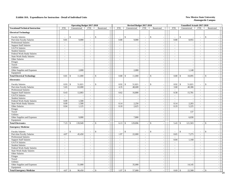|                                         |                          | <b>Operating Budget 2017-2018</b> |                |                              |                | Revised Budget 2017-2018 |                |                             |                          |                              | Unaudited Actuals 2017-2018              |                             |
|-----------------------------------------|--------------------------|-----------------------------------|----------------|------------------------------|----------------|--------------------------|----------------|-----------------------------|--------------------------|------------------------------|------------------------------------------|-----------------------------|
| <b>Vocational/Technical Instruction</b> | <b>FTE</b>               | Unrestricted                      | <b>FTE</b>     | Restricted                   | FTE            | Unrestricted             | FTE            | Restricted                  | <b>FTE</b>               | Unrestricted                 | FTE<br>Restricted                        |                             |
| <b>Electrical Technology</b>            |                          |                                   |                |                              |                |                          |                |                             |                          |                              |                                          |                             |
| <b>Faculty Salaries</b>                 |                          | \$                                | $\sim$         | $\$$                         |                | \$                       | $\sim$         | \$                          | $\sim$                   | $\mathbb{S}$                 | \$<br>$\sim$                             |                             |
| Part-time Faculty Salaries              | 0.81                     | 9,000                             | $\sim$         |                              | 0.80           | 9,000                    | $\sim$         |                             | 0.80                     | 8,955                        | $\sim$                                   |                             |
| <b>Professional Salaries</b>            | $\mathbf{r}$             |                                   | $\sim$         | $\sim$                       | $\sim$         |                          | $\sim$         | $\mathcal{L}_{\mathcal{A}}$ | $\sim$                   |                              | $\overline{a}$                           | $\sim$                      |
| <b>Support Staff Salaries</b>           | $\omega$                 |                                   | $\blacksquare$ | $\sim$                       | $\sim$         | $\sim$                   | $\equiv$       | $\sim$                      | $\sim$                   | $\overline{\phantom{a}}$     | $\mathcal{L}$                            | $\sim$                      |
| GA/TA Salaries                          | $\sim$                   | $\overline{a}$                    | $\sim$         | $\sim$                       | $\sim$         | $\sim$                   | $\sim$         | $\sim$                      | $\blacksquare$           | $\overline{\phantom{a}}$     | $\blacksquare$                           | $\blacksquare$              |
| <b>Student Salaries</b>                 | $\sim$                   |                                   | $\sim$         | $\sim$                       | $\sim$         | $\sim$                   | $\sim$         | $\sim$                      | $\sim$                   | $\overline{\phantom{a}}$     | $\sim$                                   | $\equiv$                    |
| Federal Work-Study Salaries             | $\overline{\phantom{a}}$ |                                   | $\sim$         | $\sim$                       | $\sim$         |                          | $\mathcal{L}$  | $\sim$                      | $\overline{\phantom{a}}$ | $\overline{\phantom{a}}$     | $\bar{\phantom{a}}$                      | $\blacksquare$              |
| State Work-Study Salaries               | $\overline{a}$           | $\sim$                            | $\sim$         | $\sim$                       | $\sim$         |                          | $\sim$         | $\sim$                      | $\sim$                   | $\overline{\phantom{a}}$     | $\overline{a}$                           | $\sim$                      |
| Other Salaries                          | $\blacksquare$           | $\sim$                            | $\sim$         | $\sim$                       | $\blacksquare$ | $\sim$                   | $\blacksquare$ | $\sim$                      | $\sim$                   | $\overline{a}$               | $\mathcal{L}$                            | $\mathcal{L}_{\mathcal{A}}$ |
| Fringes                                 |                          | $\sim$                            |                | $\sim$                       |                | $\sim$                   |                | $\sim$                      |                          | $\sim$                       |                                          | $\omega$                    |
| Travel                                  |                          | $\sim$                            |                | $\sim$                       |                | $\sim$                   |                | $\sim$                      |                          | $\overline{a}$               |                                          | $\sim$                      |
| Utilities                               |                          | $\overline{a}$                    |                | $\sim$                       |                |                          |                | $\sim$                      |                          | $\overline{\phantom{a}}$     |                                          | $\mathcal{L}_{\mathcal{A}}$ |
| Other Supplies and Expenses             |                          | 2,000                             |                | $\overline{a}$               |                | 2,000                    |                | $\sim$                      |                          | 1,140                        |                                          | $\sim$                      |
| Equipment                               |                          |                                   |                | $\sim$                       |                |                          |                | $\sim$                      |                          |                              |                                          | $\mathbb{Z}^2$              |
| <b>Total Electrical Technology</b>      | 0.81                     | 11,000<br>$\mathcal{S}$           |                | $\mathbf{\hat{S}}$<br>$\sim$ | $0.80-5$       | 11,000                   |                | $\mathbf{\hat{S}}$          | 0.80                     | 10,095<br>$\mathcal{S}$      | $\mathbb{S}$<br>$\sim$                   | $\mathbf{r}$                |
| <b>Electronics</b>                      |                          |                                   |                |                              |                |                          |                |                             |                          |                              |                                          |                             |
| <b>Faculty Salaries</b>                 | 0.93                     | 51,821<br>\$                      | $\sim$         | $\mathbf S$                  | 0.92           | $\mathcal{S}$<br>51,821  | $\blacksquare$ | $\mathbf{\hat{S}}$          | 0.92                     | $\mathcal{S}$<br>51,821      | $\mathbf{s}$<br>$\overline{\phantom{a}}$ |                             |
| Part-time Faculty Salaries              | 5.65                     | 63,000                            | $\mathbb{Z}^2$ | $\sim$                       | 4.35           | 48,600                   | $\mathbb{Z}^2$ | $\sim$                      | 3.60                     | 40,306                       | $\mathcal{L}^{\pm}$                      | $\sim$                      |
| <b>Professional Salaries</b>            | $\sim$                   |                                   | $\sim$         | $\sim$                       | $\sim$         |                          | $\sim$         | $\sim$                      | $\sim$                   |                              | $\sim$                                   | $\sim$                      |
| <b>Support Staff Salaries</b>           | 0.43                     | 12,003                            | $\sim$         | $\sim$                       | 0.62           | 16,800                   | $\omega$       | $\sim$                      | 0.58                     | 15,781                       | $\sim$                                   | $\sim$                      |
| GA/TA Salaries                          | $\sim$                   |                                   | $\sim$         | $\sim$                       | $\sim$         |                          | $\sim$         | $\sim$                      | $\sim$                   | $\overline{\phantom{a}}$     | $\sim$                                   | $\sim$                      |
| <b>Student Salaries</b>                 | $\overline{\phantom{a}}$ |                                   | $\sim$         | $\overline{\phantom{a}}$     | $\sim$         | ÷,                       | $\blacksquare$ | $\blacksquare$              | $\omega$                 | $\overline{\phantom{a}}$     | $\mathcal{L}$                            | $\omega$                    |
| Federal Work-Study Salaries             | 0.09                     | 1,500                             | $\sim$         | $\sim$                       | $\sim$         |                          | $\sim$         | $\sim$                      | $\sim$                   | $\sim$                       | $\mathcal{L}$                            | $\sim$                      |
| <b>State Work-Study Salaries</b>        | 0.09                     | 1,500                             | $\sim$         | $\sim$                       | 0.14           | 2,250                    | $\sim$         | $\sim$                      | 0.14                     | 2,203                        | $\blacksquare$                           | $\sim$                      |
| Other Salaries                          | 0.04                     | 1,125                             | $\sim$         | $\sim$                       | 0.10           | 2,625                    | $\omega$       | $\sim$                      | 0.19                     | 5,225                        | $\sim$                                   | $\omega$                    |
| Fringes                                 |                          |                                   |                | $\sim$                       |                |                          |                |                             |                          |                              |                                          | $\sim$                      |
| Travel                                  |                          | ÷,                                |                | $\sim$                       |                | ÷,                       |                | $\sim$                      |                          | 137                          |                                          | $\sim$                      |
| Utilities                               |                          |                                   |                | $\sim$                       |                |                          |                | $\sim$                      |                          |                              |                                          | $\sim$                      |
| Other Supplies and Expenses             |                          | 9,000                             |                | $\sim$                       |                | 7,800                    |                | $\sim$                      |                          | 6,030                        |                                          | $\sim$                      |
| Equipment                               |                          |                                   |                | $\sim$                       |                |                          |                | $\sim$                      |                          |                              |                                          | $\sim$                      |
| <b>Total Electronics</b>                | 7.23                     | 139,949<br>$\mathbb{S}$           | $\sim$         | $\mathcal{S}$<br>$\sim$      | 6.13           | $\mathcal{S}$<br>129,896 |                | $\mathfrak{F}$<br>$\sim$    | 5.43                     | 121,503<br>$\mathfrak{F}$    | \$<br>$\sim$                             | $\sim$                      |
| <b>Emergency Medicine</b>               |                          |                                   |                |                              |                |                          |                |                             |                          |                              |                                          |                             |
| <b>Faculty Salaries</b>                 |                          | \$                                |                | \$                           | ÷.             | $\mathbb{S}$             | $\overline{a}$ | $\mathcal{S}$               | in 1919.                 | $\mathbb{S}$                 | \$<br>$\overline{a}$                     |                             |
| Part-time Faculty Salaries              | 4.07                     | 45,450                            | $\sim$         | $\sim$                       | 1.97           | 22,000                   | $\blacksquare$ | $\sim$                      | 0.65                     | 7,275                        | $\mathcal{L}$                            | $\mathcal{L}_{\mathcal{A}}$ |
| Professional Salaries                   | $\sim$                   |                                   | $\sim$         | $\sim$                       | $\sim$         |                          | $\sim$         | $\sim$                      | $\sim$                   |                              | $\sim$                                   | $\blacksquare$              |
| <b>Support Staff Salaries</b>           | $\blacksquare$           |                                   | $\sim$         | $\sim$                       | $\overline{a}$ | $\overline{\phantom{a}}$ | $\blacksquare$ | $\sim$                      | 0.04                     | 1,168                        | $\bar{\phantom{a}}$                      | $\sim$                      |
| GA/TA Salaries                          | $\omega$                 |                                   | $\sim$         | $\sim$                       | $\sim$         |                          | $\mathcal{L}$  | $\blacksquare$              | $\sim$                   |                              | $\sim$                                   | $\mathcal{L}$               |
| <b>Student Salaries</b>                 | $\blacksquare$           | $\overline{a}$                    | $\sim$         | $\sim$                       | $\sim$         | $\sim$                   | $\blacksquare$ | $\sim$                      | $\sim$                   | $\overline{\phantom{a}}$     | $\sim$                                   | $\mathcal{L}_{\mathcal{A}}$ |
| Federal Work-Study Salaries             | $\sim$                   | $\sim$                            | $\blacksquare$ | $\sim$                       | $\blacksquare$ | $\sim$                   | $\blacksquare$ | $\sim$                      | $\sim$                   | $\overline{\phantom{a}}$     | $\blacksquare$                           | $\blacksquare$              |
| State Work-Study Salaries               | $\sim$                   |                                   | $\sim$         | $\overline{a}$               | $\sim$         |                          | $\sim$         | $\sim$                      | $\sim$                   | $\overline{\phantom{a}}$     | $\sim$                                   | $\equiv$                    |
| Other Salaries                          | $\blacksquare$           | $\sim$                            | $\blacksquare$ | $\sim$                       | $\sim$         | $\overline{\phantom{a}}$ | $\blacksquare$ | $\omega$                    | $\blacksquare$           | $\overline{\phantom{a}}$     | $\frac{1}{2}$                            | $\equiv$                    |
| Fringes                                 |                          | $\sim$                            |                | $\overline{a}$               |                | $\overline{\phantom{a}}$ |                | $\sim$                      |                          | $\sim$                       |                                          | $\sim$                      |
| Travel                                  |                          | $\overline{a}$                    |                | $\overline{a}$               |                |                          |                | $\sim$                      |                          | $\overline{a}$               |                                          | $\sim$                      |
| Utilities                               |                          | $\overline{a}$                    |                | $\sim$                       |                | $\sim$                   |                | $\sim$                      |                          | $\overline{\phantom{a}}$     |                                          | $\sim$                      |
| Other Supplies and Expenses             |                          | 51,000                            |                | $\sim$                       |                | 35,000                   |                | $\sim$                      |                          | 14,145                       |                                          | $\omega$                    |
| Equipment                               |                          |                                   |                | $\sim$                       |                |                          |                | $\sim$                      |                          |                              |                                          | $\overline{\phantom{a}}$    |
| <b>Total Emergency Medicine</b>         | 4.07                     | 96,450<br>$\mathcal{S}$           |                | $\mathbf{\hat{S}}$           |                | 57,000                   |                | $\mathbf{\hat{S}}$          | 0.69                     | 22,588<br>$\mathbf{\hat{s}}$ | $\mathbb{S}$                             |                             |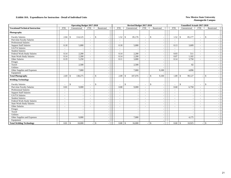|                                         |                          | <b>Operating Budget 2017-2018</b> |                          |                    |                          | Revised Budget 2017-2018 |                          |                          |                          | <b>Unaudited Actuals 2017-2018</b> |                          |                          |
|-----------------------------------------|--------------------------|-----------------------------------|--------------------------|--------------------|--------------------------|--------------------------|--------------------------|--------------------------|--------------------------|------------------------------------|--------------------------|--------------------------|
| <b>Vocational/Technical Instruction</b> | <b>FTE</b>               | Unrestricted                      | <b>FTE</b>               | Restricted         | <b>FTE</b>               | Unrestricted             | <b>FTE</b>               | Restricted               | <b>FTE</b>               | Unrestricted                       | <b>FTE</b>               | Restricted               |
| Photography                             |                          |                                   |                          |                    |                          |                          |                          |                          |                          |                                    |                          |                          |
| <b>Faculty Salaries</b>                 | 2.04                     | 114,125<br>\$                     | $\sim$                   | $\mathbf{\hat{S}}$ | 1.52                     | \$<br>85,176             | $\sim$                   | $\mathbb{S}$             | 1.52                     | 85,177<br>$\mathcal{S}$            | $\sim$                   | \$                       |
| Part-time Faculty Salaries              | $\blacksquare$           |                                   |                          |                    | $\overline{\phantom{a}}$ |                          | $\overline{\phantom{a}}$ |                          | $\overline{\phantom{a}}$ |                                    | $\overline{\phantom{a}}$ |                          |
| <b>Professional Salaries</b>            | $\overline{\phantom{a}}$ |                                   |                          |                    | $\overline{\phantom{a}}$ |                          | $\sim$                   |                          | $\overline{\phantom{a}}$ |                                    | $\overline{\phantom{a}}$ |                          |
| <b>Support Staff Salaries</b>           | 0.18                     | 5,000                             | $\overline{\phantom{a}}$ |                    | 0.18                     | 5,000                    | $\overline{\phantom{a}}$ |                          | 0.13                     | 3,609                              | $\sim$                   |                          |
| <b>GA/TA Salaries</b>                   | $\overline{\phantom{a}}$ |                                   |                          |                    | $\sim$                   |                          | $\sim$                   | $\overline{\phantom{a}}$ | $\sim$                   |                                    | $\overline{\phantom{a}}$ | $\overline{\phantom{a}}$ |
| <b>Student Salaries</b>                 | $\sim$                   |                                   |                          |                    | $\sim$                   | $\overline{\phantom{a}}$ | $\overline{\phantom{a}}$ | $\overline{\phantom{a}}$ | $\sim$                   |                                    | $\sim$                   | $\overline{\phantom{a}}$ |
| Federal Work-Study Salaries             | 0.14                     | 2,200                             |                          |                    | 0.14                     | 2,200                    | $\sim$                   | $\overline{\phantom{a}}$ | 0.03                     | 511                                | $\sim$                   | $\overline{\phantom{a}}$ |
| <b>State Work-Study Salaries</b>        | 0.14                     | 2,200                             |                          |                    | 0.14                     | 2,200                    | $\sim$                   | $\overline{\phantom{a}}$ | 0.07                     | 1,102                              | $\sim$                   | $\sim$                   |
| Other Salaries                          | 0.19                     | 5,250                             |                          |                    | 0.11                     | 3,000                    | $\sim$                   |                          | 0.14                     | 3,750                              | $\sim$                   | $\sim$                   |
| Fringes                                 |                          |                                   |                          |                    |                          |                          |                          | ۰                        |                          |                                    |                          | $\overline{\phantom{a}}$ |
| Travel                                  |                          | 2,500                             |                          |                    |                          | 2,500                    |                          |                          |                          | 82                                 |                          |                          |
| <b>Utilities</b>                        |                          |                                   |                          |                    |                          |                          |                          |                          |                          |                                    |                          |                          |
| Other Supplies and Expenses             |                          | 7,000                             |                          |                    |                          | 7,000                    |                          | 9,100                    |                          | 4,896                              |                          |                          |
| Equipment                               |                          |                                   |                          |                    |                          |                          |                          |                          |                          |                                    |                          |                          |
| <b>Total Photography</b>                | 2.69                     | 138,275<br><sup>\$</sup>          |                          | $\mathbb{S}$       | 2.09                     | 107,076<br>\$            |                          | \$<br>9,100              | 1.89                     | 99,127<br>-\$                      |                          | $\mathbf{s}$             |
| <b>Welding Technology</b>               |                          |                                   |                          |                    |                          |                          |                          |                          |                          |                                    |                          |                          |
| <b>Faculty Salaries</b>                 | $\overline{\phantom{a}}$ | $\mathbb{S}$                      | $\overline{\phantom{0}}$ | $\mathbf{\hat{S}}$ | $\sim$                   | \$                       | $\overline{\phantom{a}}$ | $\mathbf{s}$<br>۰        | $\sim$                   | $\mathbf{\hat{S}}$                 | $\sim$                   | $\mathbb{S}$             |
| Part-time Faculty Salaries              | 0.81                     | 9,000                             |                          |                    | 0.80                     | 9,000                    |                          |                          | 0.60                     | 6,750                              | $\sim$                   |                          |
| <b>Professional Salaries</b>            | $\blacksquare$           |                                   |                          |                    | $\overline{\phantom{a}}$ |                          | $\sim$                   |                          | $\sim$                   |                                    | $\sim$                   |                          |
| <b>Support Staff Salaries</b>           | $\sim$                   |                                   |                          |                    | $\sim$                   |                          | $\sim$                   |                          | $\sim$                   |                                    | $\sim$                   |                          |
| GA/TA Salaries                          | $\blacksquare$           |                                   | $\overline{\phantom{a}}$ |                    | $\overline{\phantom{a}}$ |                          | $\overline{\phantom{a}}$ | $\blacksquare$           | $\sim$                   |                                    | $\overline{\phantom{a}}$ |                          |
| <b>Student Salaries</b>                 | $\sim$                   |                                   | $\sim$                   |                    | $\sim$                   |                          | $\sim$                   |                          | $\sim$                   |                                    | $\sim$                   |                          |
| Federal Work-Study Salaries             | $\sim$                   |                                   |                          |                    | $\sim$                   |                          | $\sim$                   |                          | $\sim$                   |                                    | $\sim$                   |                          |
| <b>State Work-Study Salaries</b>        | $\blacksquare$           |                                   | $\overline{\phantom{a}}$ |                    | $\overline{\phantom{a}}$ |                          | $\overline{\phantom{a}}$ |                          | $\overline{\phantom{a}}$ |                                    | $\overline{\phantom{a}}$ |                          |
| Other Salaries                          | $\blacksquare$           |                                   |                          |                    | $\overline{\phantom{m}}$ |                          | $\overline{\phantom{a}}$ | $\overline{\phantom{a}}$ | $\overline{\phantom{a}}$ |                                    | $\overline{\phantom{a}}$ |                          |
| Fringes                                 |                          |                                   |                          |                    |                          | $\overline{\phantom{a}}$ |                          | $\overline{\phantom{a}}$ |                          |                                    |                          | $\overline{\phantom{a}}$ |
| Travel                                  |                          |                                   |                          |                    |                          |                          |                          |                          |                          |                                    |                          |                          |
| <b>Utilities</b>                        |                          |                                   |                          |                    |                          |                          |                          | $\overline{\phantom{a}}$ |                          |                                    |                          | $\overline{\phantom{a}}$ |
| Other Supplies and Expenses             |                          | 9,000                             |                          |                    |                          | 7,000                    |                          |                          |                          | 4,175                              |                          |                          |
| Equipment                               |                          |                                   |                          |                    |                          |                          |                          |                          |                          |                                    |                          | $\overline{\phantom{a}}$ |
| <b>Total Welding Technology</b>         | 0.81                     | 18,000<br>$\sqrt{5}$              |                          | $\mathbf{\hat{S}}$ | 0.80                     | $\mathcal{S}$<br>16,000  |                          | $\mathbb{S}$             | 0.60                     | 10,925<br>$\mathbb{S}$             |                          | \$                       |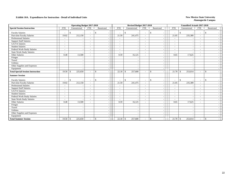|                                          |                          | <b>Operating Budget 2017-2018</b> |                          |                    |                          | Revised Budget 2017-2018                 |                          |                                          |                          | <b>Unaudited Actuals 2017-2018</b> |                          |               |  |
|------------------------------------------|--------------------------|-----------------------------------|--------------------------|--------------------|--------------------------|------------------------------------------|--------------------------|------------------------------------------|--------------------------|------------------------------------|--------------------------|---------------|--|
| <b>Special Session Instruction</b>       | <b>FTE</b>               | Unrestricted                      | FTE                      | Restricted         | <b>FTE</b>               | Unrestricted                             | <b>FTE</b>               | Restricted                               | <b>FTE</b>               | Unrestricted                       | <b>FTE</b>               | Restricted    |  |
| <b>Faculty Salaries</b>                  |                          | \$.                               | $\overline{\phantom{a}}$ | $\mathfrak{F}$     | $\overline{\phantom{a}}$ | $\mathbb{S}$<br>$\overline{\phantom{a}}$ | $\sim$                   | $\mathbf{\hat{S}}$                       | $\overline{\phantom{a}}$ | $\mathbf{\hat{S}}$                 | $\sim$                   | -8            |  |
| Part-time Faculty Salaries               | 19.02                    | 212,150                           |                          |                    | 21.59                    | 241,475                                  |                          |                                          | 21.05                    | 235,389                            | $\overline{\phantom{a}}$ |               |  |
| Professional Salaries                    | $\overline{\phantom{a}}$ |                                   |                          |                    | $\overline{\phantom{a}}$ |                                          | $\overline{\phantom{a}}$ |                                          | $\sim$                   |                                    | $\overline{\phantom{a}}$ |               |  |
| <b>Support Staff Salaries</b>            | $\overline{\phantom{a}}$ |                                   | $\overline{\phantom{a}}$ |                    | $\sim$                   |                                          | $\sim$                   | $\overline{\phantom{a}}$                 | $\sim$                   |                                    | $\sim$                   |               |  |
| GA/TA Salaries                           | $\tilde{\phantom{a}}$    |                                   | $\overline{\phantom{a}}$ |                    | $\sim$                   |                                          | $\sim$                   | $\overline{\phantom{a}}$                 | $\sim$                   |                                    | $\sim$                   |               |  |
| <b>Student Salaries</b>                  | $\tilde{\phantom{a}}$    |                                   | $\overline{\phantom{a}}$ |                    | $\overline{\phantom{a}}$ |                                          | $\overline{\phantom{a}}$ | $\overline{\phantom{a}}$                 | $\sim$                   |                                    | $\overline{\phantom{a}}$ |               |  |
| Federal Work-Study Salaries              | $\overline{\phantom{a}}$ |                                   | $\sim$                   |                    | $\overline{\phantom{a}}$ |                                          | $\overline{\phantom{a}}$ |                                          | $\sim$                   |                                    | $\overline{\phantom{a}}$ |               |  |
| <b>State Work-Study Salaries</b>         | $\overline{\phantom{a}}$ |                                   | $\overline{\phantom{a}}$ |                    | $\overline{\phantom{a}}$ | $\overline{\phantom{a}}$                 | $\sim$                   |                                          | $\overline{\phantom{a}}$ |                                    | $\sim$                   |               |  |
| Other Salaries                           | 0.48                     | 13,500                            |                          |                    | 0.59                     | 16,125                                   | $\overline{\phantom{a}}$ | $\overline{\phantom{a}}$                 | 0.65                     | 17,625                             | $\sim$                   |               |  |
| Fringes                                  |                          |                                   |                          |                    |                          |                                          |                          | $\overline{\phantom{a}}$                 |                          |                                    |                          |               |  |
| Travel                                   |                          |                                   |                          |                    |                          |                                          |                          |                                          |                          |                                    |                          |               |  |
| Utilities                                |                          |                                   |                          |                    |                          |                                          |                          |                                          |                          |                                    |                          |               |  |
| Other Supplies and Expenses              |                          |                                   |                          |                    |                          |                                          |                          | $\sim$                                   |                          |                                    |                          |               |  |
| Equipment                                |                          |                                   |                          |                    |                          |                                          |                          | $\sim$                                   |                          |                                    |                          |               |  |
| <b>Total Special Session Instruction</b> |                          | 225,650                           | $\overline{\phantom{a}}$ | $\mathbf{s}$       |                          | 257,600                                  | $\sim$                   | $\mathbf{s}$<br>$\overline{\phantom{a}}$ | 21.70                    | 253,014<br><b>S</b>                | $\sim$                   | $\mathbf{s}$  |  |
| <b>Summer Session</b>                    |                          |                                   |                          |                    |                          |                                          |                          |                                          |                          |                                    |                          |               |  |
| <b>Faculty Salaries</b>                  | $\overline{\phantom{a}}$ | $\mathcal{S}$                     | $\overline{\phantom{a}}$ | $\mathbb{S}$       | $\overline{\phantom{a}}$ | $\mathbb{S}$<br>$\overline{\phantom{a}}$ | $\sim$                   | $\mathbf{s}$<br>$\overline{\phantom{a}}$ | $\overline{\phantom{a}}$ | $\mathbf{\hat{S}}$                 | $\overline{\phantom{a}}$ | \$            |  |
| Part-time Faculty Salaries               | 19.02                    | 212,150                           | $\sim$                   |                    | 21.59                    | 241,475                                  | $\sim$                   | $\overline{\phantom{a}}$                 | 21.05                    | 235,389                            | $\sim$                   |               |  |
| Professional Salaries                    | $\sim$                   |                                   | $\overline{\phantom{a}}$ |                    | $\overline{\phantom{a}}$ |                                          |                          |                                          | $\sim$                   |                                    | $\overline{\phantom{a}}$ |               |  |
| <b>Support Staff Salaries</b>            | $\overline{\phantom{a}}$ |                                   | $\overline{\phantom{a}}$ |                    | $\overline{\phantom{a}}$ |                                          |                          |                                          | $\sim$                   |                                    | $\overline{\phantom{a}}$ |               |  |
| GA/TA Salaries                           | $\overline{\phantom{a}}$ |                                   | $\overline{\phantom{a}}$ |                    | $\overline{\phantom{a}}$ | $\overline{\phantom{a}}$                 | $\overline{\phantom{a}}$ | $\overline{\phantom{a}}$                 | $\overline{\phantom{a}}$ |                                    | $\sim$                   |               |  |
| <b>Student Salaries</b>                  | $\overline{\phantom{a}}$ |                                   | $\overline{\phantom{a}}$ |                    | $\sim$                   | $\overline{\phantom{a}}$                 | $\sim$                   | $\overline{\phantom{a}}$                 | $\overline{\phantom{a}}$ |                                    | $\sim$                   |               |  |
| Federal Work-Study Salaries              |                          |                                   |                          |                    | $\overline{a}$           |                                          | $\sim$                   |                                          | $\sim$                   |                                    | $\overline{\phantom{a}}$ |               |  |
| <b>State Work-Study Salaries</b>         | $\overline{\phantom{a}}$ |                                   | ۰                        |                    | $\overline{\phantom{a}}$ |                                          | $\overline{\phantom{a}}$ |                                          | $\overline{\phantom{a}}$ |                                    | $\sim$                   |               |  |
| Other Salaries                           | 0.48                     | 13,500                            |                          |                    | 0.59                     | 16,125                                   |                          | $\overline{\phantom{a}}$                 | 0.65                     | 17,625                             | $\sim$                   |               |  |
| Fringes                                  |                          |                                   |                          |                    |                          |                                          |                          | $\overline{\phantom{a}}$                 |                          |                                    |                          |               |  |
| Travel                                   |                          |                                   |                          |                    |                          |                                          |                          |                                          |                          |                                    |                          |               |  |
| Utilities                                |                          |                                   |                          |                    |                          |                                          |                          | $\overline{\phantom{a}}$                 |                          |                                    |                          |               |  |
| Other Supplies and Expenses              |                          |                                   |                          |                    |                          |                                          |                          | $\overline{\phantom{a}}$                 |                          |                                    |                          |               |  |
| Equipment                                |                          |                                   |                          |                    |                          |                                          |                          |                                          |                          |                                    |                          |               |  |
| <b>Total Summer Session</b>              | $19.50$ \$               | 225,650                           | $\overline{\phantom{a}}$ | $\mathbf{\hat{S}}$ |                          | 257,600                                  |                          | $\mathbf{\hat{S}}$<br>$\sim$             | 21.70                    | \$<br>253,014                      | $\overline{\phantom{a}}$ | $\mathcal{S}$ |  |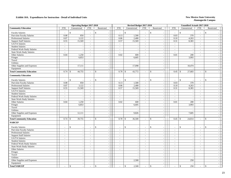|                                  |            | <b>Operating Budget 2017-2018</b> |                          |                                | Revised Budget 2017-2018   |                          |                             |                              | <b>Unaudited Actuals 2017-2018</b> |                                |                          |                                 |
|----------------------------------|------------|-----------------------------------|--------------------------|--------------------------------|----------------------------|--------------------------|-----------------------------|------------------------------|------------------------------------|--------------------------------|--------------------------|---------------------------------|
| <b>Community Education</b>       | <b>FTE</b> | Unrestricted                      | <b>FTE</b>               | Restricted                     | <b>FTE</b>                 | Unrestricted             | FTE                         | Restricted                   | <b>FTE</b>                         | Unrestricted                   | <b>FTE</b>               | Restricted                      |
| <b>Faculty Salaries</b>          |            | \$                                | J,                       | \$                             | $\mathbb{S}$<br>$\sim$     |                          | ÷,                          | \$                           | $\sim$                             | \$                             | $\sim$                   | \$                              |
| Part-time Faculty Salaries       | 0.08       | 850                               | $\sim$                   | $\sim$                         | 0.13                       | 1,500                    | $\mathcal{L}$               | $\sim$                       | 0.03                               | 370                            | $\sim$                   | $\sim$                          |
| Professional Salaries            | 0.07       | 3,122                             | $\sim$                   | $\mathcal{L}_{\mathcal{A}}$    | 0.06                       | 2,400                    | $\omega$                    | $\sim$                       | 0.10                               | 4,263                          | $\blacksquare$           | $\blacksquare$                  |
| <b>Support Staff Salaries</b>    | 0.55       | 15,569                            | $\blacksquare$           | $\sim$                         | 0.57                       | 15,569                   | $\blacksquare$              | $\mathbb{L}$                 | 0.31                               | 8,383                          | $\blacksquare$           | $\sim$                          |
| GA/TA Salaries                   | $\sim$     |                                   | $\sim$                   | $\sim$                         | $\omega$                   |                          | $\overline{\phantom{a}}$    | $\sim$                       | $\omega$                           | $\overline{\phantom{a}}$       | $\overline{\phantom{a}}$ | $\sim$                          |
| <b>Student Salaries</b>          | $\sim$     | ÷.                                | $\mathcal{L}$            | $\overline{\phantom{a}}$       | $\sim$                     | $\sim$                   | $\omega$                    | $\overline{\phantom{a}}$     | $\mathbb{Z}^2$                     | $\sim$                         | $\omega$                 | $\mathcal{L}$                   |
| Federal Work-Study Salaries      | $\sim$     |                                   | $\sim$                   | $\sim$                         | $\sim$                     | $\sim$                   | $\sim$                      | $\sim$                       | $\sim$                             | $\overline{\phantom{a}}$       | $\mathcal{L}$            | $\sim$                          |
| <b>State Work-Study Salaries</b> | $\sim$     | $\overline{\phantom{a}}$          | $\mathcal{L}$            | $\blacksquare$                 | $\sim$                     | $\sim$                   | $\omega$                    | $\sim$                       | $\sim$                             | $\overline{a}$                 | $\sim$                   | $\sim$                          |
| Other Salaries                   | 0.04       | 1,250                             | $\sim$                   | $\sim$                         | 0.02                       | 600                      | $\omega$                    | $\sim$                       | 0.01                               | 200                            | $\mathcal{L}$            | $\omega$                        |
| Fringes                          |            | 6,853                             |                          | $\sim$                         |                            | 6,605                    |                             | $\sim$                       |                                    | 3,993                          |                          | $\mathcal{L}_{\mathcal{A}}$     |
| Travel                           |            |                                   |                          | $\sim$                         |                            | $\overline{a}$           |                             | $\sim$                       |                                    | $\sim$                         |                          | $\sim$                          |
| Utilities                        |            |                                   |                          | $\sim$                         |                            | ÷,                       |                             | $\sim$                       |                                    |                                |                          | $\sim$                          |
| Other Supplies and Expenses      |            | 17,111                            |                          | $\sim$                         |                            | 17,098                   |                             | $\sim$                       |                                    | 10,474                         |                          | $\sim$                          |
| Equipment                        |            |                                   |                          | $\sim$                         |                            |                          |                             | $\omega$                     |                                    |                                |                          | $\mathcal{L}$                   |
| <b>Total Community Education</b> | 0.74       | 44,755<br>$\mathbf{\hat{S}}$      | $\blacksquare$           | $\mathcal{S}$<br>$\sim$        | 0.78<br>$\mathcal{S}$      | 43,772                   | $\blacksquare$              | $\mathbf{\hat{S}}$<br>$\sim$ | 0.45                               | $\mathcal{S}$<br>27,683        | $\mathbf{r}$             | $\mathbb{S}$                    |
| <b>Community Education</b>       |            |                                   |                          |                                |                            |                          |                             |                              |                                    |                                |                          |                                 |
| <b>Faculty Salaries</b>          |            | $\mathcal{S}$                     | $\sim$                   | $\mathbb{S}$                   | $\mathbb{S}$<br>$\sim$     |                          | $\sim$                      | $\mathbf{\hat{S}}$           | $\sim$                             | $\mathsf{\$}$                  | $\overline{a}$           | $\mathbb{S}$                    |
| Part-time Faculty Salaries       | 0.08       | 850                               | $\sim$                   | $\sim$                         | 0.13                       | 1,500                    | $\sim$                      | $\sim$                       | 0.03                               | 370                            | $\sim$                   | $\sim$                          |
| Professional Salaries            | 0.07       | 3,122                             | $\sim$                   | $\sim$                         | 0.06                       | 2,400                    | $\sim$                      | $\mathbb{Z}^2$               | 0.10                               | 4,263                          | $\sim$                   | $\sim$                          |
| <b>Support Staff Salaries</b>    | 0.55       | 15,569                            | $\sim$                   | $\sim$                         | 0.57                       | 15,569                   | $\sim$                      | $\sim$                       | 0.31                               | 8,383                          | $\sim$                   | $\mathcal{L}_{\mathcal{A}}$     |
| GA/TA Salaries                   | $\sim$     |                                   | $\blacksquare$           | $\overline{\phantom{a}}$       | $\sim$                     |                          | $\overline{\phantom{a}}$    | $\sim$                       | $\sim$                             | $\overline{\phantom{a}}$       | $\sim$                   | $\equiv$                        |
| <b>Student Salaries</b>          | $\sim$     |                                   | $\sim$                   | $\sim$                         | $\sim$                     | $\overline{\phantom{a}}$ | $\overline{\phantom{a}}$    | $\sim$                       | $\blacksquare$                     | $\overline{\phantom{a}}$       | $\bar{\phantom{a}}$      | $\sim$                          |
| Federal Work-Study Salaries      | $\sim$     | $\overline{\phantom{a}}$          | $\blacksquare$           | $\sim$                         | $\mathbb{Z}^+$             | $\sim$                   | $\omega$                    | $\blacksquare$               | $\omega$                           | $\overline{\phantom{a}}$       | $\sim$                   | $\blacksquare$                  |
| <b>State Work-Study Salaries</b> | $\sim$     | $\sim$                            | $\sim$                   | $\sim$                         | $\sim$                     | $\sim$                   | $\sim$                      | $\sim$                       | $\sim$                             | $\overline{\phantom{a}}$       | $\sim$                   | $\sim$                          |
| Other Salaries                   | 0.04       | 1,250                             | $\sim$                   | $\sim$                         | 0.02                       | 600                      | $\omega$                    | $\sim$                       | 0.01                               | 200                            | $\sim$                   | $\sim$                          |
| Fringes                          |            | 6,853                             |                          | $\blacksquare$                 |                            | 6,605                    |                             | $\sim$                       |                                    | 3,993                          |                          | $\sim$                          |
| Travel                           |            | $\overline{a}$                    |                          | $\sim$                         |                            | $\sim$                   |                             | $\sim$                       |                                    | $\sim$                         |                          | $\omega$                        |
| Utilities                        |            |                                   |                          | $\sim$                         |                            | $\sim$                   |                             | $\sim$                       |                                    |                                |                          | $\sim$                          |
| Other Supplies and Expenses      |            | 12,111                            |                          | $\sim$                         |                            | 9,826                    |                             | $\sim$                       |                                    | 7,605                          |                          | $\sim$                          |
| Equipment                        |            |                                   |                          | $\sim$                         |                            |                          |                             | $\sim$                       |                                    |                                |                          | $\blacksquare$                  |
| <b>Total Community Education</b> | 0.74       | 39,755<br>$\mathbf{\hat{S}}$      | $\sim$                   | $\mathsf{\$}$<br>$\sim$        | 0.78<br>$\mathbf{\hat{S}}$ | 36,500                   | $\sim$                      | $\mathcal{S}$<br>$\sim$      | 0.45                               | $\mathcal{S}$<br>24,814        | $\blacksquare$           | $\mathsf{\$}$<br>$\overline{a}$ |
| <b>NABCEP</b>                    |            |                                   |                          |                                |                            |                          |                             |                              |                                    |                                |                          |                                 |
| <b>Faculty Salaries</b>          |            | $\mathbb{S}$                      | $\sim$                   | \$                             | $\mathbb{S}$<br>$\sim$     |                          | $\sim$                      | \$<br>$\sim$                 | $\sim$                             | \$<br>$\overline{\phantom{a}}$ | $\sim$                   | $\mathbb{S}$                    |
| Part-time Faculty Salaries       | $\sim$     | $\sim$                            | $\sim$                   | $\sim$                         | $\sim$                     | $\sim$                   | $\mathcal{L}$               | $\sim$                       | $\sim$                             | $\sim$                         | $\mathcal{L}$            | $\mathcal{L}_{\mathcal{A}}$     |
| Professional Salaries            | $\sim$     | $\overline{a}$                    | $\sim$                   | $\sim$                         | $\sim$                     | $\sim$                   | $\sim$                      | $\sim$                       | $\sim$                             | $\sim$                         | $\sim$                   | $\sim$                          |
| <b>Support Staff Salaries</b>    | $\sim$     | $\overline{\phantom{a}}$          | $\overline{\phantom{a}}$ | $\sim$                         | $\sim$                     | $\overline{\phantom{a}}$ | $\blacksquare$              | $\sim$                       | $\blacksquare$                     | $\overline{\phantom{a}}$       | $\blacksquare$           | $\blacksquare$                  |
| GA/TA Salaries                   | $\sim$     | $\overline{\phantom{a}}$          | $\sim$                   | $\sim$                         | $\sim$                     | $\sim$                   | $\sim$                      | $\sim$                       | $\sim$                             | $\sim$                         | $\sim$                   | $\mathcal{L}_{\mathcal{A}}$     |
| <b>Student Salaries</b>          | $\sim$     | ÷.                                | $\sim$                   | $\sim$                         | $\sim$                     |                          | $\omega$                    | $\sim$                       | $\sim$                             | $\overline{\phantom{a}}$       | $\mathcal{L}$            | $\sim$                          |
| Federal Work-Study Salaries      | $\sim$     | $\overline{\phantom{a}}$          | $\overline{\phantom{a}}$ | $\sim$                         | $\sim$                     |                          | $\sim$                      | $\sim$                       | $\blacksquare$                     | $\overline{\phantom{a}}$       | $\sim$                   | $\sim$                          |
| <b>State Work-Study Salaries</b> | $\sim$     | ÷,                                | $\blacksquare$           | $\sim$                         | $\sim$                     | $\overline{\phantom{a}}$ | $\blacksquare$              | $\mathbb{L}$                 | $\blacksquare$                     | $\overline{\phantom{a}}$       | $\blacksquare$           | $\blacksquare$                  |
| Other Salaries                   | $\sim$     | $\overline{a}$                    | $\sim$                   | $\sim$                         | $\sim$                     | $\sim$                   | $\mathcal{L}^{\mathcal{A}}$ | $\sim$                       | $\sim$                             | $\overline{a}$                 | $\sim$                   | $\omega$                        |
| Fringes                          |            | $\overline{\phantom{a}}$          |                          | $\sim$                         |                            | $\sim$                   |                             | $\sim$                       |                                    | $\overline{\phantom{a}}$       |                          | $\sim$                          |
| Travel                           |            | $\sim$                            |                          | $\sim$                         |                            | $\sim$                   |                             | $\sim$                       |                                    |                                |                          | $\sim$                          |
| Utilities                        |            | $\overline{a}$                    |                          | $\sim$                         |                            | $\sim$                   |                             | $\sim$                       |                                    | $\sim$                         |                          | $\mathcal{L}_{\mathcal{A}}$     |
| Other Supplies and Expenses      |            | $\sim$                            |                          | $\omega$                       |                            | 2,500                    |                             | $\blacksquare$               |                                    | 250                            |                          | $\overline{\phantom{a}}$        |
| Equipment                        |            | $\overline{a}$                    |                          | $\sim$                         |                            |                          |                             | $\sim$                       |                                    | $\overline{\phantom{a}}$       |                          | $\sim$                          |
| <b>Total NABCEP</b>              |            | $\mathsf{\$}$<br>$\sim$           | $\sim$                   | $\mathbb{S}$<br>$\blacksquare$ | $\mathcal{S}$<br>$\sim$    | 2,500                    |                             | \$<br>$\sim$                 | $\sim$                             | \$<br>250                      | $\sim$                   | $\mathbb{S}$<br>$\sim$          |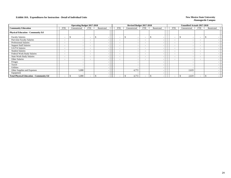|                                                |                          |              | <b>Operating Budget 2017-2018</b>                    |     |            |                          | Revised Budget 2017-2018 |                          |                          |                          | <b>Unaudited Actuals 2017-2018</b> |                          |            |  |
|------------------------------------------------|--------------------------|--------------|------------------------------------------------------|-----|------------|--------------------------|--------------------------|--------------------------|--------------------------|--------------------------|------------------------------------|--------------------------|------------|--|
| <b>Community Education</b>                     | <b>FTE</b>               | Unrestricted | <b>FTE</b>                                           |     | Restricted | FTE                      | Unrestricted             | <b>FTE</b>               | Restricted               | <b>FTE</b>               | Unrestricted                       | <b>FTE</b>               | Restricted |  |
| <b>Physical Education - Community Ed</b>       |                          |              |                                                      |     |            |                          |                          |                          |                          |                          |                                    |                          |            |  |
| <b>Faculty Salaries</b>                        | $\overline{\phantom{a}}$ | J.           | $\overline{\phantom{0}}$                             | \$. |            | $\sim$                   | $\overline{\phantom{a}}$ | $\overline{\phantom{a}}$ |                          | $\overline{\phantom{a}}$ |                                    | $\overline{\phantom{a}}$ |            |  |
| Part-time Faculty Salaries                     | $\overline{\phantom{a}}$ |              | -                                                    |     |            | $\overline{\phantom{a}}$ | $\overline{\phantom{0}}$ | $-$                      | $\overline{\phantom{a}}$ | $\overline{\phantom{0}}$ |                                    | $\overline{\phantom{a}}$ |            |  |
| Professional Salaries                          |                          |              |                                                      |     |            | $\sim$                   | $\overline{\phantom{0}}$ | $\overline{\phantom{a}}$ | -                        | $\overline{\phantom{0}}$ |                                    | $\overline{\phantom{a}}$ |            |  |
| <b>Support Staff Salaries</b>                  | $\overline{\phantom{a}}$ |              | $\sim$                                               |     |            | $\overline{\phantom{a}}$ | $\overline{\phantom{a}}$ | $\sim$                   | -                        | $\overline{\phantom{a}}$ |                                    | $\overline{\phantom{a}}$ |            |  |
| GA/TA Salaries                                 | $\overline{\phantom{a}}$ |              | $\sim$                                               |     |            | $\overline{\phantom{a}}$ | <b>.</b>                 | $\overline{\phantom{a}}$ |                          | $\overline{\phantom{0}}$ |                                    | $\overline{\phantom{a}}$ |            |  |
| <b>Student Salaries</b>                        | $\overline{\phantom{a}}$ |              | $\overline{\phantom{a}}$                             |     |            | $\overline{\phantom{a}}$ | $\overline{\phantom{a}}$ | $\overline{\phantom{a}}$ |                          | $\overline{\phantom{a}}$ |                                    | $\overline{\phantom{a}}$ |            |  |
| Federal Work-Study Salaries                    | $\overline{\phantom{a}}$ |              | $\overline{\phantom{a}}$                             |     |            | $\overline{\phantom{a}}$ | <b>.</b>                 | $\overline{\phantom{a}}$ |                          | $\overline{\phantom{0}}$ |                                    | $\overline{\phantom{a}}$ |            |  |
| <b>State Work-Study Salaries</b>               | $\overline{\phantom{a}}$ |              | $\overline{\phantom{a}}$<br>$\overline{\phantom{a}}$ |     |            | $\overline{\phantom{a}}$ | $\sim$                   | $\overline{\phantom{a}}$ | $\overline{\phantom{a}}$ | $\overline{\phantom{a}}$ |                                    | $\overline{\phantom{a}}$ |            |  |
| Other Salaries                                 | $\overline{\phantom{a}}$ |              | $\overline{\phantom{a}}$                             |     |            | $\overline{\phantom{a}}$ | $\overline{\phantom{a}}$ | $\overline{\phantom{a}}$ | $\sim$                   | $\overline{\phantom{0}}$ |                                    | $\overline{\phantom{a}}$ |            |  |
| Fringes                                        |                          |              |                                                      |     |            |                          |                          |                          | $\sim$                   |                          |                                    |                          |            |  |
| Travel                                         |                          |              |                                                      |     |            |                          |                          |                          |                          |                          |                                    |                          |            |  |
| Utilities                                      |                          |              |                                                      |     |            |                          |                          |                          |                          |                          |                                    |                          |            |  |
| Other Supplies and Expenses                    |                          |              | 5,000                                                |     |            |                          | 4,772                    |                          |                          |                          | 2,619                              |                          |            |  |
| Equipment                                      |                          |              |                                                      |     |            |                          |                          |                          |                          |                          |                                    |                          |            |  |
| <b>Total Physical Education - Community Ed</b> |                          |              | 5,000                                                |     |            |                          | 4,772                    |                          |                          | $\overline{\phantom{0}}$ | 2,619                              |                          |            |  |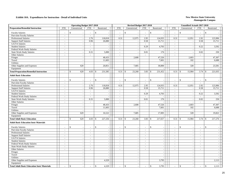|                                                    | <b>Operating Budget 2017-2018</b> |                           |            |                               |                          | Revised Budget 2017-2018 |            |                          |                | <b>Unaudited Actuals 2017-2018</b> |                |                          |
|----------------------------------------------------|-----------------------------------|---------------------------|------------|-------------------------------|--------------------------|--------------------------|------------|--------------------------|----------------|------------------------------------|----------------|--------------------------|
| <b>Preparation/Remedial Instruction</b>            | <b>FTE</b>                        | Unrestricted              | <b>FTE</b> | Restricted                    | <b>FTE</b>               | Unrestricted             | <b>FTE</b> | Restricted               | <b>FTE</b>     | Unrestricted                       | <b>FTE</b>     | Restricted               |
| <b>Faculty Salaries</b>                            |                                   | $\mathbf{\hat{S}}$        |            | $\mathcal{S}$                 | $\sim$                   | \$                       | $\sim$     | \$                       |                | $\mathcal{S}$                      | $\sim$         | $\mathbb{S}$             |
| Part-time Faculty Salaries                         | $\sim$                            | $\sim$                    | $\sim$     | $\sim$                        | $\sim$                   | ÷,                       | $\sim$     |                          |                |                                    | $\sim$         |                          |
| <b>Professional Salaries</b>                       | $\sim$                            | $\sim$                    | 2.76       | 118,818                       | 0.31                     | 12,975                   | 2.95       | 124,935                  | 0.31           | 12,951                             | 2.92           | 123,906                  |
| <b>Support Staff Salaries</b>                      | $\sim$                            |                           | 0.96       | 26,880                        | $\sim$                   |                          | 0.58       | 15,711                   | $\sim$         |                                    | 0.58           | 15,711                   |
| GA/TA Salaries                                     | $\overline{\phantom{a}}$          |                           |            |                               | $\overline{\phantom{a}}$ | ÷,                       | $\sim$     |                          | $\sim$         |                                    | $\mathbf{r}$   |                          |
| <b>Student Salaries</b>                            | $\sim$                            | $\overline{a}$            | $\sim$     | $\sim$                        | $\sim$                   | L.                       | 0.29       | 4,703                    | $\sim$         | ÷.                                 | 0.22           | 3,592                    |
| Federal Work-Study Salaries                        | $\sim$                            | $\sim$                    | $\sim$     | $\sim$                        | $\sim$                   |                          | $\sim$     |                          | $\sim$         |                                    | $\sim$         |                          |
| <b>State Work-Study Salaries</b>                   | $\sim$                            | $\sim$                    | 0.31       | 5,000                         | $\sim$                   | ÷,                       | 0.01       | 176                      | $\sim$         | ÷.                                 | 0.02           | 250                      |
| Other Salaries                                     | $\sim$                            | $\sim$                    | $\sim$     |                               | $\sim$                   | ÷,                       | $\omega$   |                          | $\sim$         |                                    | $\sim$         |                          |
| Fringes                                            |                                   | $\sim$                    |            | 48,433                        |                          | 2,608                    |            | 47,526                   |                | 2,603                              |                | 47,307                   |
| Travel                                             |                                   | $\overline{\phantom{a}}$  |            | 11,603                        |                          |                          |            | 7,601                    |                | 102                                |                | 6,688                    |
| Utilities                                          |                                   |                           |            |                               |                          |                          |            |                          |                |                                    |                |                          |
| Other Supplies and Expenses                        |                                   | 620                       |            | 20,851                        |                          | 7,685                    |            | 30,800                   |                | 328                                |                | 23,581                   |
| Equipment                                          |                                   |                           |            |                               |                          |                          |            |                          |                |                                    |                |                          |
| <b>Total Preparation/Remedial Instruction</b>      | $\overline{a}$                    | 620<br>\$                 | 4.03       | 231,585<br>$\mathbf{\hat{S}}$ | 0.31                     | 23,268<br>$\mathbb{S}$   | 3.83       | 231,452<br>$\mathbf{s}$  | 0.31           | $\mathcal{S}$<br>15,984            | 3.74           | 221,035<br>$\mathbb{S}$  |
| <b>Adult Basic Education</b>                       |                                   |                           |            |                               |                          |                          |            |                          |                |                                    |                |                          |
| <b>Faculty Salaries</b>                            |                                   | \$                        |            | \$                            | $\sim$                   | \$                       | $\sim$     | $\mathbb{S}$             | $\sim$         | $\mathcal{S}$                      | $\sim$         | $\mathbb{S}$             |
| Part-time Faculty Salaries                         | $\sim$                            | $\sim$                    | $\sim$     |                               | $\sim$                   |                          | $\sim$     |                          | $\sim$         |                                    | $\sim$         |                          |
| <b>Professional Salaries</b>                       | $\sim$                            | $\sim$                    | 2.76       | 118,818                       | 0.31                     | 12,975                   | 2.95       | 124,935                  | 0.31           | 12,951                             | 2.92           | 123,906                  |
| <b>Support Staff Salaries</b>                      | $\sim$                            | $\overline{\phantom{a}}$  | 0.96       | 26,880                        | $\sim$                   | $\blacksquare$           | 0.58       | 15,711                   | $\sim$         | $\sim$                             | 0.58           | 15,711                   |
| GA/TA Salaries                                     | $\sim$                            |                           | $\sim$     | $\sim$                        | $\sim$                   |                          | $\sim$     |                          | $\sim$         |                                    | $\sim$         |                          |
| <b>Student Salaries</b>                            | $\tilde{\phantom{a}}$             |                           |            |                               | $\tilde{\phantom{a}}$    |                          | 0.29       | 4,703                    | $\blacksquare$ |                                    | 0.22           | 3,592                    |
| Federal Work-Study Salaries                        | $\sim$                            | $\sim$                    | $\sim$     |                               | $\overline{a}$           |                          | $\omega$   |                          | $\mathbb{Z}^2$ |                                    | $\mathbb{Z}^+$ |                          |
| <b>State Work-Study Salaries</b>                   | $\sim$                            | $\sim$                    | 0.31       | 5,000                         | $\sim$                   | ÷,                       | 0.01       | 176                      | $\sim$         | ÷.                                 | 0.02           | 250                      |
| Other Salaries                                     | $\sim$                            | $\overline{a}$            | $\sim$     |                               | $\sim$                   | $\overline{a}$           | $\omega$   |                          | $\mathcal{L}$  |                                    | $\sim$         |                          |
| Fringes                                            |                                   | $\blacksquare$            |            | 48,433                        |                          | 2,608                    |            | 47,526                   |                | 2,603                              |                | 47,307                   |
| Travel                                             |                                   | $\sim$                    |            | 11,603                        |                          | $\sim$                   |            | 7,601                    |                | 102                                |                | 6,688                    |
| Utilities                                          |                                   | $\overline{\phantom{a}}$  |            |                               |                          |                          |            |                          |                |                                    |                |                          |
| Other Supplies and Expenses                        |                                   | 620                       |            | 16,522                        |                          | 7,685                    |            | 17,005                   |                | 328                                |                | 19,822                   |
| Equipment                                          |                                   |                           |            |                               |                          |                          |            |                          |                |                                    |                |                          |
| <b>Total Adult Basic Education</b>                 |                                   | $\mathbf{\hat{S}}$<br>620 | 4.03       | 227,256<br>$\mathcal{S}$      | 0.31                     | $\mathbb{S}$<br>23,268   | 3.83       | 217,657<br>\$            | 0.31           | $\mathcal{S}$<br>15,984            | 3.74           | 217,276<br>\$            |
| <b>Adult Basic Education Instr Materials</b>       |                                   |                           |            |                               |                          |                          |            |                          |                |                                    |                |                          |
| <b>Faculty Salaries</b>                            |                                   | \$                        |            | \$                            | ÷                        | \$                       | $\sim$     | \$<br>$\sim$             |                | $\mathcal{S}$                      | $\sim$         | \$                       |
| Part-time Faculty Salaries                         | $\sim$                            | $\sim$                    | $\sim$     | $\overline{a}$                | $\sim$                   | $\overline{\phantom{a}}$ | $\sim$     | $\sim$                   | $\sim$         | $\sim$                             | $\sim$         |                          |
| <b>Professional Salaries</b>                       | $\sim$                            |                           | $\sim$     | $\sim$                        | $\sim$                   |                          | $\omega$   | $\sim$                   | $\sim$         | $\overline{a}$                     | $\sim$         |                          |
| <b>Support Staff Salaries</b>                      | $\tilde{\phantom{a}}$             | $\blacksquare$            | $\sim$     | $\sim$                        | $\sim$                   |                          | $\sim$     | $\sim$                   | $\sim$         | ÷,                                 | $\blacksquare$ | $\sim$                   |
| GA/TA Salaries                                     | $\sim$                            | $\sim$                    | $\sim$     | $\sim$                        | $\sim$                   | $\sim$                   | $\sim$     | $\sim$                   | $\sim$         | $\overline{\phantom{a}}$           | $\sim$         | $\overline{\phantom{a}}$ |
| <b>Student Salaries</b>                            | $\overline{a}$                    |                           | $\sim$     | $\sim$                        | $\sim$                   |                          | $\sim$     | $\sim$                   | $\sim$         |                                    | $\mathcal{L}$  | $\overline{\phantom{a}}$ |
| Federal Work-Study Salaries                        | $\tilde{\phantom{a}}$             | $\overline{\phantom{a}}$  |            | $\sim$                        | $\blacksquare$           |                          | $\sim$     | $\overline{\phantom{a}}$ | $\sim$         | $\sim$                             | $\sim$         |                          |
| <b>State Work-Study Salaries</b>                   | $\sim$                            |                           | $\sim$     | $\sim$                        | $\sim$                   |                          | $\omega$   | $\sim$                   | $\sim$         |                                    | $\mathcal{L}$  |                          |
| Other Salaries                                     | $\sim$                            | $\sim$                    | $\sim$     | $\sim$                        | $\sim$                   | $\overline{a}$           | $\sim$     | $\mathbb{L}$             | $\sim$         | $\overline{a}$                     | $\sim$         | $\overline{\phantom{a}}$ |
| Fringes                                            |                                   | $\sim$                    |            | $\sim$                        |                          |                          |            | $\sim$                   |                |                                    |                |                          |
| Travel                                             |                                   |                           |            | $\sim$                        |                          |                          |            | $\sim$                   |                |                                    |                |                          |
| Utilities                                          |                                   | $\sim$                    |            | $\sim$                        |                          | $\sim$                   |            |                          |                | ÷.                                 |                |                          |
| Other Supplies and Expenses                        |                                   | $\overline{\phantom{a}}$  |            | 4,329                         |                          | $\sim$                   |            | 3,795                    |                |                                    |                | 2,113                    |
| Equipment                                          |                                   | $\sim$                    |            |                               |                          | $\sim$                   |            |                          |                |                                    |                |                          |
| <b>Total Adult Basic Education Instr Materials</b> |                                   | \$                        |            | \$<br>4,329                   |                          | \$<br>$\sim$             | $\sim$     | 3,795<br>\$              |                | $\mathcal{S}$                      | $\sim$         | 2,113<br>\$              |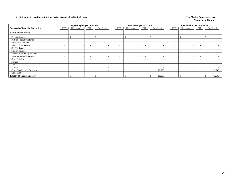|                                         |                          | <b>Operating Budget 2017-2018</b> |                          |            |                          | Revised Budget 2017-2018 |                          |                          |                          | <b>Unaudited Actuals 2017-2018</b> |                          |            |  |
|-----------------------------------------|--------------------------|-----------------------------------|--------------------------|------------|--------------------------|--------------------------|--------------------------|--------------------------|--------------------------|------------------------------------|--------------------------|------------|--|
| <b>Preparation/Remedial Instruction</b> | FTE                      | Unrestricted                      | <b>FTE</b>               | Restricted | <b>FTE</b>               | Unrestricted             | <b>FTE</b>               | Restricted               | FTE                      | Unrestricted                       | FTE                      | Restricted |  |
| <b>PNM Family Literacy</b>              |                          |                                   |                          |            |                          |                          |                          |                          |                          |                                    |                          |            |  |
| <b>Faculty Salaries</b>                 | $\overline{\phantom{0}}$ | \$.<br>$\sim$                     | <b>.</b>                 | S.         | $\overline{\phantom{a}}$ | $\sim$                   | $\overline{\phantom{a}}$ | $\overline{\phantom{0}}$ | $\overline{\phantom{0}}$ | <sup>\$</sup>                      | $\overline{\phantom{a}}$ |            |  |
| Part-time Faculty Salaries              | $\overline{\phantom{a}}$ |                                   | $\overline{\phantom{a}}$ |            | $\overline{\phantom{a}}$ | $\overline{\phantom{a}}$ | $\overline{\phantom{a}}$ |                          | $\overline{\phantom{a}}$ |                                    | $\overline{\phantom{a}}$ |            |  |
| <b>Professional Salaries</b>            | $\overline{\phantom{a}}$ |                                   | ۰                        |            | $\overline{\phantom{a}}$ | $\overline{\phantom{a}}$ | $\sim$                   | -                        | $\overline{\phantom{a}}$ |                                    | $\overline{\phantom{0}}$ |            |  |
| <b>Support Staff Salaries</b>           | $\overline{\phantom{a}}$ |                                   | ۰                        |            | $\overline{\phantom{a}}$ | $\overline{\phantom{a}}$ | $\overline{\phantom{a}}$ |                          | $\overline{\phantom{a}}$ |                                    | $\overline{\phantom{a}}$ |            |  |
| GA/TA Salaries                          | $\overline{\phantom{a}}$ |                                   | $\overline{\phantom{a}}$ |            | $\overline{\phantom{a}}$ | $\overline{\phantom{a}}$ | $-$                      | -                        | $\overline{\phantom{0}}$ |                                    | $-$                      |            |  |
| <b>Student Salaries</b>                 | $\overline{\phantom{a}}$ |                                   | $\overline{\phantom{0}}$ |            | $\overline{\phantom{a}}$ | $\overline{\phantom{a}}$ | $-$                      | $\sim$                   | $\sim$                   |                                    | $\overline{\phantom{0}}$ |            |  |
| Federal Work-Study Salaries             | $\overline{\phantom{a}}$ |                                   | $\overline{\phantom{a}}$ |            | $\overline{\phantom{a}}$ | $\overline{\phantom{0}}$ | $\sim$                   | $\overline{\phantom{a}}$ | $\overline{\phantom{a}}$ |                                    | $\overline{\phantom{0}}$ |            |  |
| <b>State Work-Study Salaries</b>        | $\overline{\phantom{a}}$ |                                   | $\overline{\phantom{a}}$ |            | $\overline{\phantom{a}}$ | $\overline{\phantom{0}}$ | $-$                      | $\overline{\phantom{a}}$ | $\sim$                   |                                    | $\overline{\phantom{0}}$ |            |  |
| Other Salaries                          | $\overline{\phantom{0}}$ |                                   | -                        |            | $\overline{\phantom{a}}$ | $\overline{\phantom{a}}$ | $\sim$                   | -                        | ۰.                       |                                    | $\overline{\phantom{a}}$ |            |  |
| Fringes                                 |                          |                                   |                          |            |                          | $\overline{\phantom{a}}$ |                          | $\overline{\phantom{a}}$ |                          |                                    |                          |            |  |
| Travel                                  |                          |                                   |                          |            |                          |                          |                          | $\sim$                   |                          |                                    |                          |            |  |
| <b>Utilities</b>                        |                          |                                   |                          |            |                          |                          |                          | $\sim$                   |                          |                                    |                          |            |  |
| Other Supplies and Expenses             |                          |                                   |                          |            |                          |                          |                          | 10,000                   |                          |                                    |                          | 1,646      |  |
| Equipment                               |                          |                                   |                          |            |                          |                          |                          |                          |                          |                                    |                          |            |  |
| <b>Total PNM Family Literacy</b>        |                          |                                   |                          |            |                          |                          |                          | 10,000                   | $\overline{\phantom{0}}$ |                                    | $\overline{\phantom{0}}$ | 1,646      |  |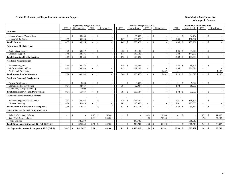#### **Exhibit 11. Summary of Expenditures for Academic Support** New Mexico State University

|                                                        |            | <b>Operating Budget 2017-2018</b> |                          |                              |  |            | Revised Budget 2017-2018 |              |                          |              |        | <b>Unaudited Actuals 2017-2018</b> |                               |                          |                    |            |
|--------------------------------------------------------|------------|-----------------------------------|--------------------------|------------------------------|--|------------|--------------------------|--------------|--------------------------|--------------|--------|------------------------------------|-------------------------------|--------------------------|--------------------|------------|
|                                                        | <b>FTE</b> | Unrestricted                      | <b>FTE</b>               | Restricted                   |  | <b>FTE</b> |                          | Unrestricted | <b>FTE</b>               | Restricted   |        | <b>FTE</b>                         | Unrestricted                  | <b>FTE</b>               |                    | Restricted |
| <b>Libraries</b>                                       |            |                                   |                          |                              |  |            |                          |              |                          |              |        |                                    |                               |                          |                    |            |
| Library Materials/Acquisitions                         |            | 35,000<br>\$                      |                          | $\mathcal{S}$                |  |            | $\mathcal{S}$            | 35,000       | $\overline{a}$           | $\mathbb{S}$ |        | $\sim$                             | 34,464<br>\$                  | $\sim$                   | $\mathbb{S}$       |            |
| Library/Media Center                                   | 4.57       | 165,226                           |                          |                              |  | 4.67       |                          | 165,077      |                          |              |        | 4.36                               | 150.797                       |                          |                    |            |
| <b>Total Libraries</b>                                 | 4.57       | 200,226<br>-S                     | $\overline{\phantom{a}}$ | $\mathbf{\$}$                |  | 4.67       | $\mathbf{s}$             | 200,077      | $\overline{\phantom{a}}$ | $\mathbb{S}$ |        | 4.36                               | $\mathbf{\hat{s}}$<br>185,261 | $\sim$                   | $\mathcal{S}$      |            |
| <b>Educational Media Services</b>                      |            |                                   |                          |                              |  |            |                          |              |                          |              |        |                                    |                               |                          |                    |            |
| <b>Audio Visual Services</b>                           | 1.29       | 50,247<br>-\$                     | $\overline{\phantom{a}}$ | $\mathbf{\$}$                |  | 1.28       | -\$                      | 49,139       | $\overline{\phantom{a}}$ | $\mathbb{S}$ |        | 1.06                               | 41,274<br>\$.                 | $\overline{\phantom{a}}$ | $\mathbf{\$}$      |            |
| Computer Support                                       | 3.40       | 148,186                           |                          |                              |  | 3.47       |                          | 148,186      |                          |              |        | 3.33                               | 144,285                       |                          |                    |            |
| <b>Total Educational Media Services</b>                | 4.69       | 198,433<br>$\mathcal{S}$          | $\sim$                   | $\mathbf{\$}$                |  | 4.75       | -\$                      | 197,325      | $\sim$                   | $\mathbb{S}$ |        | 4.39                               | $\mathbb{S}$<br>185,559       | $\blacksquare$           | $\mathcal{S}$      |            |
| <b>Academic Administration</b>                         |            |                                   |                          |                              |  |            |                          |              |                          |              |        |                                    |                               |                          |                    |            |
| <b>Extended Programs</b>                               | 2.44       | 99,286<br>$\mathcal{S}$           |                          | $\mathcal{S}$                |  | 2.49       | $\mathcal{S}$            | 99,286       | $\overline{\phantom{a}}$ | $\mathbb{S}$ |        | 2.23                               | 89.801<br>$\mathbf{s}$        | $\overline{\phantom{a}}$ | $\mathbf{\$}$      |            |
| VP for Academic Affairs                                | 4.84       | 234,248                           | $\sim$                   |                              |  | 4.95       |                          | 237,289      | $\overline{a}$           |              |        | 4.95                               | 224,874                       | $\sim$                   |                    |            |
| Presidential Excellence                                |            |                                   |                          |                              |  |            |                          |              | $\overline{\phantom{a}}$ |              | 6,492  |                                    |                               | $\overline{\phantom{a}}$ |                    | 1,138      |
| <b>Total Academic Administration</b>                   | 7.28       | 333,534                           |                          | $\mathcal{S}$                |  | 7.44       | -\$                      | 336,575      | $\sim$                   | \$           | 6,492  | 7.18                               | 314,675<br>$\mathbb{S}$       |                          |                    | 1,138      |
| <b>Academic Personnel Development</b>                  |            |                                   |                          |                              |  |            |                          |              |                          |              |        |                                    |                               |                          |                    |            |
| <b>Faculty Development</b>                             |            | 8,000<br><sup>\$</sup>            |                          | $\mathcal{S}$                |  |            | $\mathcal{S}$            | 8,500        | $\overline{\phantom{a}}$ | \$           |        |                                    | 7,644<br>\$.                  | $\overline{\phantom{a}}$ | \$                 |            |
| Learning Technology Center                             | 0.94       | 42,667                            | $\sim$                   |                              |  | 1.84       |                          | 92,087       | $\sim$                   |              |        | 1.74                               | 86,006                        | $\sim$                   |                    |            |
| Community College Round-Up                             |            | 1,000                             |                          |                              |  |            |                          |              |                          |              |        |                                    |                               |                          |                    |            |
| <b>Total Academic Personnel Development</b>            | 0.94       | 51,667                            |                          | $\mathcal{S}$                |  | 1.84       | -\$                      | 100,587      | $\overline{\phantom{a}}$ | \$           |        | 1.74                               | $\mathbf{\hat{S}}$<br>93,650  |                          | $\mathbf{\hat{S}}$ |            |
| <b>Course &amp; Curriculum Development</b>             |            |                                   |                          |                              |  |            |                          |              |                          |              |        |                                    |                               |                          |                    |            |
| Academic Support/Testing Center                        | 5.33       | 166,764<br><sup>\$</sup>          |                          | $\mathbf{\$}$                |  | 5.19       | $\mathbf{s}$             | 166,730      | $\sim$                   | \$           |        | 5.31                               | $\mathbb{S}$<br>168,409       | $\overline{\phantom{a}}$ | S.                 |            |
| Distance Learning                                      | 3.66       | 151,823                           |                          |                              |  | 3.02       |                          | 140,383      | $\overline{a}$           |              |        | 2.91                               | 127,368                       | $\sim$                   |                    |            |
| <b>Total Course &amp; Curriculum Development</b>       | 8.99       | 318,587<br>-S                     |                          | $\mathbf{\$}$                |  | 8.21       | -\$                      | 307,113      | ۰                        | \$           |        | 8.22                               | 295,777<br><sup>\$</sup>      | $\overline{\phantom{a}}$ | $\mathcal{S}$      |            |
| Other Items Not Included in Exhibit 11A's              |            |                                   |                          |                              |  |            |                          |              |                          |              |        |                                    |                               |                          |                    |            |
| Federal Work-Study Salaries                            |            | <sup>\$</sup>                     | 0.43                     | 6,900<br>$\mathbf{\$}$       |  |            | $\mathcal{S}$            |              | 0.64                     | $\cdot$ \$   | 10,200 | $\overline{\phantom{a}}$           | \$.                           | 0.71                     | $\mathcal{S}$      | 11,409     |
| <b>State Work-Study Salaries</b>                       |            |                                   | 2.08                     | 33,200                       |  |            |                          |              | 1.62                     |              | 25,900 |                                    |                               | 1.70                     |                    | 27,193     |
| <b>Fringe Benefits</b>                                 |            | 325,230                           |                          |                              |  |            |                          | 343,740      |                          |              |        |                                    | 318,510                       |                          |                    |            |
| <b>Total Other Items Not Included in Exhibit 11A's</b> |            | 325,230<br>-\$                    | 2.51                     | 40,100<br>$\mathbf{\hat{S}}$ |  |            | $\mathcal{S}$            | 343,740      |                          |              | 36,100 | $\overline{\phantom{a}}$           | 318,510<br>\$.                |                          |                    | 38,602     |
| Net Expense for Academic Support in I&G (Exh 2)        | 26.47      | 1,427,677<br>-S                   | 2.51                     | 40,100<br>- \$               |  | 26.91      | - \$                     | 1,485,417    |                          |              | 42,592 | 25.89                              | 1,393,432<br>\$.              | 2.41                     | -9                 | 39,740     |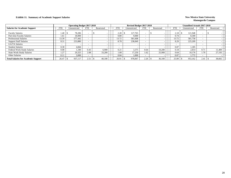### **Exhibit 11. Summary of Academic Support Salaries New Mexico State University New Mexico State University**

|                                            |            | <b>Operating Budget 2017-2018</b> |            |            |            | Revised Budget 2017-2018 |      |            |            | <b>Unaudited Actuals 2017-2018</b> |                          |            |        |
|--------------------------------------------|------------|-----------------------------------|------------|------------|------------|--------------------------|------|------------|------------|------------------------------------|--------------------------|------------|--------|
| <b>Salaries for Academic Support</b>       | <b>FTE</b> | Unrestricted                      | <b>FTE</b> | Restricted | <b>FTE</b> | Unrestricted             | FTE. | Restricted | <b>FTE</b> | Unrestricted                       | <b>FTE</b>               | Restricted |        |
| <b>Faculty Salaries</b>                    | 1.40       | 78,286                            |            |            | 2.28       | 127,765                  |      |            | 2.18       | 121,948                            |                          |            |        |
| Part-time Faculty Salaries                 | 1.61       | 18,000                            |            |            | 0.80       | 9,000                    |      |            | 0.74       | 8.300                              |                          |            |        |
| <b>Professional Salaries</b>               | 13.39      | 577.442                           |            |            | 13.72      | 581,608                  |      |            | 13.72      | 581,758                            | -                        |            |        |
| <b>Support Staff Salaries</b>              | 8.31       | 233,880                           |            |            | 8.78       | 238,849                  |      |            | 8.29       | 225,209                            |                          |            |        |
| GA/TA Salaries                             |            |                                   |            |            |            |                          |      |            |            |                                    |                          |            |        |
| <b>Student Salaries</b>                    | 0.30       | 4.844                             |            |            |            |                          |      |            | 0.07       | 1.185                              |                          |            |        |
| Federal Work-Study Salaries                | 0.08       | .340                              | 0.43       | 6.900      | 0.21       | 3,375                    | 0.64 | 10.200     | 0.18       | 2,814                              | 0.7!                     |            | 11.409 |
| <b>State Work-Study Salaries</b>           | 1.27       | 20.325                            | 2.08       | 33,200     | 1.08       | 17.250                   | 1.62 | 25,900     | 0.64       | 10.176                             | 1.70                     |            | 27.193 |
| Other Salaries                             | 0.11       | 3,000                             |            |            | 0.04       | 1,000                    |      |            | 0.07       | 1,772                              | $\overline{\phantom{0}}$ |            |        |
| <b>Total Salaries for Academic Support</b> | 26.47      | 937.117                           | 2.51       | 40,100     | 26.91      | 978,847                  | 2.26 | 36,100     | 25.89      | 953,162                            | 2.41                     |            | 38,602 |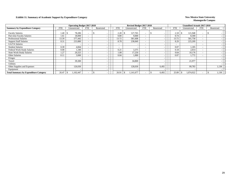### **Exhibit 11. Summary of Academic Support by Expenditure Category New Mexico State University**

|                                              |            | <b>Operating Budget 2017-2018</b> |                          |            |            | Revised Budget 2017-2018 |                          |            |       |            |              | <b>Unaudited Actuals 2017-2018</b> |            |       |
|----------------------------------------------|------------|-----------------------------------|--------------------------|------------|------------|--------------------------|--------------------------|------------|-------|------------|--------------|------------------------------------|------------|-------|
| <b>Summary by Expenditure Category</b>       | <b>FTE</b> | Unrestricted                      | <b>FTE</b>               | Restricted | <b>FTE</b> | Unrestricted             | <b>FTE</b>               | Restricted |       | <b>FTE</b> | Unrestricted | <b>FTE</b>                         | Restricted |       |
| <b>Faculty Salaries</b>                      | 1.40       | 78,286                            | $\overline{\phantom{0}}$ |            | 2.28       | 127,765                  |                          |            |       | 2.18       | 121,948      | $\overline{\phantom{a}}$           |            |       |
| Part-time Faculty Salaries                   | 1.61       | 18,000                            | $\overline{\phantom{0}}$ |            | 0.80       | 9,000                    |                          |            |       | 0.74       | 8,300        | $\overline{\phantom{a}}$           |            |       |
| <b>Professional Salaries</b>                 | 13.39      | 577,442                           | $\overline{\phantom{0}}$ |            | 13.72      | 581,608                  | $\overline{\phantom{0}}$ |            |       | 13.72      | 581,758      | $\overline{\phantom{0}}$           |            |       |
| <b>Support Staff Salaries</b>                | 8.31       | 233,880                           | $\sim$                   |            | 8.78       | 238,849                  | $\overline{\phantom{0}}$ |            |       | 8.29       | 225,209      | $\overline{\phantom{a}}$           |            |       |
| <b>GA/TA Salaries</b>                        |            |                                   | $\overline{\phantom{a}}$ |            |            |                          | $\overline{\phantom{0}}$ |            |       |            |              | $\overline{\phantom{a}}$           |            |       |
| <b>Student Salaries</b>                      | 0.30       | 4,844                             | $\overline{\phantom{a}}$ |            |            |                          | -                        |            |       | 0.07       | 1,185        | $\overline{\phantom{a}}$           |            |       |
| Federal Work-Study Salaries                  | 0.08       | 1,340                             | $\overline{\phantom{a}}$ |            | 0.21       | 3,375                    | ۰                        |            |       | 0.18       | 2,814        | $\overline{\phantom{a}}$           |            |       |
| <b>State Work-Study Salaries</b>             | 1.27       | 20,325                            | $\overline{\phantom{0}}$ |            | 1.08       | 17,250                   | $\overline{\phantom{a}}$ |            |       | 0.64       | 10,176       | $\overline{\phantom{a}}$           |            |       |
| Other Salaries                               | 0.11       | 3,000                             | $\overline{\phantom{0}}$ |            | 0.04       | 1,000                    | -                        |            |       | 0.07       | 1,772        | $\overline{\phantom{0}}$           |            |       |
| Fringes                                      |            |                                   |                          |            |            |                          |                          |            |       |            |              |                                    |            |       |
| Travel                                       |            | 39,300                            |                          |            |            | 34,800                   |                          |            |       |            | 21,977       |                                    |            |       |
| Utilities                                    |            |                                   |                          |            |            |                          |                          |            |       |            |              |                                    |            |       |
| Other Supplies and Expenses                  |            | 126,030                           |                          |            |            | 128,030                  |                          |            | 6,492 |            | 99,783       |                                    |            | 1,138 |
| Equipment                                    |            |                                   |                          |            |            |                          |                          |            |       |            |              |                                    |            |       |
| <b>Total Summary by Expenditure Category</b> | 26.47      | 1,102,447<br>.ა                   | $\overline{\phantom{a}}$ |            | 26.91      | 1,141,677                |                          |            | 6,492 | 25.89      | 1,074,922    | ۰                                  |            | 1,138 |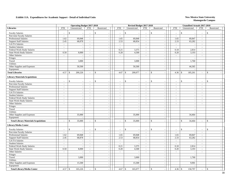|                                             |                          | <b>Operating Budget 2017-2018</b> |                             |               |                             |                    | Revised Budget 2017-2018 |                             |                                           |                             | <b>Unaudited Actuals 2017-2018</b> |                             |                          |
|---------------------------------------------|--------------------------|-----------------------------------|-----------------------------|---------------|-----------------------------|--------------------|--------------------------|-----------------------------|-------------------------------------------|-----------------------------|------------------------------------|-----------------------------|--------------------------|
| <b>Libraries</b>                            | <b>FTE</b>               | Unrestricted                      | <b>FTE</b>                  | Restricted    | <b>FTE</b>                  |                    | Unrestricted             | <b>FTE</b>                  | Restricted                                | <b>FTE</b>                  | Unrestricted                       | <b>FTE</b>                  | Restricted               |
| <b>Faculty Salaries</b>                     | $\overline{a}$           | \$                                |                             | $\mathsf{\$}$ | $\mathcal{L}_{\mathcal{A}}$ | \$                 |                          | $\sim$                      | \$                                        | $\sim$                      | $\mathcal{S}$                      | $\overline{\phantom{a}}$    | \$                       |
| Part-time Faculty Salaries                  | $\frac{1}{2}$            | $\blacksquare$                    | $\mathcal{L}_{\mathcal{A}}$ |               | $\mathcal{L}_{\mathcal{A}}$ |                    |                          | $\overline{\phantom{a}}$    | $\blacksquare$                            | $\overline{\phantom{a}}$    |                                    | $\sim$                      |                          |
| <b>Professional Salaries</b>                | 1.62                     | 69,848                            | $\sim$                      | $\sim$        | 1.65                        |                    | 69,848                   | $\sim$                      | $\blacksquare$                            | 1.65                        | 69,847                             | $\sim$                      |                          |
| <b>Support Staff Salaries</b>               | 2.45                     | 68,878                            | $\mathcal{L}$               | $\sim$        | 2.53                        |                    | 68,854                   | $\mathcal{L}_{\mathcal{A}}$ | $\sim$                                    | 2.33                        | 63,282                             | $\sim$                      |                          |
| <b>GA/TA Salaries</b>                       | $\overline{\phantom{a}}$ |                                   | $\blacksquare$              | $\sim$        | $\sim$                      |                    |                          | $\sim$                      | $\overline{\phantom{a}}$                  | $\sim$                      |                                    | $\blacksquare$              |                          |
| <b>Student Salaries</b>                     | $\mathbb{Z}^+$           | $\sim$                            | $\sim$                      | $\sim$        | $\sim$                      |                    | $\overline{\phantom{a}}$ | $\mathcal{L}_{\mathcal{A}}$ | $\overline{\phantom{a}}$                  | $\sim$                      |                                    | $\sim$                      | $\overline{\phantom{a}}$ |
| Federal Work-Study Salaries                 | $\omega$                 | $\sim$                            | $\mathcal{L}$               | $\sim$        | 0.21                        |                    | 3,375                    | $\mathcal{L}^{\pm}$         | $\sim$                                    | 0.18                        | 2,814                              | $\sim$                      |                          |
| <b>State Work-Study Salaries</b>            | 0.50                     | 8,000                             | $\sim$                      | $\sim$        | 0.28                        |                    | 4,500                    | $\mathcal{L}_{\mathcal{A}}$ | $\overline{\phantom{a}}$                  | 0.20                        | 3,193                              | $\sim$                      | $\overline{\phantom{a}}$ |
| Other Salaries                              | $\overline{\phantom{a}}$ | $\overline{\phantom{a}}$          | $\sim$                      | $\sim$        | $\sim$                      |                    | $\overline{\phantom{a}}$ | $\sim$                      | $\sim$                                    | $\sim$                      | $\sim$                             | $\sim$                      | $\sim$                   |
| Fringes                                     |                          | $\sim$                            |                             | $\sim$        |                             |                    | $\sim$                   |                             | $\blacksquare$                            |                             | $\sim$                             |                             | $\sim$                   |
| Travel                                      |                          | 3,000                             |                             |               |                             |                    | 3,000                    |                             | $\overline{\phantom{a}}$                  |                             | 1,760                              |                             |                          |
| Utilities                                   |                          |                                   |                             | $\sim$        |                             |                    |                          |                             | $\overline{\phantom{a}}$                  |                             |                                    |                             |                          |
| Other Supplies and Expenses                 |                          | 50,500                            |                             | $\sim$        |                             |                    | 50,500                   |                             | $\sim$                                    |                             | 44,365                             |                             |                          |
| Equipment                                   |                          |                                   |                             | $\sim$        |                             |                    |                          |                             | $\blacksquare$                            |                             |                                    |                             | $\sim$                   |
| <b>Total Libraries</b>                      |                          | 200,226                           | $\overline{\phantom{a}}$    | $\mathcal{S}$ | 4.67                        | $\mathbf{\hat{S}}$ | 200,077                  | $\sim$                      | $\mathcal{S}$<br>$\overline{\phantom{a}}$ | 4.36                        | $\mathbf{s}$<br>185,261            | $\overline{\phantom{a}}$    | $\mathbf S$              |
| <b>Library Materials/Acquisitions</b>       |                          |                                   |                             |               |                             |                    |                          |                             |                                           |                             |                                    |                             |                          |
| <b>Faculty Salaries</b>                     | $\overline{a}$           | $\mathcal{S}$                     | $\overline{\phantom{a}}$    | $\mathcal{S}$ | $\sim$                      | \$                 |                          | $\overline{\phantom{a}}$    | $\mathbb{S}$                              | $\sim$                      | $\mathsf{\$}$                      | $\sim$                      | $\mathbb{S}$             |
| Part-time Faculty Salaries                  | $\sim$                   | $\mathcal{L}_{\mathcal{A}}$       | $\sim$                      | $\sim$        | $\mathcal{L}$               |                    | $\overline{\phantom{a}}$ | $\sim$                      | $\blacksquare$                            | $\sim$                      | $\overline{\phantom{a}}$           | $\sim$                      |                          |
| <b>Professional Salaries</b>                | $\blacksquare$           | $\mathcal{L}_{\mathcal{A}}$       | $\mathcal{L}_{\mathcal{A}}$ | $\sim$        | $\overline{\phantom{a}}$    |                    |                          | $\sim$                      | $\blacksquare$                            | $\mathcal{L}_{\mathcal{A}}$ | $\blacksquare$                     | $\sim$                      |                          |
| <b>Support Staff Salaries</b>               | $\sim$                   | $\sim$                            | $\sim$                      | $\sim$        | $\sim$                      |                    | $\overline{\phantom{a}}$ | $\sim$                      | $\sim$                                    | $\sim$                      | $\sim$                             | $\sim$                      | $\overline{\phantom{a}}$ |
| GA/TA Salaries                              | $\sim$                   | $\sim$                            | $\sim$                      | $\sim$        | $\mathcal{L}$               |                    | $\overline{\phantom{a}}$ | $\sim$                      | $\sim$                                    | $\sim$                      | $\sim$                             | $\sim$                      |                          |
| <b>Student Salaries</b>                     | $\overline{\phantom{a}}$ | $\mathcal{L}_{\mathcal{A}}$       | $\sim$                      | $\sim$        | $\blacksquare$              |                    | $\overline{\phantom{a}}$ | $\overline{\phantom{a}}$    | $\overline{\phantom{a}}$                  | $\blacksquare$              | $\sim$                             | $\blacksquare$              | $\overline{a}$           |
| Federal Work-Study Salaries                 | $\sim$                   | $\sim$                            | $\sim$                      | $\sim$        | $\sim$                      |                    | $\overline{\phantom{a}}$ | $\sim$                      | $\sim$                                    | $\sim$                      | $\sim$                             | $\sim$                      | $\overline{\phantom{a}}$ |
| <b>State Work-Study Salaries</b>            | $\omega$                 | $\sim$                            | $\sim$                      | $\sim$        | $\sim$                      |                    | $\sim$                   | $\mathcal{L}$               | $\sim$                                    | $\sim$                      | $\sim$                             | $\mathcal{L}$               | $\sim$                   |
| Other Salaries                              | $\overline{\phantom{a}}$ | $\mathcal{L}_{\mathcal{A}}$       | $\sim$                      | $\sim$        | $\blacksquare$              |                    | $\overline{\phantom{a}}$ | $\sim$                      | $\blacksquare$                            | $\overline{\phantom{a}}$    | $\blacksquare$                     | $\blacksquare$              | $\overline{\phantom{a}}$ |
| Fringes                                     |                          | $\overline{\phantom{a}}$          |                             | $\sim$        |                             |                    | $\sim$                   |                             | $\sim$                                    |                             | $\sim$                             |                             | $\overline{\phantom{a}}$ |
| Travel                                      |                          | $\sim$                            |                             | $\sim$        |                             |                    | $\sim$                   |                             | $\overline{\phantom{a}}$                  |                             | $\sim$                             |                             | $\overline{\phantom{a}}$ |
| <b>Utilities</b>                            |                          |                                   |                             |               |                             |                    |                          |                             | $\sim$                                    |                             |                                    |                             |                          |
| Other Supplies and Expenses                 |                          | 35,000                            |                             |               |                             |                    | 35,000                   |                             | $\blacksquare$                            |                             | 34,464                             |                             |                          |
| Equipment                                   |                          |                                   |                             | $\sim$        |                             |                    |                          |                             | $\mathcal{L}$                             |                             |                                    |                             | $\sim$                   |
| <b>Total Library Materials/Acquisitions</b> |                          | 35,000<br>$\mathbf S$             | $\sim$                      | $\mathcal{S}$ | $\sim$                      | $\mathsf{\$}$      | 35,000                   | $\sim$                      | $\mathbf{s}$<br>$\sim$                    | $\sim$                      | $\mathcal{S}$<br>34,464            | $\sim$                      | \$                       |
| <b>Library/Media Center</b>                 |                          |                                   |                             |               |                             |                    |                          |                             |                                           |                             |                                    |                             |                          |
| <b>Faculty Salaries</b>                     |                          | \$                                | $\sim$                      | $\mathcal{S}$ | $\overline{\phantom{a}}$    | \$                 |                          | $\sim$                      | $\mathbf{\hat{S}}$                        | $\sim$                      | $\mathcal{S}$                      | $\sim$                      | \$                       |
| Part-time Faculty Salaries                  | $\overline{a}$           | $\sim$                            | $\mathcal{L}$               | $\sim$        | $\mathcal{L}$               |                    | ÷.                       | $\mathbb{Z}^2$              | $\mathcal{L}$                             | $\overline{a}$              | $\sim$                             | $\sim$                      |                          |
| Professional Salaries                       | 1.62                     | 69,848                            | $\sim$                      | $\sim$        | 1.65                        |                    | 69,848                   | $\mathbb{Z}^2$              | $\blacksquare$                            | 1.65                        | 69,847                             | $\mathbb{Z}^+$              |                          |
| <b>Support Staff Salaries</b>               | 2.45                     | 68,878                            | $\sim$                      | $\sim$        | 2.53                        |                    | 68,854                   | $\sim$                      | $\sim$                                    | 2.33                        | 63,282                             | $\sim$                      | $\overline{\phantom{a}}$ |
| GA/TA Salaries                              | $\sim$                   | $\overline{\phantom{a}}$          | $\sim$                      | $\sim$        | $\sim$                      |                    | $\overline{\phantom{a}}$ | $\sim$                      | $\blacksquare$                            | $\sim$                      | $\overline{\phantom{a}}$           | $\sim$                      | $\sim$                   |
| <b>Student Salaries</b>                     | $\overline{\phantom{a}}$ | $\sim$                            | $\sim$                      | $\sim$        | $\sim$                      |                    |                          | $\sim$                      | $\blacksquare$                            | $\sim$                      |                                    | $\overline{\phantom{a}}$    | $\sim$                   |
| Federal Work-Study Salaries                 | $\omega$                 | $\sim$                            | $\mathbb{Z}^2$              | $\sim$        | 0.21                        |                    | 3,375                    | $\mathcal{L}_{\mathcal{A}}$ | $\blacksquare$                            | 0.18                        | 2,814                              | $\mathcal{L}_{\mathcal{A}}$ | $\sim$                   |
| <b>State Work-Study Salaries</b>            | 0.50                     | 8,000                             | $\sim$                      | $\sim$        | 0.28                        |                    | 4,500                    | $\sim$                      | $\sim$                                    | 0.20                        | 3,193                              | $\sim$                      | $\overline{\phantom{a}}$ |
| Other Salaries                              | $\overline{\phantom{a}}$ | $\sim$                            | $\sim$                      | $\sim$        | $\sim$                      |                    |                          | $\overline{\phantom{a}}$    | $\blacksquare$                            | $\sim$                      | $\sim$                             | $\sim$                      | $\sim$                   |
| Fringes                                     |                          | $\sim$                            |                             | $\sim$        |                             |                    | ÷.                       |                             | $\blacksquare$                            |                             | $\sim$                             |                             | $\sim$                   |
| Travel                                      |                          | 3,000                             |                             | $\sim$        |                             |                    | 3,000                    |                             | $\sim$                                    |                             | 1,760                              |                             | $\sim$                   |
| Utilities                                   |                          |                                   |                             | $\sim$        |                             |                    |                          |                             | $\blacksquare$                            |                             |                                    |                             |                          |
| Other Supplies and Expenses                 |                          | 15,500                            |                             |               |                             |                    | 15,500                   |                             | $\overline{\phantom{a}}$                  |                             | 9,901                              |                             |                          |
| Equipment                                   |                          |                                   |                             | $\sim$        |                             |                    |                          |                             | $\sim$                                    |                             |                                    |                             | $\sim$                   |
| <b>Total Library/Media Center</b>           |                          | 165,226                           | $\sim$                      | $\$\,$        | 4.67                        | \$                 | 165,077                  |                             | $\mathbf{s}$                              | 4.36                        | 150,797<br>$\sqrt{S}$              | $\overline{\phantom{a}}$    | \$                       |
|                                             |                          |                                   |                             |               |                             |                    |                          |                             |                                           |                             |                                    |                             |                          |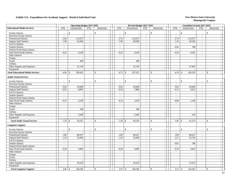|                                         |                             | <b>Operating Budget 2017-2018</b>        |                             |                              |                                          | Revised Budget 2017-2018 |                             |                                           |                          | <b>Unaudited Actuals 2017-2018</b> |                          |                          |
|-----------------------------------------|-----------------------------|------------------------------------------|-----------------------------|------------------------------|------------------------------------------|--------------------------|-----------------------------|-------------------------------------------|--------------------------|------------------------------------|--------------------------|--------------------------|
| <b>Educational Media Services</b>       | <b>FTE</b>                  | Unrestricted                             | <b>FTE</b>                  | Restricted                   | <b>FTE</b>                               | Unrestricted             | <b>FTE</b>                  | Restricted                                | <b>FTE</b>               | Unrestricted                       | <b>FTE</b>               | Restricted               |
| <b>Faculty Salaries</b>                 | $\overline{a}$              | $\mathbb{S}$                             |                             | $\mathbb{S}$                 | \$<br>$\mathcal{L}$                      |                          |                             | $\mathbb S$                               | $\sim$                   | \$                                 | $\overline{\phantom{a}}$ | \$                       |
| Part-time Faculty Salaries              | $\overline{a}$              | $\overline{a}$                           | $\sim$                      |                              | $\sim$                                   |                          | $\overline{\phantom{a}}$    | $\blacksquare$                            | $\overline{\phantom{a}}$ |                                    | $\sim$                   |                          |
| <b>Professional Salaries</b>            | 2.69                        | 116,257                                  | $\sim$                      | $\sim$                       | 2.74                                     | 116,257                  | $\sim$                      | $\blacksquare$                            | 2.74                     | 116,257                            | $\sim$                   |                          |
| <b>Support Staff Salaries</b>           | 1.48                        | 41,696                                   | $\sim$                      | $\sim$                       | 1.49                                     | 40,588                   | $\sim$                      | $\overline{\phantom{a}}$                  | 1.34                     | 36,356                             | $\sim$                   |                          |
| <b>GA/TA Salaries</b>                   | $\mathcal{L}_{\mathcal{A}}$ |                                          | $\blacksquare$              | $\sim$                       | $\mathcal{L}_{\mathcal{A}}$              |                          | $\sim$                      | $\overline{\phantom{a}}$                  | $\sim$                   |                                    | $\overline{\phantom{a}}$ |                          |
| <b>Student Salaries</b>                 | $\mathbb{Z}^2$              | $\sim$                                   | $\sim$                      | $\sim$                       | $\mathbb{Z}^2$                           | $\overline{a}$           | $\sim$                      | $\sim$                                    | 0.05                     | 788                                | $\mathbb{Z}^2$           | $\overline{\phantom{a}}$ |
| Federal Work-Study Salaries             | $\mathbb{Z}^2$              |                                          | $\mathbb{Z}^2$              | $\sim$                       | $\mathcal{L}$                            |                          | $\mathbb{Z}^2$              | $\mathbb{L}$                              | $\sim$                   |                                    | $\mathcal{L}$            |                          |
| <b>State Work-Study Salaries</b>        | 0.52                        | 8,250                                    | $\sim$                      | $\sim$                       | 0.52                                     | 8,250                    | $\mathcal{L}_{\mathcal{A}}$ | $\sim$                                    | 0.26                     | 4,161                              | $\sim$                   | $\overline{\phantom{a}}$ |
| Other Salaries                          | $\sim$                      | $\sim$                                   | $\sim$                      | $\sim$                       | $\sim$                                   | $\overline{\phantom{a}}$ | $\sim$                      | $\mathbb{L}$                              | $\sim$                   | $\sim$                             | $\sim$                   | $\overline{\phantom{a}}$ |
| Fringes                                 |                             | $\sim$                                   |                             | $\sim$                       |                                          | $\overline{\phantom{a}}$ |                             | $\blacksquare$                            |                          | $\overline{\phantom{a}}$           |                          | $\overline{a}$           |
| Travel                                  |                             | 500                                      |                             |                              |                                          | 500                      |                             | $\overline{\phantom{a}}$                  |                          |                                    |                          |                          |
| Utilities                               |                             |                                          |                             | $\sim$                       |                                          |                          |                             | $\overline{\phantom{a}}$                  |                          |                                    |                          |                          |
| Other Supplies and Expenses             |                             | 31,730                                   |                             | $\sim$                       |                                          | 31,730                   |                             | $\mathcal{L}$                             |                          | 27,997                             |                          |                          |
| Equipment                               |                             |                                          |                             | $\sim$                       |                                          |                          |                             | $\mathcal{L}_{\mathcal{A}}$               |                          |                                    |                          |                          |
| <b>Total Educational Media Services</b> | 4.69                        | 198,433<br>$\mathbf{s}$                  | $\overline{\phantom{a}}$    | $\mathbf{\hat{s}}$<br>$\sim$ | 4.75<br>$\mathbb{S}$                     | 197,325                  | $\sim$                      | $\mathbf{\hat{S}}$<br>$\bar{\phantom{a}}$ | 4.39                     | 185,559<br>$\mathcal{S}$           | $\sim$                   | $\mathbf S$              |
| <b>Audio Visual Services</b>            |                             |                                          |                             |                              |                                          |                          |                             |                                           |                          |                                    |                          |                          |
| <b>Faculty Salaries</b>                 | $\overline{a}$              | \$                                       | $\overline{a}$              | \$                           | $\mathbb{S}$<br>$\overline{\phantom{a}}$ |                          | $\sim$                      | $\mathbb{S}$                              | $\overline{a}$           | $\mathbf{\hat{S}}$                 | $\sim$                   | $\mathbf S$              |
| Part-time Faculty Salaries              | $\sim$                      | $\sim$                                   | $\sim$                      | $\sim$                       | $\sim$                                   |                          | $\sim$                      | $\mathcal{L}_{\mathcal{A}}$               | $\sim$                   |                                    | $\overline{\phantom{a}}$ |                          |
| <b>Professional Salaries</b>            | 0.83                        | 36,000                                   | $\sim$                      | $\sim$                       | 0.85                                     | 36,000                   | $\mathcal{L}_{\mathcal{A}}$ | $\overline{\phantom{a}}$                  | 0.85                     | 36,000                             | $\sim$                   |                          |
| <b>Support Staff Salaries</b>           | 0.32                        | 8,997                                    | $\sim$                      | $\sim$                       | 0.29                                     | 7,889                    | $\sim$                      | $\overline{\phantom{a}}$                  | 0.13                     | 3,612                              | $\sim$                   | $\overline{\phantom{a}}$ |
| GA/TA Salaries                          | $\mathcal{L}$               | $\sim$                                   | $\sim$                      | $\sim$                       | $\sim$                                   |                          | $\sim$                      | $\overline{\phantom{a}}$                  | $\sim$                   | $\overline{\phantom{a}}$           | $\mathcal{L}$            |                          |
| <b>Student Salaries</b>                 | $\mathcal{L}_{\mathcal{A}}$ | $\blacksquare$                           | $\overline{\phantom{a}}$    | $\sim$                       | $\mathcal{L}_{\mathcal{A}}$              | $\overline{\phantom{a}}$ | $\overline{\phantom{a}}$    | $\overline{\phantom{a}}$                  | $\mathcal{L}$            | $\sim$                             | $\blacksquare$           | $\overline{\phantom{a}}$ |
| Federal Work-Study Salaries             | $\mathcal{L}$               | $\sim$                                   | $\sim$                      | $\sim$                       | $\sim$                                   |                          | $\sim$                      | $\sim$                                    | $\mathcal{L}$            |                                    | $\sim$                   | $\overline{\phantom{a}}$ |
| <b>State Work-Study Salaries</b>        | 0.14                        | 2,250                                    | $\sim$                      | $\sim$                       | 0.14                                     | 2,250                    | $\sim$                      | $\mathbb{L}$                              | 0.08                     | 1,338                              | $\sim$                   | $\sim$                   |
| Other Salaries                          | $\sim$                      | $\overline{\phantom{a}}$                 | $\mathcal{L}_{\mathcal{A}}$ | $\overline{\phantom{a}}$     | $\mathbb{Z}^+$                           |                          | $\mathcal{L}_{\mathcal{A}}$ | $\blacksquare$                            | $\mathbb{L}$             | $\overline{\phantom{a}}$           | $\blacksquare$           | $\overline{\phantom{a}}$ |
| Fringes                                 |                             | $\sim$                                   |                             | $\sim$                       |                                          |                          |                             | $\overline{\phantom{a}}$                  |                          | $\sim$                             |                          | $\overline{\phantom{a}}$ |
| Travel                                  |                             | 500                                      |                             | $\sim$                       |                                          | 500                      |                             | $\overline{\phantom{a}}$                  |                          | $\overline{\phantom{a}}$           |                          | $\overline{\phantom{a}}$ |
| <b>Utilities</b>                        |                             |                                          |                             |                              |                                          |                          |                             | $\overline{\phantom{a}}$                  |                          |                                    |                          |                          |
| Other Supplies and Expenses             |                             | 2,500                                    |                             | $\sim$                       |                                          | 2,500                    |                             | $\blacksquare$                            |                          | 324                                |                          |                          |
| Equipment                               |                             |                                          |                             | $\sim$                       |                                          |                          |                             | $\mathcal{L}$                             |                          | $\overline{\phantom{a}}$           |                          |                          |
| <b>Total Audio Visual Services</b>      | 1.29                        | 50,247<br>\$                             | $\sim$                      | $\mathcal{S}$<br>$\sim$      | $1.28$ \$                                | 49,139                   | $\sim$                      | $\mathcal{S}$<br>$\sim$                   | 1.06                     | $\mathbf{\hat{S}}$<br>41,274       | $\sim$                   | $\mathbf{s}$             |
| <b>Computer Support</b>                 |                             |                                          |                             |                              |                                          |                          |                             |                                           |                          |                                    |                          |                          |
| <b>Faculty Salaries</b>                 | $\overline{a}$              | $\mathbb{S}$<br>$\overline{\phantom{a}}$ | $\sim$                      | \$                           | \$<br>$\overline{\phantom{a}}$           |                          | $\sim$                      | $\mathbb{S}$                              | $\overline{a}$           | $\mathbb{S}$                       | $\sim$                   | $\mathbb{S}$             |
| Part-time Faculty Salaries              | $\overline{a}$              | $\overline{a}$                           | $\sim$                      | $\sim$                       | $\sim$                                   |                          | $\sim$                      | $\mathbf{r}$                              | $\sim$                   | $\overline{\phantom{a}}$           | $\sim$                   |                          |
| Professional Salaries                   | 1.86                        | 80,257                                   | $\sim$                      | $\sim$                       | 1.89                                     | 80,257                   | $\sim$                      | $\blacksquare$                            | 1.89                     | 80,257                             | $\mathbb{Z}^2$           |                          |
| <b>Support Staff Salaries</b>           | 1.16                        | 32,699                                   | $\sim$                      | $\sim$                       | 1.20                                     | 32,699                   | $\sim$                      | $\overline{\phantom{a}}$                  | 1.21                     | 32,744                             | $\sim$                   |                          |
| GA/TA Salaries                          | $\sim$                      | $\overline{a}$                           | $\sim$                      | $\sim$                       | $\sim$                                   | $\overline{\phantom{a}}$ | $\sim$                      | $\overline{\phantom{a}}$                  | $\sim$                   |                                    | $\sim$                   | $\overline{\phantom{a}}$ |
| <b>Student Salaries</b>                 | $\mathbf{r}$                | $\sim$                                   | $\sim$                      |                              | $\sim$                                   |                          | $\sim$                      | $\bar{\phantom{a}}$                       | 0.05                     | 788                                | $\mathcal{L}$            | ÷.                       |
| Federal Work-Study Salaries             | $\mathcal{L}$               | $\sim$                                   | $\mathbb{Z}^2$              | $\sim$                       | $\mathcal{L}$                            | $\overline{\phantom{a}}$ | $\sim$                      | $\blacksquare$                            | $\sim$                   |                                    | $\mathbb{L}^+$           |                          |
| <b>State Work-Study Salaries</b>        | 0.38                        | 6,000                                    | $\sim$                      | $\sim$                       | 0.38                                     | 6,000                    | $\sim$                      | $\overline{\phantom{a}}$                  | 0.18                     | 2,823                              | $\mathbb{L}^+$           | $\overline{a}$           |
| Other Salaries                          | $\mathcal{L}$               | $\sim$                                   | $\sim$                      | $\sim$                       | $\sim$                                   |                          | $\sim$                      | $\mathcal{L}_{\mathcal{A}}$               | $\sim$                   | $\sim$                             | $\sim$                   |                          |
| Fringes                                 |                             | $\mathcal{L}_{\mathcal{A}}$              |                             | $\overline{\phantom{a}}$     |                                          | $\overline{\phantom{a}}$ |                             | $\mathcal{L}_{\mathcal{A}}$               |                          | $\overline{\phantom{a}}$           |                          |                          |
| Travel                                  |                             | $\mathcal{L}_{\mathcal{A}}$              |                             | $\sim$                       |                                          |                          |                             | $\mathcal{L}$                             |                          | $\sim$                             |                          | $\overline{\phantom{a}}$ |
| Utilities                               |                             | $\sim$                                   |                             | $\sim$                       |                                          |                          |                             | $\blacksquare$                            |                          |                                    |                          |                          |
| Other Supplies and Expenses             |                             | 29,230                                   |                             |                              |                                          | 29,230                   |                             | $\overline{\phantom{a}}$                  |                          | 27,673                             |                          |                          |
| Equipment                               |                             |                                          |                             | $\sim$                       |                                          |                          |                             | $\blacksquare$                            |                          |                                    |                          |                          |
| <b>Total Computer Support</b>           | 3.40                        | 148,186<br>\$                            |                             | $\mathbf{\hat{S}}$           | 3.47<br>$\$$                             | 148,186                  |                             | $\$$                                      | 3.33                     | $\sqrt[6]{3}$<br>144,285           | $\sim$                   | $\mathbf{s}$             |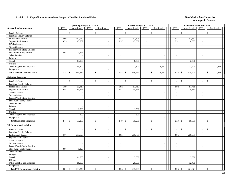|                                      |                             | <b>Operating Budget 2017-2018</b> |                             |                          |                             | Revised Budget 2017-2018 |                             |                                           |                | <b>Unaudited Actuals 2017-2018</b> |                          |                          |  |
|--------------------------------------|-----------------------------|-----------------------------------|-----------------------------|--------------------------|-----------------------------|--------------------------|-----------------------------|-------------------------------------------|----------------|------------------------------------|--------------------------|--------------------------|--|
| <b>Academic Administration</b>       | <b>FTE</b>                  | Unrestricted                      | <b>FTE</b>                  | Restricted               | <b>FTE</b>                  | Unrestricted             | <b>FTE</b>                  | Restricted                                | <b>FTE</b>     | Unrestricted                       | <b>FTE</b>               | Restricted               |  |
| <b>Faculty Salaries</b>              | \$                          |                                   | $\sim$                      | \$                       | $\sim$                      | \$<br>$\overline{a}$     | $\sim$                      | \$                                        | $\sim$         | $\mathbb{S}$                       | $\sim$                   | \$                       |  |
| Part-time Faculty Salaries           | $\sim$                      |                                   | $\sim$                      | $\sim$                   | $\sim$                      | $\overline{a}$           | $\sim$                      | $\sim$                                    | $\sim$         | $\overline{a}$                     | $\sim$                   |                          |  |
| Professional Salaries                | 6.66                        | 287,040                           | $\mathcal{L}_{\mathcal{A}}$ | $\sim$                   | 6.87                        | 291,206                  | $\sim$                      | $\sim$                                    | 6.87           | 291,357                            | $\sim$                   |                          |  |
| <b>Support Staff Salaries</b>        | 0.55                        | 15,569                            | $\sim$                      |                          | 0.57                        | 15,569                   | $\sim$                      | $\overline{\phantom{a}}$                  | 0.31           | 8,383                              | $\sim$                   |                          |  |
| GA/TA Salaries                       | $\mathcal{L}_{\mathcal{A}}$ |                                   | $\mathcal{L}$               | $\sim$                   | $\mathcal{L}$               |                          | $\omega$                    | $\overline{\phantom{a}}$                  | $\mathbb{Z}^2$ |                                    | $\overline{\phantom{a}}$ | $\overline{\phantom{a}}$ |  |
| <b>Student Salaries</b>              | $\sim$                      | $\overline{a}$                    | $\sim$                      | $\overline{a}$           | $\sim$                      | $\overline{a}$           | $\sim$                      | $\overline{a}$                            | $\sim$         | $\overline{a}$                     | $\mathcal{L}$            |                          |  |
| Federal Work-Study Salaries          | $\sim$                      | $\sim$                            | $\sim$                      | $\sim$                   | $\sim$                      | $\overline{a}$           | $\sim$                      | $\sim$                                    | $\sim$         | $\sim$                             | $\overline{a}$           | $\overline{a}$           |  |
| <b>State Work-Study Salaries</b>     | 0.07                        | 1,125                             | $\sim$                      | $\sim$                   | $\sim$                      | $\sim$                   | $\sim$                      | $\overline{\phantom{a}}$                  | $\sim$         | $\sim$                             | $\sim$                   | $\overline{\phantom{a}}$ |  |
| Other Salaries                       | $\sim$                      | $\overline{\phantom{a}}$          | $\sim$                      | $\sim$                   | $\sim$                      | $\sim$                   | $\sim$                      | $\sim$                                    | $\sim$         | $\overline{\phantom{a}}$           | $\sim$                   | $\sim$                   |  |
| Fringes                              |                             |                                   |                             | $\overline{\phantom{a}}$ |                             | $\sim$                   |                             | $\overline{\phantom{a}}$                  |                | $\overline{\phantom{a}}$           |                          | $\overline{\phantom{a}}$ |  |
| Travel                               |                             | 13,000                            |                             | $\sim$                   |                             | 8,500                    |                             | $\overline{\phantom{a}}$                  |                | 2,530                              |                          |                          |  |
| Utilities                            |                             |                                   |                             | $\sim$                   |                             |                          |                             | $\overline{a}$                            |                |                                    |                          |                          |  |
| Other Supplies and Expenses          |                             | 16,800                            |                             | $\overline{\phantom{a}}$ |                             | 21,300                   |                             | 6,492                                     |                | 12,405                             |                          | 1,138                    |  |
| Equipment                            |                             |                                   |                             |                          |                             |                          |                             |                                           |                |                                    |                          |                          |  |
| <b>Total Academic Administration</b> | 7.28<br><sup>\$</sup>       | 333,534                           | $\sim$                      | $\mathcal{S}$            | 7.44                        | 336,575<br>\$            | $\sim$                      | $\mathcal{S}$<br>6,492                    | 7.18           | 314,675<br>\$                      | $\blacksquare$           | $\mathbb{S}$<br>1,138    |  |
| <b>Extended Programs</b>             |                             |                                   |                             |                          |                             |                          |                             |                                           |                |                                    |                          |                          |  |
| <b>Faculty Salaries</b>              | \$<br>$\overline{a}$        |                                   | $\sim$                      | $\mathcal{S}$            | $\sim$                      | $\mathsf{\$}$            | $\sim$                      | $\mathbf S$                               | $\sim$         | $\mathbf{\hat{S}}$                 | $\overline{a}$           | $\mathbf{\hat{S}}$       |  |
| Part-time Faculty Salaries           | $\sim$                      |                                   | $\sim$                      | $\sim$                   | $\sim$                      | $\sim$                   | $\sim$                      | $\sim$                                    | $\sim$         |                                    | $\sim$                   |                          |  |
| <b>Professional Salaries</b>         | 1.89                        | 81,417                            | $\sim$                      |                          | 1.92                        | 81,417                   | $\sim$                      | $\overline{\phantom{a}}$                  | 1.92           | 81,418                             | $\sim$                   | $\sim$                   |  |
| <b>Support Staff Salaries</b>        | 0.55                        | 15,569                            | $\mathcal{L}^{\pm}$         | $\sim$                   | 0.57                        | 15,569                   | $\mathcal{L}_{\mathcal{A}}$ | $\mathcal{L}_{\mathcal{A}}$               | 0.31           | 8,383                              | $\mathcal{L}$            | $\overline{\phantom{a}}$ |  |
| GA/TA Salaries                       | $\mathcal{L}_{\mathcal{A}}$ |                                   | $\sim$                      |                          | $\mathcal{L}_{\mathcal{A}}$ | $\overline{\phantom{a}}$ | $\overline{\phantom{a}}$    | $\blacksquare$                            | $\mathbb{Z}^2$ | $\sim$                             | $\overline{\phantom{a}}$ |                          |  |
| <b>Student Salaries</b>              | $\overline{\phantom{a}}$    | $\sim$                            | $\sim$                      |                          | $\sim$                      | $\sim$                   | $\sim$                      | $\overline{\phantom{a}}$                  | $\sim$         | $\overline{\phantom{a}}$           | $\sim$                   | $\sim$                   |  |
| Federal Work-Study Salaries          | $\sim$                      | $\overline{a}$                    | $\sim$                      | $\sim$                   | $\sim$                      | $\sim$                   | $\sim$                      | $\sim$                                    | $\sim$         | $\sim$                             | $\sim$                   | $\overline{\phantom{a}}$ |  |
| State Work-Study Salaries            | $\overline{a}$              | $\sim$                            | $\sim$                      |                          | $\sim$                      | $\sim$                   | $\sim$                      | $\sim$                                    | $\sim$         | $\sim$                             | $\sim$                   |                          |  |
| Other Salaries                       | $\overline{\phantom{a}}$    | $\sim$                            | $\sim$                      | $\sim$                   | $\sim$                      | $\sim$                   | $\sim$                      | $\sim$                                    | $\sim$         | $\sim$                             | $\sim$                   | $\overline{\phantom{a}}$ |  |
| Fringes                              |                             | $\sim$                            |                             | $\sim$                   |                             | $\overline{\phantom{a}}$ |                             | $\overline{\phantom{a}}$                  |                | $\sim$                             |                          | $\overline{\phantom{a}}$ |  |
| Travel                               |                             | 1,500                             |                             | $\sim$                   |                             | 1,500                    |                             | $\blacksquare$                            |                | $\overline{\phantom{a}}$           |                          |                          |  |
| <b>Utilities</b>                     |                             |                                   |                             |                          |                             |                          |                             | $\overline{\phantom{a}}$                  |                |                                    |                          |                          |  |
| Other Supplies and Expenses          |                             | 800                               |                             | $\sim$                   |                             | 800                      |                             | $\sim$                                    |                | $\overline{\phantom{a}}$           |                          |                          |  |
| Equipment                            |                             |                                   |                             | $\overline{\phantom{a}}$ |                             |                          |                             | $\sim$                                    |                | $\sim$                             |                          | $\overline{a}$           |  |
| <b>Total Extended Programs</b>       | 2.44<br>$\mathcal{S}$       | 99,286                            | $\sim$                      | $\mathcal{S}$            | 2.49                        | $\mathbb{S}$<br>99,286   | $\sim$                      | $\mathcal{S}$<br>$\overline{\phantom{a}}$ | 2.23           | 89,801<br>\$                       | $\sim$                   | $\mathbf{s}$             |  |
| <b>VP</b> for Academic Affairs       |                             |                                   |                             |                          |                             |                          |                             |                                           |                |                                    |                          |                          |  |
| <b>Faculty Salaries</b>              | \$                          |                                   |                             | $\mathcal{S}$            | $\sim$                      | $\mathbb{S}$             | $\sim$                      | $\mathbb{S}$                              | $\sim$         | $\mathbf{\hat{S}}$                 | $\sim$                   | $\mathbb{S}$             |  |
| Part-time Faculty Salaries           | $\overline{a}$              |                                   | $\sim$                      |                          | $\sim$                      | $\sim$                   | $\sim$                      | $\sim$                                    | $\sim$         |                                    | $\sim$                   |                          |  |
| <b>Professional Salaries</b>         | 4.77                        | 205,623                           | $\overline{\phantom{a}}$    | $\sim$                   | 4.95                        | 209,789                  | $\omega$                    | $\sim$                                    | 4.95           | 209,939                            | $\mathcal{L}$            |                          |  |
| <b>Support Staff Salaries</b>        | $\sim$                      |                                   | $\sim$                      |                          | $\sim$                      | $\overline{\phantom{a}}$ | $\sim$                      | $\sim$                                    | $\sim$         | $\sim$                             | $\sim$                   | $\sim$                   |  |
| GA/TA Salaries                       | $\overline{\phantom{a}}$    | $\overline{\phantom{a}}$          | $\sim$                      |                          | $\sim$                      | $\sim$                   | $\sim$                      | $\sim$                                    | $\sim$         | $\overline{\phantom{a}}$           | $\sim$                   | $\overline{\phantom{a}}$ |  |
| <b>Student Salaries</b>              | $\overline{\phantom{a}}$    |                                   | $\sim$                      |                          | $\sim$                      | $\sim$                   | $\sim$                      | $\sim$                                    | $\sim$         | $\overline{\phantom{a}}$           | $\sim$                   | $\overline{\phantom{a}}$ |  |
| Federal Work-Study Salaries          | $\overline{\phantom{a}}$    | $\sim$                            | $\mathbb{Z}^2$              | $\sim$                   | $\sim$                      | $\sim$                   | $\sim$                      | $\sim$                                    | $\mathbb{Z}^2$ | $\sim$                             | $\sim$                   | $\sim$                   |  |
| <b>State Work-Study Salaries</b>     | 0.07                        | 1,125                             | $\sim$                      |                          | $\sim$                      | $\overline{\phantom{a}}$ | $\sim$                      | $\sim$                                    | $\sim$         | $\overline{\phantom{a}}$           | $\sim$                   | $\sim$                   |  |
| Other Salaries                       | $\mathcal{L}$               |                                   | $\sim$                      | $\sim$                   | $\overline{\phantom{a}}$    | $\sim$                   | $\overline{\phantom{a}}$    | $\overline{\phantom{a}}$                  | $\sim$         | $\overline{\phantom{a}}$           | $\overline{\phantom{a}}$ | $\sim$                   |  |
|                                      |                             | $\sim$                            |                             | $\overline{\phantom{a}}$ |                             | $\sim$                   |                             | $\sim$                                    |                | $\overline{\phantom{a}}$           |                          | $\sim$                   |  |
| Fringes<br>Travel                    |                             | 11,500                            |                             | $\sim$                   |                             | 7,000                    |                             | $\sim$                                    |                | 2,530                              |                          | $\sim$                   |  |
| Utilities                            |                             |                                   |                             | $\sim$                   |                             |                          |                             | $\sim$                                    |                |                                    |                          |                          |  |
| Other Supplies and Expenses          |                             | 16,000                            |                             |                          |                             | 20,500                   |                             | $\sim$                                    |                |                                    |                          |                          |  |
| Equipment                            |                             |                                   |                             | $\sim$                   |                             |                          |                             | $\sim$                                    |                | 12,405                             |                          | $\sim$                   |  |
|                                      |                             |                                   |                             |                          |                             |                          |                             |                                           |                |                                    |                          |                          |  |
| <b>Total VP for Academic Affairs</b> | 4.84<br>\$                  | 234,248                           |                             | $\mathcal{S}$            | 4.95                        | \$<br>237,289            |                             | $\mathbb{S}$                              | 4.95           | 224,874<br>$\sqrt{5}$              | $\overline{\phantom{a}}$ | \$                       |  |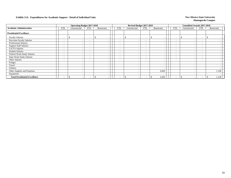|                                      |                          | <b>Operating Budget 2017-2018</b> |                          |            |                          | Revised Budget 2017-2018 |                          |                          |                          | Unaudited Actuals 2017-2018 |                          |            |  |
|--------------------------------------|--------------------------|-----------------------------------|--------------------------|------------|--------------------------|--------------------------|--------------------------|--------------------------|--------------------------|-----------------------------|--------------------------|------------|--|
| <b>Academic Administration</b>       | <b>FTE</b>               | Unrestricted                      | FTE                      | Restricted | <b>FTE</b>               | Unrestricted             | FTE                      | Restricted               | <b>FTE</b>               | Unrestricted                | FTE                      | Restricted |  |
| <b>Presidential Excellence</b>       |                          |                                   |                          |            |                          |                          |                          |                          |                          |                             |                          |            |  |
| <b>Faculty Salaries</b>              | $\overline{\phantom{a}}$ | $\overline{\phantom{a}}$          | $\overline{\phantom{a}}$ |            | $\overline{\phantom{0}}$ |                          | $\overline{\phantom{0}}$ |                          | $\overline{\phantom{a}}$ |                             | $\overline{\phantom{0}}$ |            |  |
| Part-time Faculty Salaries           | $\overline{\phantom{a}}$ | $\overline{\phantom{0}}$          | $\overline{\phantom{0}}$ |            | $\overline{\phantom{a}}$ |                          | $\overline{\phantom{0}}$ |                          | $\overline{\phantom{a}}$ |                             |                          |            |  |
| <b>Professional Salaries</b>         | $\overline{\phantom{a}}$ | $\overline{\phantom{a}}$          | $\overline{\phantom{0}}$ |            | $\overline{\phantom{0}}$ |                          | $\overline{\phantom{0}}$ | $\overline{\phantom{a}}$ | $\overline{\phantom{a}}$ |                             | $\overline{\phantom{0}}$ |            |  |
| <b>Support Staff Salaries</b>        | $\overline{\phantom{a}}$ | $\overline{\phantom{0}}$          | $\overline{\phantom{0}}$ |            | $\overline{\phantom{0}}$ |                          | $\overline{\phantom{0}}$ | $\overline{\phantom{0}}$ | $\overline{\phantom{a}}$ |                             | $\overline{\phantom{0}}$ |            |  |
| <b>GA/TA Salaries</b>                | $\overline{\phantom{a}}$ | $\overline{\phantom{a}}$          | $\overline{\phantom{a}}$ |            | $\overline{\phantom{a}}$ | $\overline{\phantom{0}}$ | $\overline{\phantom{0}}$ | $\overline{\phantom{a}}$ | $\overline{\phantom{a}}$ |                             | $\overline{\phantom{0}}$ |            |  |
| <b>Student Salaries</b>              | $\sim$                   | $\overline{\phantom{a}}$          | $\overline{\phantom{a}}$ |            | $\overline{\phantom{a}}$ | $\overline{\phantom{0}}$ | $\sim$                   | $\overline{\phantom{a}}$ | $\overline{\phantom{a}}$ | $\overline{\phantom{0}}$    | $\overline{\phantom{0}}$ |            |  |
| Federal Work-Study Salaries          | $-$                      | $\overline{\phantom{a}}$          | $\overline{\phantom{a}}$ |            | $\overline{\phantom{a}}$ | $\overline{\phantom{a}}$ | $\overline{\phantom{0}}$ | $\overline{\phantom{a}}$ | $\overline{\phantom{a}}$ |                             | $\overline{\phantom{0}}$ |            |  |
| <b>State Work-Study Salaries</b>     | $\overline{\phantom{0}}$ | $\overline{\phantom{a}}$          | $\overline{\phantom{0}}$ |            | $\sim$                   |                          | $\overline{\phantom{a}}$ | $\overline{\phantom{a}}$ | $\overline{\phantom{a}}$ |                             | $\overline{\phantom{0}}$ |            |  |
| Other Salaries                       | $\overline{\phantom{a}}$ | $\overline{\phantom{0}}$          | $\overline{\phantom{0}}$ |            | $\overline{\phantom{0}}$ | $\overline{\phantom{0}}$ | $\overline{\phantom{0}}$ |                          | $\overline{\phantom{a}}$ |                             | $\overline{\phantom{0}}$ |            |  |
| Fringes                              |                          | $\overline{\phantom{0}}$          |                          |            |                          |                          |                          | $\overline{\phantom{a}}$ |                          |                             |                          |            |  |
| Travel                               |                          |                                   |                          |            |                          |                          |                          | $\overline{\phantom{a}}$ |                          |                             |                          |            |  |
| Utilities                            |                          |                                   |                          |            |                          |                          |                          |                          |                          |                             |                          |            |  |
| Other Supplies and Expenses          |                          |                                   |                          |            |                          |                          |                          | 6,492                    |                          |                             |                          | 1,138      |  |
| Equipment                            |                          |                                   |                          |            |                          |                          |                          | $\overline{\phantom{a}}$ |                          |                             |                          |            |  |
| <b>Total Presidential Excellence</b> | $\overline{\phantom{a}}$ | $\overline{\phantom{a}}$          | $\overline{\phantom{a}}$ |            | $\overline{\phantom{a}}$ |                          | $\overline{\phantom{a}}$ | 6,492                    | $\overline{\phantom{a}}$ | \$.                         | $\overline{\phantom{0}}$ | 1,138      |  |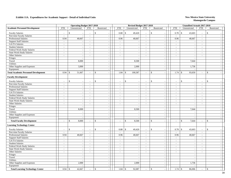|                                             |                             | <b>Operating Budget 2017-2018</b> |                          |                          |                             | Revised Budget 2017-2018 |                          |                                      |                          | <b>Unaudited Actuals 2017-2018</b> |                          |                          |
|---------------------------------------------|-----------------------------|-----------------------------------|--------------------------|--------------------------|-----------------------------|--------------------------|--------------------------|--------------------------------------|--------------------------|------------------------------------|--------------------------|--------------------------|
| <b>Academic Personnel Development</b>       | <b>FTE</b>                  | Unrestricted                      | <b>FTE</b>               | Restricted               | <b>FTE</b>                  | Unrestricted             | <b>FTE</b>               | Restricted                           | <b>FTE</b>               | Unrestricted                       | <b>FTE</b>               | Restricted               |
| <b>Faculty Salaries</b>                     | $\overline{a}$              | \$                                |                          | \$                       | 0.88                        | \$<br>49,420             | $\mathcal{L}$            | $\mathbb{S}$                         | 0.78                     | $\mathcal{S}$<br>43,603            | $\sim$                   | \$                       |
| Part-time Faculty Salaries                  | $\sim$                      | $\sim$                            | $\sim$                   |                          | $\mathcal{L}_{\mathcal{A}}$ |                          | $\overline{\phantom{a}}$ | $\mathcal{L}_{\mathcal{A}}$          | $\sim$                   |                                    | $\sim$                   |                          |
| Professional Salaries                       | 0.94                        | 40,667                            | $\sim$                   | $\sim$                   | 0.96                        | 40,667                   | $\sim$                   | $\mathbb{Z}^2$                       | 0.96                     | 40,667                             | $\overline{\phantom{a}}$ |                          |
| <b>Support Staff Salaries</b>               | $\sim$                      |                                   | $\sim$                   | $\overline{\phantom{a}}$ | $\sim$                      |                          | $\sim$                   | $\sim$                               | $\sim$                   |                                    | $\sim$                   |                          |
| <b>GA/TA Salaries</b>                       | $\mathcal{L}_{\mathcal{A}}$ | $\overline{\phantom{a}}$          | $\overline{\phantom{a}}$ | $\overline{\phantom{a}}$ | $\overline{\phantom{a}}$    |                          | $\sim$                   | $\sim$                               | $\frac{1}{2}$            | $\overline{\phantom{a}}$           | $\mathbb{Z}^2$           |                          |
| <b>Student Salaries</b>                     | $\mathbb{Z}^2$              | $\sim$                            | $\mathcal{L}$            | $\mathcal{L}$            | $\omega$                    | $\overline{a}$           | $\sim$                   | $\sim$                               | $\mathcal{L}$            | $\overline{\phantom{a}}$           | $\sim$                   |                          |
| Federal Work-Study Salaries                 | $\mathbb{Z}^2$              | $\overline{a}$                    | $\overline{a}$           | $\overline{a}$           | $\sim$                      |                          | $\sim$                   | $\mathbb{L}$                         | $\overline{a}$           | $\overline{a}$                     | $\sim$                   |                          |
| <b>State Work-Study Salaries</b>            | $\mathcal{L}_{\mathcal{A}}$ | $\sim$                            | $\sim$                   | $\overline{\phantom{a}}$ | $\overline{\phantom{a}}$    | $\overline{\phantom{a}}$ | $\sim$                   | $\blacksquare$                       | $\sim$                   | $\sim$                             | $\sim$                   |                          |
| Other Salaries                              | $\sim$                      | $\sim$                            | $\sim$                   | $\overline{\phantom{a}}$ | $\sim$                      | $\overline{\phantom{a}}$ | $\overline{\phantom{a}}$ | $\mathbb{Z}^2$                       | $\sim$                   | $\overline{\phantom{a}}$           | $\sim$                   | $\sim$                   |
| Fringes                                     |                             | $\sim$                            |                          | $\sim$                   |                             | $\overline{\phantom{a}}$ |                          | $\mathbb{Z}^2$                       |                          | $\overline{a}$                     |                          |                          |
| Travel                                      |                             | 8,000                             |                          | $\overline{\phantom{a}}$ |                             | 8,500                    |                          | $\overline{\phantom{a}}$             |                          | 7,644                              |                          |                          |
| Utilities                                   |                             |                                   |                          | $\overline{\phantom{a}}$ |                             |                          |                          | $\blacksquare$                       |                          |                                    |                          |                          |
| Other Supplies and Expenses                 |                             | 3,000                             |                          | $\sim$                   |                             | 2,000                    |                          | $\sim$                               |                          | 1,736                              |                          |                          |
| Equipment                                   |                             |                                   |                          | $\sim$                   |                             |                          |                          | $\sim$                               |                          |                                    |                          |                          |
| <b>Total Academic Personnel Development</b> | 0.94                        | 51,667<br>$\mathbf{\$}$           | $\sim$                   | \$                       | 1.84                        | 100,587<br>\$            | $\overline{\phantom{a}}$ | $\mathbf{\hat{S}}$<br>$\blacksquare$ | 1.74                     | 93,650<br>$\mathbf{\hat{s}}$       | $\sim$                   | \$                       |
| <b>Faculty Development</b>                  |                             |                                   |                          |                          |                             |                          |                          |                                      |                          |                                    |                          |                          |
| <b>Faculty Salaries</b>                     | $\sim$                      | $\mathcal{S}$<br>$\sim$           |                          | \$                       | $\overline{a}$              | \$                       | $\sim$                   | \$<br>$\overline{a}$                 | $\sim$                   | \$                                 | $\sim$                   | \$                       |
| Part-time Faculty Salaries                  | $\sim$                      | $\sim$                            | $\sim$                   | $\sim$                   | $\sim$                      |                          | $\sim$                   | $\mathcal{L}$                        | $\sim$                   | $\overline{\phantom{a}}$           | $\overline{a}$           |                          |
| <b>Professional Salaries</b>                | $\sim$                      | $\overline{\phantom{a}}$          | $\sim$                   | $\sim$                   | $\sim$                      |                          | $\sim$                   | $\sim$                               | $\sim$                   | $\sim$                             | $\sim$                   |                          |
| <b>Support Staff Salaries</b>               | $\sim$                      | $\sim$                            | $\sim$                   | $\overline{a}$           | $\sim$                      | $\overline{\phantom{a}}$ | $\sim$                   | $\mathbb{Z}^2$                       | $\sim$                   | $\overline{\phantom{a}}$           | $\sim$                   | $\overline{\phantom{a}}$ |
| GA/TA Salaries                              | $\mathcal{L}$               | $\sim$                            | $\sim$                   | $\sim$                   | $\sim$                      | $\overline{\phantom{a}}$ | $\sim$                   | $\mathcal{L}$                        | $\sim$                   | $\sim$                             | $\sim$                   |                          |
| <b>Student Salaries</b>                     | $\mathcal{L}_{\mathcal{A}}$ | $\overline{\phantom{a}}$          | $\overline{a}$           | $\sim$                   | $\blacksquare$              |                          | $\mathcal{L}$            | $\bar{\phantom{a}}$                  | $\frac{1}{2}$            | $\sim$                             | $\sim$                   |                          |
| Federal Work-Study Salaries                 | $\sim$                      | $\overline{\phantom{a}}$          | $\sim$                   | $\overline{\phantom{a}}$ | $\sim$                      | $\overline{a}$           | $\sim$                   | $\blacksquare$                       | $\sim$                   | $\overline{\phantom{a}}$           | $\sim$                   |                          |
| <b>State Work-Study Salaries</b>            | $\sim$                      | $\overline{a}$                    | $\sim$                   | $\sim$                   | $\sim$                      | $\overline{\phantom{a}}$ | $\sim$                   | $\mathbb{Z}^2$                       | $\sim$                   | $\overline{a}$                     | $\sim$                   | $\sim$                   |
| Other Salaries                              | $\sim$                      | $\sim$                            | $\sim$                   | $\overline{\phantom{a}}$ | $\sim$                      |                          | $\sim$                   | $\mathcal{L}_{\mathcal{A}}$          | $\sim$                   |                                    | $\sim$                   |                          |
| Fringes                                     |                             | $\sim$                            |                          | $\overline{\phantom{a}}$ |                             |                          |                          | $\mathcal{L}_{\mathcal{A}}$          |                          |                                    |                          |                          |
| Travel                                      |                             | 8,000                             |                          | $\sim$                   |                             | 8,500                    |                          | $\overline{\phantom{a}}$             |                          | 7,644                              |                          | $\overline{\phantom{a}}$ |
| Utilities                                   |                             |                                   |                          | $\overline{\phantom{a}}$ |                             |                          |                          | $\blacksquare$                       |                          |                                    |                          |                          |
| Other Supplies and Expenses                 |                             | $\overline{a}$                    |                          | $\sim$                   |                             |                          |                          | $\mathcal{L}$                        |                          |                                    |                          |                          |
| Equipment                                   |                             | $\sim$                            |                          | $\sim$                   |                             | $\overline{\phantom{a}}$ |                          | $\mathcal{L}_{\mathcal{A}}$          |                          |                                    |                          | $\sim$                   |
| <b>Total Faculty Development</b>            | $\overline{a}$              | 8,000<br>$\mathbf{\hat{S}}$       | $\overline{a}$           | $\mathbb{S}$<br>$\sim$   | $\mathcal{L}$               | \$<br>8,500              | $\overline{\phantom{a}}$ | $\mathbb{S}$<br>$\sim$               | $\overline{a}$           | $\mathbb{S}$<br>7,644              | $\sim$                   | $\mathbf{\hat{s}}$       |
| <b>Learning Technology Center</b>           |                             |                                   |                          |                          |                             |                          |                          |                                      |                          |                                    |                          |                          |
| <b>Faculty Salaries</b>                     |                             | \$<br>$\sim$                      | $\sim$                   | \$                       | 0.88                        | 49,420<br>\$             | $\sim$                   | $\mathbb{S}$<br>$\sim$               | 0.78                     | $\mathcal{S}$<br>43,603            | $\sim$                   | $\mathbb{S}$             |
| Part-time Faculty Salaries                  | $\sim$                      | $\sim$                            | $\sim$                   | $\sim$                   | $\overline{a}$              |                          | $\sim$                   | $\mathbb{L}$                         | $\overline{a}$           |                                    | $\sim$                   |                          |
| Professional Salaries                       | 0.94                        | 40,667                            | $\sim$                   | $\sim$                   | 0.96                        | 40,667                   | $\sim$                   | $\sim$                               | 0.96                     | 40,667                             | $\sim$                   |                          |
| <b>Support Staff Salaries</b>               | $\overline{\phantom{a}}$    |                                   | $\overline{\phantom{a}}$ | $\sim$                   | $\overline{\phantom{a}}$    |                          | $\overline{\phantom{a}}$ | $\overline{\phantom{a}}$             | $\blacksquare$           |                                    | $\overline{\phantom{a}}$ |                          |
| GA/TA Salaries                              | $\mathcal{L}_{\mathcal{A}}$ | $\mathcal{L}_{\mathcal{A}}$       | $\sim$                   | $\sim$                   | $\sim$                      | $\overline{\phantom{a}}$ | $\sim$                   | $\mathbb{Z}^2$                       | $\sim$                   | $\overline{\phantom{a}}$           | $\sim$                   | $\sim$                   |
| <b>Student Salaries</b>                     | $\sim$                      | $\overline{\phantom{a}}$          | $\sim$                   | $\sim$                   | $\sim$                      |                          | $\sim$                   | $\overline{\phantom{a}}$             | $\sim$                   | $\sim$                             | $\sim$                   |                          |
| Federal Work-Study Salaries                 | $\sim$                      | $\overline{\phantom{a}}$          | $\overline{\phantom{a}}$ |                          | $\overline{\phantom{a}}$    |                          | $\sim$                   | $\blacksquare$                       | $\overline{\phantom{a}}$ |                                    | $\sim$                   |                          |
| State Work-Study Salaries                   | $\mathcal{L}$               | $\sim$                            | $\overline{\phantom{a}}$ | $\sim$                   | $\mathbf{r}$                | $\sim$                   | $\sim$                   | $\sim$                               | $\mathcal{L}$            | $\sim$                             | $\sim$                   | $\sim$                   |
| Other Salaries                              | $\sim$                      | $\sim$                            | $\sim$                   | $\sim$                   | $\sim$                      | $\sim$                   | $\sim$                   | $\sim$                               | $\sim$                   | $\overline{\phantom{a}}$           | $\sim$                   |                          |
| Fringes                                     |                             | $\overline{a}$                    |                          | $\sim$                   |                             |                          |                          | $\mathbb{L}$                         |                          |                                    |                          |                          |
| Travel                                      |                             | $\overline{\phantom{a}}$          |                          | $\sim$                   |                             |                          |                          | $\mathbb{L}$                         |                          |                                    |                          |                          |
| Utilities                                   |                             | $\sim$                            |                          | $\sim$                   |                             | $\overline{\phantom{a}}$ |                          | $\mathbb{L}$                         |                          | $\overline{\phantom{a}}$           |                          |                          |
| Other Supplies and Expenses                 |                             | 2.000                             |                          | $\sim$                   |                             | 2,000                    |                          | $\mathcal{L}$                        |                          | 1,736                              |                          |                          |
| Equipment                                   |                             |                                   |                          | $\overline{\phantom{a}}$ |                             |                          |                          | $\sim$                               |                          |                                    |                          |                          |
| <b>Total Learning Technology Center</b>     | 0.94                        | 42,667<br>\$                      |                          | \$                       | 1.84                        | \$<br>92,087             | $\sim$                   | $\mathcal{S}$<br>$\overline{a}$      | 1.74S                    | 86,006                             |                          | \$                       |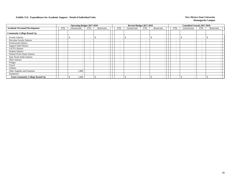|                                         |                          | <b>Operating Budget 2017-2018</b> |                          |            |                          | Revised Budget 2017-2018 |                          |                          |                          | Unaudited Actuals 2017-2018     |                          |            |  |
|-----------------------------------------|--------------------------|-----------------------------------|--------------------------|------------|--------------------------|--------------------------|--------------------------|--------------------------|--------------------------|---------------------------------|--------------------------|------------|--|
| <b>Academic Personnel Development</b>   | FTE                      | Unrestricted                      | <b>FTE</b>               | Restricted | FTE                      | Unrestricted             | FTE                      | Restricted               | <b>FTE</b>               | Unrestricted                    | <b>FTE</b>               | Restricted |  |
| <b>Community College Round-Up</b>       |                          |                                   |                          |            |                          |                          |                          |                          |                          |                                 |                          |            |  |
| <b>Faculty Salaries</b>                 | $\overline{\phantom{0}}$ | $\overline{\phantom{a}}$          | $\overline{\phantom{a}}$ | \$.        | $\overline{\phantom{0}}$ | ж                        | $\overline{\phantom{0}}$ |                          | $\overline{\phantom{a}}$ | \$.<br>$\overline{\phantom{0}}$ | $\overline{\phantom{0}}$ |            |  |
| Part-time Faculty Salaries              | $\overline{\phantom{0}}$ | $\overline{\phantom{0}}$          | $\overline{\phantom{0}}$ |            | <b>-</b>                 |                          | $\overline{\phantom{0}}$ |                          | $\overline{\phantom{a}}$ |                                 |                          |            |  |
| <b>Professional Salaries</b>            | $\overline{\phantom{0}}$ | $\overline{\phantom{a}}$          | $\overline{\phantom{a}}$ |            | $\overline{\phantom{a}}$ |                          | $\overline{\phantom{a}}$ | - -                      | $\overline{\phantom{a}}$ |                                 | $\overline{\phantom{0}}$ |            |  |
| <b>Support Staff Salaries</b>           | $\overline{\phantom{0}}$ | $\overline{\phantom{a}}$          | $\overline{\phantom{a}}$ |            | $\overline{\phantom{0}}$ |                          | $\overline{\phantom{a}}$ |                          | $\overline{\phantom{a}}$ |                                 | $\overline{\phantom{0}}$ |            |  |
| GA/TA Salaries                          | $\overline{\phantom{0}}$ | $\overline{\phantom{0}}$          | $\overline{\phantom{a}}$ |            | $\overline{\phantom{a}}$ |                          | $\overline{\phantom{0}}$ | $\overline{\phantom{a}}$ | $\overline{\phantom{a}}$ |                                 | $\overline{\phantom{0}}$ |            |  |
| <b>Student Salaries</b>                 | $\overline{\phantom{0}}$ | $\overline{\phantom{a}}$          | $\overline{\phantom{a}}$ |            | $\overline{\phantom{a}}$ |                          | $\overline{\phantom{a}}$ | $\overline{\phantom{a}}$ | $\overline{\phantom{a}}$ |                                 | $\overline{\phantom{0}}$ |            |  |
| Federal Work-Study Salaries             | $\sim$                   | $\sim$                            | $\overline{\phantom{a}}$ |            | $\overline{\phantom{0}}$ |                          | $\overline{\phantom{a}}$ | $\overline{\phantom{a}}$ | $\overline{\phantom{a}}$ | -                               | $\overline{\phantom{0}}$ |            |  |
| <b>State Work-Study Salaries</b>        | $\overline{\phantom{0}}$ | $\overline{\phantom{a}}$          | $\overline{\phantom{a}}$ |            | $\overline{\phantom{a}}$ |                          | $\overline{\phantom{a}}$ |                          | $\overline{\phantom{a}}$ |                                 | $\overline{\phantom{0}}$ |            |  |
| Other Salaries                          | $\overline{\phantom{0}}$ | $\overline{\phantom{a}}$          | $\overline{\phantom{a}}$ |            | $\overline{\phantom{a}}$ |                          | $\overline{\phantom{0}}$ |                          | $\overline{\phantom{a}}$ |                                 | $\overline{\phantom{0}}$ |            |  |
| Fringes                                 |                          |                                   |                          |            |                          |                          |                          | $\overline{\phantom{a}}$ |                          |                                 |                          |            |  |
| Travel                                  |                          | $\overline{\phantom{a}}$          |                          |            |                          |                          |                          |                          |                          |                                 |                          |            |  |
| Utilities                               |                          | $\overline{\phantom{0}}$          |                          |            |                          |                          |                          | $\overline{\phantom{a}}$ |                          |                                 |                          |            |  |
| Other Supplies and Expenses             |                          | 1,000                             |                          |            |                          |                          |                          |                          |                          |                                 |                          |            |  |
| Equipment                               |                          | $\overline{\phantom{a}}$          |                          |            |                          |                          |                          | $\overline{\phantom{a}}$ |                          |                                 |                          |            |  |
| <b>Total Community College Round-Up</b> |                          | 1,000                             |                          |            |                          |                          | $\overline{\phantom{0}}$ |                          | $\overline{\phantom{0}}$ |                                 | $\overline{\phantom{0}}$ |            |  |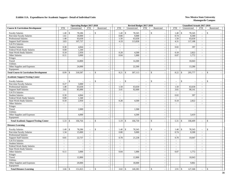|                                                  |                          | <b>Operating Budget 2017-2018</b> |                             |               |                          |              | Revised Budget 2017-2018 |                             |                                      |                          | <b>Unaudited Actuals 2017-2018</b> |                          |                          |  |
|--------------------------------------------------|--------------------------|-----------------------------------|-----------------------------|---------------|--------------------------|--------------|--------------------------|-----------------------------|--------------------------------------|--------------------------|------------------------------------|--------------------------|--------------------------|--|
| <b>Course &amp; Curriculum Development</b>       | <b>FTE</b>               | Unrestricted                      | <b>FTE</b>                  | Restricted    | <b>FTE</b>               |              | Unrestricted             | <b>FTE</b>                  | Restricted                           | <b>FTE</b>               | Unrestricted                       | <b>FTE</b>               | Restricted               |  |
| <b>Faculty Salaries</b>                          | 1.40                     | \$<br>78,286                      |                             | $\mathcal{S}$ | 1.40                     | $\mathbb{S}$ | 78,345                   | $\overline{\phantom{a}}$    | $\mathbb{S}$                         | 1.40                     | $\mathcal{S}$<br>78,345            | $\sim$                   | \$                       |  |
| Part-time Faculty Salaries                       | 1.61                     | 18,000                            | $\mathcal{L}_{\mathcal{A}}$ |               | 0.80                     |              | 9,000                    | $\overline{\phantom{a}}$    | $\blacksquare$                       | 0.74                     | 8,300                              | $\sim$                   |                          |  |
| <b>Professional Salaries</b>                     | 1.48                     | 63,630                            | $\sim$                      | $\sim$        | 1.50                     |              | 63,630                   | $\sim$                      | $\overline{\phantom{a}}$             | 1.50                     | 63,630                             | $\sim$                   | $\overline{\phantom{a}}$ |  |
| <b>Support Staff Salaries</b>                    | 3.83                     | 107,737                           | $\sim$                      | $\sim$        | 4.19                     |              | 113,838                  | $\mathcal{L}_{\mathcal{A}}$ | $\sim$                               | 4.31                     | 117,188                            | $\sim$                   |                          |  |
| GA/TA Salaries                                   | $\mathbf{r}$             |                                   | $\sim$                      | $\sim$        | $\mathcal{L}$            |              |                          | $\sim$                      | $\overline{\phantom{a}}$             | $\sim$                   |                                    | $\sim$                   | $\sim$                   |  |
| <b>Student Salaries</b>                          | 0.30                     | 4,844                             | $\sim$                      | $\sim$        | $\sim$                   |              | $\overline{\phantom{a}}$ | $\sim$                      | $\sim$                               | 0.02                     | 397                                | $\sim$                   | $\sim$                   |  |
| Federal Work-Study Salaries                      | 0.08                     | 1,340                             | $\sim$                      | $\sim$        | $\sim$                   |              |                          | $\mathcal{L}_{\mathcal{A}}$ | $\overline{\phantom{a}}$             | $\sim$                   |                                    | $\overline{\phantom{a}}$ |                          |  |
| <b>State Work-Study Salaries</b>                 | 0.18                     | 2,950                             | $\mathbb{Z}^2$              | $\sim$        | 0.28                     |              | 4,500                    | $\mathbb{L}^{\mathbb{N}}$   | $\overline{\phantom{a}}$             | 0.18                     | 2,822                              | $\sim$                   | $\sim$                   |  |
| Other Salaries                                   | 0.11                     | 3,000                             | $\sim$                      | $\sim$        | 0.04                     |              | 1,000                    | $\sim$                      | $\blacksquare$                       | 0.07                     | 1,772                              | $\sim$                   | $\sim$                   |  |
| Fringes                                          |                          |                                   |                             | $\sim$        |                          |              |                          |                             | $\sim$                               |                          |                                    |                          | $\sim$                   |  |
| Travel                                           |                          | 14,800                            |                             |               |                          |              | 14,300                   |                             | $\sim$                               |                          | 10,043                             |                          |                          |  |
| Utilities                                        |                          |                                   |                             | $\sim$        |                          |              |                          |                             | $\blacksquare$                       |                          |                                    |                          | $\sim$                   |  |
| Other Supplies and Expenses                      |                          | 24,000                            |                             | $\sim$        |                          |              | 22,500                   |                             | $\sim$                               |                          | 13,280                             |                          | $\sim$                   |  |
| Equipment                                        |                          |                                   |                             | $\sim$        |                          |              |                          |                             | $\sim$                               |                          |                                    |                          | $\overline{\phantom{a}}$ |  |
| <b>Total Course &amp; Curriculum Development</b> | 8.99                     | 318,587<br>$\mathbf{\$}$          | $\sim$                      | $\mathcal{S}$ | 8.21                     | $\mathbb{S}$ | 307,113                  | $\sim$                      | $\mathcal{S}$<br>$\sim$              | 8.22                     | 295,777<br>$\mathcal{S}$           | $\sim$                   | $\mathbf{\hat{S}}$       |  |
| <b>Academic Support/Testing Center</b>           |                          |                                   |                             |               |                          |              |                          |                             |                                      |                          |                                    |                          |                          |  |
| <b>Faculty Salaries</b>                          | $\overline{a}$           | $\mathcal{S}$                     | $\sim$                      | $\mathcal{S}$ | $\overline{\phantom{a}}$ | $\mathbb{S}$ |                          | $\sim$                      | $\mathbb{S}$                         | $\sim$                   | $\mathbf{s}$                       | $\sim$                   | $\mathbb{S}$             |  |
| Part-time Faculty Salaries                       | 0.27                     | 3,000                             | $\sim$                      | $\sim$        | $\sim$                   |              |                          | $\sim$                      | $\overline{\phantom{a}}$             | $\overline{\phantom{a}}$ |                                    | $\sim$                   |                          |  |
| <b>Professional Salaries</b>                     | 1.48                     | 63,630                            | $\sim$                      | $\sim$        | 1.50                     |              | 63,630                   | $\sim$                      | $\overline{\phantom{a}}$             | 1.50                     | 63,630                             | $\sim$                   | $\sim$                   |  |
| <b>Support Staff Salaries</b>                    | 3.02                     | 85,000                            | $\sim$                      | $\sim$        | 3.41                     |              | 92,600                   | $\mathcal{L}$               | $\mathbb{L}$                         | 3.61                     | 98,141                             | $\mathcal{L}$            | $\overline{a}$           |  |
| GA/TA Salaries                                   | $\overline{a}$           |                                   | $\overline{a}$              |               | $\mathbb{Z}^2$           |              |                          | $\sim$                      | $\blacksquare$                       |                          |                                    | $\sim$                   |                          |  |
| <b>Student Salaries</b>                          | 0.30                     | 4,844                             | $\sim$                      | $\sim$        | $\mathbb{Z}^+$           |              | $\sim$                   | $\sim$                      | $\blacksquare$                       | 0.02                     | 397                                | $\sim$                   | $\sim$                   |  |
| Federal Work-Study Salaries                      | 0.08                     | 1,340                             | $\sim$                      | $\sim$        | $\sim$                   |              |                          | $\sim$                      | $\sim$                               | $\sim$                   |                                    | $\sim$                   | $\sim$                   |  |
| <b>State Work-Study Salaries</b>                 | 0.18                     | 2,950                             | $\sim$                      | $\sim$        | 0.28                     |              | 4,500                    | $\mathcal{L}_{\mathcal{A}}$ | $\sim$                               | 0.18                     | 2,822                              | $\overline{\phantom{a}}$ | $\overline{\phantom{a}}$ |  |
| Other Salaries                                   | $\sim$                   | $\sim$                            | $\overline{\phantom{a}}$    | $\sim$        | $\sim$                   |              | $\overline{\phantom{a}}$ | $\sim$                      | $\overline{\phantom{a}}$             | $\sim$                   | $\overline{\phantom{a}}$           | $\overline{\phantom{a}}$ | $\sim$                   |  |
| Fringes                                          |                          | $\overline{\phantom{a}}$          |                             | $\sim$        |                          |              |                          |                             | $\sim$                               |                          | $\sim$                             |                          | $\sim$                   |  |
| Travel                                           |                          | 2,000                             |                             |               |                          |              | 1,500                    |                             | $\overline{\phantom{a}}$             |                          | $\overline{\phantom{a}}$           |                          |                          |  |
| Utilities                                        |                          |                                   |                             |               |                          |              |                          |                             | $\blacksquare$                       |                          |                                    |                          |                          |  |
| Other Supplies and Expenses                      |                          | 4,000                             |                             | $\mathbf{r}$  |                          |              | 4,500                    |                             | $\overline{a}$                       |                          | 3,419                              |                          | $\overline{a}$           |  |
| Equipment                                        |                          |                                   |                             | $\sim$        |                          |              |                          |                             | $\sim$                               |                          |                                    |                          | $\sim$                   |  |
| <b>Total Academic Support/Testing Center</b>     |                          | 166,764                           | $\sim$                      | $\mathcal{S}$ | 5.19                     | \$           | 166,730                  | $\overline{\phantom{a}}$    | $\mathbf{\hat{S}}$<br>$\overline{a}$ | 5.31                     | $\mathbf{\hat{S}}$<br>168,409      | $\sim$                   | $\mathsf{\$}$            |  |
| <b>Distance Learning</b>                         |                          |                                   |                             |               |                          |              |                          |                             |                                      |                          |                                    |                          |                          |  |
| <b>Faculty Salaries</b>                          | 1.40                     | $\mathbb{S}$<br>78,286            | $\sim$                      | $\mathcal{S}$ | 1.40                     | \$           | 78,345                   | $\sim$                      | $\mathbb{S}$                         | 1.40                     | $\mathbb{S}$<br>78,345             | $\sim$                   | \$                       |  |
| Part-time Faculty Salaries                       | 1.34                     | 15,000                            | $\sim$                      | $\sim$        | 0.80                     |              | 9,000                    | $\sim$                      | $\sim$                               | 0.74                     | 8,300                              | $\sim$                   | $\sim$                   |  |
| <b>Professional Salaries</b>                     | $\sim$                   |                                   | $\sim$                      | $\sim$        | $\sim$                   |              |                          | $\sim$                      | $\overline{\phantom{a}}$             | $\sim$                   |                                    | $\sim$                   | $\overline{\phantom{a}}$ |  |
| <b>Support Staff Salaries</b>                    | 0.81                     | 22,737                            | $\sim$                      | $\sim$        | 0.78                     |              | 21,238                   | $\sim$                      | $\blacksquare$                       | 0.70                     | 19,047                             | $\sim$                   | $\sim$                   |  |
| <b>GA/TA Salaries</b>                            | $\sim$                   | $\sim$                            | $\mathcal{L}$               | $\sim$        | $\mathcal{L}$            |              | $\overline{\phantom{a}}$ | $\mathcal{L}_{\mathcal{A}}$ | $\overline{\phantom{a}}$             | $\sim$                   | $\overline{\phantom{a}}$           | $\sim$                   | $\overline{\phantom{a}}$ |  |
| <b>Student Salaries</b>                          | $\overline{\phantom{a}}$ |                                   | $\sim$                      |               | $\sim$                   |              |                          | $\sim$                      | $\sim$                               | $\sim$                   | $\overline{\phantom{a}}$           | $\sim$                   |                          |  |
| Federal Work-Study Salaries                      | $\blacksquare$           | $\sim$                            | $\sim$                      | $\sim$        | $\mathcal{L}$            |              | $\overline{\phantom{a}}$ | $\sim$                      | $\overline{\phantom{a}}$             | $\sim$                   | $\overline{\phantom{a}}$           | $\sim$                   | $\overline{\phantom{a}}$ |  |
| State Work-Study Salaries                        | $\overline{a}$           | $\overline{\phantom{a}}$          | $\sim$                      | $\sim$        | $\sim$                   |              |                          | $\mathcal{L}$               | $\sim$                               | $\sim$                   | $\overline{\phantom{a}}$           | $\mathcal{L}$            | $\overline{\phantom{a}}$ |  |
| Other Salaries                                   | 0.11                     | 3,000                             | $\sim$                      | $\sim$        | 0.04                     |              | 1,000                    | $\sim$                      | $\mathcal{L}$                        | 0.07                     | 1,772                              | $\mathcal{L}$            | $\sim$                   |  |
| Fringes                                          |                          |                                   |                             | $\sim$        |                          |              |                          |                             | $\sim$                               |                          |                                    |                          | $\sim$                   |  |
| Travel                                           |                          | 12,800                            |                             | $\sim$        |                          |              | 12,800                   |                             | $\sim$                               |                          | 10,043                             |                          | $\sim$                   |  |
| Utilities                                        |                          |                                   |                             | $\sim$        |                          |              |                          |                             | $\overline{\phantom{a}}$             |                          |                                    |                          |                          |  |
| Other Supplies and Expenses                      |                          | 20,000                            |                             | $\sim$        |                          |              | 18,000                   |                             | $\blacksquare$                       |                          | 9,861                              |                          | $\overline{\phantom{a}}$ |  |
| Equipment                                        |                          |                                   |                             | $\sim$        |                          |              |                          |                             | $\mathbb{L}$                         |                          |                                    |                          | $\sim$                   |  |
| <b>Total Distance Learning</b>                   | 3.66                     | 151,823<br>$\mathbf{\hat{s}}$     |                             | $\mathcal{S}$ | 3.02                     | $\mathbf S$  | 140,383                  |                             | $\mathcal{S}$                        | 2.91                     | $\mathcal{S}$<br>127,368           |                          | $\mathbb{S}$             |  |
|                                                  |                          |                                   |                             |               |                          |              |                          |                             |                                      |                          |                                    |                          |                          |  |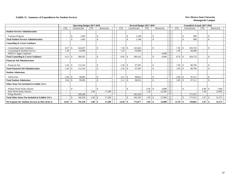### **Exhibit 12. Summary of Expenditures for Student Services New Mexico State University New Mexico State University**

|                                                        | <b>Operating Budget 2017-2018</b> |                |                          |                    |  |                          |               | Revised Budget 2017-2018 |                          |                    |            |                          | <b>Unaudited Actuals 2017-2018</b> |                          |               |            |
|--------------------------------------------------------|-----------------------------------|----------------|--------------------------|--------------------|--|--------------------------|---------------|--------------------------|--------------------------|--------------------|------------|--------------------------|------------------------------------|--------------------------|---------------|------------|
|                                                        | <b>FTE</b>                        | Unrestricted   | <b>FTE</b>               | Restricted         |  | <b>FTE</b>               |               | Unrestricted             | <b>FTE</b>               |                    | Restricted | <b>FTE</b>               | Unrestricted                       | <b>FTE</b>               |               | Restricted |
| <b>Student Services Administration</b>                 |                                   |                |                          |                    |  |                          |               |                          |                          |                    |            |                          |                                    |                          |               |            |
| Veterans Program                                       |                                   | 1,845<br>-\$   |                          | \$.                |  |                          | -\$           | 1,148                    |                          | \$                 |            |                          | 898                                |                          | -S            |            |
| <b>Total Student Services Administration</b>           |                                   | 1,845<br>\$    |                          | $\mathbf{\hat{S}}$ |  |                          | <sup>\$</sup> | 1,148                    |                          | $\mathbf{\hat{S}}$ |            |                          | 898                                |                          | $\mathcal{S}$ |            |
| <b>Counseling &amp; Career Guidance</b>                |                                   |                |                          |                    |  |                          |               |                          |                          |                    |            |                          |                                    |                          |               |            |
| Counseling/Career Guidance                             | 6.97                              | 324,307<br>-\$ | $\overline{\phantom{a}}$ | \$.                |  | 7.36                     | -\$           | 325,642                  | $\overline{\phantom{a}}$ | $\mathbb{S}$       |            | 7.30                     | 303,745<br>-8                      | $\overline{\phantom{a}}$ | -8            |            |
| Counseling & Disabled Service                          | 1.56                              | 64.900         |                          |                    |  | .59                      |               | 64,900                   |                          |                    |            | 1.49                     | 60,988                             |                          |               |            |
| NMSUA Aggie Cupboard                                   |                                   |                |                          |                    |  |                          |               |                          |                          |                    | 4,000      |                          |                                    |                          |               |            |
| <b>Total Counseling &amp; Career Guidance</b>          | 8.53                              | 389,207        |                          | \$                 |  | 8.95                     |               | 390,542                  |                          | $\mathbf{\$}$      | 4.000      | 8.79                     | 364,733                            | $\overline{\phantom{a}}$ | <sup>\$</sup> |            |
| <b>Financial Aid Administration</b>                    |                                   |                |                          |                    |  |                          |               |                          |                          |                    |            |                          |                                    |                          |               |            |
| Financial Aid                                          | 3.36                              | 112,142<br>-S  |                          | \$                 |  | 2.30                     | -\$           | 97,585                   |                          | \$                 |            | 1.90                     | 80,706<br>-S                       | $\overline{\phantom{a}}$ | -8            |            |
| <b>Total Financial Aid Administration</b>              | 3.36                              | 112,142<br>-S  |                          | \$                 |  | 2.30                     |               | 97,585                   |                          | $\mathbf{\$}$      |            | 1.90                     | 80,706                             |                          | <sup>\$</sup> |            |
| <b>Student Admissions</b>                              |                                   |                |                          |                    |  |                          |               |                          |                          |                    |            |                          |                                    |                          |               |            |
| Admissions                                             |                                   | 99,085         |                          | <sup>\$</sup>      |  | 3.11                     | -\$           | 98,052                   |                          | $\mathbf{\hat{S}}$ |            | 3.09                     | 97,511<br>-S                       | $\overline{\phantom{a}}$ | -8            |            |
| <b>Total Student Admissions</b>                        | 3.06                              | 99.085<br>-S   |                          | \$                 |  | 3.11                     | -\$           | 98,052                   |                          | $\mathcal{S}$      |            | 3.09                     | 97,511                             | $\overline{\phantom{a}}$ | $\mathcal{S}$ |            |
| Other Items Not Included in Exhibit 12A's              |                                   |                |                          |                    |  |                          |               |                          |                          |                    |            |                          |                                    |                          |               |            |
| Federal Work-Study Salaries                            | $\overline{\phantom{a}}$          | S.             |                          | \$                 |  | $\overline{\phantom{a}}$ | -\$           |                          | $0.30 \, \text{S}$       |                    | 4.800      | $\overline{\phantom{a}}$ | -\$                                | 0.48                     |               | 7.666      |
| <b>State Work-Study Salaries</b>                       |                                   |                | 1.08                     | 17,200             |  |                          |               |                          | 1.39                     |                    | 22,200     |                          |                                    | 1.49                     |               | 23,905     |
| Fringe Benefits                                        |                                   | 189,260        |                          |                    |  |                          |               | 185,350                  |                          |                    |            |                          | 177,015                            |                          |               |            |
| <b>Total Other Items Not Included in Exhibit 12A's</b> |                                   | 189,260        | 1.08                     | 17,200<br>\$.      |  |                          |               | 185,350                  | 1.69                     | -\$                | 27,000     |                          | 177,015                            | 1.97                     |               | 31,571     |
| Net Expense for Student Services in I&G (Exh 2)        |                                   | 791,539        | 1.08                     | 17,200<br>-S       |  | 14.36                    | -9            | 772,677                  |                          |                    | 31,000     | 13.78                    | 720,863<br>- 8                     | 1.97                     | - \$          | 31,571     |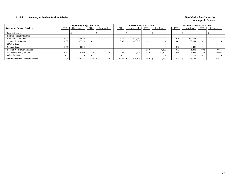### **Exhibit 12. Summary of Student Services Salaries New Mexico State University New Mexico State University**

|                                            |                          | <b>Operating Budget 2017-2018</b> |            |            |            | <b>Revised Budget 2017-2018</b> |                          |            |            | <b>Unaudited Actuals 2017-2018</b> |            |            |
|--------------------------------------------|--------------------------|-----------------------------------|------------|------------|------------|---------------------------------|--------------------------|------------|------------|------------------------------------|------------|------------|
| <b>Salaries for Student Services</b>       | <b>FTE</b>               | Unrestricted                      | <b>FTE</b> | Restricted | <b>FTE</b> | Unrestricted                    | <b>FTE</b>               | Restricted | <b>FTE</b> | Unrestricted                       | <b>FTE</b> | Restricted |
| <b>Faculty Salaries</b>                    |                          |                                   | --         |            |            |                                 | $\overline{\phantom{a}}$ |            |            |                                    |            |            |
| Part-time Faculty Salaries                 |                          |                                   |            |            |            |                                 |                          |            |            |                                    |            |            |
| <b>Professional Salaries</b>               | 9.00                     | 388,019                           |            |            | 9.70       | 411.437                         |                          |            | 9.30       | 394.558                            |            |            |
| <b>Support Staff Salaries</b>              | 4.88                     | 137,215                           |            |            | 3.80       | 103,042                         |                          |            | 3.62       | 98,444                             |            |            |
| GA/TA Salaries                             |                          |                                   |            |            |            |                                 |                          |            |            |                                    |            |            |
| <b>Student Salaries</b>                    | 0.56                     | 9,000                             |            |            |            |                                 |                          |            | 0.18       | 2.840                              |            |            |
| Federal Work-Study Salaries                |                          |                                   |            |            |            |                                 | 0.30                     | 4,800      | 0.12       | 1.891                              | 0.48       | 7,666      |
| <b>State Work-Study Salaries</b>           | 0.51                     | 8,200                             | 1.08       | 17.200     | 0.86       | 13.700                          | 1.39                     | 22,200     | 0.56       | 8,945                              | 1.49       | 23,905     |
| Other Salaries                             | $\overline{\phantom{0}}$ |                                   |            |            |            |                                 |                          |            |            | 24                                 |            |            |
| <b>Total Salaries for Student Services</b> | 14.95                    | 542,434                           | 0.08       | 17,200     | 14.36      | 528,179                         | 1.69                     | 27,000     | 13.78      | 506,702                            | 1.97       | 31,571     |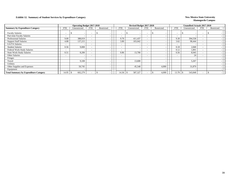### **Exhibit 12. Summary of Student Services by Expenditure Category New Mexico State University**

|                                              |                          | <b>Operating Budget 2017-2018</b> |                          |                          |                          | Revised Budget 2017-2018 |                          |            |                          | Unaudited Actuals 2017-2018 |                          |            |  |
|----------------------------------------------|--------------------------|-----------------------------------|--------------------------|--------------------------|--------------------------|--------------------------|--------------------------|------------|--------------------------|-----------------------------|--------------------------|------------|--|
| <b>Summary by Expenditure Category</b>       | <b>FTE</b>               | Unrestricted                      | <b>FTE</b>               | Restricted               | <b>FTE</b>               | Unrestricted             | <b>FTE</b>               | Restricted | <b>FTE</b>               | Unrestricted                | <b>FTE</b>               | Restricted |  |
| <b>Faculty Salaries</b>                      |                          | а                                 | $\overline{\phantom{a}}$ |                          |                          |                          | $\overline{\phantom{a}}$ |            | $\overline{\phantom{a}}$ | $\overline{\phantom{a}}$    | $\overline{\phantom{a}}$ |            |  |
| Part-time Faculty Salaries                   | $\overline{\phantom{0}}$ |                                   | $\overline{\phantom{a}}$ | $\overline{\phantom{0}}$ |                          |                          | $\overline{\phantom{a}}$ |            | $\overline{\phantom{0}}$ | $\overline{\phantom{0}}$    | $\overline{\phantom{0}}$ |            |  |
| <b>Professional Salaries</b>                 | 9.00                     | 388,019                           | $\overline{\phantom{a}}$ |                          | 9.70                     | 411,437                  | $\overline{\phantom{a}}$ |            | 9.30                     | 394,558                     | $\overline{\phantom{a}}$ |            |  |
| <b>Support Staff Salaries</b>                | 4.88                     | 137,215                           | $\overline{\phantom{a}}$ |                          | 3.80                     | 103,042                  | $\overline{\phantom{0}}$ |            | 3.62                     | 98,444                      | $\overline{\phantom{a}}$ |            |  |
| <b>GA/TA Salaries</b>                        | $\overline{\phantom{0}}$ |                                   | $\overline{\phantom{a}}$ | $\overline{\phantom{0}}$ | $\overline{\phantom{a}}$ |                          | $\overline{\phantom{a}}$ |            |                          |                             | $\overline{\phantom{a}}$ |            |  |
| <b>Student Salaries</b>                      | 0.56                     | 9,000                             |                          | $\overline{\phantom{0}}$ |                          |                          | $\overline{\phantom{a}}$ |            | 0.18                     | 2,840                       | $\overline{\phantom{0}}$ |            |  |
| Federal Work-Study Salaries                  |                          |                                   |                          |                          |                          |                          | $\overline{\phantom{0}}$ |            | 0.12                     | 1,891                       | $\overline{\phantom{a}}$ |            |  |
| <b>State Work-Study Salaries</b>             | 0.51                     | 8,200                             |                          |                          | 0.86                     | 13,700                   | $\overline{\phantom{0}}$ |            | 0.56                     | 8,945                       | $\overline{\phantom{a}}$ |            |  |
| Other Salaries                               | $\overline{\phantom{a}}$ |                                   |                          |                          | $\overline{\phantom{0}}$ |                          | $\overline{\phantom{0}}$ |            | $\overline{\phantom{0}}$ | 24                          | ٠                        |            |  |
| Fringes                                      |                          |                                   |                          | $\overline{\phantom{0}}$ |                          |                          |                          |            |                          | $\overline{\phantom{a}}$    |                          |            |  |
| Travel                                       |                          | 9,100                             |                          |                          |                          | 13,600                   |                          |            |                          | 5,267                       |                          |            |  |
| Utilities                                    |                          |                                   |                          |                          |                          |                          |                          |            |                          |                             |                          |            |  |
| Other Supplies and Expenses                  |                          | 50,745                            |                          |                          |                          | 45,548                   |                          | 4,000      |                          | 31,879                      |                          |            |  |
| Equipment                                    |                          |                                   |                          |                          |                          |                          |                          |            |                          |                             |                          |            |  |
| <b>Total Summary by Expenditure Category</b> | 14.95                    | 602,279<br>-\$                    | $\overline{\phantom{a}}$ |                          | 14.36                    | 587,327                  |                          | 4,000      | 13.78                    | 543,848                     |                          |            |  |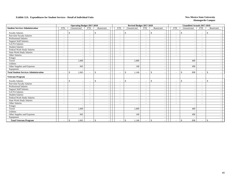|                                              |                          | <b>Operating Budget 2017-2018</b>         |                          |               |                          | Revised Budget 2017-2018       |                          |                                          |                          |                     | <b>Unaudited Actuals 2017-2018</b>        |  |
|----------------------------------------------|--------------------------|-------------------------------------------|--------------------------|---------------|--------------------------|--------------------------------|--------------------------|------------------------------------------|--------------------------|---------------------|-------------------------------------------|--|
| <b>Student Services Administration</b>       | <b>FTE</b>               | Unrestricted                              | <b>FTE</b>               | Restricted    | <b>FTE</b>               | Unrestricted                   | <b>FTE</b>               | Restricted                               | <b>FTE</b>               | Unrestricted        | <b>FTE</b><br>Restricted                  |  |
| <b>Faculty Salaries</b>                      | $\overline{\phantom{a}}$ | \$<br>$\overline{\phantom{a}}$            | $\overline{\phantom{a}}$ | <sup>\$</sup> | $\overline{\phantom{a}}$ | \$<br>$\overline{\phantom{a}}$ | $\sim$                   | \$<br>$\overline{\phantom{a}}$           | $\overline{\phantom{a}}$ | \$                  | <sup>\$</sup><br>$\overline{\phantom{a}}$ |  |
| Part-time Faculty Salaries                   | $\overline{\phantom{a}}$ | $\overline{\phantom{a}}$                  | $\blacksquare$           |               | $\sim$                   | $\overline{\phantom{a}}$       | $\sim$                   | $\overline{\phantom{a}}$                 | $\blacksquare$           |                     | $\overline{\phantom{a}}$                  |  |
| Professional Salaries                        | $\overline{\phantom{a}}$ | $\overline{\phantom{a}}$                  | $\sim$                   |               | $\overline{\phantom{a}}$ |                                | $\sim$                   | $\overline{\phantom{a}}$                 | $\overline{\phantom{a}}$ |                     | $\overline{\phantom{a}}$                  |  |
| <b>Support Staff Salaries</b>                | $\overline{\phantom{a}}$ | $\overline{\phantom{a}}$                  | $\overline{\phantom{0}}$ |               | $\sim$                   |                                | $\sim$                   | $\overline{\phantom{a}}$                 | $\overline{\phantom{a}}$ |                     | $\overline{\phantom{a}}$                  |  |
| <b>GA/TA Salaries</b>                        | $\overline{\phantom{a}}$ | $\overline{\phantom{a}}$                  |                          |               | $\overline{\phantom{a}}$ |                                | $\sim$                   | $\overline{\phantom{a}}$                 | $\overline{\phantom{a}}$ |                     | $\overline{\phantom{a}}$                  |  |
| <b>Student Salaries</b>                      | $\overline{\phantom{a}}$ | $\overline{\phantom{a}}$                  | $\overline{\phantom{a}}$ |               | $\overline{\phantom{a}}$ |                                | $\sim$                   | $\overline{\phantom{a}}$                 | $\overline{\phantom{a}}$ |                     | $\overline{\phantom{a}}$                  |  |
| Federal Work-Study Salaries                  | $\overline{\phantom{a}}$ | $\sim$                                    | $\overline{\phantom{a}}$ |               | $\overline{\phantom{a}}$ |                                | $\overline{\phantom{a}}$ | $\overline{\phantom{a}}$                 | $\blacksquare$           |                     | $\overline{\phantom{a}}$                  |  |
| <b>State Work-Study Salaries</b>             | $\overline{\phantom{a}}$ | $\overline{\phantom{a}}$                  | $\overline{\phantom{a}}$ |               | $\overline{\phantom{a}}$ | $\overline{\phantom{a}}$       | $\sim$                   | $\sim$                                   | $\overline{\phantom{a}}$ |                     | $\overline{\phantom{a}}$                  |  |
| Other Salaries                               | $\overline{\phantom{a}}$ | $\overline{\phantom{a}}$                  | $\overline{\phantom{a}}$ |               | $\blacksquare$           | $\overline{\phantom{a}}$       | $\sim$                   | $\overline{\phantom{a}}$                 | $\overline{\phantom{a}}$ |                     | $\overline{\phantom{0}}$                  |  |
| Fringes                                      |                          | $\overline{\phantom{a}}$                  |                          |               |                          |                                |                          | $\overline{\phantom{a}}$                 |                          |                     |                                           |  |
| Travel                                       |                          | 1,000                                     |                          |               |                          | 1,000                          |                          | $\overline{\phantom{a}}$                 |                          | 400                 |                                           |  |
| Utilities                                    |                          |                                           |                          |               |                          |                                |                          | $\overline{\phantom{a}}$                 |                          |                     |                                           |  |
| Other Supplies and Expenses                  |                          | 845                                       |                          |               |                          | 148                            |                          | $\overline{\phantom{a}}$                 |                          | 498                 |                                           |  |
| Equipment                                    |                          |                                           |                          |               |                          |                                |                          | $\overline{\phantom{a}}$                 |                          |                     |                                           |  |
| <b>Total Student Services Administration</b> | $\overline{\phantom{a}}$ | 1,845<br><sup>\$</sup>                    |                          | \$            | $\overline{\phantom{a}}$ | 1,148<br>\$                    | $\overline{\phantom{a}}$ | $\mathbb{S}$<br>$\overline{\phantom{a}}$ | $\overline{\phantom{a}}$ | $\mathbb{S}$<br>898 | $\mathbf{s}$                              |  |
| <b>Veterans Program</b>                      |                          |                                           |                          |               |                          |                                |                          |                                          |                          |                     |                                           |  |
| <b>Faculty Salaries</b>                      |                          | <sup>\$</sup><br>$\overline{\phantom{a}}$ | $\blacksquare$           | \$            | $\overline{\phantom{a}}$ | \$                             | $\overline{\phantom{a}}$ | $\mathbb{S}$<br>$\overline{\phantom{a}}$ | $\overline{\phantom{a}}$ | \$                  | $\mathcal{S}$<br>$\overline{\phantom{a}}$ |  |
| Part-time Faculty Salaries                   | $\overline{\phantom{a}}$ | $\overline{\phantom{a}}$                  | $\overline{\phantom{a}}$ |               | $\overline{\phantom{a}}$ |                                | $\sim$                   | $\overline{\phantom{a}}$                 | $\overline{\phantom{a}}$ |                     | $\overline{\phantom{a}}$                  |  |
| Professional Salaries                        | $\overline{\phantom{a}}$ | $\sim$                                    | $\overline{\phantom{a}}$ |               | $\overline{\phantom{a}}$ |                                | $\overline{\phantom{a}}$ | $\overline{\phantom{a}}$                 | $\overline{\phantom{a}}$ |                     | $\overline{\phantom{a}}$                  |  |
| <b>Support Staff Salaries</b>                | $\overline{\phantom{a}}$ | $\sim$                                    |                          |               | $\blacksquare$           |                                | $\sim$                   | $\overline{\phantom{a}}$                 | $\blacksquare$           |                     | $\overline{\phantom{a}}$                  |  |
| <b>GA/TA Salaries</b>                        | $\overline{\phantom{a}}$ | $\overline{\phantom{a}}$                  | $\blacksquare$           |               | $\sim$                   |                                | $\sim$                   | $\overline{\phantom{a}}$                 | $\blacksquare$           |                     | $\overline{\phantom{a}}$                  |  |
| <b>Student Salaries</b>                      | $\sim$                   | $\overline{\phantom{a}}$                  | $\overline{\phantom{a}}$ |               | $\overline{\phantom{a}}$ | $\sim$                         | $\sim$                   | $\overline{\phantom{a}}$                 | $\sim$                   |                     | $\sim$                                    |  |
| Federal Work-Study Salaries                  | $\overline{\phantom{a}}$ | $\overline{\phantom{a}}$                  | $\overline{\phantom{a}}$ |               | $\overline{\phantom{a}}$ | $\overline{\phantom{a}}$       | $\sim$                   | $\overline{\phantom{a}}$                 | $\overline{\phantom{a}}$ |                     | $\overline{\phantom{a}}$                  |  |
| <b>State Work-Study Salaries</b>             | $\overline{\phantom{a}}$ | $\overline{\phantom{a}}$                  | $\overline{\phantom{a}}$ |               | $\overline{\phantom{a}}$ | $\overline{\phantom{a}}$       | $\sim$                   | $\overline{\phantom{a}}$                 | $\overline{\phantom{a}}$ |                     | $\sim$                                    |  |
| Other Salaries                               | $\overline{\phantom{a}}$ | $\sim$                                    | $\overline{\phantom{a}}$ |               | $\sim$                   |                                | $\sim$                   | $\overline{\phantom{a}}$                 | $\sim$                   |                     |                                           |  |
| Fringes                                      |                          | $\overline{\phantom{a}}$                  |                          |               |                          |                                |                          | $\overline{\phantom{a}}$                 |                          |                     |                                           |  |
| Travel                                       |                          | 1.000                                     |                          |               |                          | 1,000                          |                          | $\overline{\phantom{a}}$                 |                          | 400                 |                                           |  |
| Utilities                                    |                          |                                           |                          |               |                          |                                |                          | $\overline{\phantom{a}}$                 |                          |                     |                                           |  |
| Other Supplies and Expenses                  |                          | 845                                       |                          |               |                          | 148                            |                          | $\overline{\phantom{a}}$                 |                          | 498                 |                                           |  |
| Equipment                                    |                          |                                           |                          |               |                          |                                |                          |                                          |                          |                     |                                           |  |
| <b>Total Veterans Program</b>                |                          | 1,845<br>$\mathbb{S}$                     |                          | $\mathbb{S}$  | $\overline{\phantom{a}}$ | \$<br>1,148                    | $\sim$                   | $\sqrt{S}$                               |                          | $\mathbb{S}$<br>898 | \$<br>$\overline{\phantom{a}}$            |  |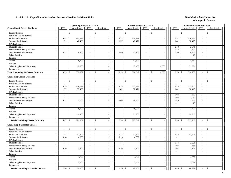|                                                |                             | <b>Operating Budget 2017-2018</b> |                             |                             |                                          | Revised Budget 2017-2018 |                             |                                           |                          | <b>Unaudited Actuals 2017-2018</b> |                             |                          |
|------------------------------------------------|-----------------------------|-----------------------------------|-----------------------------|-----------------------------|------------------------------------------|--------------------------|-----------------------------|-------------------------------------------|--------------------------|------------------------------------|-----------------------------|--------------------------|
| <b>Counseling &amp; Career Guidance</b>        | <b>FTE</b>                  | Unrestricted                      | <b>FTE</b>                  | Restricted                  | <b>FTE</b>                               | Unrestricted             | <b>FTE</b>                  | Restricted                                | <b>FTE</b>               | Unrestricted                       | <b>FTE</b>                  | Restricted               |
| <b>Faculty Salaries</b>                        | $\overline{\phantom{a}}$    | \$                                |                             | $\mathcal{S}$               | $\mathsf{\$}$<br>$\sim$                  |                          | $\sim$                      | $\mathbb{S}$<br>$\sim$                    | $\sim$                   | \$                                 | $\overline{\phantom{a}}$    | $\mathbb{S}$             |
| Part-time Faculty Salaries                     | $\overline{\phantom{a}}$    | $\sim$                            | $\overline{\phantom{a}}$    | $\sim$                      | $\sim$                                   |                          | $\sim$                      | $\overline{\phantom{a}}$                  | $\overline{\phantom{a}}$ | $\overline{\phantom{a}}$           | $\sim$                      |                          |
| <b>Professional Salaries</b>                   | 6.51                        | 280,538                           | $\sim$                      | $\sim$                      | 6.52                                     | 276,371                  | $\mathbb{Z}^+$              | $\overline{\phantom{a}}$                  | 6.52                     | 276,371                            | $\sim$                      |                          |
| <b>Support Staff Salaries</b>                  | 1.51                        | 42,469                            | $\overline{\phantom{a}}$    |                             | 1.57                                     | 42,471                   | $\mathcal{L}_{\mathcal{A}}$ | $\overline{\phantom{a}}$                  | 1.41                     | 38,415                             | $\overline{\phantom{a}}$    |                          |
| GA/TA Salaries                                 | $\mathcal{L}_{\mathcal{A}}$ |                                   | $\overline{\phantom{a}}$    | $\sim$                      | $\mathbb{Z}^+$                           |                          | $\sim$                      | $\blacksquare$                            | $\sim$                   |                                    | $\sim$                      |                          |
| <b>Student Salaries</b>                        | $\mathbb{Z}^2$              | $\sim$                            | $\sim$                      | $\sim$                      | $\sim$                                   | $\overline{\phantom{a}}$ | $\sim$                      | $\mathcal{L}_{\mathcal{A}}$               | 0.18                     | 2,840                              | $\sim$                      |                          |
| Federal Work-Study Salaries                    | $\sim$                      |                                   | $\sim$                      | $\sim$                      | $\sim$                                   |                          | $\sim$                      | $\overline{\phantom{a}}$                  | 0.12                     | 1,891                              | $\sim$                      |                          |
| <b>State Work-Study Salaries</b>               | 0.51                        | 8,200                             | $\mathcal{L}_{\mathcal{A}}$ | $\mathcal{L}_{\mathcal{A}}$ | 0.86                                     | 13,700                   | $\mathcal{L}_{\mathcal{A}}$ | $\sim$                                    | 0.56                     | 8,945                              | $\overline{\phantom{a}}$    |                          |
| Other Salaries                                 | $\sim$                      | $\overline{\phantom{a}}$          | $\overline{\phantom{a}}$    | $\sim$                      | $\sim$                                   |                          | $\sim$                      | $\sim$                                    | $\sim$                   | 23                                 | $\sim$                      | $\overline{\phantom{a}}$ |
| Fringes                                        |                             | $\sim$                            |                             | $\sim$                      |                                          | $\overline{\phantom{a}}$ |                             | $\overline{\phantom{a}}$                  |                          |                                    |                             | $\overline{a}$           |
| Travel                                         |                             | 8,100                             |                             | $\sim$                      |                                          | 12,600                   |                             | $\overline{\phantom{a}}$                  |                          | 4,867                              |                             |                          |
| Utilities                                      |                             |                                   |                             | $\sim$                      |                                          |                          |                             | $\overline{a}$                            |                          |                                    |                             |                          |
| Other Supplies and Expenses                    |                             | 49,900                            |                             | $\sim$                      |                                          | 45,400                   |                             | 4,000                                     |                          | 31,381                             |                             |                          |
| Equipment                                      |                             |                                   |                             | $\sim$                      |                                          |                          |                             |                                           |                          |                                    |                             |                          |
| <b>Total Counseling &amp; Career Guidance</b>  | 8.53                        | 389,207<br>\$                     | $\sim$                      | $\mathcal{S}$               | 8.95<br>$\mathbb{S}$                     | 390,542                  | $\sim$                      | $\mathbb{S}$<br>4,000                     | 8.79                     | 364,733<br>-\$                     | $\sim$                      | $\mathcal{S}$            |
| <b>Counseling/Career Guidance</b>              |                             |                                   |                             |                             |                                          |                          |                             |                                           |                          |                                    |                             |                          |
| <b>Faculty Salaries</b>                        |                             | $\mathbb{S}$                      |                             | \$                          | $\mathbb{S}$<br>$\overline{\phantom{a}}$ |                          |                             | $\mathbb{S}$                              | $\overline{a}$           | \$                                 | $\sim$                      | $\mathbf{s}$             |
| Part-time Faculty Salaries                     | $\overline{a}$              | $\overline{a}$                    | $\mathcal{L}_{\mathcal{A}}$ | $\sim$                      | $\overline{\phantom{a}}$                 |                          | $\mathcal{L}_{\mathcal{A}}$ | $\blacksquare$                            | $\sim$                   |                                    | $\sim$                      |                          |
| <b>Professional Salaries</b>                   | 5.29                        | 228,038                           | $\sim$                      | $\sim$                      | 5.28                                     | 223,871                  | $\sim$                      | $\overline{\phantom{a}}$                  | 5.28                     | 223,871                            | $\sim$                      |                          |
| <b>Support Staff Salaries</b>                  | 1.37                        | 38,469                            | $\mathcal{L}^{\pm}$         | $\sim$                      | 1.42                                     | 38,471                   | $\sim$                      | $\overline{\phantom{a}}$                  | 1.41                     | 38,415                             | $\mathbb{L}^+$              | $\overline{a}$           |
| GA/TA Salaries                                 | $\overline{\phantom{a}}$    |                                   | $\mathcal{L}$               |                             | $\mathcal{L}$                            |                          | $\sim$                      | $\overline{\phantom{a}}$                  | $\sim$                   |                                    | $\sim$                      |                          |
| <b>Student Salaries</b>                        | $\bar{\phantom{a}}$         | $\overline{\phantom{a}}$          | $\overline{a}$              | $\mathbb{L}$                | $\mathcal{L}^{\mathcal{A}}$              | $\overline{\phantom{a}}$ | $\mathbb{L}$                | $\overline{\phantom{a}}$                  | 0.04                     | 612                                | $\mathcal{L}_{\mathcal{A}}$ | $\overline{\phantom{a}}$ |
| Federal Work-Study Salaries                    | $\sim$                      | $\overline{a}$                    | $\sim$                      | $\sim$                      | $\sim$                                   |                          | $\sim$                      | $\mathcal{L}$                             | 0.08                     | 1,232                              | $\sim$                      | $\overline{\phantom{a}}$ |
| <b>State Work-Study Salaries</b>               | 0.31                        | 5,000                             | $\sim$                      | $\sim$                      | 0.66                                     | 10,500                   | $\sim$                      | $\sim$                                    | 0.49                     | 7,825                              | $\sim$                      |                          |
| Other Salaries                                 | $\mathbb{L}^{\mathbb{N}}$   | $\overline{\phantom{a}}$          | $\sim$                      | $\overline{\phantom{a}}$    | $\mathbb{Z}^+$                           |                          | $\overline{\phantom{a}}$    | $\overline{\phantom{a}}$                  | $\sim$                   | 23                                 | $\sim$                      | $\overline{\phantom{a}}$ |
| Fringes                                        |                             | $\sim$                            |                             | $\sim$                      |                                          |                          |                             | $\overline{\phantom{a}}$                  |                          |                                    |                             |                          |
| Travel                                         |                             | 6,400                             |                             | $\sim$                      |                                          | 10,900                   |                             | $\overline{\phantom{a}}$                  |                          | 2,422                              |                             |                          |
| Utilities                                      |                             |                                   |                             |                             |                                          |                          |                             | $\blacksquare$                            |                          |                                    |                             |                          |
| Other Supplies and Expenses                    |                             | 46,400                            |                             | $\overline{a}$              |                                          | 41,900                   |                             | $\mathcal{L}$                             |                          | 29,345                             |                             |                          |
| Equipment                                      |                             |                                   |                             | $\sim$                      |                                          |                          |                             | $\mathbb{L}$                              |                          |                                    |                             | $\sim$                   |
| <b>Total Counseling/Career Guidance</b>        | 6.97                        | 324,307<br>\$                     |                             | $\mathcal{S}$<br>$\sim$     | 7.36<br>$\mathbb{S}$                     | 325,642                  | $\sim$                      | $\mathcal{S}$<br>$\overline{\phantom{a}}$ | 7.30                     | 303,745<br>-\$                     | $\sim$                      | $\mathbf{s}$             |
| <b>Counseling &amp; Disabled Service</b>       |                             |                                   |                             |                             |                                          |                          |                             |                                           |                          |                                    |                             |                          |
| <b>Faculty Salaries</b>                        | $\overline{a}$              | $\mathbb{S}$<br>$\sim$            | $\sim$                      | $\$$                        | \$<br>$\overline{a}$                     |                          | $\sim$                      | \$<br>$\overline{\phantom{a}}$            | $\sim$                   | $\mathbb{S}$                       | $\sim$                      | \$                       |
| Part-time Faculty Salaries                     | $\sim$                      | $\sim$                            | $\sim$                      | $\sim$                      | $\sim$                                   |                          | $\sim$                      | $\blacksquare$                            | $\overline{\phantom{a}}$ |                                    | $\overline{\phantom{a}}$    |                          |
| Professional Salaries                          | 1.22                        | 52,500                            | $\sim$                      | $\sim$                      | 1.24                                     | 52,500                   | $\mathcal{L}_{\mathcal{A}}$ | $\mathbb{Z}^2$                            | 1.24                     | 52,500                             | $\sim$                      |                          |
| <b>Support Staff Salaries</b>                  | 0.14                        | 4,000                             | $\sim$                      |                             | 0.15                                     | 4,000                    | $\sim$                      | $\sim$                                    | $\sim$                   |                                    | $\sim$                      |                          |
| GA/TA Salaries                                 | $\overline{\phantom{a}}$    |                                   | $\sim$                      | $\sim$                      | $\overline{\phantom{a}}$                 |                          | $\sim$                      | $\overline{\phantom{a}}$                  | $\sim$                   |                                    | $\sim$                      | $\sim$                   |
| <b>Student Salaries</b>                        | $\mathbf{r}$                |                                   | $\sim$                      |                             | $\overline{\phantom{a}}$                 |                          | $\sim$                      | $\bar{\phantom{a}}$                       | 0.14                     | 2,228                              | $\mathcal{L}$               |                          |
| Federal Work-Study Salaries                    | $\mathbb{Z}^2$              | $\sim$                            | $\sim$                      | $\mathbb{Z}^2$              | $\mathbb{Z}^+$                           |                          | $\mathbb{Z}^2$              | $\overline{\phantom{a}}$                  | 0.04                     | 659                                | $\mathbb{Z}^+$              | $\overline{a}$           |
| State Work-Study Salaries                      | 0.20                        | 3,200                             | $\sim$                      | $\sim$                      | 0.20                                     | 3,200                    | $\sim$                      | $\mathcal{L}_{\mathcal{A}}$               | 0.07                     | 1,120                              | $\sim$                      | $\overline{\phantom{a}}$ |
| Other Salaries                                 | $\sim$                      |                                   | $\sim$                      | $\sim$                      | $\sim$                                   |                          | $\sim$                      | $\mathcal{L}$                             | $\sim$                   | $\overline{a}$                     | $\sim$                      | ÷.                       |
| Fringes                                        |                             | $\sim$                            |                             | $\sim$                      |                                          | $\overline{\phantom{a}}$ |                             | $\overline{\phantom{a}}$                  |                          | $\sim$                             |                             | $\sim$                   |
| Travel                                         |                             | 1,700                             |                             | $\sim$                      |                                          | 1,700                    |                             | $\overline{\phantom{a}}$                  |                          | 2,445                              |                             | $\overline{a}$           |
| Utilities                                      |                             |                                   |                             | $\sim$                      |                                          |                          |                             | $\overline{\phantom{a}}$                  |                          |                                    |                             |                          |
| Other Supplies and Expenses                    |                             | 3,500                             |                             |                             |                                          | 3,500                    |                             | $\overline{\phantom{a}}$                  |                          | 2,036                              |                             |                          |
| Equipment                                      |                             |                                   |                             | $\sim$                      |                                          |                          |                             | $\blacksquare$                            |                          |                                    |                             |                          |
| <b>Total Counseling &amp; Disabled Service</b> | 1.56                        | 64,900<br>\$                      |                             | \$                          | 1.59<br>\$                               | 64,900                   | $\sim$                      | \$                                        | 1.49                     | $\frac{1}{2}$<br>60,988            | $\sim$                      | \$                       |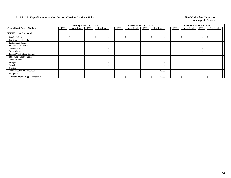|                                         |                          | <b>Operating Budget 2017-2018</b> |                          |            |                          | Revised Budget 2017-2018 |                          |            |                          | Unaudited Actuals 2017-2018     |                          |            |  |
|-----------------------------------------|--------------------------|-----------------------------------|--------------------------|------------|--------------------------|--------------------------|--------------------------|------------|--------------------------|---------------------------------|--------------------------|------------|--|
| <b>Counseling &amp; Career Guidance</b> | <b>FTE</b>               | Unrestricted                      | <b>FTE</b>               | Restricted | <b>FTE</b>               | Unrestricted             | FTE                      | Restricted | <b>FTE</b>               | Unrestricted                    | <b>FTE</b>               | Restricted |  |
| <b>NMSUA Aggie Cupboard</b>             |                          |                                   |                          |            |                          |                          |                          |            |                          |                                 |                          |            |  |
| <b>Faculty Salaries</b>                 | $\overline{\phantom{a}}$ | <sup>\$</sup>                     | $\overline{\phantom{a}}$ | J.         | $\overline{\phantom{a}}$ |                          | $\overline{\phantom{0}}$ |            | $\sim$                   | - 7<br>$\overline{\phantom{a}}$ | $\overline{\phantom{0}}$ | э          |  |
| Part-time Faculty Salaries              | $\overline{\phantom{a}}$ |                                   | $\overline{\phantom{a}}$ |            | $\overline{\phantom{a}}$ |                          | $\sim$                   |            | $\overline{\phantom{0}}$ | $\overline{\phantom{a}}$        | $\overline{\phantom{a}}$ |            |  |
| <b>Professional Salaries</b>            | $\overline{\phantom{a}}$ |                                   | $\overline{\phantom{0}}$ |            | $\overline{\phantom{a}}$ |                          | $\overline{\phantom{0}}$ |            | $\overline{\phantom{a}}$ |                                 | $\overline{\phantom{0}}$ |            |  |
| <b>Support Staff Salaries</b>           | $\overline{\phantom{0}}$ |                                   | $\overline{\phantom{0}}$ |            | $\overline{\phantom{a}}$ |                          | $\sim$                   |            | $-$                      | $\overline{\phantom{a}}$        | $\overline{\phantom{0}}$ |            |  |
| <b>GA/TA Salaries</b>                   | $\overline{\phantom{a}}$ |                                   | $\overline{\phantom{a}}$ |            | $\overline{\phantom{a}}$ |                          | $\overline{\phantom{0}}$ |            | $\overline{\phantom{a}}$ | $\overline{\phantom{a}}$        | $\overline{\phantom{a}}$ |            |  |
| <b>Student Salaries</b>                 | $\overline{\phantom{a}}$ |                                   | $\overline{\phantom{0}}$ |            | $\overline{\phantom{a}}$ |                          | $\overline{\phantom{a}}$ |            | $\overline{\phantom{0}}$ |                                 | $\overline{\phantom{a}}$ |            |  |
| Federal Work-Study Salaries             | $\overline{\phantom{a}}$ |                                   | $\overline{\phantom{0}}$ |            | $\overline{\phantom{0}}$ |                          | $\overline{\phantom{0}}$ |            | $\overline{\phantom{0}}$ |                                 | $\overline{\phantom{0}}$ |            |  |
| State Work-Study Salaries               | $\overline{\phantom{a}}$ |                                   | $\overline{\phantom{0}}$ |            | $\overline{\phantom{0}}$ |                          | $\sim$                   |            | $\overline{\phantom{0}}$ |                                 | $\overline{\phantom{0}}$ |            |  |
| Other Salaries                          | $\overline{\phantom{a}}$ |                                   | $\overline{\phantom{0}}$ |            | $\overline{\phantom{a}}$ |                          | $\overline{\phantom{0}}$ |            | $\overline{\phantom{a}}$ |                                 | $\overline{\phantom{a}}$ |            |  |
| Fringes                                 |                          |                                   |                          |            |                          |                          |                          |            |                          |                                 |                          |            |  |
| Travel                                  |                          |                                   |                          |            |                          |                          |                          |            |                          |                                 |                          |            |  |
| Utilities                               |                          |                                   |                          |            |                          |                          |                          |            |                          |                                 |                          |            |  |
| Other Supplies and Expenses             |                          |                                   |                          |            |                          |                          |                          | 4,000      |                          |                                 |                          |            |  |
| Equipment                               |                          |                                   |                          |            |                          |                          |                          |            |                          |                                 |                          |            |  |
| <b>Total NMSUA Aggie Cupboard</b>       | $\sim$                   | <sup>\$</sup>                     | $\overline{\phantom{0}}$ |            | $\overline{\phantom{0}}$ |                          | $\sim$                   | 4,000      | $\overline{\phantom{0}}$ | $\overline{\phantom{0}}$        | $\sim$                   | \$.        |  |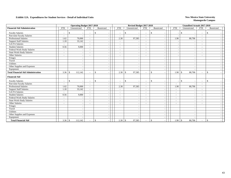|                                           |                          | <b>Operating Budget 2017-2018</b>         |                          |               |                          | Revised Budget 2017-2018       |                          |                                           |                          | <b>Unaudited Actuals 2017-2018</b>        |                          |               |
|-------------------------------------------|--------------------------|-------------------------------------------|--------------------------|---------------|--------------------------|--------------------------------|--------------------------|-------------------------------------------|--------------------------|-------------------------------------------|--------------------------|---------------|
| <b>Financial Aid Administration</b>       | <b>FTE</b>               | Unrestricted                              | <b>FTE</b>               | Restricted    | <b>FTE</b>               | Unrestricted                   | <b>FTE</b>               | Restricted                                | <b>FTE</b>               | Unrestricted                              | <b>FTE</b>               | Restricted    |
| <b>Faculty Salaries</b>                   | $\overline{\phantom{a}}$ | \$<br>$\sim$                              | $\overline{\phantom{a}}$ | \$            | $\overline{\phantom{a}}$ | \$<br>$\overline{\phantom{a}}$ | $\sim$                   | \$<br>$\overline{\phantom{a}}$            |                          | <sup>\$</sup><br>$\overline{\phantom{a}}$ | $\sim$                   | -\$           |
| Part-time Faculty Salaries                | $\overline{\phantom{a}}$ |                                           |                          |               | $\overline{\phantom{a}}$ |                                | $\overline{\phantom{a}}$ | $\overline{\phantom{a}}$                  |                          |                                           | $\overline{\phantom{a}}$ |               |
| Professional Salaries                     | 1.62                     | 70,000                                    | $\overline{\phantom{a}}$ |               | 2.30                     | 97,585                         | $\sim$                   | $\overline{\phantom{a}}$                  | 1.90                     | 80,706                                    | $\sim$                   |               |
| <b>Support Staff Salaries</b>             | 1.18                     | 33,142                                    | $\sim$                   |               | $\overline{\phantom{a}}$ |                                | $\overline{\phantom{a}}$ | $\overline{\phantom{a}}$                  |                          |                                           | $\overline{\phantom{a}}$ |               |
| <b>GA/TA Salaries</b>                     | $\sim$                   |                                           | $\overline{\phantom{a}}$ |               | $\overline{\phantom{a}}$ |                                | $\overline{\phantom{a}}$ | $\overline{\phantom{a}}$                  |                          |                                           | $\overline{\phantom{a}}$ |               |
| <b>Student Salaries</b>                   | 0.56                     | 9,000                                     |                          |               | $\overline{\phantom{a}}$ |                                | $\overline{\phantom{a}}$ | $\overline{\phantom{a}}$                  |                          |                                           | $\overline{\phantom{a}}$ |               |
| Federal Work-Study Salaries               | $\blacksquare$           | $\blacksquare$                            |                          |               | $\overline{\phantom{0}}$ |                                | $\overline{\phantom{a}}$ | $\overline{\phantom{a}}$                  |                          |                                           | $\overline{\phantom{a}}$ |               |
| State Work-Study Salaries                 | $\sim$                   | $\overline{\phantom{a}}$                  | $\sim$                   |               | ٠                        |                                | $\overline{\phantom{a}}$ | $\overline{\phantom{a}}$                  |                          |                                           | $\overline{\phantom{a}}$ |               |
| Other Salaries                            | $\sim$                   | $\overline{\phantom{a}}$                  | $\overline{\phantom{a}}$ |               | $\overline{\phantom{a}}$ |                                | $\overline{\phantom{a}}$ | $\overline{\phantom{a}}$                  |                          |                                           | $\overline{\phantom{a}}$ |               |
| Fringes                                   |                          | $\sim$                                    |                          |               |                          |                                |                          | $\overline{\phantom{a}}$                  |                          |                                           |                          |               |
| Travel                                    |                          | $\overline{\phantom{a}}$                  |                          |               |                          |                                |                          | $\sim$                                    |                          |                                           |                          |               |
| Utilities                                 |                          |                                           |                          |               |                          |                                |                          |                                           |                          |                                           |                          |               |
| Other Supplies and Expenses               |                          |                                           |                          |               |                          |                                |                          | $\overline{\phantom{a}}$                  |                          |                                           |                          |               |
| Equipment                                 |                          |                                           |                          |               |                          |                                |                          | $\overline{\phantom{a}}$                  |                          |                                           |                          |               |
| <b>Total Financial Aid Administration</b> | 3.36                     | 112,142<br>\$                             |                          | $\mathcal{S}$ | 2.30                     | $\mathbb{S}$<br>97,585         | $\overline{\phantom{a}}$ | $\mathbb{S}$                              | 1.90                     | 80,706<br>$\mathbf{\hat{S}}$              | $\overline{\phantom{a}}$ | $\mathcal{S}$ |
| <b>Financial Aid</b>                      |                          |                                           |                          |               |                          |                                |                          |                                           |                          |                                           |                          |               |
| <b>Faculty Salaries</b>                   | $\blacksquare$           | $\mathbf{\$}$<br>$\overline{\phantom{a}}$ | $\overline{\phantom{a}}$ | $\mathbb{S}$  | $\overline{\phantom{a}}$ | $\mathbb{S}$                   |                          | $\mathcal{S}$<br>$\overline{\phantom{a}}$ |                          | \$                                        | $\sim$                   | $\mathcal{S}$ |
| Part-time Faculty Salaries                | $\overline{\phantom{a}}$ |                                           | $\overline{\phantom{a}}$ |               | $\sim$                   |                                | $\overline{\phantom{a}}$ | $\overline{\phantom{a}}$                  | $\overline{\phantom{a}}$ |                                           | $\sim$                   |               |
| <b>Professional Salaries</b>              | 1.62                     | 70,000                                    | $\overline{\phantom{a}}$ |               | 2.30                     | 97,585                         | $\sim$                   | $\overline{\phantom{a}}$                  | 1.90                     | 80,706                                    | $\sim$                   |               |
| <b>Support Staff Salaries</b>             | 1.18                     | 33,142                                    |                          |               | $\overline{\phantom{a}}$ |                                | $\overline{\phantom{a}}$ | $\overline{\phantom{a}}$                  | $\overline{\phantom{a}}$ |                                           | $\overline{\phantom{a}}$ |               |
| <b>GA/TA Salaries</b>                     | $\sim$                   |                                           |                          |               | $\overline{\phantom{a}}$ |                                | $\overline{\phantom{a}}$ | $\overline{\phantom{a}}$                  | $\sim$                   |                                           | $\overline{\phantom{a}}$ |               |
| <b>Student Salaries</b>                   | 0.56                     | 9,000                                     |                          |               | $\overline{\phantom{a}}$ |                                | $\overline{\phantom{a}}$ | $\overline{\phantom{a}}$                  | $\overline{\phantom{a}}$ |                                           | $\overline{\phantom{a}}$ |               |
| Federal Work-Study Salaries               | $\blacksquare$           | $\overline{\phantom{a}}$                  |                          |               | $\sim$                   | $\overline{\phantom{a}}$       | $\sim$                   | $\overline{\phantom{a}}$                  | $\overline{\phantom{a}}$ |                                           | $\sim$                   |               |
| <b>State Work-Study Salaries</b>          | $\sim$                   | $\overline{\phantom{a}}$                  | $\overline{\phantom{a}}$ |               | $\overline{\phantom{a}}$ | $\overline{\phantom{a}}$       | $\overline{\phantom{0}}$ | $\overline{\phantom{a}}$                  | $\overline{\phantom{a}}$ |                                           | $\overline{\phantom{a}}$ |               |
| Other Salaries                            |                          | $\overline{a}$                            |                          |               | $\overline{\phantom{a}}$ |                                |                          | $\overline{\phantom{a}}$                  |                          |                                           |                          |               |
| Fringes                                   |                          | $\sim$                                    |                          |               |                          |                                |                          | $\overline{\phantom{a}}$                  |                          |                                           |                          |               |
| Travel                                    |                          | $\overline{\phantom{a}}$                  |                          |               |                          |                                |                          | $\overline{\phantom{a}}$                  |                          |                                           |                          |               |
| Utilities                                 |                          | $\overline{\phantom{a}}$                  |                          |               |                          |                                |                          | $\overline{\phantom{a}}$                  |                          |                                           |                          |               |
| Other Supplies and Expenses               |                          | $\sim$                                    |                          |               |                          |                                |                          | $\overline{\phantom{a}}$                  |                          |                                           |                          |               |
| Equipment                                 |                          |                                           |                          |               |                          |                                |                          |                                           |                          |                                           |                          |               |
| <b>Total Financial Aid</b>                |                          | 112,142                                   |                          | $\mathcal{S}$ | $2.30 \, \text{S}$       | 97,585                         | $\sim$                   | \$                                        | 1.90                     | $\vert$ \$<br>80,706                      | $\overline{\phantom{a}}$ | $\mathbb{S}$  |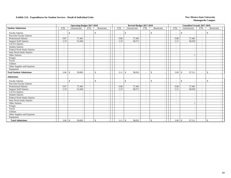|                                  |                          | <b>Operating Budget 2017-2018</b>        |                          |              |                          | Revised Budget 2017-2018 |                          |                                           |                          | <b>Unaudited Actuals 2017-2018</b>       |                          |               |
|----------------------------------|--------------------------|------------------------------------------|--------------------------|--------------|--------------------------|--------------------------|--------------------------|-------------------------------------------|--------------------------|------------------------------------------|--------------------------|---------------|
| <b>Student Admissions</b>        | <b>FTE</b>               | Unrestricted                             | <b>FTE</b>               | Restricted   | <b>FTE</b>               | Unrestricted             | <b>FTE</b>               | Restricted                                | <b>FTE</b>               | Unrestricted                             | <b>FTE</b>               | Restricted    |
| <b>Faculty Salaries</b>          | $\overline{\phantom{a}}$ | \$<br>$\overline{\phantom{a}}$           | $\overline{\phantom{a}}$ | -\$          | $\overline{\phantom{a}}$ | \$                       | $\sim$                   | <sup>\$</sup><br>$\overline{\phantom{a}}$ | $\overline{\phantom{a}}$ | $\mathbb{S}$<br>$\overline{\phantom{a}}$ | $\sim$                   | -\$           |
| Part-time Faculty Salaries       | $\overline{\phantom{a}}$ |                                          |                          |              | $\sim$                   |                          | $\overline{\phantom{a}}$ | $\overline{\phantom{a}}$                  | $\overline{\phantom{a}}$ |                                          | $\overline{\phantom{a}}$ |               |
| <b>Professional Salaries</b>     | 0.87                     | 37,481                                   | $\sim$                   |              | 0.88                     | 37,481                   | $\sim$                   | $\overline{\phantom{a}}$                  | 0.88                     | 37,481                                   | $\sim$                   |               |
| <b>Support Staff Salaries</b>    | 2.19                     | 61,604                                   | $\overline{\phantom{a}}$ |              | 2.23                     | 60,571                   | $\sim$                   | $\overline{\phantom{a}}$                  | 2.21                     | 60,029                                   | $\sim$                   |               |
| <b>GA/TA Salaries</b>            | $\overline{\phantom{a}}$ |                                          |                          |              | $\overline{\phantom{a}}$ |                          | $\overline{\phantom{a}}$ | $\overline{\phantom{a}}$                  | $\sim$                   |                                          | $\overline{\phantom{a}}$ |               |
| <b>Student Salaries</b>          | $\overline{\phantom{a}}$ | $\overline{\phantom{a}}$                 | $\overline{\phantom{a}}$ |              | $\overline{\phantom{a}}$ |                          | $\overline{\phantom{a}}$ | $\overline{\phantom{a}}$                  | $\sim$                   |                                          | $\sim$                   |               |
| Federal Work-Study Salaries      | $\blacksquare$           | $\sim$                                   | $\overline{\phantom{0}}$ |              | $\overline{\phantom{a}}$ |                          | $\overline{\phantom{a}}$ | $\overline{\phantom{a}}$                  | $\overline{\phantom{a}}$ |                                          | $\overline{\phantom{a}}$ |               |
| <b>State Work-Study Salaries</b> | $\sim$                   | $\overline{\phantom{a}}$                 | $\overline{\phantom{a}}$ |              | $\overline{\phantom{a}}$ |                          | $\overline{\phantom{a}}$ | $\overline{\phantom{a}}$                  | $\overline{\phantom{a}}$ |                                          | $\sim$                   |               |
| Other Salaries                   | $\overline{\phantom{a}}$ | $\overline{\phantom{a}}$                 | $\overline{\phantom{a}}$ |              | ۰                        |                          | $\overline{\phantom{a}}$ | $\overline{a}$                            | $\overline{\phantom{a}}$ |                                          | $\overline{\phantom{a}}$ |               |
| Fringes                          |                          | $\overline{\phantom{a}}$                 |                          |              |                          |                          |                          | $\overline{\phantom{a}}$                  |                          | ٠.                                       |                          |               |
| Travel                           |                          | $\overline{\phantom{a}}$                 |                          |              |                          |                          |                          | $\overline{\phantom{a}}$                  |                          |                                          |                          |               |
| <b>Utilities</b>                 |                          | $\overline{\phantom{a}}$                 |                          |              |                          |                          |                          | $\overline{\phantom{a}}$                  |                          |                                          |                          |               |
| Other Supplies and Expenses      |                          |                                          |                          |              |                          |                          |                          | $\overline{\phantom{a}}$                  |                          |                                          |                          |               |
| Equipment                        |                          |                                          |                          |              |                          |                          |                          | $\overline{\phantom{a}}$                  |                          |                                          |                          |               |
| <b>Total Student Admissions</b>  | 3.06                     | 99,085<br><sup>\$</sup>                  |                          | \$           | 3.11                     | 98,052<br><sup>\$</sup>  |                          | $\mathbb{S}$                              | 3.09                     | 97,511<br><sup>\$</sup>                  | $\overline{\phantom{a}}$ | $\mathcal{S}$ |
| <b>Admissions</b>                |                          |                                          |                          |              |                          |                          |                          |                                           |                          |                                          |                          |               |
| <b>Faculty Salaries</b>          | $\overline{\phantom{a}}$ | $\mathbb{S}$<br>$\overline{\phantom{a}}$ | $\overline{\phantom{a}}$ | $\mathbb{S}$ | $\overline{\phantom{a}}$ | $\mathbb{S}$             | $\overline{a}$           | $\mathbb{S}$<br>$\overline{\phantom{a}}$  | $\sim$                   | $\mathcal{S}$                            | $\sim$                   | $\mathcal{S}$ |
| Part-time Faculty Salaries       | $\overline{\phantom{a}}$ |                                          | $\sim$                   |              | $\overline{\phantom{a}}$ |                          | $\overline{\phantom{a}}$ | $\overline{\phantom{a}}$                  | $\overline{\phantom{a}}$ |                                          | $\sim$                   |               |
| <b>Professional Salaries</b>     | 0.87                     | 37,481                                   | $\overline{\phantom{a}}$ |              | 0.88                     | 37,481                   | $\sim$                   | $\overline{\phantom{a}}$                  | 0.88                     | 37,481                                   | $\sim$                   |               |
| <b>Support Staff Salaries</b>    | 2.19                     | 61,604                                   |                          |              | 2.23                     | 60,571                   | $\sim$                   | $\overline{\phantom{a}}$                  | 2.21                     | 60,029                                   | $\overline{\phantom{a}}$ |               |
| <b>GA/TA Salaries</b>            | $\overline{\phantom{a}}$ |                                          |                          |              | $\overline{\phantom{a}}$ |                          | $\overline{\phantom{a}}$ | $\overline{\phantom{a}}$                  | $\overline{\phantom{a}}$ |                                          | $\overline{\phantom{a}}$ |               |
| <b>Student Salaries</b>          | $\overline{\phantom{a}}$ | $\overline{\phantom{a}}$                 | $\overline{\phantom{a}}$ |              | $\overline{\phantom{a}}$ |                          | $\overline{\phantom{a}}$ | $\overline{\phantom{a}}$                  | $\sim$                   |                                          | $\overline{\phantom{a}}$ |               |
| Federal Work-Study Salaries      | $\overline{\phantom{a}}$ | $\overline{\phantom{a}}$                 |                          |              | $\overline{\phantom{a}}$ | $\overline{\phantom{a}}$ | $\sim$                   | $\overline{\phantom{a}}$                  | $\sim$                   |                                          | $\overline{\phantom{a}}$ |               |
| <b>State Work-Study Salaries</b> | $\overline{a}$           | $\overline{\phantom{a}}$                 | $\overline{\phantom{a}}$ |              | $\overline{\phantom{a}}$ | $\overline{\phantom{a}}$ | $\sim$                   | $\overline{\phantom{a}}$                  | $\overline{\phantom{a}}$ |                                          | $\overline{\phantom{a}}$ |               |
| Other Salaries                   | $\sim$                   | $\overline{\phantom{a}}$                 |                          |              | $\overline{\phantom{a}}$ |                          |                          | $\overline{\phantom{a}}$                  | $\overline{\phantom{a}}$ |                                          | $\overline{\phantom{a}}$ |               |
| Fringes                          |                          | $\overline{\phantom{a}}$                 |                          |              |                          |                          |                          | $\overline{\phantom{a}}$                  |                          |                                          |                          |               |
| Travel                           |                          | $\overline{\phantom{a}}$                 |                          |              |                          |                          |                          | $\overline{\phantom{a}}$                  |                          |                                          |                          |               |
| <b>Utilities</b>                 |                          | $\overline{\phantom{a}}$                 |                          |              |                          |                          |                          | $\overline{\phantom{a}}$                  |                          |                                          |                          |               |
| Other Supplies and Expenses      |                          | $\overline{\phantom{a}}$                 |                          |              |                          |                          |                          | $\overline{\phantom{a}}$                  |                          |                                          |                          |               |
| Equipment                        |                          |                                          |                          |              |                          |                          |                          |                                           |                          |                                          |                          |               |
| <b>Total Admissions</b>          |                          | 99,085                                   |                          | $\mathbb{S}$ |                          | 98,052                   | $\sim$                   | $\mathbb{S}$                              |                          | 97,511                                   | $\overline{\phantom{a}}$ | $\mathbb{S}$  |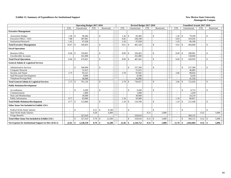#### **Exhibit 13. Summary of Expenditures for Institutional Support** New Mexico State University

|                                                        |            | <b>Operating Budget 2017-2018</b> |                          |                                                |                          | Revised Budget 2017-2018 |                          |                   |            | <b>Unaudited Actuals 2017-2018</b> |                          |                    |  |
|--------------------------------------------------------|------------|-----------------------------------|--------------------------|------------------------------------------------|--------------------------|--------------------------|--------------------------|-------------------|------------|------------------------------------|--------------------------|--------------------|--|
|                                                        | <b>FTE</b> | Unrestricted                      | <b>FTE</b>               | Restricted                                     | <b>FTE</b>               | Unrestricted             | <b>FTE</b>               | Restricted        | <b>FTE</b> | Unrestricted                       | <b>FTE</b>               | Restricted         |  |
| <b>Executive Management</b>                            |            |                                   |                          |                                                |                          |                          |                          |                   |            |                                    |                          |                    |  |
| <b>Assessment Budget</b>                               | 1.38       | 90.484<br>\$                      | $\sim$                   | $\mathbf{s}$<br>$\overline{\phantom{a}}$       | 1.36                     | 83.484<br><sup>\$</sup>  |                          | \$                | 1.36       | 79.299<br>-\$                      |                          | <sup>\$</sup>      |  |
| Executive Office - CEO                                 | 7.88       | 387.881                           | $\sim$                   | $\overline{\phantom{a}}$                       | 6.82                     | 330,198                  | $\sim$                   |                   | 6.83       | 319,435                            | $\sim$                   |                    |  |
| <b>Institutional Research</b>                          | 1.41       | 67,638                            | $\sim$                   | $\overline{\phantom{a}}$                       | 1.43                     | 67,638                   | $\sim$                   |                   | 1.43       | 66,106                             | $\sim$                   |                    |  |
| <b>Total Executive Management</b>                      | 10.67      | 546,003<br>-\$                    |                          | $\mathbf{\hat{S}}$<br>$\overline{\phantom{a}}$ | 9.61                     | 481,320<br>$\mathbf{s}$  |                          | \$                | 9.62       | 464,840<br>-\$                     |                          | <sup>\$</sup>      |  |
| <b>Fiscal Operations</b>                               |            |                                   |                          |                                                |                          |                          |                          |                   |            |                                    |                          |                    |  |
| <b>Business Office</b>                                 | 8.46       | 318,601<br>\$                     | $\sim$                   | $\mathbf{s}$<br>$\overline{\phantom{a}}$       | 8.89                     | <sup>\$</sup><br>326,465 |                          | \$                | 8.40       | l \$<br>298,901                    | $\overline{a}$           | \$                 |  |
| <b>Uncollectible Accounts</b>                          |            | 161,000                           |                          | $\overline{\phantom{a}}$                       |                          | 161,000                  |                          |                   |            | 130,058                            |                          |                    |  |
| <b>Total Fiscal Operations</b>                         | 8.46       | 479,601<br>\$                     | $\sim$                   | $\mathcal{S}$                                  | 8.89                     | 487,465<br>-\$           |                          | \$                | 8.40       | 428,959<br>$\mathcal{S}$           | -                        | $\mathcal{S}$      |  |
| <b>General Admin &amp; Logistical Services</b>         |            |                                   |                          |                                                |                          |                          |                          |                   |            |                                    |                          |                    |  |
| <b>Administrative Services</b>                         |            | 568,900<br>\$                     | $\overline{\phantom{a}}$ | $\mathbf{s}$<br>$\overline{\phantom{a}}$       | $\overline{\phantom{a}}$ | 537,300<br>\$.           | $\overline{\phantom{a}}$ | -\$               |            | $\mathbf{\hat{S}}$<br>537,300      | ÷.                       | $\mathbf{\hat{S}}$ |  |
| <b>Computer Network</b>                                |            | 51,015                            | $\overline{\phantom{a}}$ | $\overline{\phantom{a}}$                       | $\overline{\phantom{a}}$ | 51.015                   |                          |                   |            | 46.685                             |                          |                    |  |
| Security and Alarm                                     | 2.75       | 93,221                            | $\sim$                   | $\sim$                                         | 2.78                     | 91.842                   | $\overline{\phantom{a}}$ |                   | 2.66       | 88,656                             | ÷,                       |                    |  |
| <b>Staff Personnel Development</b>                     |            | 8.000                             | $\sim$                   | $\sim$                                         | $\sim$                   | 8.500                    | $\sim$                   |                   |            | 8,439                              | ÷,                       |                    |  |
| Telephone/Postage/Mail                                 |            | 40,000                            | $\sim$                   |                                                | $\overline{\phantom{a}}$ | 42,000                   | $\overline{a}$           |                   |            | 41,556                             | $\overline{a}$           |                    |  |
| <b>Total General Admin &amp; Logistical Services</b>   | 2.75       | 761,136<br>-8                     |                          | $\mathcal{S}$                                  | 2.78                     | $\mathcal{S}$<br>730,657 |                          | -\$               | 2.66       | 722,636<br>-\$                     |                          | \$                 |  |
| <b>Public Relations/Development</b>                    |            |                                   |                          |                                                |                          |                          |                          |                   |            |                                    |                          |                    |  |
| Accreditation                                          |            | $\mathbf{s}$<br>9,200             | $\sim$                   | $\mathbf{\hat{S}}$                             | $\sim$                   | $\mathbf{s}$<br>9,200    | $\overline{\phantom{a}}$ | $\mathbb{S}$      |            | $\mathbb{S}$<br>8,753              | $\overline{\phantom{a}}$ | \$                 |  |
| Commencement                                           |            | 1,600                             | $\sim$                   | $\overline{\phantom{a}}$                       | $\sim$                   | 1.600                    | $\overline{a}$           |                   |            | 1,639                              | $\overline{\phantom{a}}$ |                    |  |
| Dues and Memberships                                   |            | 30,000                            | $\sim$                   | $\overline{\phantom{a}}$                       |                          | 30,000                   | $\overline{\phantom{a}}$ |                   |            | 24,219                             | $\sim$                   |                    |  |
| Public Information                                     | 0.77       | 83,000                            | $\sim$                   |                                                | 1.18                     | 93,900                   |                          |                   | 1.10       | 86,827                             |                          |                    |  |
| <b>Total Public Relations/Development</b>              | 0.77       | 123,800<br>$\mathcal{S}$          | $\sim$                   | $\mathcal{S}$                                  | 1.18                     | 134,700<br>$\mathcal{S}$ |                          | <sup>\$</sup>     | 1.10       | 121,438<br>-\$                     | $\overline{a}$           | \$                 |  |
| Other Items Not Included in Exhibit 13A's              |            |                                   |                          |                                                |                          |                          |                          |                   |            |                                    |                          |                    |  |
| Federal Work-Study Salaries                            |            | $\mathbf{\hat{S}}$                | 0.51                     | $\mathcal{S}$<br>8,100                         | $\sim$                   | $\mathbf{s}$<br>$\sim$   | $\overline{\phantom{a}}$ | \$                |            | $\mathbb{S}$                       | ÷,                       | $\mathcal{S}$      |  |
| <b>State Work-Study Salaries</b>                       |            |                                   | 0.28                     | 4,400                                          | $\sim$                   |                          | 0.31                     | 5,000             |            |                                    | 0.32                     | 5,096              |  |
| Fringe Benefits                                        |            | 327,610                           |                          |                                                |                          | 310,610                  |                          |                   |            | 304,131                            |                          |                    |  |
| <b>Total Other Items Not Included in Exhibit 13A's</b> |            | 327,610<br><sup>\$</sup>          | 0.79                     | $\mathbf{s}$<br>12,500                         |                          | 310,610<br>\$.           | 0.31                     | 5,000<br><b>S</b> |            | $\mathbf{\hat{S}}$<br>304,131      | 0.32                     | 5,096<br>- \$      |  |
| Net Expense for Institutional Support in I&G (Exh 2)   | 22.65      | 2,238,150<br>-9                   | 0.79                     | 12,500<br>-\$                                  | 22.46                    | 2,144,752<br>-8          | $0.31 \, \vert \, \$$    | 5,000             | 21.78      | 2,042,004<br>-\$                   | 0.32                     | 5,096<br>- \$      |  |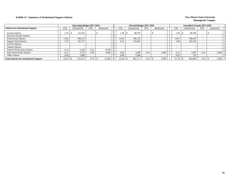### **Exhibit 13. Summary of Institutional Support Salaries New Mexico State University**

|                                                 |            | <b>Operating Budget 2017-2018</b> |            |            |            | Revised Budget 2017-2018 |                          |            |            | Unaudited Actuals 2017-2018 |                          |            |  |
|-------------------------------------------------|------------|-----------------------------------|------------|------------|------------|--------------------------|--------------------------|------------|------------|-----------------------------|--------------------------|------------|--|
| <b>Salaries for Institutional Support</b>       | <b>FTE</b> | Unrestricted                      | <b>FTE</b> | Restricted | <b>FTE</b> | Unrestricted             | <b>FTE</b>               | Restricted | <b>FTE</b> | Unrestricted                | <b>FTE</b>               | Restricted |  |
| <b>Faculty Salaries</b>                         | 2.70       | 151,353                           |            |            | 1.58       | 88,795                   |                          |            | 1.58       | 88,796                      |                          |            |  |
| Part-time Faculty Salaries                      |            |                                   |            |            |            |                          | $\overline{\phantom{0}}$ |            |            |                             | $\overline{\phantom{0}}$ |            |  |
| <b>Professional Salaries</b>                    | 13.82      | 596,132                           |            |            | 14.05      | 596,132                  |                          |            | 14.07      | 596.643                     |                          |            |  |
| <b>Support Staff Salaries</b>                   | 5.74       | 161,277                           |            |            | 6.51       | 176,662                  |                          |            | 5.98       | 162,536                     |                          |            |  |
| <b>GA/TA Salaries</b>                           |            |                                   | -          |            |            |                          |                          |            |            |                             | $\overline{\phantom{0}}$ |            |  |
| <b>Student Salaries</b>                         |            |                                   |            |            |            |                          |                          |            |            |                             |                          |            |  |
| Federal Work-Study Salaries                     | 0.14       | 2,250                             | 0.51       | 8.100      |            |                          |                          |            |            |                             |                          |            |  |
| <b>State Work-Study Salaries</b>                | 0.21       | 3,375                             | 0.28       | 4.400      | 0.28       | 4.500                    | 0.31                     | 5,000      | 0.12       | 1.907                       | 0.32                     | 5,096      |  |
| Other Salaries                                  | 0.04       | 1.088                             |            |            | 0.04       | 1.088                    |                          |            | 0.03       | 724                         |                          |            |  |
| <b>Total Salaries for Institutional Support</b> | 22.65      | 915,475                           | 0.79       | 12,500     | 22.46      | 867,177                  | 0.31                     | 5,000      | 21.78      | 850,606                     | 0.32                     | 5,096      |  |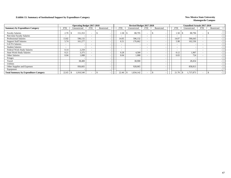### **Exhibit 13. Summary of Institutional Support by Expenditure Category New Mexico State University New Mexico State University**

|                                              |                          | <b>Operating Budget 2017-2018</b> |            |            |            | Revised Budget 2017-2018 |            |            |            | <b>Unaudited Actuals 2017-2018</b> |                          |            |  |
|----------------------------------------------|--------------------------|-----------------------------------|------------|------------|------------|--------------------------|------------|------------|------------|------------------------------------|--------------------------|------------|--|
| <b>Summary by Expenditure Category</b>       | FTE                      | Unrestricted                      | <b>FTE</b> | Restricted | <b>FTE</b> | Unrestricted             | <b>FTE</b> | Restricted | <b>FTE</b> | Unrestricted                       | <b>FTE</b>               | Restricted |  |
| <b>Faculty Salaries</b>                      | 2.70                     | 151,353                           |            |            | l.58       | 88,795                   |            |            | 1.58       | 88,796                             | $\overline{\phantom{a}}$ |            |  |
| Part-time Faculty Salaries                   | $\sim$                   |                                   |            |            |            |                          |            |            |            |                                    | $\overline{\phantom{0}}$ |            |  |
| <b>Professional Salaries</b>                 | 13.82                    | 596,132                           |            |            | 14.05      | 596,132                  |            |            | 14.07      | 596,643                            | $\overline{\phantom{a}}$ |            |  |
| <b>Support Staff Salaries</b>                | 5.74                     | 161,277                           |            |            | 6.51       | 176,662                  |            |            | 5.98       | 162,536                            | $\overline{\phantom{0}}$ |            |  |
| <b>GA/TA Salaries</b>                        | $\overline{\phantom{0}}$ |                                   |            |            |            |                          |            |            |            |                                    | $\overline{\phantom{a}}$ |            |  |
| <b>Student Salaries</b>                      |                          |                                   |            |            |            |                          |            |            |            |                                    |                          |            |  |
| Federal Work-Study Salaries                  | 0.14                     | 2,250                             |            |            |            |                          |            |            |            |                                    | $\overline{\phantom{0}}$ |            |  |
| <b>State Work-Study Salaries</b>             | 0.21                     | 3,375                             |            |            | 0.28       | 4,500                    |            |            | 0.12       | 1,907                              | $\overline{\phantom{0}}$ |            |  |
| <b>Other Salaries</b>                        | 0.04                     | 1,088                             |            |            | 0.04       | 1,088                    |            |            | 0.03       | 724                                | $\overline{\phantom{0}}$ |            |  |
| Fringes                                      |                          |                                   |            |            |            |                          |            |            |            |                                    |                          |            |  |
| Travel                                       |                          | 38,400                            |            |            |            | 38,900                   |            |            |            | 28,454                             |                          |            |  |
| <b>Utilities</b>                             |                          |                                   |            |            |            |                          |            |            |            |                                    |                          |            |  |
| Other Supplies and Expenses                  |                          | 956,665                           |            |            |            | 928,065                  |            |            |            | 858,813                            |                          |            |  |
| Equipment                                    |                          |                                   |            |            |            |                          |            |            |            |                                    |                          |            |  |
| <b>Total Summary by Expenditure Category</b> | 22.65                    | 1,910,540<br>-S                   |            |            | 22.46      | 1,834,142<br>- 5         |            |            | 21.78      | 1,737,873<br>-S                    |                          |            |  |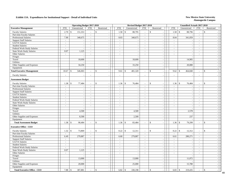|                                     | <b>Operating Budget 2017-2018</b> |                          |                             |                          |                          | Revised Budget 2017-2018  |                             |                                 |                            | <b>Unaudited Actuals 2017-2018</b> |                          |                                                |
|-------------------------------------|-----------------------------------|--------------------------|-----------------------------|--------------------------|--------------------------|---------------------------|-----------------------------|---------------------------------|----------------------------|------------------------------------|--------------------------|------------------------------------------------|
| <b>Executive Management</b>         | <b>FTE</b>                        | Unrestricted             | <b>FTE</b>                  | Restricted               | ${\rm FTE}$              | Unrestricted              | <b>FTE</b>                  | Restricted                      | <b>FTE</b>                 | Unrestricted                       | <b>FTE</b>               | Restricted                                     |
| <b>Faculty Salaries</b>             | 2.70                              | 151,353<br>\$            | $\sim$                      | $\mathbf{\hat{S}}$       | 1.58                     | $\overline{\$}$<br>88,795 | $\sim$                      | $\mathbb{S}$<br>$\blacksquare$  | 1.58<br>$\mathcal{S}$      | 88,796                             | $\blacksquare$           | $\mathbb{S}$                                   |
| Part-time Faculty Salaries          | $\sim$                            | $\overline{\phantom{a}}$ | $\sim$                      | $\sim$                   | $\mathcal{L}$            | $\sim$                    | $\mathbb{Z}^+$              | $\sim$                          | $\mathcal{L}$              |                                    | $\sim$                   | $\overline{\phantom{a}}$                       |
| Professional Salaries               | 7.90                              | 340,675                  | $\sim$                      |                          | 8.03                     | 340,675                   | $\omega$                    | $\blacksquare$                  | 8.04                       | 341,059                            | $\bar{\phantom{a}}$      |                                                |
| <b>Support Staff Salaries</b>       | $\overline{\phantom{a}}$          | $\sim$                   | $\sim$                      | $\sim$                   | $\omega$                 |                           | $\mathcal{L}$               | $\overline{\phantom{a}}$        | $\mathcal{L}$              |                                    | $\overline{\phantom{a}}$ | $\sim$                                         |
| GA/TA Salaries                      | $\mathbb{Z}^2$                    | $\sim$                   | $\mathcal{L}_{\mathcal{A}}$ | $\sim$                   | $\omega$                 | $\sim$                    | $\mathbb{Z}^+$              | $\sim$                          | $\omega$                   | L,                                 | $\mathcal{L}$            | $\sim$                                         |
| <b>Student Salaries</b>             | $\blacksquare$                    | $\sim$                   | $\omega$                    | $\blacksquare$           | $\blacksquare$           | $\overline{\phantom{a}}$  | $\mathcal{L}_{\mathcal{A}}$ | $\sim$                          | $\blacksquare$             |                                    | $\blacksquare$           | $\sim$                                         |
| Federal Work-Study Salaries         | $\sim$                            | $\sim$                   | $\sim$                      | $\sim$                   | $\sim$                   | $\sim$                    | $\sim$                      | $\sim$                          | $\sim$                     | $\overline{a}$                     | $\sim$                   | $\sim$                                         |
| <b>State Work-Study Salaries</b>    | 0.07                              | 1,125                    | $\omega$                    |                          | $\sim$                   |                           | $\equiv$                    | $\overline{\phantom{a}}$        | $\blacksquare$             |                                    | $\overline{a}$           |                                                |
| Other Salaries                      | $\sim$                            | $\sim$                   | $\sim$                      | $\sim$                   | $\sim$                   | $\sim$                    | $\mathcal{L}^{\mathcal{A}}$ | $\mathcal{L}_{\mathcal{A}}$     | $\sim$                     | $\overline{a}$                     | $\sim$                   | $\sim$                                         |
| Fringes                             |                                   | $\sim$                   |                             | $\mathbb{Z}^2$           |                          | $\sim$                    |                             | $\sim$                          |                            |                                    |                          | $\sim$                                         |
| Travel                              |                                   | 18,600                   |                             | $\sim$                   |                          | 18,600                    |                             | $\sim$                          |                            | 14,905                             |                          | $\overline{\phantom{a}}$                       |
| Utilities                           |                                   | $\sim$                   |                             | $\sim$                   |                          | $\sim$                    |                             | $\sim$                          |                            |                                    |                          | $\overline{\phantom{a}}$                       |
| Other Supplies and Expenses         |                                   | 34,250                   |                             |                          |                          | 33,250                    |                             | $\sim$                          |                            | 20,080                             |                          | $\sim$                                         |
| Equipment                           |                                   |                          |                             | $\sim$                   |                          |                           |                             | $\mathcal{L}_{\mathcal{A}}$     |                            |                                    |                          | $\sim$                                         |
| <b>Total Executive Management</b>   | 10.67                             | 546,003<br>\$            | $\sim$                      | $\mathbf{\hat{S}}$       | 9.61                     | 481,320<br>$\mathbb{S}$   | $\overline{a}$              | <sup>\$</sup><br>$\overline{a}$ | 9.62<br>$\mathbf{\hat{S}}$ | 464,840                            | $\overline{a}$           | ${\mathbb S}$<br>$\sim$                        |
| <b>Faculty Salaries</b>             |                                   | $\overline{\phantom{a}}$ | $\sim$                      |                          |                          |                           | $\overline{\phantom{a}}$    | $\overline{a}$                  | $\overline{\phantom{a}}$   |                                    | $\blacksquare$           | $\sim$                                         |
| <b>Assessment Budget</b>            |                                   |                          |                             |                          |                          |                           |                             |                                 |                            |                                    |                          |                                                |
| <b>Faculty Salaries</b>             | 1.38                              | $\mathbb{S}$<br>77,484   | $\sim$                      | $\mathbf{\hat{S}}$       | 1.36                     | \$<br>76,484              |                             | <sup>\$</sup>                   | 1.36<br>$\mathbf{\hat{S}}$ | 76,484                             | $\bar{a}$                | \$                                             |
| Part-time Faculty Salaries          | $\sim$                            | $\sim$                   | $\sim$                      | $\sim$                   | $\sim$                   | $\overline{\phantom{a}}$  | $\sim$                      | $\sim$                          | $\blacksquare$             |                                    | $\blacksquare$           | $\sim$                                         |
| Professional Salaries               | $\sim$                            | $\sim$                   | $\sim$                      | $\overline{a}$           | $\sim$                   | $\overline{\phantom{a}}$  | $\sim$                      | $\blacksquare$                  | $\sim$                     |                                    | $\sim$                   | $\sim$                                         |
| <b>Support Staff Salaries</b>       | $\blacksquare$                    | $\sim$                   | $\omega$                    |                          | $\blacksquare$           | $\overline{\phantom{a}}$  | $\equiv$                    | $\Box$                          | $\blacksquare$             |                                    | $\overline{a}$           | $\sim$                                         |
| GA/TA Salaries                      | $\sim$                            | $\mathcal{L}$            | $\sim$                      | $\sim$                   | $\sim$                   | $\mathbf{r}$              | $\mathcal{L}^{\pm}$         | $\sim$                          | $\sim$                     | $\overline{\phantom{a}}$           | $\sim$                   | $\sim$                                         |
| <b>Student Salaries</b>             | $\sim$                            | $\sim$                   | $\sim$                      | $\overline{\phantom{a}}$ | $\sim$                   | $\overline{\phantom{a}}$  | $\sim$                      | $\overline{\phantom{a}}$        | $\blacksquare$             | $\overline{\phantom{a}}$           | $\overline{\phantom{a}}$ | $\overline{\phantom{a}}$                       |
| Federal Work-Study Salaries         | $\sim$                            | $\sim$                   | $\sim$                      | $\overline{\phantom{a}}$ | $\sim$                   | $\blacksquare$            | $\omega$                    | $\overline{\phantom{a}}$        | $\sim$                     | $\overline{\phantom{a}}$           | $\mathbb{L}$             | $\sim$                                         |
| <b>State Work-Study Salaries</b>    | $\mathbb{L}$                      | $\sim$                   | $\sim$                      | $\overline{\phantom{a}}$ | $\sim$                   | $\sim$                    | $\mathcal{L}_{\mathcal{A}}$ | $\overline{\phantom{a}}$        | $\sim$                     | J.                                 | $\sim$                   | $\sim$                                         |
| Other Salaries                      | $\sim$                            | $\sim$                   | $\sim$                      |                          | $\overline{\phantom{a}}$ | $\sim$                    | $\overline{\phantom{a}}$    | $\blacksquare$                  | $\overline{\phantom{a}}$   | J.                                 | $\overline{a}$           | $\overline{\phantom{a}}$                       |
| Fringes                             |                                   | $\sim$                   |                             | $\sim$                   |                          | $\overline{\phantom{a}}$  |                             | $\sim$                          |                            |                                    |                          | $\sim$                                         |
| Travel                              |                                   | 4,500                    |                             | $\sim$                   |                          | 4,500                     |                             | $\sim$                          |                            | 2,578                              |                          | $\overline{\phantom{a}}$                       |
| Utilities                           |                                   | $\overline{a}$           |                             | $\sim$                   |                          | $\overline{a}$            |                             | $\blacksquare$                  |                            |                                    |                          | $\overline{\phantom{a}}$                       |
| Other Supplies and Expenses         |                                   | 8,500                    |                             | $\sim$                   |                          | 2,500                     |                             | $\sim$                          |                            | 237                                |                          | $\sim$                                         |
| Equipment                           |                                   |                          |                             | ÷,                       |                          |                           |                             | $\blacksquare$                  |                            |                                    |                          | $\sim$                                         |
| <b>Total Assessment Budget</b>      | 1.38                              | 90,484<br>\$             | $\sim$                      | $\mathbf{\hat{s}}$       | 1.36                     | $\mathbb{S}$<br>83,484    | $\overline{a}$              | <sup>\$</sup><br>$\overline{a}$ | 1.36<br>$\mathbb{S}$       | 79,299                             | $\sim$                   | $\mathbb{S}$<br>$\overline{a}$                 |
|                                     |                                   |                          |                             |                          |                          |                           |                             |                                 |                            |                                    |                          |                                                |
| <b>Executive Office - CEO</b>       |                                   |                          |                             |                          |                          |                           |                             |                                 |                            |                                    |                          |                                                |
| <b>Faculty Salaries</b>             | 1.32                              | \$<br>73,869             | $\sim$                      | \$                       | 0.22                     | $\mathbb{S}$<br>12,311    | ÷                           | $\mathcal{L}$                   | 0.22<br>$\mathcal{S}$      | 12,312                             | $\overline{a}$           | \$                                             |
| Part-time Faculty Salaries          | $\sim$                            |                          | $\mathcal{L}_{\mathcal{A}}$ | $\sim$                   | $\mathbb{Z}^2$           | $\sim$                    | $\sim$                      | $\sim$                          | $\overline{\phantom{a}}$   |                                    | $\sim$                   | $\sim$                                         |
| Professional Salaries               | 6.49                              | 279,887                  | $\sim$                      | $\overline{a}$           | 6.60                     | 279,887                   | $\sim$                      | $\omega$                        | 6.61                       | 280,271                            | $\sim$                   | $\sim$                                         |
| <b>Support Staff Salaries</b>       | $\overline{\phantom{a}}$          |                          | $\mathcal{L}$               | ÷,                       | $\sim$                   |                           | $\overline{\phantom{a}}$    | $\blacksquare$                  | $\overline{\phantom{a}}$   |                                    | $\overline{a}$           | $\sim$                                         |
| GA/TA Salaries                      | $\sim$                            | $\sim$                   | $\sim$                      | $\sim$                   | $\sim$                   | $\sim$                    | $\omega$                    | $\sim$                          | $\overline{\phantom{a}}$   | ÷,                                 | $\overline{\phantom{a}}$ | $\sim$                                         |
| <b>Student Salaries</b>             | $\sim$                            | $\sim$                   | $\sim$                      | $\sim$                   | $\sim$                   | $\sim$                    | $\omega$                    | $\sim$                          | $\sim$                     |                                    | $\sim$                   | $\sim$                                         |
| Federal Work-Study Salaries         | $\blacksquare$                    | $\sim$                   | $\sim$                      | $\overline{\phantom{a}}$ | $\sim$                   | $\blacksquare$            | $\sim$                      | $\blacksquare$                  | $\sim$                     | $\sim$                             | $\blacksquare$           | $\sim$                                         |
| <b>State Work-Study Salaries</b>    | 0.07                              | 1,125                    | $\sim$                      | $\sim$                   | $\sim$                   | $\sim$                    | $\sim$                      | $\sim$                          | $\sim$                     | ÷.                                 | $\sim$                   | $\sim$                                         |
| Other Salaries                      | $\sim$                            | $\overline{\phantom{a}}$ | $\sim$                      | $\overline{\phantom{a}}$ | $\sim$                   | $\overline{\phantom{a}}$  | $\bar{a}$                   | $\overline{\phantom{a}}$        | $\overline{\phantom{a}}$   | ÷,                                 | $\overline{\phantom{a}}$ | $\overline{\phantom{a}}$                       |
| Fringes                             |                                   | $\overline{a}$           |                             | $\sim$                   |                          | $\sim$                    |                             | $\overline{\phantom{a}}$        |                            |                                    |                          | $\overline{\phantom{a}}$                       |
| Travel                              |                                   | 13,000                   |                             | $\bar{a}$                |                          | 13,000                    |                             | $\sim$                          |                            | 11,072                             |                          | $\sim$                                         |
| Utilities                           |                                   |                          |                             | $\blacksquare$           |                          |                           |                             | $\blacksquare$                  |                            |                                    |                          | $\sim$                                         |
| Other Supplies and Expenses         |                                   | 20,000                   |                             | $\sim$                   |                          | 25,000                    |                             | $\blacksquare$                  |                            | 15,780                             |                          | $\sim$                                         |
| Equipment                           |                                   |                          |                             |                          |                          |                           |                             | $\blacksquare$                  |                            |                                    |                          | $\sim$                                         |
| <b>Total Executive Office - CEO</b> | 7.88                              | 387,881<br>\$            | $\sim$                      | \$                       | 6.82                     | $\mathbb{S}$<br>330,198   |                             | $\mathcal{S}$<br>$\blacksquare$ | 6.83<br>$\mathcal{S}$      | 319,435                            | $\sim$                   | $\mathbf{\hat{S}}$<br>$\overline{\phantom{a}}$ |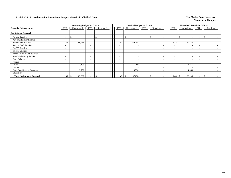|                                     |                                      | <b>Operating Budget 2017-2018</b> |                          |            |                          | Revised Budget 2017-2018 |                          |                          |                          | <b>Unaudited Actuals 2017-2018</b> |                          |            |  |
|-------------------------------------|--------------------------------------|-----------------------------------|--------------------------|------------|--------------------------|--------------------------|--------------------------|--------------------------|--------------------------|------------------------------------|--------------------------|------------|--|
| <b>Executive Management</b>         | <b>FTE</b><br>and the control of the | Unrestricted                      | FTE                      | Restricted | FTE                      | Unrestricted             | FTE                      | Restricted               | <b>FTE</b>               | Unrestricted                       | FTE                      | Restricted |  |
| <b>Institutional Research</b>       |                                      |                                   |                          |            |                          |                          |                          |                          |                          |                                    |                          |            |  |
| <b>Faculty Salaries</b>             | ۰                                    | $\overline{\phantom{0}}$          | $\overline{\phantom{a}}$ |            |                          | $\overline{\phantom{a}}$ | $\overline{\phantom{a}}$ |                          | $\overline{\phantom{0}}$ |                                    | ۰                        |            |  |
| Part-time Faculty Salaries          | ٠                                    | $\overline{\phantom{0}}$          |                          |            | $\overline{\phantom{a}}$ | $\overline{\phantom{a}}$ | $\overline{\phantom{0}}$ | $\overline{\phantom{a}}$ | $\overline{\phantom{0}}$ |                                    | $\overline{\phantom{a}}$ |            |  |
| <b>Professional Salaries</b>        | 1.41                                 | 60,788                            | $\overline{\phantom{0}}$ |            | 1.43                     | 60,788                   | $\overline{\phantom{0}}$ | $\overline{\phantom{a}}$ | 1.43                     | 60,788                             | $\overline{\phantom{a}}$ |            |  |
| <b>Support Staff Salaries</b>       | $\overline{\phantom{a}}$             | -                                 |                          |            | -                        | . —                      | $\overline{\phantom{a}}$ |                          | $\overline{\phantom{0}}$ |                                    | $\overline{\phantom{a}}$ |            |  |
| <b>GA/TA Salaries</b>               | $\overline{\phantom{a}}$             | -                                 | $-$                      |            | $\overline{\phantom{0}}$ | $\overline{\phantom{a}}$ | $\overline{\phantom{0}}$ | $\overline{\phantom{a}}$ | $\overline{\phantom{0}}$ |                                    | $\overline{\phantom{a}}$ |            |  |
| <b>Student Salaries</b>             | $\overline{\phantom{a}}$             | ۰.                                | $\overline{\phantom{0}}$ |            | $\sim$                   | $\overline{\phantom{a}}$ | $\overline{\phantom{0}}$ | $\overline{\phantom{a}}$ | $\overline{\phantom{0}}$ |                                    | $\overline{\phantom{a}}$ |            |  |
| Federal Work-Study Salaries         | $\overline{\phantom{a}}$             | $\overline{\phantom{a}}$          | $\overline{\phantom{0}}$ |            | $\overline{\phantom{0}}$ | $\overline{\phantom{0}}$ | $\overline{\phantom{0}}$ | $\overline{\phantom{a}}$ | $\overline{\phantom{0}}$ |                                    | $\overline{\phantom{a}}$ |            |  |
| <b>State Work-Study Salaries</b>    | $\overline{\phantom{a}}$             |                                   | $\sim$                   |            | $\overline{\phantom{0}}$ | $\overline{\phantom{a}}$ | $\overline{\phantom{0}}$ |                          | $\sim$                   |                                    | $\overline{\phantom{a}}$ |            |  |
| Other Salaries                      | $\overline{\phantom{a}}$             | -                                 |                          |            | -                        | $\overline{\phantom{a}}$ | $\overline{\phantom{0}}$ | $\overline{\phantom{a}}$ | $\overline{\phantom{0}}$ |                                    | $\overline{\phantom{a}}$ |            |  |
| Fringes                             |                                      |                                   |                          |            |                          |                          |                          | $\overline{\phantom{a}}$ |                          |                                    |                          |            |  |
| Travel                              |                                      | 1,100                             |                          |            |                          | 1,100                    |                          |                          |                          | 1,255                              |                          |            |  |
| Utilities                           |                                      | $\sim$                            |                          |            |                          | - 1                      |                          | $\overline{\phantom{a}}$ |                          |                                    |                          |            |  |
| Other Supplies and Expenses         |                                      | 5,750                             |                          |            |                          | 5,750                    |                          |                          |                          | 4,063                              |                          |            |  |
| Equipment                           |                                      |                                   |                          |            |                          |                          |                          |                          |                          |                                    |                          |            |  |
| <b>Total Institutional Research</b> | 1.41                                 | 67,638                            |                          |            | 1.43                     | 67,638<br>\$             |                          |                          | 1.43                     | 66,106<br>- 85                     |                          |            |  |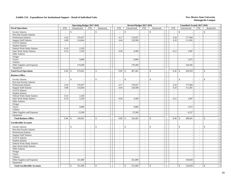|                                     |                  | <b>Operating Budget 2017-2018</b> |                          |                              |                          | Revised Budget 2017-2018 |                             |                                      |                          | <b>Unaudited Actuals 2017-2018</b> |                             |                                          |  |
|-------------------------------------|------------------|-----------------------------------|--------------------------|------------------------------|--------------------------|--------------------------|-----------------------------|--------------------------------------|--------------------------|------------------------------------|-----------------------------|------------------------------------------|--|
| <b>Fiscal Operations</b>            | <b>FTE</b>       | Unrestricted                      | <b>FTE</b>               | Restricted                   | <b>FTE</b>               | Unrestricted             | <b>FTE</b>                  | Restricted                           | <b>FTE</b>               | Unrestricted                       | <b>FTE</b>                  | Restricted                               |  |
| <b>Faculty Salaries</b>             | $\sim$           | $\mathbb{S}$                      | $\sim$                   | $\mathbf{\hat{S}}$           | $\sim$                   | $\mathbb{S}$             | $\overline{a}$              | \$                                   | $\sim$                   | $\mathbf{\hat{S}}$                 | $\overline{a}$              | $\mathbb{S}$                             |  |
| Part-time Faculty Salaries          | $\sim$           | $\overline{\phantom{a}}$          | $\sim$                   | $\sim$                       | $\sim$                   | $\sim$                   | $\sim$                      | $\blacksquare$                       | $\sim$                   |                                    | $\sim$                      |                                          |  |
| Professional Salaries               | 4.10             | 176,957                           | $\sim$                   | $\blacksquare$               | 4.17                     | 176,957                  | $\omega$                    | $\sim$                               | 4.18                     | 177,084                            | $\omega$                    |                                          |  |
| <b>Support Staff Salaries</b>       | 4.08             | 114,644                           | $\sim$                   | $\sim$                       | 4.44                     | 120,508                  | $\omega$                    | $\sim$                               | 4.10                     | 111,401                            | $\sim$                      | $\sim$                                   |  |
| GA/TA Salaries                      | $\sim$           | $\overline{\phantom{a}}$          | $\sim$                   |                              | $\sim$                   | $\sim$                   | $\sim$                      | $\sim$                               | $\sim$                   |                                    | $\sim$                      | $\sim$                                   |  |
| <b>Student Salaries</b>             | $\sim$           | $\sim$                            | $\sim$                   | $\sim$                       | $\sim$                   | $\sim$                   | $\omega$                    | $\sim$                               | $\sim$                   | $\overline{a}$                     | $\overline{\phantom{a}}$    | $\sim$                                   |  |
| Federal Work-Study Salaries         | 0.14             | 2,250                             | $\blacksquare$           |                              | $\omega$                 | $\overline{\phantom{a}}$ | $\overline{\phantom{a}}$    | $\sim$                               | $\blacksquare$           |                                    | $\blacksquare$              |                                          |  |
| <b>State Work-Study Salaries</b>    | 0.14             | 2,250                             | $\mathcal{L}$            | ÷,                           | 0.28                     | 4,500                    | $\omega$                    | $\overline{\phantom{a}}$             | 0.12                     | 1,907                              | $\omega$                    | $\sim$                                   |  |
| Other Salaries                      | $\sim$           | $\sim$                            | $\sim$                   | $\sim$                       | $\mathcal{L}$            | $\overline{\phantom{a}}$ | $\omega$                    | $\sim$                               | $\sim$                   |                                    | $\omega$                    | $\sim$                                   |  |
| Fringes                             |                  | $\sim$                            |                          | $\overline{a}$               |                          | $\overline{\phantom{a}}$ |                             | $\sim$                               |                          |                                    |                             | $\sim$                                   |  |
| Travel                              |                  | 9,000                             |                          | $\overline{\phantom{a}}$     |                          | 9,000                    |                             | $\sim$                               |                          | 1,972                              |                             | $\sim$                                   |  |
| <b>Utilities</b>                    |                  | $\overline{a}$                    |                          | $\sim$                       |                          |                          |                             | $\sim$                               |                          |                                    |                             | $\overline{\phantom{a}}$                 |  |
| Other Supplies and Expenses         |                  | 174,500                           |                          | $\sim$                       |                          | 176,500                  |                             | $\sim$                               |                          | 136,595                            |                             | $\overline{\phantom{a}}$                 |  |
| Equipment                           |                  |                                   |                          |                              |                          |                          |                             | $\sim$                               |                          |                                    |                             | $\overline{\phantom{a}}$                 |  |
| <b>Total Fiscal Operations</b>      | 8.46             | 479,601<br>\$                     | $\sim$                   | $\mathbf{\hat{s}}$<br>$\sim$ | 8.89                     | $\mathbb{S}$<br>487,465  | $\bar{a}$                   | \$<br>$\sim$                         | 8.40                     | 428,959<br>$\mathbf{\hat{S}}$      | $\bar{a}$                   | $\mathbf{s}$<br>$\overline{\phantom{a}}$ |  |
|                                     |                  |                                   |                          |                              |                          |                          |                             |                                      |                          |                                    |                             |                                          |  |
| <b>Business Office</b>              |                  |                                   |                          |                              |                          |                          |                             |                                      |                          |                                    |                             |                                          |  |
| <b>Faculty Salaries</b>             |                  | \$<br>$\overline{\phantom{a}}$    | $\sim$                   | $\mathbf{\hat{S}}$           | $\sim$                   | \$                       |                             | <sup>\$</sup><br>$\bar{a}$           | $\sim$                   | $\mathcal{S}$                      | $\sim$                      | $\mathbb{S}$                             |  |
| Part-time Faculty Salaries          |                  | $\sim$                            | $\sim$                   |                              |                          |                          | $\overline{a}$              | $\sim$                               |                          |                                    | $\sim$                      |                                          |  |
| <b>Professional Salaries</b>        | 4.10             | 176,957                           | $\sim$                   | $\sim$                       | 4.17                     | 176,957                  | $\mathcal{L}_{\mathcal{A}}$ | $\overline{\phantom{a}}$             | 4.18                     | 177,084                            | $\mathcal{L}_{\mathcal{A}}$ | $\sim$                                   |  |
| <b>Support Staff Salaries</b>       | 4.08             | 114,644                           | $\sim$                   | $\sim$                       | 4.44                     | 120,508                  | $\omega$                    | $\overline{\phantom{a}}$             | 4.10                     | 111,401                            | $\omega$                    | $\sim$                                   |  |
| GA/TA Salaries                      | $\sim$           | $\overline{a}$                    | $\sim$                   | $\sim$                       | $\sim$                   | $\sim$                   | $\mathbb{Z}^+$              | $\sim$                               | $\sim$                   |                                    | $\omega$                    | $\sim$                                   |  |
| <b>Student Salaries</b>             | $\sim$           | $\sim$                            | $\sim$                   | $\overline{a}$               | $\sim$                   | $\overline{\phantom{a}}$ | $\sim$                      | $\sim$                               | $\sim$                   |                                    | $\sim$                      | $\sim$                                   |  |
| Federal Work-Study Salaries         | 0.14             | 2,250                             | $\sim$                   | $\overline{\phantom{a}}$     | $\sim$                   | $\blacksquare$           | $\sim$                      | $\blacksquare$                       | $\blacksquare$           |                                    | $\blacksquare$              | $\sim$                                   |  |
| <b>State Work-Study Salaries</b>    | 0.14             | 2,250                             | $\sim$                   | $\sim$                       | 0.28                     | 4,500                    | $\sim$                      | $\sim$                               | 0.12                     | 1,907                              | $\sim$                      | $\overline{\phantom{a}}$                 |  |
| Other Salaries                      | $\sim$           | $\sim$                            | $\sim$                   | $\sim$                       | $\sim$                   | $\sim$                   | $\sim$                      | $\blacksquare$                       | $\sim$                   |                                    | $\sim$                      | $\sim$                                   |  |
| Fringes                             |                  |                                   |                          |                              |                          |                          |                             | $\overline{\phantom{a}}$             |                          |                                    |                             | $\overline{\phantom{a}}$                 |  |
| Travel                              |                  | 9,000                             |                          | $\overline{\phantom{a}}$     |                          | 9,000                    |                             | $\overline{\phantom{a}}$             |                          | 1,972                              |                             | $\overline{\phantom{a}}$                 |  |
| Utilities                           |                  |                                   |                          | $\sim$                       |                          |                          |                             | $\blacksquare$                       |                          |                                    |                             | $\sim$                                   |  |
| Other Supplies and Expenses         |                  | 13,500                            |                          | $\overline{a}$               |                          | 15,500                   |                             | $\overline{a}$                       |                          | 6,537                              |                             |                                          |  |
| Equipment                           |                  | $\sim$                            |                          | $\sim$                       |                          |                          |                             | $\sim$                               |                          |                                    |                             | $\sim$                                   |  |
| <b>Total Business Office</b>        | 8.46             | 318,601<br>$\mathcal{S}$          | $\sim$                   | $\mathbf{\hat{S}}$           | 8.89                     | $\mathbb{S}$<br>326,465  | $\blacksquare$              | $\mathbf{\hat{S}}$<br>$\overline{a}$ | 8.40                     | $\mathbf{\hat{S}}$<br>298,901      | $\overline{a}$              | $\mathbf{s}$                             |  |
| <b>Uncollectible Accounts</b>       |                  |                                   |                          |                              |                          |                          |                             |                                      |                          |                                    |                             |                                          |  |
|                                     |                  |                                   |                          |                              |                          |                          |                             |                                      |                          |                                    |                             |                                          |  |
| <b>Faculty Salaries</b>             |                  | \$<br>$\overline{a}$              | $\overline{\phantom{a}}$ | \$                           |                          | \$                       | $\overline{a}$              | $\mathcal{S}$<br>$\sim$              | $\sim$                   | $\mathbb{S}$                       | $\overline{a}$              | \$                                       |  |
| Part-time Faculty Salaries          | $\sim$           | $\sim$                            | $\sim$                   |                              | $\sim$                   | $\blacksquare$           | $\sim$                      | $\sim$                               | $\sim$                   |                                    | $\sim$                      | $\sim$                                   |  |
| <b>Professional Salaries</b>        | $\sim$<br>$\sim$ | $\sim$<br>$\sim$                  | $\sim$                   | $\sim$                       | $\sim$                   | $\blacksquare$           | $\sim$<br>$\sim$            | $\blacksquare$                       | $\sim$                   | $\sim$                             | $\sim$                      | $\sim$                                   |  |
| <b>Support Staff Salaries</b>       |                  |                                   | $\sim$                   | $\sim$                       | $\sim$                   | $\sim$                   |                             | $\blacksquare$                       | $\sim$                   | $\overline{a}$                     | $\sim$                      | $\overline{\phantom{a}}$                 |  |
| GA/TA Salaries                      | $\sim$           | $\sim$                            | $\sim$                   | $\overline{\phantom{a}}$     | $\sim$                   | $\overline{\phantom{a}}$ | $\sim$                      | $\sim$                               | $\sim$                   | $\overline{\phantom{a}}$           | $\blacksquare$              | $\overline{a}$                           |  |
| <b>Student Salaries</b>             | $\sim$           | $\sim$                            | $\sim$                   |                              |                          | $\overline{\phantom{a}}$ | $\bar{a}$                   | $\overline{\phantom{a}}$             | $\overline{\phantom{a}}$ |                                    | $\blacksquare$              | $\sim$                                   |  |
| Federal Work-Study Salaries         | $\omega$         | $\sim$                            | $\mathcal{L}$            | ÷,                           | $\sim$                   | $\blacksquare$           | $\omega$                    | $\sim$                               | $\sim$                   | $\overline{\phantom{a}}$           | $\overline{\phantom{a}}$    | $\sim$                                   |  |
| <b>State Work-Study Salaries</b>    | $\sim$           | $\overline{\phantom{a}}$          | $\sim$                   |                              | $\sim$                   | $\sim$                   | $\sim$                      | $\sim$                               | $\sim$                   | ÷.                                 | $\sim$                      | $\sim$                                   |  |
| Other Salaries                      | $\sim$           | $\sim$                            | $\sim$                   | ÷,                           | $\sim$                   | $\sim$                   | $\omega$                    | $\sim$                               | $\sim$                   | $\sim$                             | $\overline{a}$              | $\sim$                                   |  |
| Fringes                             |                  | $\overline{\phantom{a}}$          |                          | $\sim$                       |                          | $\sim$                   |                             | $\sim$                               |                          |                                    |                             |                                          |  |
| Travel                              |                  | $\sim$                            |                          | $\sim$                       |                          | $\sim$                   |                             | $\sim$                               |                          |                                    |                             | $\sim$                                   |  |
| Utilities                           |                  | $\sim$                            |                          | $\sim$                       |                          | $\overline{a}$           |                             | $\sim$                               |                          |                                    |                             | $\overline{a}$                           |  |
| Other Supplies and Expenses         |                  | 161,000                           |                          | $\sim$                       |                          | 161,000                  |                             | $\sim$                               |                          | 130,058                            |                             | $\sim$                                   |  |
| Equipment                           |                  |                                   |                          |                              |                          |                          |                             | $\blacksquare$                       |                          |                                    |                             | $\sim$                                   |  |
| <b>Total Uncollectible Accounts</b> |                  | $\mathbb{S}$<br>161,000           | $\sim$                   | \$<br>$\sim$                 | $\overline{\phantom{a}}$ | $\mathbb{S}$<br>161,000  | ÷,                          | $\mathbb S$<br>$\blacksquare$        | $\sim$                   | $\mathcal{S}$<br>130,058           | $\overline{\phantom{a}}$    | $\mathbb S$<br>$\overline{\phantom{a}}$  |  |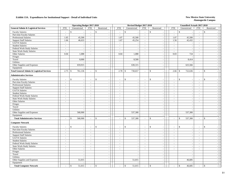|                                                      |                          | <b>Operating Budget 2017-2018</b> |                          |                                      |                | Revised Budget 2017-2018       |                             |                                           |                          | Unaudited Actuals 2017-2018   |                             |                                |  |
|------------------------------------------------------|--------------------------|-----------------------------------|--------------------------|--------------------------------------|----------------|--------------------------------|-----------------------------|-------------------------------------------|--------------------------|-------------------------------|-----------------------------|--------------------------------|--|
| <b>General Admin &amp; Logistical Services</b>       | <b>FTE</b>               | Unrestricted                      | <b>FTE</b>               | Restricted                           | <b>FTE</b>     | Unrestricted                   | <b>FTE</b>                  | Restricted                                | <b>FTE</b>               | Unrestricted                  | <b>FTE</b>                  | Restricted                     |  |
| <b>Faculty Salaries</b>                              | $\sim$                   | \$<br>$\overline{\phantom{a}}$    | $\sim$                   | $\mathbf S$                          | $\sim$         | $\mathbf{\hat{S}}$             | $\sim$                      | $\mathbf S$                               | $\sim$                   | $\mathbb{S}$                  | $\omega$                    | $\mathbb{S}$                   |  |
| Part-time Faculty Salaries                           | $\blacksquare$           | $\sim$                            | $\sim$                   | $\overline{\phantom{a}}$             | $\mathbb{Z}^2$ | $\mathbb{L}$                   | $\mathcal{L}_{\mathcal{A}}$ | $\sim$                                    | $\sim$                   | $\overline{\phantom{a}}$      | $\blacksquare$              | $\sim$                         |  |
| Professional Salaries                                | 1.05                     | 45,500                            | $\sim$                   | $\sim$                               | 1.07           | 45,500                         | $\sim$                      | $\sim$                                    | 1.07                     | 45,500                        | $\blacksquare$              | $\sim$                         |  |
| <b>Support Staff Salaries</b>                        | 1.66                     | 46,633                            | $\sim$                   |                                      | 1.67           | 45,254                         | $\mathbb{Z}^+$              | $\sim$                                    | 1.56                     | 42,432                        | $\sim$                      | $\sim$                         |  |
| GA/TA Salaries                                       | $\sim$                   |                                   | $\blacksquare$           |                                      | $\sim$         | $\sim$                         | $\overline{a}$              | $\sim$                                    | $\mathbb{Z}^2$           |                               | $\overline{\phantom{a}}$    | $\sim$                         |  |
| <b>Student Salaries</b>                              | $\overline{\phantom{a}}$ | $\sim$                            | $\mathcal{L}$            |                                      | $\sim$         | $\sim$                         | $\overline{a}$              | $\blacksquare$                            | $\overline{\phantom{a}}$ | J.                            | $\overline{a}$              | $\sim$                         |  |
| Federal Work-Study Salaries                          | $\sim$                   | $\sim$                            | $\sim$                   | $\overline{a}$                       | $\sim$         | $\sim$                         | $\sim$                      | $\mathcal{L}_{\mathcal{A}}$               | $\sim$                   | $\overline{\phantom{a}}$      | $\sim$                      | $\sim$                         |  |
| <b>State Work-Study Salaries</b>                     | $\sim$                   | $\sim$                            | $\sim$                   | $\sim$                               | $\sim$         | $\sim$                         | $\omega$                    | $\sim$                                    | $\sim$                   | $\overline{\phantom{a}}$      | $\sim$                      | $\sim$                         |  |
| Other Salaries                                       | 0.04                     | 1,088                             | $\sim$                   | $\sim$                               | 0.04           | 1,088                          | $\sim$                      | $\sim$                                    | 0.03                     | 724                           | $\sim$                      | $\sim$                         |  |
| Fringes                                              |                          | $\sim$                            |                          | $\sim$                               |                |                                |                             | $\sim$                                    |                          |                               |                             | $\sim$                         |  |
| Travel                                               |                          | 8,000                             |                          | $\sim$                               |                | 8,500                          |                             | $\sim$                                    |                          | 8,414                         |                             | $\overline{a}$                 |  |
| Utilities                                            |                          | $\overline{a}$                    |                          | $\sim$                               |                | $\overline{a}$                 |                             | $\sim$                                    |                          |                               |                             | $\sim$                         |  |
| Other Supplies and Expenses                          |                          | 659,915                           |                          | $\sim$                               |                | 630,315                        |                             | $\sim$                                    |                          | 625,566                       |                             | $\sim$                         |  |
| Equipment                                            |                          |                                   |                          | $\overline{a}$                       |                |                                |                             | $\sim$                                    |                          |                               |                             | $\sim$                         |  |
| <b>Total General Admin &amp; Logistical Services</b> | 2.75                     | 761,136<br>$\mathbb{S}$           |                          | $\mathbf{\hat{s}}$<br>$\overline{a}$ | 2.78           | 730,657<br>$\mathbb{S}$        | $\blacksquare$              | <sup>\$</sup><br>$\blacksquare$           | 2.66                     | 722,636<br>$\mathbf{\hat{s}}$ | $\overline{\phantom{a}}$    | \$<br>$\overline{\phantom{a}}$ |  |
| <b>Administrative Services</b>                       |                          |                                   |                          |                                      |                |                                |                             |                                           |                          |                               |                             |                                |  |
| <b>Faculty Salaries</b>                              |                          | $\mathcal{S}$<br>$\sim$           | $\overline{\phantom{a}}$ | $\mathcal{S}$                        |                | $\mathbb{S}$                   |                             | $\mathcal{S}$<br>$\overline{\phantom{a}}$ | $\overline{\phantom{a}}$ | $\mathcal{S}$                 | $\overline{\phantom{a}}$    | $\mathbf{s}$                   |  |
| Part-time Faculty Salaries                           | $\overline{\phantom{a}}$ | $\sim$                            | $\mathcal{L}$            |                                      | $\overline{a}$ | $\sim$                         | $\overline{a}$              | $\blacksquare$                            | $\sim$                   | $\overline{\phantom{a}}$      | $\bar{a}$                   |                                |  |
| <b>Professional Salaries</b>                         | $\sim$                   | $\sim$                            | $\sim$                   | $\sim$                               | $\sim$         | $\sim$                         | $\sim$                      | $\blacksquare$                            | $\sim$                   | $\overline{\phantom{a}}$      | $\sim$                      | $\sim$                         |  |
| <b>Support Staff Salaries</b>                        | $\sim$                   | $\sim$                            | $\sim$                   | $\sim$                               | $\sim$         | $\sim$                         | $\omega$                    | $\mathcal{L}_{\mathcal{A}}$               | $\sim$                   | $\overline{\phantom{a}}$      | $\overline{\phantom{a}}$    | $\sim$                         |  |
| GA/TA Salaries                                       | $\sim$                   | $\sim$                            | $\sim$                   | $\sim$                               | $\sim$         | $\sim$                         | $\sim$                      | $\blacksquare$                            | $\sim$                   | $\overline{\phantom{a}}$      | $\sim$                      | $\sim$                         |  |
| <b>Student Salaries</b>                              | $\sim$                   | $\sim$                            | $\sim$                   | $\overline{a}$                       | $\sim$         | $\sim$                         | $\sim$                      | $\sim$                                    | $\overline{\phantom{a}}$ |                               | $\sim$                      | $\sim$                         |  |
| Federal Work-Study Salaries                          | $\sim$                   | $\sim$                            | $\sim$                   | $\blacksquare$                       | $\sim$         | $\blacksquare$                 | $\sim$                      | $\blacksquare$                            | $\sim$                   | $\sim$                        | $\sim$                      | $\sim$                         |  |
| <b>State Work-Study Salaries</b>                     | $\sim$                   | $\sim$                            | $\sim$                   | $\sim$                               | $\sim$         | $\sim$                         | $\sim$                      | $\sim$                                    | $\sim$                   |                               | $\sim$                      | $\overline{\phantom{a}}$       |  |
| Other Salaries                                       | $\sim$                   | $\sim$                            | $\sim$                   | $\sim$                               | $\sim$         | $\sim$                         | $\sim$                      | $\sim$                                    | $\sim$                   | $\overline{\phantom{a}}$      | $\sim$                      | $\overline{\phantom{a}}$       |  |
| Fringes                                              |                          | $\sim$                            |                          |                                      |                | $\overline{\phantom{a}}$       |                             | $\overline{\phantom{a}}$                  |                          |                               |                             |                                |  |
| Travel                                               |                          | $\overline{\phantom{a}}$          |                          | $\sim$                               |                | $\sim$                         |                             | $\overline{\phantom{a}}$                  |                          | $\overline{a}$                |                             | $\overline{\phantom{a}}$       |  |
| <b>Utilities</b>                                     |                          | $\sim$                            |                          | $\sim$                               |                | $\overline{a}$                 |                             | $\sim$                                    |                          |                               |                             | $\sim$                         |  |
| Other Supplies and Expenses                          |                          | 568,900                           |                          |                                      |                | 537,300                        |                             | $\sim$                                    |                          | 537,300                       |                             |                                |  |
| Equipment                                            |                          | $\overline{\phantom{a}}$          |                          | $\blacksquare$                       |                | $\sim$                         |                             | $\sim$                                    |                          |                               |                             | $\sim$                         |  |
| <b>Total Administrative Services</b>                 | $\overline{a}$           | 568,900<br>$\mathcal{S}$          | $\sim$                   | $\mathbf{\hat{s}}$                   | $\sim$         | $\mathbb{S}$<br>537,300        | $\sim$                      | $\mathbf{\hat{S}}$<br>$\blacksquare$      | $\sim$                   | $\mathbb{S}$<br>537,300       | $\sim$                      | \$<br>$\sim$                   |  |
| <b>Computer Network</b>                              |                          |                                   |                          |                                      |                |                                |                             |                                           |                          |                               |                             |                                |  |
| <b>Faculty Salaries</b>                              | $\sim$                   | $\mathbb{S}$<br>$\sim$            | $\sim$                   | $\mathbf{\hat{s}}$                   | $\sim$         | \$<br>$\overline{\phantom{a}}$ | $\sim$                      | <sup>\$</sup><br>$\sim$                   | $\sim$                   | $\mathbf{\hat{S}}$            | $\overline{a}$              | \$                             |  |
| Part-time Faculty Salaries                           | $\sim$                   | $\sim$                            | $\overline{\phantom{a}}$ |                                      | $\sim$         | $\overline{\phantom{a}}$       | $\overline{a}$              | $\overline{\phantom{a}}$                  | $\overline{\phantom{a}}$ |                               | $\overline{\phantom{a}}$    | $\sim$                         |  |
| Professional Salaries                                | $\sim$                   | $\sim$                            | $\sim$                   | $\sim$                               | $\sim$         | $\blacksquare$                 | $\sim$                      | $\blacksquare$                            | $\sim$                   | $\sim$                        | $\blacksquare$              | $\overline{\phantom{a}}$       |  |
| <b>Support Staff Salaries</b>                        | $\sim$                   | $\overline{\phantom{a}}$          | $\sim$                   |                                      | $\sim$         | $\sim$                         | $\omega$                    | $\sim$                                    | $\sim$                   |                               | $\sim$                      | $\sim$                         |  |
| GA/TA Salaries                                       | $\sim$                   | $\sim$                            | $\sim$                   |                                      | $\sim$         | $\sim$                         | $\overline{a}$              | $\sim$                                    | $\sim$                   | $\overline{\phantom{a}}$      | $\sim$                      | $\sim$                         |  |
| <b>Student Salaries</b>                              | $\blacksquare$           | $\sim$                            | $\blacksquare$           |                                      | $\sim$         | $\overline{\phantom{a}}$       | $\sim$                      | $\overline{\phantom{a}}$                  | $\blacksquare$           |                               | $\blacksquare$              | $\sim$                         |  |
| Federal Work-Study Salaries                          | $\sim$                   | $\sim$                            | $\sim$                   | $\sim$                               | $\sim$         | $\sim$                         | $\sim$                      | $\sim$                                    | $\sim$                   | $\overline{a}$                | $\sim$                      | $\sim$                         |  |
| <b>State Work-Study Salaries</b>                     | $\sim$                   | $\sim$                            | $\sim$                   | $\sim$                               | $\sim$         | $\overline{a}$                 | $\mathcal{L}^{\mathcal{A}}$ | $\sim$                                    | $\sim$                   | $\overline{a}$                | $\mathcal{L}^{\mathcal{A}}$ | $\sim$                         |  |
| Other Salaries                                       | $\sim$                   | $\sim$                            | $\sim$                   | $\sim$                               | $\sim$         | $\blacksquare$                 | $\sim$                      | $\sim$                                    | $\overline{\phantom{a}}$ | $\overline{a}$                | $\sim$                      | $\sim$                         |  |
| Fringes                                              |                          | $\sim$                            |                          | $\sim$                               |                | $\blacksquare$                 |                             | $\overline{\phantom{a}}$                  |                          | $\sim$                        |                             | $\sim$                         |  |
| Travel                                               |                          | $\sim$                            |                          | $\sim$                               |                | $\sim$                         |                             | $\sim$                                    |                          | ÷.                            |                             | $\overline{\phantom{a}}$       |  |
| Utilities                                            |                          | $\sim$                            |                          | $\sim$                               |                | $\sim$                         |                             | $\sim$                                    |                          |                               |                             | $\sim$                         |  |
| Other Supplies and Expenses                          |                          | 51,015                            |                          | $\sim$                               |                | 51,015                         |                             | $\overline{\phantom{a}}$                  |                          | 46,685                        |                             | $\sim$                         |  |
| Equipment                                            |                          |                                   |                          | $\sim$                               |                |                                |                             | $\blacksquare$                            |                          |                               |                             | $\sim$                         |  |
| <b>Total Computer Network</b>                        |                          | 51,015<br>\$                      | $\sim$                   | \$                                   |                | \$<br>51,015                   |                             | \$                                        |                          | $\mathcal{S}$<br>46,685       | $\overline{a}$              | $\mathbb{S}$<br>$\sim$         |  |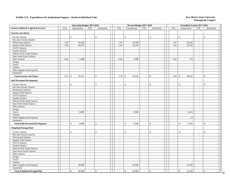|                                                | <b>Operating Budget 2017-2018</b> |                             |                             |                                          |  |                                  | Revised Budget 2017-2018 |                  |                             |                          | <b>Unaudited Actuals 2017-2018</b> |                             |                        |    |
|------------------------------------------------|-----------------------------------|-----------------------------|-----------------------------|------------------------------------------|--|----------------------------------|--------------------------|------------------|-----------------------------|--------------------------|------------------------------------|-----------------------------|------------------------|----|
| <b>General Admin &amp; Logistical Services</b> | <b>FTE</b>                        | Unrestricted                | <b>FTE</b>                  | Restricted                               |  | <b>FTE</b>                       | Unrestricted             | <b>FTE</b>       | Restricted                  | <b>FTE</b>               | Unrestricted                       | <b>FTE</b>                  | Restricted             |    |
| <b>Security and Alarm</b>                      |                                   |                             |                             |                                          |  |                                  |                          |                  |                             |                          |                                    |                             |                        |    |
| <b>Faculty Salaries</b>                        |                                   | $\mathbb{S}$                | $\blacksquare$              | $\mathbb{S}$<br>$\overline{\phantom{a}}$ |  |                                  | $\mathbf S$              | $\blacksquare$   | \$                          | $\overline{\phantom{a}}$ | $\mathbb{S}$                       |                             | $\mathcal{S}$          |    |
| Part-time Faculty Salaries                     | $\overline{a}$                    |                             | $\sim$                      | $\sim$                                   |  | $\sim$                           |                          | $\sim$           | $\sim$                      | $\sim$                   |                                    | $\sim$                      | $\sim$                 |    |
| <b>Professional Salaries</b>                   | 1.05                              | 45,500                      | $\sim$                      | $\mathcal{L}_{\mathcal{A}}$              |  | 1.07                             | 45,500                   | $\sim$           | $\sim$                      | 1.07                     | 45,500                             | $\mathcal{L}_{\mathcal{A}}$ | $\sim$                 |    |
| <b>Support Staff Salaries</b>                  | 1.66                              | 46,633                      | $\sim$                      | $\mathcal{L}_{\mathcal{A}}$              |  | 1.67                             | 45,254                   | $\sim$           | $\sim$                      | 1.56                     | 42,432                             | $\sim$                      | $\sim$                 |    |
| GA/TA Salaries                                 | $\overline{\phantom{a}}$          | $\overline{\phantom{a}}$    | $\mathcal{L}_{\mathcal{A}}$ | $\mathbb{Z}$                             |  | $\sim$                           |                          | $\sim$           | $\bar{\phantom{a}}$         | $\blacksquare$           |                                    | $\equiv$                    | $\sim$                 |    |
| <b>Student Salaries</b>                        | $\overline{\phantom{a}}$          |                             |                             |                                          |  | $\mathbb{L}$                     |                          | $\sim$           | $\overline{\phantom{a}}$    | $\blacksquare$           |                                    | $\blacksquare$              |                        |    |
|                                                | $\sim$                            | $\overline{\phantom{a}}$    | $\sim$<br>$\omega$          | $\overline{\phantom{a}}$<br>$\sim$       |  | $\sim$                           |                          | $\sim$           | $\sim$                      | $\sim$                   | $\sim$                             | $\sim$                      | $\sim$                 |    |
| Federal Work-Study Salaries                    | $\sim$                            |                             |                             |                                          |  |                                  |                          |                  |                             | $\sim$                   |                                    | $\sim$                      | $\sim$                 |    |
| State Work-Study Salaries                      | 0.04                              |                             | $\sim$<br>$\omega$          | $\sim$                                   |  | $\overline{\phantom{a}}$<br>0.04 |                          | $\sim$<br>$\sim$ | $\blacksquare$<br>$\sim$    | 0.03                     | 724                                | $\equiv$                    | $\sim$                 |    |
| Other Salaries                                 |                                   | 1,088                       |                             | $\mathcal{L}_{\mathcal{A}}$              |  |                                  | 1,088                    |                  |                             |                          |                                    |                             |                        |    |
| Fringes                                        |                                   |                             |                             | $\sim$                                   |  |                                  |                          |                  |                             |                          |                                    |                             | $\sim$                 |    |
| Travel                                         |                                   | $\sim$                      |                             | $\sim$                                   |  |                                  |                          |                  | $\sim$                      |                          | $\overline{\phantom{a}}$           |                             | $\sim$                 |    |
| Utilities                                      |                                   | $\overline{\phantom{a}}$    |                             | $\blacksquare$                           |  |                                  | $\overline{\phantom{a}}$ |                  | $\sim$                      |                          | $\overline{\phantom{a}}$           |                             |                        |    |
| Other Supplies and Expenses                    |                                   | $\overline{\phantom{a}}$    |                             | $\sim$                                   |  |                                  | $\sim$                   |                  | $\sim$                      |                          | $\sim$                             |                             | $\sim$                 |    |
| Equipment                                      |                                   |                             |                             | $\sim$                                   |  |                                  |                          |                  | $\blacksquare$              |                          |                                    |                             |                        |    |
| <b>Total Security and Alarm</b>                | 2.75                              | 93,221<br>$\mathbb{S}$      | $\sim$                      | $\mathbb{S}$<br>$\sim$                   |  | 2.78                             | $\mathbb{S}$<br>91,842   | $\sim$           | \$<br>$\sim$                | 2.66                     | 88,656<br><sup>\$</sup>            | $\sim$                      | $\mathcal{S}$          |    |
| <b>Staff Personnel Development</b>             |                                   |                             |                             |                                          |  |                                  |                          |                  |                             |                          |                                    |                             |                        |    |
| <b>Faculty Salaries</b>                        |                                   | $\mathbb{S}$                | $\overline{a}$              | $\mathbb{S}$<br>$\overline{\phantom{a}}$ |  |                                  | $\mathbb{S}$             | $\sim$           | \$                          | ÷,                       | $\mathbb{S}$                       |                             | \$                     |    |
| Part-time Faculty Salaries                     | $\bar{z}$                         | $\overline{\phantom{a}}$    | $\mathcal{L}_{\mathcal{A}}$ | $\omega$                                 |  | $\mathbb{L}$                     | $\sim$                   | $\mathbb{Z}^2$   | $\omega$                    | $\blacksquare$           | $\overline{\phantom{a}}$           | $\mathcal{L}_{\mathcal{A}}$ | $\sim$                 |    |
| <b>Professional Salaries</b>                   | $\sim$                            | $\overline{\phantom{a}}$    | $\sim$                      | $\sim$                                   |  | $\sim$                           | $\sim$                   | $\sim$           | $\sim$                      | $\sim$                   | $\overline{\phantom{a}}$           | $\blacksquare$              | $\sim$                 |    |
| <b>Support Staff Salaries</b>                  | $\overline{a}$                    |                             | $\blacksquare$              | $\overline{\phantom{a}}$                 |  | $\blacksquare$                   |                          | $\blacksquare$   | $\blacksquare$              | $\blacksquare$           |                                    | $\blacksquare$              |                        |    |
| GA/TA Salaries                                 | $\overline{a}$                    | $\sim$                      | $\sim$                      | $\sim$                                   |  | $\sim$                           | $\sim$                   | $\sim$           | $\overline{a}$              | $\sim$                   | $\sim$                             | $\sim$                      | $\sim$                 |    |
| <b>Student Salaries</b>                        | $\overline{a}$                    |                             | $\blacksquare$              | $\sim$                                   |  | $\overline{\phantom{a}}$         |                          | $\sim$           | $\blacksquare$              | $\overline{\phantom{a}}$ |                                    | $\blacksquare$              |                        |    |
| Federal Work-Study Salaries                    | $\sim$                            | $\sim$                      | $\sim$                      | $\mathcal{L}_{\mathcal{A}}$              |  | $\sim$                           | ÷.                       | $\sim$           | $\sim$                      | $\sim$                   | $\sim$                             | $\sim$                      | $\sim$                 |    |
| State Work-Study Salaries                      | $\overline{\phantom{a}}$          |                             | $\mathcal{L}_{\mathcal{A}}$ | $\sim$                                   |  | $\mathbb{L}$                     |                          | $\sim$           | $\overline{\phantom{a}}$    | $\blacksquare$           |                                    | $\equiv$                    |                        |    |
| Other Salaries                                 | $\sim$                            | $\sim$                      | $\sim$                      | $\sim$                                   |  | $\sim$                           | $\sim$                   | $\sim$           | $\blacksquare$              | $\sim$                   | $\sim$                             | $\sim$                      | $\sim$                 |    |
| Fringes                                        |                                   |                             |                             | $\sim$                                   |  |                                  |                          |                  | $\sim$                      |                          |                                    |                             |                        |    |
| Travel                                         |                                   | 8,000                       |                             | $\sim$                                   |  |                                  | 8,500                    |                  | $\sim$                      |                          | 8,414                              |                             |                        |    |
| Utilities                                      |                                   |                             |                             | $\overline{\phantom{a}}$                 |  |                                  |                          |                  | $\overline{\phantom{a}}$    |                          |                                    |                             |                        |    |
| Other Supplies and Expenses                    |                                   | $\overline{\phantom{a}}$    |                             | $\overline{\phantom{a}}$                 |  |                                  | $\sim$                   |                  | $\sim$                      |                          | 25                                 |                             | $\sim$                 |    |
| Equipment                                      |                                   | $\sim$                      |                             | $\sim$                                   |  |                                  |                          |                  | $\sim$                      |                          |                                    |                             | $\sim$                 |    |
| <b>Total Staff Personnel Development</b>       | $\sim$                            | $\mathbf{\hat{S}}$<br>8,000 | $\omega$                    | $\mathbb{S}$<br>$\sim$                   |  | $\sim$                           | $\mathbb{S}$<br>8,500    | $\sim$           | \$<br>$\sim$                | $\sim$                   | $\mathbb{S}$<br>8,439              | $\sim$                      | \$<br>$\sim$           |    |
| Telephone/Postage/Mail                         |                                   |                             |                             |                                          |  |                                  |                          |                  |                             |                          |                                    |                             |                        |    |
| <b>Faculty Salaries</b>                        |                                   | $\mathbb{S}$                | $\sim$                      | \$<br>$\sim$                             |  |                                  | \$                       | $\sim$           | \$                          | ÷.                       | $\mathbb{S}$                       |                             | <sup>\$</sup>          |    |
| Part-time Faculty Salaries                     | ÷,                                | $\sim$                      | $\sim$                      | $\sim$                                   |  | $\overline{\phantom{a}}$         | $\overline{\phantom{a}}$ | $\sim$           | $\sim$                      | $\bar{a}$                |                                    | $\sim$                      |                        |    |
| Professional Salaries                          | $\overline{a}$                    | $\sim$                      | $\sim$                      | $\overline{a}$                           |  | $\sim$                           | $\overline{a}$           | $\mathbf{r}$     | $\overline{a}$              | $\omega$                 | $\sim$                             | $\mathbf{r}$                | $\sim$                 |    |
| <b>Support Staff Salaries</b>                  | $\overline{a}$                    | $\blacksquare$              | $\mathcal{L}_{\mathcal{A}}$ | $\mathcal{L}_{\mathcal{A}}$              |  | $\mathbb{L}$                     | $\sim$                   | $\sim$           | $\mathcal{L}_{\mathcal{A}}$ | $\blacksquare$           |                                    | $\blacksquare$              | $\sim$                 |    |
| GA/TA Salaries                                 | $\sim$                            | $\overline{\phantom{a}}$    | $\sim$                      | $\omega$                                 |  | $\sim$                           | $\overline{\phantom{a}}$ | $\sim$           | $\sim$                      | $\sim$                   | $\sim$                             | $\sim$                      | $\sim$                 |    |
| <b>Student Salaries</b>                        | $\overline{\phantom{a}}$          |                             | $\sim$                      | $\sim$                                   |  | $\sim$                           |                          | $\blacksquare$   | $\overline{\phantom{a}}$    | $\blacksquare$           |                                    | $\overline{\phantom{a}}$    |                        |    |
| Federal Work-Study Salaries                    | $\overline{a}$                    | $\sim$                      | $\sim$                      | $\sim$                                   |  | $\sim$                           | $\sim$                   | $\sim$           | $\sim$                      | $\sim$                   | $\sim$                             | $\sim$                      | $\sim$                 |    |
| <b>State Work-Study Salaries</b>               | $\sim$                            | $\sim$                      | $\mathcal{L}_{\mathcal{A}}$ | $\sim$                                   |  | $\mathbb{L}$                     | $\overline{a}$           | $\mathbb{Z}^2$   | $\mathbb{Z}^2$              | $\blacksquare$           | $\sim$                             | $\sim$                      | $\sim$                 |    |
| Other Salaries                                 | $\sim$                            | $\sim$                      | $\blacksquare$              | $\mathcal{L}_{\mathcal{A}}$              |  | $\sim$                           | $\overline{\phantom{a}}$ | $\sim$           | $\blacksquare$              | $\sim$                   | $\sim$                             | $\sim$                      | $\sim$                 |    |
| Fringes                                        |                                   | $\overline{\phantom{a}}$    |                             | $\sim$                                   |  |                                  | $\sim$                   |                  | $\omega$                    |                          |                                    |                             |                        |    |
| Travel                                         |                                   | $\overline{\phantom{a}}$    |                             | $\sim$                                   |  |                                  | ÷,                       |                  | $\sim$                      |                          | $\sim$                             |                             | $\sim$                 |    |
| Utilities                                      |                                   | $\sim$                      |                             | $\sim$                                   |  |                                  |                          |                  | $\sim$                      |                          |                                    |                             | $\sim$                 |    |
| Other Supplies and Expenses                    |                                   | 40,000                      |                             | $\sim$                                   |  |                                  | 42,000                   |                  | $\blacksquare$              |                          | 41,556                             |                             | $\sim$                 |    |
| Equipment                                      |                                   | $\overline{a}$              |                             | $\mathcal{L}_{\mathcal{A}}$              |  |                                  |                          |                  | $\mathcal{L}$               |                          | $\overline{\phantom{a}}$           |                             | $\sim$                 |    |
|                                                |                                   |                             |                             |                                          |  |                                  |                          |                  | $\mathbf{\hat{s}}$          |                          |                                    |                             |                        |    |
| <b>Total Telephone/Postage/Mail</b>            | $\overline{\phantom{a}}$          | $\mathbb{S}$<br>40,000      | $\sim$                      | ${\mathbb S}$<br>$\sim$                  |  |                                  | $\mathbb{S}$<br>42,000   | $\blacksquare$   | $\blacksquare$              | $\overline{a}$           | 41,556<br>$\mathcal{S}$            | $\blacksquare$              | $\mathbb{S}$<br>$\sim$ | 52 |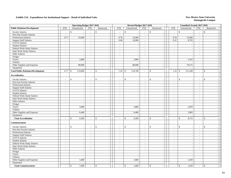|                                           |                | <b>Operating Budget 2017-2018</b> |                          |                          |                             | Revised Budget 2017-2018       |                             |                                                |                             | Unaudited Actuals 2017-2018 |                          |                                          |  |
|-------------------------------------------|----------------|-----------------------------------|--------------------------|--------------------------|-----------------------------|--------------------------------|-----------------------------|------------------------------------------------|-----------------------------|-----------------------------|--------------------------|------------------------------------------|--|
| <b>Public Relations/Development</b>       | <b>FTE</b>     | Unrestricted                      | <b>FTE</b>               | Restricted               | <b>FTE</b>                  | Unrestricted                   | <b>FTE</b>                  | Restricted                                     | <b>FTE</b>                  | Unrestricted                | <b>FTE</b>               | Restricted                               |  |
| <b>Faculty Salaries</b>                   | $\sim$         | \$<br>$\sim$                      | $\mathcal{L}$            | $\mathbf{\hat{s}}$       | $\sim$                      | $\mathbb{S}$                   | $\sim$                      | $\mathbf S$                                    | $\sim$                      | $\mathbb{S}$                | $\omega$                 | $\mathbb{S}$                             |  |
| Part-time Faculty Salaries                | $\blacksquare$ | $\sim$                            | $\sim$                   | $\overline{\phantom{a}}$ | $\mathcal{L}_{\mathcal{A}}$ | $\mathbb{L}$                   | $\mathcal{L}_{\mathcal{A}}$ | $\sim$                                         | $\sim$                      | $\overline{\phantom{a}}$    | $\blacksquare$           | $\sim$                                   |  |
| <b>Professional Salaries</b>              | 0.77           | 33,000                            | $\sim$                   | $\sim$                   | 0.78                        | 33,000                         | $\sim$                      | $\sim$                                         | 0.78                        | 33,000                      | $\blacksquare$           | $\sim$                                   |  |
| <b>Support Staff Salaries</b>             | $\sim$         | $\sim$                            | $\sim$                   | $\overline{\phantom{a}}$ | 0.40                        | 10,900                         | $\sim$                      | $\overline{\phantom{a}}$                       | 0.32                        | 8,703                       | $\sim$                   | $\sim$                                   |  |
| GA/TA Salaries                            | $\sim$         | $\overline{\phantom{a}}$          | $\blacksquare$           |                          | $\sim$                      | $\overline{\phantom{a}}$       | $\blacksquare$              | $\sim$                                         | $\mathcal{L}_{\mathcal{A}}$ |                             | $\blacksquare$           | $\sim$                                   |  |
| <b>Student Salaries</b>                   | $\sim$         | $\sim$                            | $\sim$                   |                          | $\sim$                      | $\bar{z}$                      | $\overline{\phantom{a}}$    | $\blacksquare$                                 | $\blacksquare$              | $\sim$                      | $\bar{a}$                | $\sim$                                   |  |
| Federal Work-Study Salaries               | $\sim$         | $\sim$                            | $\sim$                   | $\sim$                   | $\sim$                      | $\sim$                         | $\omega$                    | $\mathcal{L}_{\mathcal{A}}$                    | $\sim$                      | $\sim$                      | $\overline{\phantom{a}}$ | $\sim$                                   |  |
| <b>State Work-Study Salaries</b>          | $\sim$         | $\sim$                            | $\sim$                   | $\sim$                   | $\omega$                    | $\sim$                         | $\overline{a}$              | $\omega$                                       | $\sim$                      | $\overline{\phantom{a}}$    | $\sim$                   | $\sim$                                   |  |
| Other Salaries                            | $\sim$         | $\overline{\phantom{a}}$          | $\sim$                   | $\sim$                   | $\sim$                      | $\sim$                         | $\omega$                    | $\blacksquare$                                 | $\sim$                      | $\sim$                      | $\sim$                   | $\sim$                                   |  |
| Fringes                                   |                | $\overline{\phantom{a}}$          |                          | $\sim$                   |                             | $\sim$                         |                             | $\sim$                                         |                             |                             |                          | $\sim$                                   |  |
| Travel                                    |                | 2,800                             |                          | $\sim$                   |                             | 2,800                          |                             | $\sim$                                         |                             | 3,163                       |                          | $\overline{\phantom{a}}$                 |  |
| Utilities                                 |                | $\overline{\phantom{a}}$          |                          | $\sim$                   |                             | $\overline{a}$                 |                             | $\sim$                                         |                             |                             |                          | $\overline{\phantom{a}}$                 |  |
| Other Supplies and Expenses               |                | 88,000                            |                          | $\sim$                   |                             | 88,000                         |                             | $\sim$                                         |                             | 76,572                      |                          | $\overline{\phantom{a}}$                 |  |
| Equipment                                 |                |                                   |                          |                          |                             |                                |                             | $\sim$                                         |                             |                             |                          | $\sim$                                   |  |
| <b>Total Public Relations/Development</b> | 0.77           | $\mathbb{S}$<br>123,800           | $\overline{\phantom{a}}$ | \$<br>÷,                 | 1.18                        | $\mathbb{S}$<br>134,700        | $\overline{\phantom{a}}$    | <sup>\$</sup><br>$\sim$                        | 1.10                        | 121,438<br>$\mathcal{S}$    | $\blacksquare$           | $\mathbb{S}$<br>$\sim$                   |  |
| <b>Accreditation</b>                      |                |                                   |                          |                          |                             |                                |                             |                                                |                             |                             |                          |                                          |  |
| <b>Faculty Salaries</b>                   |                | $\mathbf{\hat{S}}$<br>$\sim$      | $\overline{\phantom{a}}$ | $\mathbf{\hat{S}}$       |                             | \$<br>$\overline{\phantom{a}}$ |                             | \$<br>$\overline{\phantom{a}}$                 | $\overline{\phantom{a}}$    | $\mathbf S$                 | $\sim$                   | $\mathbb{S}$                             |  |
| Part-time Faculty Salaries                | $\sim$         | $\sim$                            | $\sim$                   |                          |                             | $\sim$                         | $\bar{\phantom{a}}$         | $\blacksquare$                                 | $\sim$                      | $\sim$                      | $\bar{a}$                |                                          |  |
| <b>Professional Salaries</b>              | $\sim$         | $\sim$                            | $\sim$                   | $\overline{a}$           | $\sim$                      | $\sim$                         | $\sim$                      | $\mathcal{L}_{\mathcal{A}}$                    | $\overline{\phantom{a}}$    | $\overline{\phantom{a}}$    | $\overline{\phantom{a}}$ | $\sim$                                   |  |
| <b>Support Staff Salaries</b>             | $\sim$         | $\sim$                            | $\sim$                   | $\sim$                   | $\sim$                      | $\sim$                         | $\mathcal{L}^{\mathcal{A}}$ | $\blacksquare$                                 | $\sim$                      | $\overline{a}$              | $\sim$                   | $\sim$                                   |  |
| GA/TA Salaries                            | $\sim$         | $\sim$                            | $\sim$                   | $\sim$                   | $\sim$                      | $\sim$                         | $\omega$                    | $\blacksquare$                                 | $\blacksquare$              | $\sim$                      | $\sim$                   | $\sim$                                   |  |
| <b>Student Salaries</b>                   | $\sim$         | $\overline{\phantom{a}}$          | $\sim$                   | $\sim$                   | $\sim$                      | $\sim$                         | $\bar{a}$                   | $\sim$                                         | $\sim$                      |                             | $\bar{a}$                | $\overline{\phantom{a}}$                 |  |
| Federal Work-Study Salaries               | $\sim$         | $\sim$                            | $\sim$                   | $\overline{\phantom{a}}$ | $\mathcal{L}_{\mathcal{A}}$ | $\sim$                         | $\sim$                      | $\blacksquare$                                 | $\sim$                      | $\overline{\phantom{a}}$    | $\sim$                   | $\overline{\phantom{a}}$                 |  |
| State Work-Study Salaries                 | $\sim$         | $\sim$                            | $\sim$                   | $\sim$                   | $\sim$                      | $\sim$                         | $\sim$                      | $\overline{\phantom{a}}$                       | $\sim$                      | $\overline{\phantom{a}}$    | $\sim$                   | $\sim$                                   |  |
| Other Salaries                            | $\sim$         | $\sim$                            | $\sim$                   | $\sim$                   | $\sim$                      | $\sim$                         | $\sim$                      | $\sim$                                         | $\sim$                      | $\sim$                      | $\sim$                   | $\sim$                                   |  |
| Fringes                                   |                | $\sim$                            |                          |                          |                             |                                |                             | $\overline{\phantom{a}}$                       |                             |                             |                          |                                          |  |
| Travel                                    |                | 2,800                             |                          | $\sim$                   |                             | 2,800                          |                             | $\blacksquare$                                 |                             | 2,870                       |                          | $\overline{\phantom{a}}$                 |  |
| Utilities                                 |                | $\overline{a}$                    |                          | $\sim$                   |                             | $\overline{a}$                 |                             | $\sim$                                         |                             |                             |                          | $\overline{\phantom{a}}$                 |  |
| Other Supplies and Expenses               |                | 6,400                             |                          | $\overline{a}$           |                             | 6,400                          |                             | $\sim$                                         |                             | 5,883                       |                          | $\sim$                                   |  |
| Equipment                                 |                | $\overline{\phantom{a}}$          |                          | $\sim$                   |                             | $\sim$                         |                             | $\sim$                                         |                             |                             |                          | $\overline{\phantom{a}}$                 |  |
| <b>Total Accreditation</b>                | $\overline{a}$ | $\mathbf{\hat{S}}$<br>9,200       | $\sim$                   | $\mathbf{\hat{S}}$       | $\overline{\phantom{a}}$    | $\mathbb{S}$<br>9,200          | $\sim$                      | $\mathbf{\hat{S}}$<br>$\overline{\phantom{a}}$ | $\sim$                      | $\mathbf S$<br>8,753        | $\overline{\phantom{a}}$ | $\mathbb{S}$<br>$\sim$                   |  |
|                                           |                |                                   |                          |                          |                             |                                |                             |                                                |                             |                             |                          |                                          |  |
| Commencement                              |                |                                   |                          |                          |                             |                                |                             |                                                |                             |                             |                          |                                          |  |
| <b>Faculty Salaries</b>                   |                | \$<br>$\sim$                      | $\sim$                   | \$                       |                             | \$                             | $\overline{a}$              | \$<br>$\sim$                                   | $\sim$                      | $\mathcal{S}$               | $\overline{a}$           | \$                                       |  |
| Part-time Faculty Salaries                | $\sim$         | $\sim$                            | $\sim$                   | $\sim$                   | $\sim$                      | $\blacksquare$                 | $\sim$                      | $\sim$                                         | $\sim$                      | $\overline{\phantom{a}}$    | $\sim$                   | $\sim$                                   |  |
| Professional Salaries                     | $\sim$         | $\sim$                            | $\sim$                   | $\sim$                   | $\mathcal{L}_{\mathcal{A}}$ | $\sim$                         | $\omega$                    | $\blacksquare$                                 | $\sim$                      | $\overline{\phantom{a}}$    | $\sim$                   | $\overline{\phantom{a}}$                 |  |
| <b>Support Staff Salaries</b>             | $\sim$         | $\sim$                            | $\sim$                   | $\overline{\phantom{a}}$ | $\sim$                      | $\sim$                         | $\sim$                      | $\blacksquare$                                 | $\sim$                      | $\overline{\phantom{a}}$    | $\sim$                   | $\overline{\phantom{a}}$                 |  |
| GA/TA Salaries                            | $\sim$         | $\sim$                            | $\sim$                   | $\sim$                   | $\sim$                      | $\blacksquare$                 | $\sim$                      | $\blacksquare$                                 | $\sim$                      | $\sim$                      | $\sim$                   | $\sim$                                   |  |
| <b>Student Salaries</b>                   | $\sim$         | $\sim$                            | $\sim$                   |                          |                             | $\sim$                         | $\bar{a}$                   | $\overline{\phantom{a}}$                       | $\overline{\phantom{a}}$    |                             | $\sim$                   | $\sim$                                   |  |
| Federal Work-Study Salaries               | $\omega$       | $\sim$                            | $\sim$                   | ÷,                       | $\sim$                      | $\blacksquare$                 | $\omega$                    | $\sim$                                         | $\sim$                      | $\overline{\phantom{a}}$    | $\overline{\phantom{a}}$ | $\sim$                                   |  |
| <b>State Work-Study Salaries</b>          | $\sim$         | $\sim$                            | $\sim$                   | $\sim$                   | $\sim$                      | $\sim$                         | $\sim$                      | $\overline{\phantom{a}}$                       | $\sim$                      | $\overline{a}$              | $\sim$                   | $\sim$                                   |  |
| Other Salaries                            | $\sim$         | $\sim$                            | $\sim$                   | $\sim$                   | $\sim$                      | $\sim$                         | $\omega$                    | $\sim$                                         | $\sim$                      | $\overline{\phantom{a}}$    | $\overline{a}$           | $\sim$                                   |  |
| Fringes                                   |                | $\sim$                            |                          | $\sim$                   |                             | $\sim$                         |                             | $\sim$                                         |                             | $\overline{\phantom{a}}$    |                          | $\sim$                                   |  |
| Travel                                    |                | $\sim$                            |                          | $\sim$                   |                             | $\sim$                         |                             | $\sim$                                         |                             | $\overline{a}$              |                          | $\overline{\phantom{a}}$                 |  |
| Utilities                                 |                | $\sim$                            |                          | $\sim$                   |                             | $\sim$                         |                             | $\sim$                                         |                             |                             |                          | $\overline{a}$                           |  |
| Other Supplies and Expenses               |                | 1,600                             |                          | $\sim$                   |                             | 1,600                          |                             | $\sim$                                         |                             | 1,639                       |                          | $\sim$                                   |  |
| Equipment                                 |                |                                   |                          |                          |                             |                                |                             | $\blacksquare$                                 |                             |                             |                          | $\sim$                                   |  |
| <b>Total Commencement</b>                 |                | $\mathbb{S}$<br>1,600             | $\sim$                   | \$<br>$\sim$             | $\overline{\phantom{a}}$    | $\mathbb{S}$<br>1,600          | $\sim$                      | $\mathbb S$<br>$\sim$                          | $\sim$                      | $\mathbf S$<br>1,639        | $\overline{\phantom{a}}$ | $\mathbb{S}$<br>$\overline{\phantom{a}}$ |  |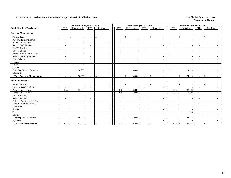|                                     |                          | <b>Operating Budget 2017-2018</b> |                          |                    |                          | Revised Budget 2017-2018       |                          |                                          |                          | <b>Unaudited Actuals 2017-2018</b> |                          |                          |  |
|-------------------------------------|--------------------------|-----------------------------------|--------------------------|--------------------|--------------------------|--------------------------------|--------------------------|------------------------------------------|--------------------------|------------------------------------|--------------------------|--------------------------|--|
| <b>Public Relations/Development</b> | <b>FTE</b>               | Unrestricted                      | <b>FTE</b>               | Restricted         | <b>FTE</b>               | Unrestricted                   | <b>FTE</b>               | Restricted                               | <b>FTE</b>               | Unrestricted                       | <b>FTE</b>               | Restricted               |  |
| <b>Dues and Memberships</b>         |                          |                                   |                          |                    |                          |                                |                          |                                          |                          |                                    |                          |                          |  |
| <b>Faculty Salaries</b>             | $\sim$                   | \$                                | $\sim$                   | $\mathbf{\hat{S}}$ | $\sim$                   | \$                             | $\sim$                   | $\mathbb{S}$<br>$\overline{\phantom{a}}$ | $\sim$                   | $\mathbb{S}$                       | $\overline{\phantom{a}}$ | \$                       |  |
| Part-time Faculty Salaries          | $\sim$                   |                                   | $\sim$                   |                    |                          |                                | $\overline{a}$           | $\overline{\phantom{a}}$                 | $\sim$                   |                                    | $\sim$                   |                          |  |
| Professional Salaries               | $\overline{\phantom{a}}$ |                                   | $\overline{\phantom{a}}$ |                    |                          |                                | $\sim$                   | $\overline{\phantom{a}}$                 | $\overline{\phantom{a}}$ |                                    | $\overline{\phantom{a}}$ |                          |  |
| <b>Support Staff Salaries</b>       | $\overline{\phantom{a}}$ |                                   | $\overline{\phantom{a}}$ |                    |                          | $\overline{\phantom{a}}$       | $\overline{a}$           | $\overline{\phantom{a}}$                 | $\overline{\phantom{a}}$ |                                    | $\overline{\phantom{a}}$ |                          |  |
| GA/TA Salaries                      | $\overline{\phantom{a}}$ |                                   | $\overline{\phantom{a}}$ |                    |                          |                                | $\blacksquare$           | ٠                                        | $\overline{\phantom{a}}$ |                                    | $\sim$                   |                          |  |
| <b>Student Salaries</b>             | $\sim$                   |                                   | $\overline{\phantom{a}}$ |                    |                          | $\overline{\phantom{a}}$       | $\sim$                   | $\overline{\phantom{a}}$                 | $\sim$                   |                                    | $\overline{\phantom{a}}$ |                          |  |
| Federal Work-Study Salaries         | $\sim$                   |                                   | $\overline{\phantom{a}}$ |                    |                          | $\overline{\phantom{a}}$       | $\overline{\phantom{a}}$ | $\overline{\phantom{a}}$                 | $\sim$                   |                                    | $\sim$                   |                          |  |
| State Work-Study Salaries           | $\overline{\phantom{a}}$ |                                   | $\overline{\phantom{a}}$ |                    |                          | $\overline{\phantom{a}}$       | $\overline{\phantom{a}}$ | $\overline{\phantom{a}}$                 | $\overline{\phantom{a}}$ |                                    | $\sim$                   |                          |  |
| Other Salaries                      | $\overline{\phantom{a}}$ |                                   | $\overline{\phantom{a}}$ |                    |                          | $\overline{\phantom{a}}$       | $\overline{\phantom{a}}$ | $\overline{\phantom{a}}$                 | $\overline{\phantom{a}}$ |                                    | $\overline{\phantom{a}}$ |                          |  |
| Fringes                             |                          |                                   |                          |                    |                          | $\overline{\phantom{a}}$       |                          | $\overline{\phantom{a}}$                 |                          |                                    |                          |                          |  |
| Travel                              |                          |                                   |                          |                    |                          | $\overline{\phantom{a}}$       |                          | $\overline{\phantom{a}}$                 |                          |                                    |                          |                          |  |
| <b>Utilities</b>                    |                          |                                   |                          |                    |                          | $\overline{\phantom{a}}$       |                          | $\blacksquare$                           |                          |                                    |                          | $\overline{\phantom{a}}$ |  |
| Other Supplies and Expenses         |                          | 30,000                            |                          |                    |                          | 30,000                         |                          | $\overline{\phantom{a}}$                 |                          | 24,219                             |                          | $\overline{\phantom{a}}$ |  |
| Equipment                           |                          |                                   |                          |                    |                          |                                |                          | $\overline{\phantom{a}}$                 |                          |                                    |                          |                          |  |
| <b>Total Dues and Memberships</b>   | $\overline{\phantom{a}}$ | 30,000<br>$\mathbb{S}$            | $\sim$                   | $\mathbf{\hat{S}}$ |                          | 30,000<br>\$                   |                          | $\mathbf{\hat{S}}$<br>$\sim$             | $\overline{\phantom{a}}$ | $\mathbf{\hat{S}}$<br>24,219       | $\overline{\phantom{a}}$ | $\mathbf{s}$             |  |
| <b>Public Information</b>           |                          |                                   |                          |                    |                          |                                |                          |                                          |                          |                                    |                          |                          |  |
| <b>Faculty Salaries</b>             | $\overline{\phantom{a}}$ | \$<br>$\overline{\phantom{a}}$    | $\overline{\phantom{a}}$ | $\mathbf{\hat{S}}$ | $\overline{\phantom{a}}$ | \$<br>$\overline{\phantom{a}}$ | $\overline{\phantom{a}}$ | $\mathbb{S}$<br>$\overline{\phantom{a}}$ | $\sim$                   | $\mathbb{S}$                       | $\overline{\phantom{a}}$ | \$                       |  |
| Part-time Faculty Salaries          | $\sim$                   |                                   | $\sim$                   |                    | $\sim$                   |                                | $\sim$                   | $\overline{\phantom{a}}$                 | $\sim$                   |                                    | $\sim$                   |                          |  |
| Professional Salaries               | 0.77                     | 33,000                            | $\sim$                   |                    | 0.78                     | 33,000                         | $\sim$                   | $\overline{\phantom{a}}$                 | 0.78                     | 33,000                             | $\blacksquare$           |                          |  |
| <b>Support Staff Salaries</b>       | $\overline{\phantom{a}}$ |                                   | $\overline{\phantom{a}}$ |                    | 0.40                     | 10,900                         | $\blacksquare$           | $\overline{\phantom{a}}$                 | 0.32                     | 8,703                              | $\sim$                   |                          |  |
| <b>GA/TA Salaries</b>               | $\overline{\phantom{a}}$ |                                   | $\overline{\phantom{a}}$ |                    | $\sim$                   |                                | $\blacksquare$           | $\overline{\phantom{a}}$                 | $\overline{\phantom{a}}$ |                                    | $\overline{\phantom{a}}$ |                          |  |
| <b>Student Salaries</b>             | $\sim$                   |                                   | $\overline{\phantom{a}}$ |                    |                          |                                | $\sim$                   | ÷,                                       | $\sim$                   |                                    | $\overline{\phantom{a}}$ |                          |  |
| Federal Work-Study Salaries         | $\sim$                   |                                   | $\sim$                   |                    |                          | $\sim$                         | $\sim$                   | $\sim$                                   | $\sim$                   |                                    | $\sim$                   |                          |  |
| State Work-Study Salaries           | $\sim$                   |                                   | $\overline{\phantom{a}}$ |                    |                          | $\overline{\phantom{a}}$       | $\sim$                   | ٠                                        | $\sim$                   |                                    | $\overline{\phantom{a}}$ |                          |  |
| Other Salaries                      | $\overline{\phantom{a}}$ |                                   | $\overline{\phantom{a}}$ |                    |                          | $\overline{\phantom{a}}$       | $\overline{\phantom{a}}$ | $\blacksquare$                           | $\overline{\phantom{a}}$ |                                    | $\overline{\phantom{0}}$ |                          |  |
| Fringes                             |                          |                                   |                          |                    |                          |                                |                          | $\overline{\phantom{a}}$                 |                          |                                    |                          |                          |  |
| Travel                              |                          |                                   |                          |                    |                          |                                |                          |                                          |                          | 293                                |                          |                          |  |
| Utilities                           |                          |                                   |                          |                    |                          | $\overline{\phantom{a}}$       |                          | $\overline{\phantom{a}}$                 |                          |                                    |                          |                          |  |
| Other Supplies and Expenses         |                          | 50,000                            |                          |                    |                          | 50,000                         |                          | $\overline{\phantom{a}}$                 |                          | 44,831                             |                          |                          |  |
| Equipment                           |                          |                                   |                          |                    |                          |                                |                          |                                          |                          |                                    |                          |                          |  |
| <b>Total Public Information</b>     | 0.77                     | l \$<br>83,000                    |                          | $\mathbf{\hat{S}}$ | 1.18                     | $\mathbb{S}$<br>93,900         |                          | <sup>\$</sup>                            | 1.10                     | $\mathbf{\hat{S}}$<br>86,827       | $\sim$                   | \$                       |  |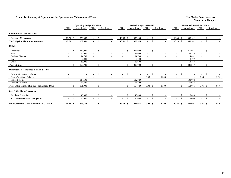#### **Exhibit 14. Summary of Expenditures for Operation and Maintenance of Plant New Mexico State University New Mexico State University**

|                                                        |                          | <b>Operating Budget 2017-2018</b> |                          |                    |                          |              |         | Revised Budget 2017-2018 |             |                          |     |              | <b>Unaudited Actuals 2017-2018</b> |                    |     |
|--------------------------------------------------------|--------------------------|-----------------------------------|--------------------------|--------------------|--------------------------|--------------|---------|--------------------------|-------------|--------------------------|-----|--------------|------------------------------------|--------------------|-----|
|                                                        | <b>FTE</b>               | Unrestricted                      | <b>FTE</b>               | Restricted         | <b>FTE</b>               | Unrestricted |         | <b>FTE</b>               | Restricted  | <b>FTE</b>               |     | Unrestricted | <b>FTE</b>                         | Restricted         |     |
| <b>Physical Plant Administration</b>                   |                          |                                   |                          |                    |                          |              |         |                          |             |                          |     |              |                                    |                    |     |
| Operation/Maintenance                                  | 10.71                    | 359,963<br>- \$                   |                          | <sup>\$</sup>      | 10.60                    | -\$          | 359,946 |                          | \$          | 10.43                    | \$. | 348,102      | -                                  | -\$                |     |
| <b>Total Physical Plant Administration</b>             | 10.71                    | 359,963<br>- \$                   |                          | <sup>\$</sup>      | 10.60                    |              | 359,946 |                          | \$          | 10.43                    | \$. | 348,102      | $\overline{\phantom{a}}$           | $\mathbf{\hat{S}}$ |     |
| <b>Utilities</b>                                       |                          |                                   |                          |                    |                          |              |         |                          |             |                          |     |              |                                    |                    |     |
| Electricity                                            | $\overline{\phantom{a}}$ | <sup>\$</sup><br>317,000          | $\overline{\phantom{a}}$ | $\mathbf{\hat{S}}$ | $\overline{\phantom{a}}$ | \$           | 275,000 | $\overline{\phantom{a}}$ | \$          | $\overline{\phantom{a}}$ | \$  | 255,666      | $\overline{\phantom{a}}$           | $\mathcal{S}$      |     |
| Fuel                                                   | $\overline{\phantom{a}}$ | 40,000                            | $\overline{\phantom{a}}$ |                    | $\overline{\phantom{a}}$ |              | 85,000  | $\overline{a}$           |             |                          |     | 39.176       | $\overline{\phantom{a}}$           |                    |     |
| Garbage Disposal                                       | $\overline{\phantom{a}}$ | 14,700                            | $\sim$                   |                    | $\overline{\phantom{a}}$ |              | 14,700  | $\overline{\phantom{0}}$ |             |                          |     | 14,631       | $\overline{\phantom{a}}$           |                    |     |
| Sewer                                                  |                          | 9,000                             |                          |                    | $\overline{\phantom{a}}$ |              | 8,400   |                          |             |                          |     | 8.177        | Ξ.                                 |                    |     |
| Water                                                  |                          | 16,000                            |                          |                    | $\overline{\phantom{a}}$ |              | 13,600  |                          |             |                          |     | 14,167       |                                    |                    |     |
| <b>Total Utilities</b>                                 |                          | $\mathcal{S}$<br>396,700          |                          | \$                 |                          | -8           | 396,700 |                          | \$          |                          |     | 331,817      | $\sim$                             | <sup>\$</sup>      |     |
| <b>Other Items Not Included in Exhibit 14A's</b>       |                          |                                   |                          |                    |                          |              |         |                          |             |                          |     |              |                                    |                    |     |
| Federal Work-Study Salaries                            |                          | $\mathcal{S}$                     | $\overline{\phantom{a}}$ | <sup>\$</sup>      |                          | \$           |         | ٠                        | \$          | ٠                        | \$  |              |                                    | $\mathbf{\hat{S}}$ |     |
| <b>State Work-Study Salaries</b>                       |                          |                                   |                          |                    |                          |              |         | 0.08                     | 1,300       |                          |     |              | 0.06                               |                    | 970 |
| Fringe Benefits                                        |                          | 117,100                           |                          |                    |                          |              | 112,320 |                          |             |                          |     | 108,002      |                                    |                    |     |
| Property Insurance                                     |                          | 44,800                            |                          |                    |                          |              | 55,100  |                          |             |                          |     | 55,084       | $\sim$                             |                    |     |
| <b>Total Other Items Not Included in Exhibit 14A's</b> |                          | $\mathbf{\hat{s}}$<br>161,900     |                          | \$.                |                          | \$           | 167,420 | 0.08                     | 1,300<br>\$ | $\overline{\phantom{a}}$ | \$  | 163,086      | 0.06                               | -8                 | 970 |
| Less O&M Plant Charged to:                             |                          |                                   |                          |                    |                          |              |         |                          |             |                          |     |              |                                    |                    |     |
| <b>Auxiliary Enterprises</b>                           |                          | 40,000                            |                          | \$                 |                          |              | 40,000  |                          | \$          |                          | \$  | 6,000        |                                    | \$                 |     |
| Total Less O&M Plant Charged to:                       |                          | $\mathbf{\hat{S}}$<br>40,000      |                          | $\mathbf{\hat{S}}$ |                          | -\$          | 40,000  |                          | \$          |                          | \$  | 6.000        |                                    | $\mathbf{s}$       |     |
| Net Expense for O&M of Plant in I&G (Exh 2)            | 10.71                    | 878,563<br>-\$                    |                          | -\$                | 10.60                    | -8           | 884,066 |                          | 1,300       | 10.43                    | \$  | 837,005      | 0.06                               | - S                | 970 |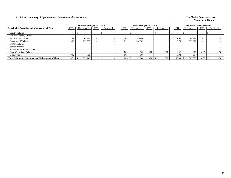#### **Exhibit 14. Summary of Operation and Maintenance of Plant Salaries New Mexico State University New Mexico State University**

|                                                              |                          | <b>Operating Budget 2017-2018</b> |            |            |            | Revised Budget 2017-2018 |            |            |            | <b>Unaudited Actuals 2017-2018</b> |            |            |     |
|--------------------------------------------------------------|--------------------------|-----------------------------------|------------|------------|------------|--------------------------|------------|------------|------------|------------------------------------|------------|------------|-----|
| <b>Salaries for Operation and Maintenance of Plant</b>       | <b>FTE</b>               | Unrestricted                      | <b>FTE</b> | Restricted | <b>FTE</b> | Unrestricted             | <b>FTE</b> | Restricted | <b>FTE</b> | Unrestricted                       | <b>FTE</b> | Restricted |     |
| <b>Faculty Salaries</b>                                      |                          |                                   |            |            |            |                          |            |            |            |                                    |            |            |     |
| Part-time Faculty Salaries                                   | $\overline{\phantom{a}}$ |                                   |            |            |            |                          |            |            |            |                                    |            |            |     |
| <b>Professional Salaries</b>                                 | 1.60                     | 68,980                            |            |            | 1.63       | 68,980                   |            |            | 1.63       | 68,980                             |            |            |     |
| <b>Support Staff Salaries</b>                                | 9.09                     | 255,565                           |            |            | 8.92       | 242,303                  |            |            | 8.76       | 237,928                            |            |            |     |
| <b>GA/TA Salaries</b>                                        |                          |                                   |            |            |            |                          |            |            |            |                                    |            |            |     |
| <b>Student Salaries</b>                                      |                          |                                   |            |            |            |                          |            |            |            |                                    |            |            |     |
| Federal Work-Study Salaries                                  | $\overline{\phantom{a}}$ |                                   |            |            |            |                          |            |            |            |                                    |            |            |     |
| <b>State Work-Study Salaries</b>                             | $\overline{\phantom{a}}$ |                                   |            |            | 0.02       | 363                      | 0.08       | 1.300      | 0.02       | 363                                | 0.06       |            | 970 |
| Other Salaries                                               | 0.02                     | 700                               |            |            | 0.03       | 700                      |            |            | 0.02       | 614                                |            |            |     |
| <b>Total Salaries for Operation and Maintenance of Plant</b> | 10.71                    | 325,245                           |            |            | 10.60      | 312,346                  | 0.08       | 1,300      | 10.43      | 307,885                            | 0.06       |            | 970 |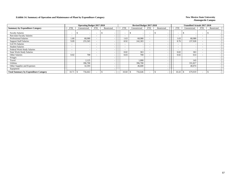#### **Exhibit 14. Summary of Operation and Maintenance of Plant by Expenditure Category** New Mexico State University

|                                              |            | <b>Operating Budget 2017-2018</b> |                          |                          |                          | Revised Budget 2017-2018 |                          |            |                          | <b>Unaudited Actuals 2017-2018</b> |            |            |  |
|----------------------------------------------|------------|-----------------------------------|--------------------------|--------------------------|--------------------------|--------------------------|--------------------------|------------|--------------------------|------------------------------------|------------|------------|--|
| <b>Summary by Expenditure Category</b>       | <b>FTE</b> | Unrestricted                      | <b>FTE</b>               | Restricted               | <b>FTE</b>               | Unrestricted             | <b>FTE</b>               | Restricted | <b>FTE</b>               | Unrestricted                       | <b>FTE</b> | Restricted |  |
| <b>Faculty Salaries</b>                      |            |                                   | $\overline{\phantom{a}}$ | $\overline{\phantom{0}}$ | ٠                        |                          | $\overline{\phantom{a}}$ |            | $\overline{\phantom{a}}$ | $\overline{\phantom{a}}$           |            |            |  |
| Part-time Faculty Salaries                   |            |                                   | $\overline{\phantom{a}}$ |                          | $\overline{\phantom{a}}$ |                          | $\overline{\phantom{a}}$ |            |                          | $\overline{\phantom{a}}$           |            |            |  |
| <b>Professional Salaries</b>                 | 1.60       | 68,980                            | $\overline{\phantom{a}}$ |                          | 1.63                     | 68,980                   | $\overline{\phantom{a}}$ |            | 1.63                     | 68,980                             |            |            |  |
| <b>Support Staff Salaries</b>                | 9.09       | 255,565                           | $\overline{\phantom{a}}$ |                          | 8.92                     | 242,303                  | $\overline{\phantom{a}}$ |            | 8.76                     | 237,928                            |            |            |  |
| GA/TA Salaries                               |            |                                   | $\overline{\phantom{a}}$ |                          |                          |                          | $\overline{\phantom{a}}$ |            | $\overline{\phantom{a}}$ | $\overline{\phantom{a}}$           |            |            |  |
| <b>Student Salaries</b>                      |            |                                   | $\overline{\phantom{a}}$ |                          | -                        |                          | $\overline{\phantom{a}}$ |            | $\sim$                   | $\overline{\phantom{a}}$           |            |            |  |
| Federal Work-Study Salaries                  | $\sim$     |                                   | $\overline{\phantom{a}}$ |                          | -                        |                          | $\overline{\phantom{a}}$ |            | $\sim$                   | $\overline{\phantom{a}}$           |            |            |  |
| <b>State Work-Study Salaries</b>             |            |                                   | $\overline{\phantom{a}}$ |                          | 0.02                     | 363                      | $\overline{\phantom{a}}$ |            | 0.02                     | 363                                |            |            |  |
| <b>Other Salaries</b>                        | 0.02       | 700                               | $\overline{\phantom{a}}$ |                          | 0.03                     | 700                      | $\overline{\phantom{a}}$ |            | 0.02                     | 614                                |            |            |  |
| Fringes                                      |            |                                   |                          |                          |                          |                          |                          |            |                          |                                    |            |            |  |
| Travel                                       |            | 2,125                             |                          |                          |                          | 1,000                    |                          |            |                          | 143                                |            |            |  |
| Utilities                                    |            | 396,700                           |                          |                          |                          | 396,700                  |                          |            |                          | 331,817                            |            |            |  |
| Other Supplies and Expenses                  |            | 32,593                            |                          |                          |                          | 46,600                   |                          |            |                          | 40,074                             |            |            |  |
| Equipment                                    |            |                                   |                          |                          |                          |                          |                          |            |                          | $\overline{\phantom{0}}$           |            |            |  |
| <b>Total Summary by Expenditure Category</b> | 10.71      | 756,663                           |                          |                          | 10.60                    | 756,646<br>J.            | $\overline{\phantom{a}}$ |            | 10.43                    | 679,919                            |            |            |  |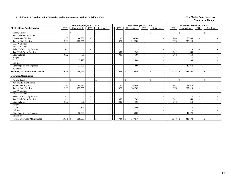#### **Exhibit 14A. Expenditures for Operation and Maintenance - Detail of Individual Units** New Mexico State University

|                                            |                          | <b>Operating Budget 2017-2018</b> |                          |                         |                          | Revised Budget 2017-2018 |                          |                          |              |                          |                          |                    |         | <b>Unaudited Actuals 2017-2018</b> |             |  |
|--------------------------------------------|--------------------------|-----------------------------------|--------------------------|-------------------------|--------------------------|--------------------------|--------------------------|--------------------------|--------------|--------------------------|--------------------------|--------------------|---------|------------------------------------|-------------|--|
| <b>Physical Plant Administration</b>       | <b>FTE</b>               | Unrestricted                      | <b>FTE</b>               | Restricted              | <b>FTE</b>               | Unrestricted             |                          | <b>FTE</b>               |              | Restricted               | <b>FTE</b>               | Unrestricted       |         | <b>FTE</b>                         | Restricted  |  |
| <b>Faculty Salaries</b>                    | -                        | \$                                |                          | $\mathbf{s}$            | $\overline{\phantom{a}}$ | \$                       |                          | $\overline{\phantom{a}}$ | -\$          |                          | $\overline{\phantom{a}}$ | <sup>\$</sup>      |         | $\blacksquare$                     | \$          |  |
| Part-time Faculty Salaries                 | ۰                        |                                   |                          |                         | $\overline{\phantom{a}}$ |                          |                          |                          |              | $\overline{\phantom{a}}$ | $\overline{\phantom{a}}$ |                    |         | $\overline{\phantom{a}}$           |             |  |
| <b>Professional Salaries</b>               | 1.60                     | 68,980                            |                          |                         | 1.63                     | 68,980                   |                          | $\overline{\phantom{a}}$ |              | $\overline{\phantom{a}}$ | 1.63                     |                    | 68.980  | $\overline{\phantom{a}}$           |             |  |
| <b>Support Staff Salaries</b>              | 9.09                     | 255,565                           |                          |                         | 8.92                     | 242,303                  |                          | $\sim$                   |              | $\sim$                   | 8.76                     |                    | 237,928 | $\overline{a}$                     |             |  |
| GA/TA Salaries                             | ۰                        |                                   |                          |                         |                          |                          |                          | $\overline{\phantom{a}}$ |              |                          | $\overline{\phantom{a}}$ |                    |         | ٠                                  |             |  |
| <b>Student Salaries</b>                    | $\sim$                   |                                   | $\overline{\phantom{a}}$ |                         | $\overline{\phantom{a}}$ |                          | $\overline{\phantom{a}}$ | $\sim$                   |              | $\overline{\phantom{a}}$ | $\sim$                   |                    |         | $\overline{\phantom{a}}$           |             |  |
| Federal Work-Study Salaries                | ۰                        |                                   |                          |                         | $\sim$                   |                          | $\overline{\phantom{a}}$ | $\sim$                   |              | $\sim$                   | $\sim$                   |                    |         | ٠                                  |             |  |
| <b>State Work-Study Salaries</b>           | $\frac{1}{2}$            |                                   |                          |                         | 0.02                     |                          | 363                      | $\overline{\phantom{a}}$ |              |                          | 0.02                     |                    | 363     | $\overline{\phantom{a}}$           |             |  |
| Other Salaries                             | 0.02                     | 700                               |                          |                         | 0.03                     |                          | 700                      | $\overline{\phantom{a}}$ |              | $\overline{\phantom{a}}$ | 0.02                     |                    | 614     | $\overline{\phantom{a}}$           |             |  |
| Fringes                                    |                          |                                   |                          |                         |                          |                          |                          |                          |              |                          |                          |                    |         |                                    |             |  |
| Travel                                     |                          | 2,125                             |                          |                         |                          |                          | 1,000                    |                          |              | $\overline{\phantom{a}}$ |                          |                    | 143     |                                    |             |  |
| Utilities                                  |                          |                                   |                          |                         |                          |                          |                          |                          |              | $\overline{\phantom{a}}$ |                          |                    |         |                                    |             |  |
| Other Supplies and Expenses                |                          | 32,593                            |                          |                         |                          | 46,600                   |                          |                          |              |                          |                          |                    | 40,074  |                                    |             |  |
| Equipment                                  |                          |                                   |                          |                         |                          |                          |                          |                          |              | $\sim$                   |                          |                    |         |                                    |             |  |
| <b>Total Physical Plant Administration</b> | 10.71                    | 359,963<br>-\$                    |                          | $\mathbf{\hat{S}}$      | 10.60                    | \$<br>359,946            |                          | $\overline{\phantom{a}}$ | $\mathbf S$  |                          | 10.43                    | $\mathbf{\hat{S}}$ | 348,102 | $\sim$                             | $\mathbf S$ |  |
| <b>Operation/Maintenance</b>               |                          |                                   |                          |                         |                          |                          |                          |                          |              |                          |                          |                    |         |                                    |             |  |
| <b>Faculty Salaries</b>                    | ۰                        | \$                                |                          | $\mathbb{S}$            | $\overline{\phantom{a}}$ | \$                       |                          | $\overline{\phantom{a}}$ | \$           | $\overline{\phantom{a}}$ | $\overline{\phantom{a}}$ | -\$                |         | $\overline{\phantom{a}}$           | \$          |  |
| Part-time Faculty Salaries                 |                          |                                   |                          |                         |                          |                          | $\overline{\phantom{a}}$ |                          |              | $\overline{\phantom{a}}$ | $\sim$                   |                    |         | $\overline{\phantom{a}}$           |             |  |
| Professional Salaries                      | 1.60                     | 68,980                            |                          |                         | 1.63                     | 68,980                   |                          | $\overline{\phantom{a}}$ |              | $\overline{\phantom{a}}$ | 1.63                     |                    | 68,980  | $\blacksquare$                     |             |  |
| <b>Support Staff Salaries</b>              | 9.09                     | 255,565                           | $\overline{\phantom{a}}$ |                         | 8.92                     | 242,303                  |                          | $\overline{\phantom{a}}$ |              |                          | 8.76                     |                    | 237,928 | $\blacksquare$                     |             |  |
| GA/TA Salaries                             | $\overline{\phantom{a}}$ |                                   | $\overline{\phantom{a}}$ |                         | $\sim$                   |                          | $\overline{\phantom{a}}$ | $\overline{\phantom{a}}$ |              | $\overline{\phantom{a}}$ | $\sim$                   |                    |         | $\overline{\phantom{a}}$           |             |  |
| <b>Student Salaries</b>                    | ۰                        | $\overline{\phantom{a}}$          |                          |                         | $\overline{\phantom{a}}$ |                          | $\overline{\phantom{a}}$ | $\overline{\phantom{a}}$ |              | $\overline{\phantom{a}}$ | $\sim$                   |                    |         | $\overline{\phantom{a}}$           |             |  |
| Federal Work-Study Salaries                |                          |                                   |                          |                         |                          |                          | $\overline{a}$           |                          |              |                          |                          |                    |         | $\overline{\phantom{a}}$           |             |  |
| <b>State Work-Study Salaries</b>           |                          |                                   |                          |                         | 0.02                     |                          | 363                      | $\overline{\phantom{a}}$ |              | $\overline{\phantom{a}}$ | 0.02                     |                    | 363     | $\blacksquare$                     |             |  |
| Other Salaries                             | 0.02                     | 700                               |                          |                         | 0.03                     |                          | 700                      | $\sim$                   |              | $\overline{\phantom{a}}$ | 0.02                     |                    | 614     | $\overline{\phantom{a}}$           |             |  |
| Fringes                                    |                          |                                   |                          |                         |                          |                          |                          |                          |              |                          |                          |                    |         |                                    |             |  |
| Travel                                     |                          | 2,125                             |                          |                         |                          |                          | 1.000                    |                          |              |                          |                          |                    | 143     |                                    |             |  |
| <b>Utilities</b>                           |                          |                                   |                          |                         |                          |                          |                          |                          |              |                          |                          |                    |         |                                    |             |  |
| Other Supplies and Expenses                |                          | 32,593                            |                          |                         |                          | 46,600                   |                          |                          |              | $\overline{\phantom{a}}$ |                          |                    | 40,074  |                                    |             |  |
| Equipment                                  |                          |                                   |                          |                         |                          |                          |                          |                          |              |                          |                          |                    |         |                                    |             |  |
| <b>Total Operation/Maintenance</b>         | 10.71                    | 359,963<br>l \$                   |                          | $\mathcal{S}$<br>$\sim$ | 10.60                    | \$<br>359,946            |                          |                          | $\mathbf{s}$ | $\overline{\phantom{a}}$ | 10.43                    | -\$                | 348,102 | $\sim$                             | \$          |  |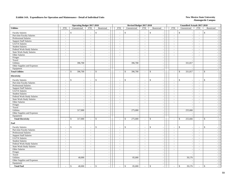#### **Exhibit 14A. Expenditures for Operation and Maintenance - Detail of Individual Units** New Mexico State University

|                                                    |                                    |                         | <b>Operating Budget 2017-2018</b>    |                                     |                  | Revised Budget 2017-2018           |                             |                                          |                    |                    | <b>Unaudited Actuals 2017-2018</b> |                          |                                                |
|----------------------------------------------------|------------------------------------|-------------------------|--------------------------------------|-------------------------------------|------------------|------------------------------------|-----------------------------|------------------------------------------|--------------------|--------------------|------------------------------------|--------------------------|------------------------------------------------|
| <b>Utilities</b>                                   | <b>FTE</b>                         | Unrestricted            | <b>FTE</b>                           | Restricted                          | <b>FTE</b>       | Unrestricted                       | <b>FTE</b>                  | Restricted                               | <b>FTE</b>         |                    | Unrestricted                       | <b>FTE</b>               | Restricted                                     |
| <b>Faculty Salaries</b>                            | $\overline{\phantom{a}}$           | \$                      | $\sim$                               | $\mathcal{S}$                       | $\sim$           | \$<br>$\sim$                       | $\sim$                      | \$                                       | $\sim$             | $\mathbb{S}$       |                                    | $\sim$                   | \$                                             |
| Part-time Faculty Salaries                         | $\sim$                             |                         | $\sim$<br>$\sim$                     | $\sim$                              | $\sim$           | $\sim$                             | $\sim$                      | $\sim$                                   | $\sim$             |                    | $\sim$                             | $\sim$                   |                                                |
| Professional Salaries                              | $\sim$                             |                         | $\sim$<br>$\sim$                     | $\sim$                              | $\sim$           | $\sim$                             | $\sim$                      | $\mathcal{L}_{\mathcal{A}}$              | $\sim$             |                    | $\overline{\phantom{a}}$           | $\sim$                   | $\overline{\phantom{a}}$                       |
| <b>Support Staff Salaries</b>                      | $\blacksquare$                     |                         | $\sim$                               | $\blacksquare$                      | $\blacksquare$   | $\sim$                             | $\blacksquare$              | $\blacksquare$                           | $\sim$             |                    | $\overline{\phantom{a}}$           | $\blacksquare$           |                                                |
| GA/TA Salaries                                     | $\overline{\phantom{a}}$           |                         | $\sim$<br>$\sim$                     | $\mathbb{L}$                        | $\mathbf{r}$     | $\sim$                             | $\omega$                    | $\blacksquare$                           | $\sim$             |                    | $\sim$                             | $\overline{\phantom{a}}$ |                                                |
| <b>Student Salaries</b>                            | $\sim$                             |                         | $\sim$<br>$\sim$                     | $\sim$                              | $\sim$           | $\sim$                             | $\sim$                      | $\blacksquare$                           | $\sim$             |                    | $\sim$                             | $\omega$                 | $\overline{\phantom{a}}$                       |
| Federal Work-Study Salaries                        | $\omega$                           |                         | $\sim$<br>$\sim$                     | $\sim$                              | $\sim$           | $\overline{\phantom{a}}$           | $\sim$                      | $\sim$                                   | $\sim$             |                    | $\sim$                             | $\sim$                   |                                                |
| <b>State Work-Study Salaries</b>                   | $\omega$                           |                         | $\sim$<br>$\sim$                     | $\sim$                              | $\sim$           | $\sim$                             | $\mathcal{L}_{\mathcal{A}}$ | $\blacksquare$                           | $\sim$             |                    | $\omega$                           | $\omega$                 | $\overline{a}$                                 |
| Other Salaries                                     | $\sim$                             |                         | $\sim$<br>$\sim$                     | $\sim$                              | $\sim$           | $\sim$                             | $\sim$                      | $\omega$                                 | $\sim$             |                    | $\omega$                           | $\mathcal{L}$            |                                                |
| Fringes                                            |                                    |                         | $\sim$                               | $\sim$                              |                  | $\sim$                             |                             | $\sim$                                   |                    |                    | $\sim$                             |                          | $\sim$                                         |
| Travel                                             |                                    |                         | $\sim$                               | $\sim$                              |                  | $\sim$                             |                             | $\sim$                                   |                    |                    | $\sim$                             |                          | $\overline{\phantom{a}}$                       |
| <b>Utilities</b>                                   |                                    | 396,700                 |                                      | $\sim$                              |                  | 396,700                            |                             | $\sim$                                   |                    |                    | 331,817                            |                          |                                                |
| Other Supplies and Expenses                        |                                    |                         |                                      | $\blacksquare$                      |                  |                                    |                             | $\overline{\phantom{a}}$                 |                    |                    |                                    |                          |                                                |
| Equipment                                          |                                    |                         |                                      | $\sim$                              |                  | $\overline{a}$                     |                             | $\sim$                                   |                    |                    | $\overline{\phantom{a}}$           |                          | $\overline{a}$                                 |
| <b>Total Utilities</b>                             | $\sim$                             | 396,700<br>$\mathbb{S}$ | $\sim$                               | $\mathcal{S}$<br>$\sim$             | $\sim$           | \$<br>396,700                      | $\blacksquare$              | $\mathbb{S}$<br>$\sim$                   | $\sim$             | $\mathbb{S}$       | 331,817                            | $\blacksquare$           | $\mathbf S$                                    |
|                                                    |                                    |                         |                                      |                                     |                  |                                    |                             |                                          |                    |                    |                                    |                          |                                                |
| Electricity                                        |                                    |                         |                                      |                                     |                  |                                    |                             |                                          |                    |                    |                                    |                          |                                                |
| <b>Faculty Salaries</b>                            | $\overline{\phantom{a}}$           | \$                      | $\sim$                               | $\mathcal{S}$                       | $\sim$           | \$                                 | $\sim$                      | $\mathbb{S}$                             | $\sim$             | $\mathcal{S}$      |                                    | $\overline{a}$           | \$                                             |
| Part-time Faculty Salaries                         | $\sim$                             |                         | $\sim$<br>$\sim$                     | $\mathcal{L}_{\mathcal{A}}$         | $\sim$           | $\sim$                             | $\blacksquare$              | $\blacksquare$                           | $\sim$             |                    | $\sim$                             | $\mathcal{L}$            |                                                |
| Professional Salaries                              | $\sim$                             |                         | $\sim$<br>$\sim$                     | $\sim$                              | $\sim$           | $\sim$                             | $\sim$                      | $\mathcal{L}_{\mathcal{A}}$              | $\sim$             |                    | $\sim$                             | $\sim$                   | $\overline{\phantom{a}}$                       |
| <b>Support Staff Salaries</b>                      | $\sim$                             |                         | $\sim$<br>$\sim$                     | $\sim$                              | $\sim$           | $\overline{\phantom{a}}$           | $\sim$                      | $\sim$                                   | $\sim$             |                    | $\sim$                             | $\sim$                   | $\sim$                                         |
| GA/TA Salaries                                     | $\overline{\phantom{a}}$           |                         | $\sim$<br>$\sim$                     | $\sim$                              | $\sim$           | $\sim$                             | $\sim$                      | $\blacksquare$                           | $\sim$             |                    | $\sim$                             | $\sim$                   | $\sim$                                         |
| <b>Student Salaries</b>                            | $\overline{\phantom{a}}$           |                         | $\sim$<br>$\sim$                     | $\mathbb{L}$                        | $\sim$           | $\sim$                             | $\mathcal{L}$               | $\blacksquare$                           | $\sim$             |                    | $\sim$                             | $\blacksquare$           |                                                |
| Federal Work-Study Salaries                        | $\mathcal{L}_{\mathcal{A}}$        |                         | $\sim$<br>$\sim$                     | $\mathbb{L}$                        | $\sim$           | $\sim$                             | $\mathcal{L}_{\mathcal{A}}$ | $\blacksquare$                           | $\sim$             |                    | $\sim$                             | $\omega$                 | $\sim$                                         |
| <b>State Work-Study Salaries</b>                   | $\omega$                           |                         | $\sim$<br>$\sim$                     | $\sim$                              | $\sim$           | $\sim$                             | $\sim$                      | $\blacksquare$                           | $\sim$             |                    | $\sim$                             | $\sim$                   | $\overline{\phantom{a}}$                       |
| Other Salaries                                     | $\sim$                             |                         | $\sim$<br>$\sim$                     | $\sim$                              | $\sim$           | $\sim$                             | $\sim$                      | $\sim$                                   | $\sim$             |                    | $\sim$                             | $\mathcal{L}$            | $\overline{a}$                                 |
| Fringes                                            |                                    |                         | $\overline{\phantom{a}}$             | $\sim$                              |                  | $\overline{\phantom{a}}$           |                             | $\sim$                                   |                    |                    | $\overline{\phantom{a}}$           |                          |                                                |
| Travel                                             |                                    |                         | $\overline{a}$                       | $\sim$                              |                  | $\sim$                             |                             | $\blacksquare$                           |                    |                    | $\sim$                             |                          | $\overline{a}$                                 |
| Utilities                                          |                                    | 317,000                 |                                      | $\sim$                              |                  | 275,000                            |                             | $\sim$                                   |                    |                    | 255,666                            |                          | $\sim$                                         |
| Other Supplies and Expenses                        |                                    |                         |                                      | $\sim$                              |                  | $\overline{\phantom{a}}$           |                             | $\blacksquare$                           |                    |                    | $\overline{\phantom{a}}$           |                          | $\overline{\phantom{a}}$                       |
| Equipment                                          |                                    |                         |                                      | $\mathbb{L}$                        |                  | $\overline{\phantom{a}}$           |                             | $\bar{\phantom{a}}$                      |                    |                    |                                    |                          | $\overline{a}$                                 |
| <b>Total Electricity</b>                           | $\overline{\phantom{a}}$           | \$<br>317,000           | $\sim$                               | $\mathcal{S}$<br>$\sim$             | $\blacksquare$   | \$<br>275,000                      | $\blacksquare$              | $\mathbb{S}$<br>$\bar{\phantom{a}}$      | $\sim$             | $\mathbf{\hat{S}}$ | 255,666                            | $\sim$                   | $\mathbf{\hat{S}}$<br>$\overline{\phantom{a}}$ |
| <b>Fuel</b>                                        |                                    |                         |                                      |                                     |                  |                                    |                             |                                          |                    |                    |                                    |                          |                                                |
|                                                    |                                    |                         |                                      |                                     |                  |                                    |                             |                                          |                    |                    |                                    |                          |                                                |
| <b>Faculty Salaries</b>                            | $\overline{\phantom{a}}$           | \$                      | $\sim$<br>$\sim$                     | $\mathcal{S}$                       | $\sim$           | \$<br>$\overline{\phantom{a}}$     | $\sim$                      | $\mathbb{S}$<br>$\overline{\phantom{a}}$ |                    | $\mathbb{S}$       |                                    | $\blacksquare$           | $\mathbb{S}$                                   |
| Part-time Faculty Salaries                         | $\sim$                             |                         | $\sim$<br>$\sim$                     | $\sim$                              | $\sim$           | $\sim$                             | $\sim$                      | $\omega$                                 | $\sim$             |                    | $\omega$                           | $\mathcal{L}$            | $\sim$                                         |
| Professional Salaries                              | $\sim$                             |                         | $\sim$<br>$\sim$                     | $\sim$                              | $\sim$           | $\overline{\phantom{a}}$           | $\sim$                      | $\sim$                                   | $\sim$             |                    | $\sim$                             | $\sim$                   |                                                |
| <b>Support Staff Salaries</b>                      | $\blacksquare$                     |                         | $\sim$<br>$\sim$                     | $\sim$                              | $\blacksquare$   | $\overline{\phantom{a}}$           | $\sim$                      | $\blacksquare$                           | $\sim$             |                    | $\blacksquare$                     | $\blacksquare$           | $\sim$                                         |
| GA/TA Salaries                                     | $\sim$<br>$\overline{\phantom{a}}$ |                         | $\sim$<br>$\sim$                     | $\sim$                              | $\sim$           | $\sim$                             | $\sim$                      | $\omega$                                 | $\sim$             |                    | $\mathcal{L}_{\mathcal{A}}$        | $\sim$                   | $\sim$                                         |
| <b>Student Salaries</b>                            |                                    |                         | $\sim$<br>$\sim$                     | $\mathbb{L}$                        | $\sim$           | $\sim$                             | $\sim$                      | $\sim$                                   | $\sim$             |                    | $\sim$                             | $\sim$                   | $\overline{\phantom{a}}$                       |
| Federal Work-Study Salaries                        | $\sim$                             |                         | $\overline{\phantom{a}}$<br>$\sim$   | $\blacksquare$                      | $\blacksquare$   | $\overline{\phantom{a}}$           | $\sim$                      | $\blacksquare$                           | $\sim$<br>$\omega$ |                    | $\sim$                             | $\sim$                   | $\overline{\phantom{a}}$                       |
| <b>State Work-Study Salaries</b><br>Other Salaries | $\omega$<br>$\sim$                 |                         | $\sim$<br>$\sim$<br>$\sim$<br>$\sim$ | $\mathbb{L}$<br>$\sim$              | $\sim$<br>$\sim$ | $\overline{\phantom{a}}$<br>$\sim$ | $\omega$<br>$\sim$          | $\blacksquare$<br>$\sim$                 | $\sim$             |                    | $\sim$<br>$\sim$                   | $\omega$<br>$\sim$       | $\overline{a}$<br>$\overline{\phantom{a}}$     |
|                                                    |                                    |                         | $\sim$                               | $\sim$                              |                  | $\sim$                             |                             | $\sim$                                   |                    |                    | $\sim$                             |                          | $\sim$                                         |
| Fringes<br>Travel                                  |                                    |                         |                                      | $\sim$                              |                  | $\sim$                             |                             | $\sim$                                   |                    |                    | $\sim$                             |                          |                                                |
| Utilities                                          |                                    | 40,000                  |                                      | $\sim$                              |                  | 85,000                             |                             | $\omega$                                 |                    |                    | 39,176                             |                          | $\sim$                                         |
| Other Supplies and Expenses                        |                                    |                         |                                      | $\omega$                            |                  | $\sim$                             |                             | $\mathbb{Z}^+$                           |                    |                    | $\sim$                             |                          | $\sim$                                         |
| Equipment                                          |                                    |                         |                                      | $\sim$                              |                  | $\sim$                             |                             | $\sim$                                   |                    |                    | $\overline{a}$                     |                          | $\overline{\phantom{a}}$                       |
| <b>Total Fuel</b>                                  |                                    | \$                      | 40,000<br>$\sim$                     | $\boldsymbol{\mathsf{S}}$<br>$\sim$ | $\sim$           | \$<br>85,000                       | $\sim$                      | $\mathbb{S}$<br>$\sim$                   | $\sim$             | $\$$               | 39,176                             | $\sim$                   | \$<br>$\overline{\phantom{a}}$                 |
|                                                    |                                    |                         |                                      |                                     |                  |                                    |                             |                                          |                    |                    |                                    |                          |                                                |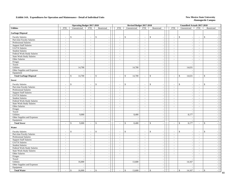#### **Exhibit 14A. Expenditures for Operation and Maintenance - Detail of Individual Units** New Mexico State University

|                                  |                          | <b>Operating Budget 2017-2018</b> |                          |                                |                          | Revised Budget 2017-2018                       |                             |                                |                             | <b>Unaudited Actuals 2017-2018</b>       |                             |                                         |  |
|----------------------------------|--------------------------|-----------------------------------|--------------------------|--------------------------------|--------------------------|------------------------------------------------|-----------------------------|--------------------------------|-----------------------------|------------------------------------------|-----------------------------|-----------------------------------------|--|
| <b>Utilities</b>                 | FTE                      | Unrestricted                      | <b>FTE</b>               | Restricted                     | <b>FTE</b>               | Unrestricted                                   | FTE                         | Restricted                     | <b>FTE</b>                  | Unrestricted                             | FTE                         | Restricted                              |  |
| <b>Garbage Disposal</b>          |                          |                                   |                          |                                |                          |                                                |                             |                                |                             |                                          |                             |                                         |  |
| <b>Faculty Salaries</b>          | $\overline{\phantom{a}}$ | $\mathbb{S}$<br>$\sim$            | $\overline{\phantom{a}}$ | $\mathbb{S}$                   | $\sim$                   | $\mathbb{S}$<br>$\sim$                         | $\sim$                      | \$<br>$\overline{\phantom{a}}$ | $\sim$                      | $\mathbb{S}$<br>$\overline{\phantom{a}}$ | $\blacksquare$              | \$                                      |  |
| Part-time Faculty Salaries       | $\overline{\phantom{a}}$ | $\blacksquare$                    | $\overline{\phantom{a}}$ |                                | $\sim$                   | $\overline{\phantom{a}}$                       | $\blacksquare$              | $\mathbb{Z}^2$                 | $\sim$                      | $\overline{\phantom{a}}$                 | $\blacksquare$              |                                         |  |
| Professional Salaries            | $\sim$                   | $\blacksquare$                    | $\blacksquare$           | $\sim$                         | $\sim$                   | $\overline{\phantom{a}}$                       | $\equiv$                    | $\mathcal{L}_{\mathcal{A}}$    | $\mathcal{L}_{\mathcal{A}}$ | $\overline{\phantom{a}}$                 | $\blacksquare$              | $\sim$                                  |  |
| <b>Support Staff Salaries</b>    | $\mathbb{Z}^2$           | $\sim$                            | $\mathcal{L}$            | $\sim$                         | $\sim$                   | $\sim$                                         | $\mathcal{L}$               | $\omega$                       | $\mathcal{L}$               | $\overline{\phantom{a}}$                 | $\mathbf{r}$                | $\sim$                                  |  |
| GA/TA Salaries                   | $\overline{\phantom{a}}$ | $\sim$                            | $\overline{\phantom{a}}$ | $\overline{\phantom{a}}$       | $\overline{\phantom{a}}$ |                                                | $\blacksquare$              | $\sim$                         | $\sim$                      | $\overline{\phantom{a}}$                 | $\overline{\phantom{a}}$    |                                         |  |
| <b>Student Salaries</b>          | $\sim$                   | $\sim$                            | $\sim$                   | $\sim$                         | $\sim$                   | $\overline{\phantom{a}}$                       | $\sim$                      | $\sim$                         | $\sim$                      | $\sim$                                   | $\sim$                      | $\sim$                                  |  |
| Federal Work-Study Salaries      | $\overline{\phantom{a}}$ | $\sim$                            | $\blacksquare$           | $\sim$                         | $\overline{\phantom{a}}$ |                                                | $\equiv$                    | $\mathbb{L}$                   | $\sim$                      |                                          | $\sim$                      | $\overline{\phantom{a}}$                |  |
| <b>State Work-Study Salaries</b> | $\sim$                   | $\mathcal{L}_{\mathcal{A}}$       | $\bar{\phantom{a}}$      | $\overline{\phantom{a}}$       | $\overline{\phantom{a}}$ | $\overline{\phantom{a}}$                       | $\omega_{\rm c}$            | $\mathcal{L}_{\mathcal{A}}$    | $\mathcal{L}_{\mathcal{A}}$ | $\overline{\phantom{a}}$                 | $\blacksquare$              | $\sim$                                  |  |
| Other Salaries                   | $\blacksquare$           | $\blacksquare$                    | $\sim$                   | $\sim$                         | $\blacksquare$           | $\overline{a}$                                 | $\mathcal{L}_{\mathcal{A}}$ | $\sim$                         | $\mathcal{L}_{\mathcal{A}}$ | ÷.                                       | $\mathbb{Z}^2$              | $\sim$                                  |  |
| Fringes                          |                          | $\mathcal{L}_{\mathcal{A}}$       |                          | $\sim$                         |                          | ÷,                                             |                             | $\sim$                         |                             | $\overline{\phantom{a}}$                 |                             | $\sim$                                  |  |
| Travel                           |                          | $\sim$                            |                          | $\sim$                         |                          | $\sim$                                         |                             | $\sim$                         |                             | $\overline{a}$                           |                             | $\sim$                                  |  |
| <b>Utilities</b>                 |                          | 14,700                            |                          | $\sim$                         |                          | 14,700                                         |                             | $\mathbb{Z}^2$                 |                             | 14,631                                   |                             |                                         |  |
| Other Supplies and Expenses      |                          | $\sim$                            |                          | $\sim$                         |                          |                                                |                             | $\mathcal{L}_{\mathcal{A}}$    |                             |                                          |                             | $\sim$                                  |  |
| Equipment                        |                          | $\overline{a}$                    |                          | $\overline{a}$                 |                          |                                                |                             | $\sim$                         |                             |                                          |                             | $\sim$                                  |  |
| <b>Total Garbage Disposal</b>    | $\sim$                   | 14,700<br>\$                      | $\sim$                   | $\mathbf{s}$<br>$\overline{a}$ | $\sim$                   | $\mathbb{S}$<br>14,700                         | $\mathbf{r}$                | \$<br>$\sim$                   | $\omega$                    | 14,631<br>\$                             | $\overline{a}$              | \$<br>$\overline{a}$                    |  |
| <b>Sewer</b>                     |                          |                                   |                          |                                |                          |                                                |                             |                                |                             |                                          |                             |                                         |  |
| <b>Faculty Salaries</b>          | $\overline{\phantom{a}}$ | \$<br>$\sim$                      | $\overline{\phantom{a}}$ | \$                             | $\sim$                   | \$<br>$\sim$                                   | $\overline{\phantom{a}}$    | \$<br>$\overline{\phantom{a}}$ | $\overline{\phantom{a}}$    | $\mathsf{\$}$                            | $\blacksquare$              | \$                                      |  |
| Part-time Faculty Salaries       | $\sim$                   | $\overline{\phantom{a}}$          | $\overline{a}$           |                                | $\overline{\phantom{a}}$ | L.                                             | $\mathcal{L}$               | $\Box$                         | $\blacksquare$              | J.                                       | $\overline{\phantom{a}}$    |                                         |  |
| Professional Salaries            | $\sim$                   | $\omega$                          | $\sim$                   | $\sim$                         | $\sim$                   | $\overline{\phantom{a}}$                       | $\sim$                      | $\omega$                       | $\sim$                      | $\overline{\phantom{a}}$                 | $\sim$                      | $\sim$                                  |  |
| <b>Support Staff Salaries</b>    | $\sim$                   | $\sim$                            | $\mathcal{L}$            | $\sim$                         | $\sim$                   | $\overline{\phantom{a}}$                       | $\omega$                    | $\sim$                         | $\mathbb{Z}^2$              | $\overline{\phantom{a}}$                 | $\sim$                      | $\sim$                                  |  |
| GA/TA Salaries                   | $\sim$                   | $\sim$                            | $\sim$                   | $\sim$                         | $\sim$                   | $\overline{\phantom{a}}$                       | $\sim$                      | $\sim$                         | $\sim$                      | $\overline{\phantom{a}}$                 | $\sim$                      | $\sim$                                  |  |
| <b>Student Salaries</b>          | $\sim$                   | $\blacksquare$                    | $\sim$                   | $\sim$                         | $\sim$                   | $\tilde{\phantom{a}}$                          | $\omega$                    | $\sim$                         | $\sim$                      | $\sim$                                   | $\sim$                      | $\sim$                                  |  |
| Federal Work-Study Salaries      | $\sim$                   | $\sim$                            | $\overline{\phantom{a}}$ | $\sim$                         | $\overline{\phantom{a}}$ | $\sim$                                         | $\mathcal{L}_{\mathcal{A}}$ | $\sim$                         | $\blacksquare$              | J.                                       | $\overline{\phantom{a}}$    | $\overline{\phantom{a}}$                |  |
| <b>State Work-Study Salaries</b> | $\sim$                   | $\omega$                          | $\sim$                   | $\sim$                         | $\sim$                   | $\sim$                                         | $\mathcal{L}$               | $\sim$                         | $\sim$                      | $\overline{\phantom{a}}$                 | $\sim$                      | $\overline{\phantom{a}}$                |  |
| Other Salaries                   | $\sim$                   | $\sim$                            | $\sim$                   | $\sim$                         | $\sim$                   | $\sim$                                         | $\sim$                      | $\sim$                         | $\sim$                      | $\overline{\phantom{a}}$                 | $\sim$                      | $\overline{\phantom{a}}$                |  |
| Fringes                          |                          | $\sim$                            |                          | $\sim$                         |                          | $\overline{\phantom{a}}$                       |                             | $\sim$                         |                             | $\overline{\phantom{a}}$                 |                             | $\overline{\phantom{a}}$                |  |
| Travel                           |                          | $\sim$                            |                          | $\sim$                         |                          | $\overline{\phantom{a}}$                       |                             | $\omega$                       |                             |                                          |                             | $\overline{\phantom{a}}$                |  |
| Utilities                        |                          | 9,000                             |                          | $\overline{\phantom{a}}$       |                          | 8,400                                          |                             | $\omega$                       |                             | 8,177                                    |                             | $\sim$                                  |  |
| Other Supplies and Expenses      |                          | $\overline{a}$                    |                          | $\sim$                         |                          |                                                |                             | $\sim$                         |                             |                                          |                             | $\sim$                                  |  |
| Equipment                        |                          | $\blacksquare$                    |                          | $\sim$                         |                          | $\overline{a}$                                 |                             | $\sim$                         |                             | ÷,                                       |                             | $\sim$                                  |  |
| <b>Total Sewer</b>               | $\sim$                   | $\mathcal{S}$<br>9,000            | $\sim$                   | $\mathbf S$<br>$\sim$          | $\sim$                   | $\mathbb{S}$<br>8,400                          | $\omega$                    | $\mathbb{S}$<br>$\sim$         | $\sim$                      | \$<br>8,177                              | $\sim$                      | $\mathbb{S}$<br>$\sim$                  |  |
| Water                            |                          |                                   |                          |                                |                          |                                                |                             |                                |                             |                                          |                             |                                         |  |
| <b>Faculty Salaries</b>          |                          | \$<br>$\overline{\phantom{a}}$    | $\overline{\phantom{a}}$ | $\mathbb{S}$                   |                          | $\mathbf{\hat{S}}$<br>$\overline{\phantom{a}}$ | $\overline{\phantom{a}}$    | \$<br>$\overline{\phantom{a}}$ | $\overline{\phantom{a}}$    | $\mathbb{S}$                             | $\overline{\phantom{a}}$    | $\mathbb{S}$                            |  |
| Part-time Faculty Salaries       | $\mathbb{Z}^2$           | $\sim$                            | $\mathcal{L}$            | $\overline{\phantom{a}}$       | $\omega$                 | $\sim$                                         | $\mathbb{Z}^+$              | $\omega$                       | $\mathbb{Z}^2$              | $\sim$                                   | $\sim$                      | $\sim$                                  |  |
| <b>Professional Salaries</b>     | $\blacksquare$           | $\mathbb{Z}^2$                    | $\omega$                 | $\sim$                         | $\blacksquare$           | $\blacksquare$                                 | $\mathcal{L}_{\mathcal{A}}$ | $\sim$                         | $\mathbb{Z}^2$              | $\sim$                                   | $\mathcal{L}_{\mathcal{A}}$ | $\sim$                                  |  |
| <b>Support Staff Salaries</b>    | $\blacksquare$           | $\mathbb{Z}^2$                    | $\omega$                 | $\sim$                         | $\blacksquare$           | $\blacksquare$                                 | $\omega$                    | $\sim$                         | $\mathcal{L}_{\mathcal{A}}$ | $\overline{\phantom{a}}$                 | $\mathcal{L}_{\mathcal{A}}$ | $\sim$                                  |  |
| GA/TA Salaries                   | $\sim$                   | $\mathcal{L}$                     | $\sim$                   | $\sim$                         | $\sim$                   | $\sim$                                         | $\mathcal{L}^{\mathcal{A}}$ | $\sim$                         | $\sim$                      | $\sim$                                   | $\overline{\phantom{a}}$    | $\sim$                                  |  |
| <b>Student Salaries</b>          | $\blacksquare$           | $\blacksquare$                    | $\blacksquare$           | $\sim$                         | $\blacksquare$           | $\overline{\phantom{a}}$                       | $\mathcal{L}_{\mathcal{A}}$ | $\mathcal{L}_{\mathcal{A}}$    | $\blacksquare$              | $\overline{\phantom{a}}$                 | $\blacksquare$              | $\sim$                                  |  |
| Federal Work-Study Salaries      | $\sim$                   | $\sim$                            | $\sim$                   | $\sim$                         | $\sim$                   | $\sim$                                         | $\overline{a}$              | $\sim$                         | $\sim$                      | $\overline{\phantom{a}}$                 | $\sim$                      | $\overline{a}$                          |  |
| State Work-Study Salaries        | $\sim$                   | $\blacksquare$                    | $\sim$                   | $\overline{a}$                 | $\sim$                   |                                                | $\overline{a}$              | $\omega$                       | $\blacksquare$              | $\overline{\phantom{a}}$                 | $\overline{a}$              | $\sim$                                  |  |
| Other Salaries                   | $\sim$                   | $\mathbb{Z}^2$                    | $\sim$                   | $\sim$                         | $\sim$                   | $\sim$                                         | $\sim$                      | $\sim$                         | $\sim$                      | $\overline{\phantom{a}}$                 | $\sim$                      | $\overline{\phantom{a}}$                |  |
| Fringes                          |                          | $\overline{\phantom{a}}$          |                          | $\sim$                         |                          | $\sim$                                         |                             | $\mathcal{L}_{\mathcal{A}}$    |                             | $\sim$                                   |                             | $\sim$                                  |  |
| Travel                           |                          | $\sim$                            |                          | $\sim$                         |                          | L,                                             |                             | $\mathcal{L}_{\mathcal{A}}$    |                             |                                          |                             | $\sim$                                  |  |
| Utilities                        |                          | 16,000                            |                          | $\sim$                         |                          | 13,600                                         |                             | $\sim$                         |                             | 14,167                                   |                             | $\sim$                                  |  |
| Other Supplies and Expenses      |                          | $\omega$                          |                          | $\sim$                         |                          | L,                                             |                             | $\sim$                         |                             |                                          |                             | $\sim$                                  |  |
| Equipment                        |                          | $\omega$                          |                          | $\sim$                         |                          | $\sim$                                         |                             | $\sim$                         |                             |                                          |                             | $\overline{\phantom{a}}$                |  |
| <b>Total Water</b>               | $\sim$                   | $\$$<br>16,000                    | $\sim$                   | \$<br>$\sim$                   | $\sim$                   | $\$$<br>13,600                                 | $\sim$                      | $\mathbb{S}$<br>$\sim$         | $\sim$                      | $\$\,$<br>14,167                         | $\sim$                      | $\mathbb S$<br>$\overline{\phantom{a}}$ |  |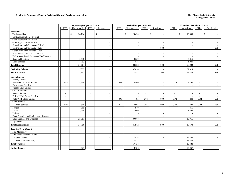#### **Exhibit 15. Summary of Student Social and Cultural Development Activities New Mexico State University**

|                                         |                          | <b>Operating Budget 2017-2018</b> |                          |                |            | Revised Budget 2017-2018 |            |                                |            | <b>Unaudited Actuals 2017-2018</b> |                |                          |  |
|-----------------------------------------|--------------------------|-----------------------------------|--------------------------|----------------|------------|--------------------------|------------|--------------------------------|------------|------------------------------------|----------------|--------------------------|--|
|                                         | <b>FTE</b>               | Unrestricted                      | <b>FTE</b>               | Restricted     | <b>FTE</b> | Unrestricted             | <b>FTE</b> | Restricted                     | <b>FTE</b> | Unrestricted                       | <b>FTE</b>     | Restricted               |  |
| <b>Revenues:</b>                        |                          |                                   |                          |                |            |                          |            |                                |            |                                    |                |                          |  |
| Tuition and Fees                        |                          | 24,714<br>\$                      |                          | \$             |            | \$<br>24,420             |            | $\mathbb{S}$<br>$\blacksquare$ |            | 13,839<br>\$                       |                | \$                       |  |
| Govt Appropriations - Federal           |                          |                                   |                          |                |            |                          |            | $\sim$                         |            |                                    |                |                          |  |
| Govt Appropriations - State             |                          | $\sim$                            |                          |                |            | $\overline{\phantom{a}}$ |            | $\sim$                         |            |                                    |                |                          |  |
| Govt Appropriations - Local             |                          | $\sim$                            |                          |                |            | $\sim$                   |            | $\sim$                         |            |                                    |                |                          |  |
| Govt Grants and Contracts - Federal     |                          | $\sim$                            |                          |                |            | $\overline{\phantom{a}}$ |            |                                |            |                                    |                |                          |  |
| Govt Grants and Contracts - State       |                          | $\sim$                            |                          |                |            | $\sim$                   |            | 900                            |            | ÷,                                 |                | 661                      |  |
| Govt Grants and Contracts - Local       |                          | $\sim$                            |                          |                |            | $\overline{\phantom{a}}$ |            | $\overline{\phantom{a}}$       |            | ÷.                                 |                |                          |  |
| Private Gifts, Grants and Contracts     |                          | $\sim$                            |                          |                |            | $\overline{\phantom{a}}$ |            | $\sim$                         |            |                                    |                |                          |  |
| Endowment, Land, Permanent Fund Income  |                          | $\sim$                            |                          |                |            | $\overline{\phantom{a}}$ |            | $\overline{\phantom{a}}$       |            |                                    |                |                          |  |
| Sales and Services                      |                          | 2,538                             |                          |                |            | 9,252                    |            | $\sim$                         |            | 5,316                              |                |                          |  |
| Other Sources                           |                          | 3,752                             |                          | $\sim$         |            | 856                      |            | $\overline{\phantom{a}}$       |            | 1,049                              |                |                          |  |
| <b>Total Revenue</b>                    |                          | 31,004                            |                          |                |            | 34,528                   |            | 900                            |            | 20,204                             |                | 661                      |  |
| <b>Beginning Balance</b>                |                          | 7,353                             |                          |                |            | 37,024                   |            |                                |            | 37,024                             |                |                          |  |
| <b>Total Available</b>                  |                          | 38,357                            |                          |                |            | 71,552                   |            | 900                            |            | 57,228                             |                | 661                      |  |
| <b>Expenditures:</b>                    |                          |                                   |                          |                |            |                          |            |                                |            |                                    |                |                          |  |
| <b>Faculty Salaries</b>                 | $\sim$                   |                                   | $\sim$                   |                | $\sim$     | $\overline{\phantom{a}}$ | $\sim$     | $\overline{\phantom{a}}$       | $\sim$     |                                    | $\sim$         |                          |  |
| Part-Time Instructor Salaries           | 0.40                     | 4,500                             | $\sim$                   |                | 0.40       | 4,500                    | $\sim$     | $\sim$                         | 0.20       | 2,250                              | $\sim$         |                          |  |
| <b>Professional Salaries</b>            | $\sim$                   |                                   | $\sim$                   |                | $\sim$     | $\overline{\phantom{a}}$ | $\sim$     | $\sim$                         | $\sim$     | $\overline{\phantom{a}}$           | $\sim$         |                          |  |
| <b>Support Staff Salaries</b>           | $\sim$                   |                                   | $\sim$                   |                | $\sim$     |                          | $\sim$     | $\sim$                         | $\sim$     |                                    | $\overline{a}$ |                          |  |
| <b>GA/TA Salaries</b>                   | $\sim$                   | $\sim$                            | $\sim$                   |                | $\sim$     | $\sim$                   | $\sim$     | $\sim$                         | $\sim$     | $\overline{\phantom{a}}$           | $\sim$         |                          |  |
| <b>Student Salaries</b>                 | $\blacksquare$           | $\overline{\phantom{a}}$          | $\sim$                   |                | $\sim$     | $\overline{\phantom{a}}$ | $\sim$     | $\overline{\phantom{a}}$       | $\sim$     | $\overline{\phantom{a}}$           | $\sim$         | $\overline{\phantom{a}}$ |  |
| Federal Work-Study Salaries             | $\overline{\phantom{a}}$ | $\overline{\phantom{a}}$          | $\sim$                   |                | $\sim$     | $\sim$                   | $\sim$     | $\sim$                         | $\sim$     |                                    | $\sim$         |                          |  |
| <b>State Work-Study Salaries</b>        | $\sim$                   |                                   | $\sim$                   |                | 0.03       | 495                      | 0.06       | 900                            | 0.02       | 248                                | 0.04           | 661                      |  |
| Other Salaries                          | $\overline{a}$           | $\overline{\phantom{a}}$          | $\overline{\phantom{a}}$ |                | $\sim$     | $\sim$                   | $\sim$     | $\sim$                         | $\sim$     |                                    | $\mathbf{r}$   |                          |  |
| <b>Total Salaries</b>                   | 0.40                     | 4,500                             | $\sim$                   |                | 0.43       | 4,995                    | 0.06       | 900                            | 0.22       | 2,498                              | 0.04           | 661                      |  |
| Fringes                                 |                          | 905                               |                          |                |            | 910                      |            | $\overline{\phantom{a}}$       |            | 455                                |                |                          |  |
| Travel                                  |                          | 1,000                             |                          |                |            | 1,000                    |            | $\sim$                         |            | 1,805                              |                |                          |  |
| Utilities                               |                          |                                   |                          |                |            |                          |            | $\blacksquare$                 |            |                                    |                |                          |  |
| Plant Operation and Maintenance Charges |                          |                                   |                          |                |            |                          |            | $\sim$                         |            |                                    |                |                          |  |
| Other Supplies and Expenses             |                          | 25,381                            |                          | $\overline{a}$ |            | 39,067                   |            | $\sim$                         |            | 13,915                             |                | $\overline{\phantom{a}}$ |  |
| Equipment                               |                          |                                   |                          |                |            |                          |            |                                |            |                                    |                |                          |  |
| <b>Total Expenditures</b>               |                          | 31,786                            |                          |                |            | 45,972                   |            | 900                            |            | 18,673                             |                | 661                      |  |
| <b>Transfer To or (From):</b>           |                          |                                   |                          |                |            |                          |            |                                |            |                                    |                |                          |  |
| Non-Mandatory                           |                          |                                   |                          |                |            |                          |            |                                |            |                                    |                |                          |  |
| Student Social and Cultural             |                          | $\overline{\phantom{a}}$          |                          |                |            |                          |            | $\overline{\phantom{a}}$       |            |                                    |                |                          |  |
| Capital Outlay                          |                          | $\sim$                            |                          | $\blacksquare$ |            | 17,424                   |            | $\sim$                         |            | 13,488                             |                | $\overline{\phantom{a}}$ |  |
| <b>Total Non-Mandatory</b>              |                          | $\sim$                            |                          |                |            | 17,424                   |            | $\sim$                         |            | 13,488                             |                |                          |  |
| <b>Total Transfers</b>                  |                          |                                   |                          |                |            | 17,424                   |            |                                |            | 13,488                             |                |                          |  |
| <b>Ending Balance</b>                   |                          | 6,571                             |                          |                |            | 8,156                    |            |                                |            | 25,067                             |                |                          |  |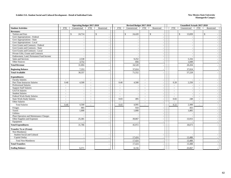#### **Exhibit 15A. Student Social and Cultural Development - Detail of Individual Units New Mexico State University**

|                                         |            | Operating Budget 2017-2018 |                          |                                          |                | Revised Budget 2017-2018 |            |                          |                | <b>Unaudited Actuals 2017-2018</b> |            |              |  |
|-----------------------------------------|------------|----------------------------|--------------------------|------------------------------------------|----------------|--------------------------|------------|--------------------------|----------------|------------------------------------|------------|--------------|--|
| <b>Student Activities</b>               | <b>FTE</b> | Unrestricted               | <b>FTE</b>               | Restricted                               | <b>FTE</b>     | Unrestricted             | <b>FTE</b> | Restricted               | <b>FTE</b>     | Unrestricted                       | <b>FTE</b> | Restricted   |  |
| <b>Revenues:</b>                        |            |                            |                          |                                          |                |                          |            |                          |                |                                    |            |              |  |
| Tuition and Fees                        |            | $\mathbb{S}$<br>24,714     |                          | $\mathbb{S}$<br>$\overline{\phantom{a}}$ |                | \$<br>24,420             |            | \$<br>$\sim$             |                | \$<br>13,839                       |            | $\mathbb{S}$ |  |
| Govt Appropriations - Federal           |            |                            |                          |                                          |                |                          |            | $\sim$                   |                |                                    |            |              |  |
| Govt Appropriations - State             |            | $\overline{\phantom{a}}$   |                          | $\overline{\phantom{a}}$                 |                |                          |            | $\sim$                   |                |                                    |            |              |  |
| Govt Appropriations - Local             |            | $\sim$                     |                          | $\overline{\phantom{a}}$                 |                | $\overline{\phantom{a}}$ |            | $\sim$                   |                |                                    |            |              |  |
| Govt Grants and Contracts - Federal     |            | $\sim$                     |                          | $\sim$                                   |                | $\overline{\phantom{a}}$ |            | $\sim$                   |                |                                    |            |              |  |
| Govt Grants and Contracts - State       |            | $\overline{\phantom{a}}$   |                          |                                          |                |                          |            | $\sim$                   |                |                                    |            |              |  |
| Govt Grants and Contracts - Local       |            | $\sim$                     |                          |                                          |                |                          |            | $\sim$                   |                |                                    |            |              |  |
| Private Gifts, Grants and Contracts     |            | $\sim$                     |                          | $\overline{a}$                           |                | $\overline{\phantom{a}}$ |            | $\overline{\phantom{a}}$ |                | $\sim$                             |            |              |  |
| Endowment, Land, Permanent Fund Income  |            | ÷,                         |                          |                                          |                |                          |            | $\sim$                   |                |                                    |            |              |  |
| Sales and Services                      |            | 2,538                      |                          |                                          |                | 9,252                    |            | $\sim$                   |                | 5,316                              |            |              |  |
| Other Sources                           |            | 3,752                      |                          |                                          |                | 856                      |            | $\sim$                   |                | 1,049                              |            |              |  |
| <b>Total Revenue</b>                    |            | 31,004                     |                          |                                          |                | 34,528                   |            | $\overline{\phantom{a}}$ |                | 20,204                             |            |              |  |
| <b>Beginning Balance</b>                |            | 7,353                      |                          |                                          |                | 37,024                   |            | $\overline{\phantom{a}}$ |                | 37,024                             |            |              |  |
| <b>Total Available</b>                  |            | 38,357                     |                          |                                          |                | 71,552                   |            | $\sim$                   |                | 57,228                             |            |              |  |
| <b>Expenditures:</b>                    |            |                            |                          |                                          |                |                          |            |                          |                |                                    |            |              |  |
| <b>Faculty Salaries</b>                 | $\sim$     |                            | $\sim$                   | $\sim$                                   | $\blacksquare$ |                          | $\sim$     | $\sim$                   | $\sim$         |                                    | $\sim$     |              |  |
| Part-Time Instructor Salaries           | 0.40       | 4,500                      | $\sim$                   | $\overline{\phantom{a}}$                 | 0.40           | 4,500                    | $\sim$     | $\sim$                   | 0.20           | 2,250                              | $\sim$     |              |  |
| <b>Professional Salaries</b>            | $\sim$     |                            | $\sim$                   | $\sim$                                   | $\sim$         | $\overline{\phantom{a}}$ | $\sim$     | $\sim$                   | $\sim$         |                                    | $\sim$     |              |  |
| <b>Support Staff Salaries</b>           | $\sim$     | $\overline{\phantom{a}}$   | $\overline{\phantom{a}}$ | $\overline{a}$                           | $\sim$         |                          | $\sim$     | $\sim$                   | $\sim$         |                                    | $\sim$     |              |  |
| GA/TA Salaries                          | $\bar{a}$  | $\sim$                     | $\sim$                   |                                          | $\bar{a}$      |                          | $\omega$   | $\sim$                   | $\sim$         |                                    | $\sim$     |              |  |
| <b>Student Salaries</b>                 | $\sim$     | $\sim$                     | $\sim$                   | $\sim$                                   | $\sim$         | $\overline{\phantom{a}}$ | $\sim$     | $\overline{\phantom{a}}$ | $\sim$         | $\overline{\phantom{a}}$           | $\sim$     |              |  |
| Federal Work-Study Salaries             | $\sim$     | $\sim$                     | $\sim$                   | $\sim$                                   | $\bar{a}$      |                          | $\sim$     | $\sim$                   | $\overline{a}$ |                                    | $\sim$     |              |  |
| <b>State Work-Study Salaries</b>        | $\sim$     | $\sim$                     | $\sim$                   | $\sim$                                   | 0.03           | 495                      | $\sim$     | $\sim$                   | 0.02           | 248                                | $\sim$     |              |  |
| Other Salaries                          | $\sim$     |                            | $\sim$                   | $\sim$                                   | $\sim$         |                          | $\sim$     | $\sim$                   | $\sim$         |                                    | $\sim$     |              |  |
| <b>Total Salaries</b>                   | 0.40       | 4,500                      | $\sim$                   |                                          | 0.43           | 4,995                    | $\sim$     | $\sim$                   | 0.22           | 2,498                              | $\sim$     |              |  |
| Fringes                                 |            | 905                        |                          |                                          |                | 910                      |            | $\sim$                   |                | 455                                |            |              |  |
| Travel                                  |            | 1,000                      |                          | $\overline{\phantom{a}}$                 |                | 1,000                    |            | $\sim$                   |                | 1,805                              |            |              |  |
| <b>Utilities</b>                        |            |                            |                          |                                          |                |                          |            | $\sim$                   |                |                                    |            |              |  |
| Plant Operation and Maintenance Charges |            | ÷                          |                          | $\overline{\phantom{a}}$                 |                |                          |            | $\sim$                   |                |                                    |            |              |  |
| Other Supplies and Expenses             |            | 25,381                     |                          | $\sim$                                   |                | 39,067                   |            | $\sim$                   |                | 13,915                             |            |              |  |
| Equipment                               |            |                            |                          | $\sim$                                   |                |                          |            | $\sim$                   |                |                                    |            |              |  |
| <b>Total Expenditures</b>               |            | 31,786                     |                          |                                          |                | 45,972                   |            | $\sim$                   |                | 18,673                             |            |              |  |
| <b>Transfer To or (From):</b>           |            |                            |                          |                                          |                |                          |            |                          |                |                                    |            |              |  |
| Non-Mandatory                           |            |                            |                          |                                          |                |                          |            |                          |                |                                    |            |              |  |
| Student Social and Cultural             |            | $\overline{\phantom{a}}$   |                          |                                          |                |                          |            | $\sim$                   |                |                                    |            |              |  |
| Capital Outlay                          |            | $\overline{\phantom{a}}$   |                          | $\sim$                                   |                | 17,424                   |            | $\sim$                   |                | 13,488                             |            |              |  |
| <b>Total Non-Mandatory</b>              |            | $\blacksquare$             |                          |                                          |                | 17,424                   |            | $\sim$                   |                | 13,488                             |            |              |  |
| <b>Total Transfers</b>                  |            |                            |                          |                                          |                | 17,424                   |            |                          |                | 13,488                             |            |              |  |
| <b>Ending Balance</b>                   |            | 6,571                      |                          |                                          |                | 8,156                    |            |                          |                | 25,067                             |            |              |  |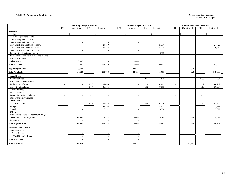#### **Exhibit 17 - Summary of Public Service New Mexico State University**

|                                         |            | <b>Operating Budget 2017-2018</b> |                          |            |                          | Revised Budget 2017-2018 |            |                          |                          | <b>Unaudited Actuals 2017-2018</b> |                          |            |  |
|-----------------------------------------|------------|-----------------------------------|--------------------------|------------|--------------------------|--------------------------|------------|--------------------------|--------------------------|------------------------------------|--------------------------|------------|--|
|                                         | <b>FTE</b> | Unrestricted                      | <b>FTE</b>               | Restricted | <b>FTE</b>               | Unrestricted             | <b>FTE</b> | Restricted               | <b>FTE</b>               | Unrestricted                       | <b>FTE</b>               | Restricted |  |
| <b>Revenues:</b>                        |            |                                   |                          |            |                          |                          |            |                          |                          |                                    |                          |            |  |
| Tuition and Fees                        |            | $\mathbb{S}$                      |                          | \$         |                          | \$                       |            | $\mathbb{S}$             |                          | \$                                 |                          | \$         |  |
| Govt Appropriations - Federal           |            |                                   |                          |            |                          |                          |            |                          |                          |                                    |                          |            |  |
| Govt Appropriations - State             |            | $\overline{\phantom{a}}$          |                          |            |                          |                          |            | $\overline{\phantom{a}}$ |                          | $\overline{\phantom{a}}$           |                          |            |  |
| Govt Appropriations - Local             |            | $\overline{\phantom{a}}$          |                          |            |                          |                          |            |                          |                          |                                    |                          |            |  |
| Govt Grants and Contracts - Federal     |            |                                   |                          | 24,159     |                          |                          |            | 25,376                   |                          | ۰.                                 |                          | 24,726     |  |
| Govt Grants and Contracts - State       |            |                                   |                          | 177,584    |                          |                          |            | 127,178                  |                          |                                    |                          | 120,247    |  |
| Govt Grants and Contracts - Local       |            |                                   |                          |            |                          |                          |            |                          |                          |                                    |                          |            |  |
| Private Gifts, Grants and Contracts     |            |                                   |                          |            |                          |                          |            | 3,139                    |                          |                                    |                          | 4,830      |  |
| Endowment, Land, Permanent Fund Income  |            |                                   |                          |            |                          |                          |            |                          |                          |                                    |                          |            |  |
| Sales and Services                      |            |                                   |                          |            |                          |                          |            |                          |                          |                                    |                          |            |  |
| Other Sources                           |            | 5,000                             |                          |            |                          | 2,000                    |            |                          |                          |                                    |                          |            |  |
| <b>Total Revenue</b>                    |            | 5,000                             |                          | 201,743    |                          | 2,000                    |            | 155,693                  |                          |                                    |                          | 149,803    |  |
| <b>Beginning Balance</b>                |            | 29,624                            |                          |            |                          | 42,028                   |            |                          |                          | 42,028                             |                          |            |  |
| <b>Total Available</b>                  |            | 34,624                            |                          | 201,743    |                          | 44,028                   |            | 155,693                  |                          | 42,028                             |                          | 149,803    |  |
| <b>Expenditures:</b>                    |            |                                   |                          |            |                          |                          |            |                          |                          |                                    |                          |            |  |
| <b>Faculty Salaries</b>                 |            |                                   |                          |            | ÷                        |                          | 0.03       | 1,618                    | $\overline{a}$           |                                    | 0.05                     | 2,931      |  |
| Part-Time Instructor Salaries           | $\sim$     |                                   | $\sim$                   |            | $\sim$                   |                          | $\sim$     |                          | $\sim$                   | $\sim$                             | $\sim$                   |            |  |
| Professional Salaries                   | $\sim$     |                                   | 2.37                     | 102,000    | $\overline{\phantom{a}}$ |                          | 1.44       | 61,043                   | $\overline{\phantom{a}}$ | $\overline{\phantom{a}}$           | 1.42                     | 60,149     |  |
| <b>Support Staff Salaries</b>           | $\sim$     |                                   | 1.09                     | 30,515     | $\sim$                   |                          | 1.12       | 30,515                   | $\sim$                   | $\sim$                             | 1.13                     | 30,594     |  |
| GA/TA Salaries                          | $\sim$     |                                   | $\sim$                   |            | $\sim$                   |                          | $\sim$     |                          | $\sim$                   | $\sim$                             | $\sim$                   |            |  |
| <b>Student Salaries</b>                 | $\sim$     |                                   | $\sim$                   |            | $\blacksquare$           |                          | $\sim$     |                          | $\overline{\phantom{a}}$ | $\sim$                             | $\sim$                   |            |  |
| Federal Work-Study Salaries             | $\sim$     |                                   | $\overline{\phantom{a}}$ |            | $\sim$                   |                          | $\sim$     | $\overline{\phantom{a}}$ | $\sim$                   | $\sim$                             | $\overline{\phantom{a}}$ |            |  |
| State Work-Study Salaries               | $\sim$     |                                   | $\sim$                   |            | $\sim$                   |                          | $\sim$     |                          | ÷.                       | $\sim$                             | $\overline{\phantom{a}}$ |            |  |
| Other Salaries                          | $\sim$     |                                   | $\sim$                   |            | $\blacksquare$           |                          | $\sim$     |                          | $\sim$                   | $\sim$                             | $\overline{\phantom{a}}$ |            |  |
| <b>Total Salaries</b>                   | $\sim$     |                                   | 3.46                     | 132,515    | $\sim$                   |                          | 2.59       | 93,176                   | $\sim$                   |                                    | 2.60                     | 93,674     |  |
| Fringes                                 |            |                                   |                          | 47,705     |                          |                          |            | 33,573                   |                          |                                    |                          | 33,233     |  |
| Travel                                  |            |                                   |                          | 10,291     |                          |                          |            | 9,550                    |                          |                                    |                          | 7,877      |  |
| Utilities                               |            |                                   |                          |            |                          |                          |            |                          |                          | $\sim$                             |                          |            |  |
| Plant Operation and Maintenance Charges |            |                                   |                          |            |                          |                          |            |                          |                          | $\sim$                             |                          |            |  |
| Other Supplies and Expenses             |            | 15,000                            |                          | 11,232     |                          | 12,000                   |            | 19,394                   |                          | 416                                |                          | 15,019     |  |
| Equipment                               |            |                                   |                          |            |                          |                          |            |                          |                          | - 1                                |                          |            |  |
| <b>Total Expenditures</b>               |            | 15,000                            |                          | 201,743    |                          | 12,000                   |            | 155,693                  |                          | 416                                |                          | 149,803    |  |
| <b>Transfer To or (From):</b>           |            |                                   |                          |            |                          |                          |            |                          |                          |                                    |                          |            |  |
| Non-Mandatory                           |            |                                   |                          |            |                          |                          |            |                          |                          |                                    |                          |            |  |
| Public Service                          |            | $\overline{\phantom{a}}$          |                          |            |                          |                          |            | $\overline{\phantom{a}}$ |                          | $\overline{\phantom{a}}$           |                          |            |  |
| Total Non-Mandatory                     |            |                                   |                          |            |                          |                          |            |                          |                          |                                    |                          |            |  |
| <b>Total Transfers</b>                  |            |                                   |                          |            |                          |                          |            |                          |                          |                                    |                          |            |  |
| <b>Ending Balance</b>                   |            | 19,624                            |                          |            |                          | 32,028                   |            |                          |                          | 41,612                             |                          |            |  |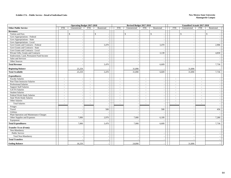#### **Exhibit 17A. - Public Service - Detail of Individual Units**

|                                         |            | <b>Operating Budget 2017-2018</b> |                          |              |                          | Revised Budget 2017-2018 |            |                          |                          | <b>Unaudited Actuals 2017-2018</b> |                          |            |  |
|-----------------------------------------|------------|-----------------------------------|--------------------------|--------------|--------------------------|--------------------------|------------|--------------------------|--------------------------|------------------------------------|--------------------------|------------|--|
| <b>Other Public Service</b>             | <b>FTE</b> | Unrestricted                      | <b>FTE</b>               | Restricted   | <b>FTE</b>               | Unrestricted             | <b>FTE</b> | Restricted               | <b>FTE</b>               | Unrestricted                       | <b>FTE</b>               | Restricted |  |
| <b>Revenues:</b>                        |            |                                   |                          |              |                          |                          |            |                          |                          |                                    |                          |            |  |
| Tuition and Fees                        |            | $\mathbb{S}$                      |                          | $\mathbb{S}$ |                          | \$                       |            | \$                       |                          | \$                                 |                          | \$         |  |
| Govt Appropriations - Federal           |            |                                   |                          |              |                          |                          |            |                          |                          |                                    |                          |            |  |
| Govt Appropriations - State             |            | $\sim$                            |                          |              |                          | $\overline{a}$           |            | $\overline{\phantom{a}}$ |                          | $\sim$                             |                          |            |  |
| Govt Appropriations - Local             |            | $\sim$                            |                          |              |                          |                          |            |                          |                          |                                    |                          |            |  |
| Govt Grants and Contracts - Federal     |            | $\sim$                            |                          | 3,470        |                          | $\overline{\phantom{a}}$ |            | 3,470                    |                          | $\overline{\phantom{a}}$           |                          | 2,906      |  |
| Govt Grants and Contracts - State       |            | $\sim$                            |                          |              |                          |                          |            |                          |                          |                                    |                          |            |  |
| Govt Grants and Contracts - Local       |            | $\overline{\phantom{a}}$          |                          |              |                          |                          |            |                          |                          |                                    |                          |            |  |
| Private Gifts, Grants and Contracts     |            |                                   |                          |              |                          |                          |            | 3,139                    |                          |                                    |                          | 4,830      |  |
| Endowment, Land, Permanent Fund Income  |            |                                   |                          |              |                          |                          |            |                          |                          |                                    |                          |            |  |
| Sales and Services                      |            | $\overline{a}$                    |                          |              |                          | $\overline{\phantom{a}}$ |            | $\overline{\phantom{a}}$ |                          |                                    |                          |            |  |
| Other Sources                           |            | $\overline{\phantom{a}}$          |                          |              |                          |                          |            | $\overline{\phantom{a}}$ |                          |                                    |                          |            |  |
| <b>Total Revenue</b>                    |            |                                   |                          | 3,470        |                          |                          |            | 6,609                    |                          |                                    |                          | 7,736      |  |
| <b>Beginning Balance</b>                |            | 25,259                            |                          |              |                          | 31,890                   |            |                          |                          | 31,890                             |                          |            |  |
| <b>Total Available</b>                  |            | 25,259                            |                          | 3,470        |                          | 31,890                   |            | 6,609                    |                          | 31,890                             |                          | 7,736      |  |
| <b>Expenditures:</b>                    |            |                                   |                          |              |                          |                          |            |                          |                          |                                    |                          |            |  |
| <b>Faculty Salaries</b>                 | $\sim$     |                                   |                          |              | $\sim$                   |                          | $\sim$     |                          | $\overline{a}$           |                                    |                          |            |  |
| Part-Time Instructor Salaries           | $\sim$     | $\sim$                            | $\sim$                   |              | $\omega$                 |                          | $\sim$     | $\sim$                   | $\sim$                   | $\sim$                             | $\sim$                   |            |  |
| Professional Salaries                   | $\sim$     | $\sim$                            | $\overline{\phantom{a}}$ |              | $\overline{\phantom{a}}$ |                          | $\sim$     | $\overline{\phantom{a}}$ | $\sim$                   | $\overline{\phantom{a}}$           | $\sim$                   |            |  |
| <b>Support Staff Salaries</b>           | $\sim$     | $\overline{\phantom{a}}$          | $\sim$                   |              | $\sim$                   |                          | $\sim$     | $\overline{\phantom{a}}$ | $\overline{a}$           | $\overline{\phantom{a}}$           | $\sim$                   |            |  |
| GA/TA Salaries                          | $\sim$     |                                   | $\sim$                   |              | $\sim$                   |                          | $\sim$     | $\sim$                   | $\sim$                   | $\sim$                             | $\sim$                   |            |  |
| <b>Student Salaries</b>                 | $\sim$     | $\sim$                            | $\sim$                   |              | $\sim$                   | $\sim$                   | $\sim$     | $\sim$                   | $\sim$                   | $\overline{\phantom{a}}$           | $\sim$                   |            |  |
| Federal Work-Study Salaries             | $\sim$     | $\overline{\phantom{a}}$          | $\sim$                   |              | $\sim$                   |                          | $\sim$     | $\overline{\phantom{a}}$ | $\overline{\phantom{a}}$ | $\overline{\phantom{a}}$           | $\overline{\phantom{a}}$ |            |  |
| <b>State Work-Study Salaries</b>        | $\sim$     |                                   | $\sim$                   |              | $\overline{a}$           |                          | $\sim$     | $\sim$                   | ÷.                       | $\overline{\phantom{a}}$           | $\sim$                   |            |  |
| Other Salaries                          | $\sim$     |                                   | $\sim$                   |              | $\sim$                   | $\overline{a}$           | $\sim$     | $\sim$                   | $\sim$                   | $\sim$                             | $\sim$                   |            |  |
| <b>Total Salaries</b>                   | $\sim$     |                                   | $\sim$                   |              | $\sim$                   | $\overline{\phantom{a}}$ | $\sim$     | $\overline{a}$           | $\sim$                   |                                    | $\sim$                   |            |  |
| Fringes                                 |            | $\overline{\phantom{a}}$          |                          |              |                          |                          |            |                          |                          | $\overline{\phantom{a}}$           |                          |            |  |
| Travel                                  |            |                                   |                          | 500          |                          |                          |            | 500                      |                          |                                    |                          | 456        |  |
| Utilities                               |            |                                   |                          |              |                          | $\overline{\phantom{a}}$ |            | $\overline{\phantom{a}}$ |                          | $\overline{\phantom{a}}$           |                          |            |  |
| Plant Operation and Maintenance Charges |            |                                   |                          |              |                          |                          |            |                          |                          |                                    |                          |            |  |
| Other Supplies and Expenses             |            | 7,000                             |                          | 2,970        |                          | 7,000                    |            | 6,109                    |                          |                                    |                          | 7,280      |  |
| Equipment                               |            |                                   |                          |              |                          |                          |            |                          |                          | $\sim$                             |                          |            |  |
| <b>Total Expenditures</b>               |            | 7,000                             |                          | 3,470        |                          | 7,000                    |            | 6,609                    |                          |                                    |                          | 7,736      |  |
| <b>Transfer To or (From):</b>           |            |                                   |                          |              |                          |                          |            |                          |                          |                                    |                          |            |  |
| Non-Mandatory                           |            |                                   |                          |              |                          |                          |            |                          |                          |                                    |                          |            |  |
| Public Service                          |            | $\overline{\phantom{a}}$          |                          | $\sim$       |                          | $\overline{\phantom{a}}$ |            | $\overline{\phantom{a}}$ |                          | <b>.</b>                           |                          |            |  |
| Total Non-Mandatory                     |            |                                   |                          |              |                          |                          |            |                          |                          |                                    |                          |            |  |
| <b>Total Transfers</b>                  |            |                                   |                          |              |                          |                          |            |                          |                          |                                    |                          |            |  |
| <b>Ending Balance</b>                   |            | 18,259                            |                          |              |                          | 24,890                   |            |                          |                          | 31,890                             |                          |            |  |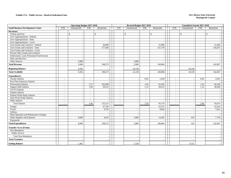#### **Exhibit 17A. - Public Service - Detail of Individual Units**

|                                          |                          | <b>Operating Budget 2017-2018</b> |                          |              |                          | Revised Budget 2017-2018 |            |                          |                          | <b>Unaudited Actuals 2017-2018</b> |                          |              |  |
|------------------------------------------|--------------------------|-----------------------------------|--------------------------|--------------|--------------------------|--------------------------|------------|--------------------------|--------------------------|------------------------------------|--------------------------|--------------|--|
| <b>Small Business Development Center</b> | <b>FTE</b>               | Unrestricted                      | <b>FTE</b>               | Restricted   | <b>FTE</b>               | Unrestricted             | <b>FTE</b> | Restricted               | <b>FTE</b>               | Unrestricted                       | <b>FTE</b>               | Restricted   |  |
| <b>Revenues:</b>                         |                          |                                   |                          |              |                          |                          |            |                          |                          |                                    |                          |              |  |
| Tuition and Fees                         |                          | $\mathcal{S}$                     |                          | $\mathbb{S}$ |                          | \$                       |            | $\mathbb{S}$             |                          | $\mathbb{S}$                       |                          | $\mathbb{S}$ |  |
| Govt Appropriations - Federal            |                          |                                   |                          |              |                          |                          |            |                          |                          |                                    |                          |              |  |
| Govt Appropriations - State              |                          | $\overline{\phantom{a}}$          |                          |              |                          |                          |            | $\sim$                   |                          | $\overline{\phantom{a}}$           |                          |              |  |
| Govt Appropriations - Local              |                          |                                   |                          |              |                          |                          |            |                          |                          |                                    |                          |              |  |
| Govt Grants and Contracts - Federal      |                          |                                   |                          | 20,689       |                          |                          |            | 21,906                   |                          |                                    |                          | 21,820       |  |
| Govt Grants and Contracts - State        |                          | $\sim$                            |                          | 177,584      |                          | $\overline{\phantom{a}}$ |            | 127,178                  |                          | $\sim$                             |                          | 120,247      |  |
| Govt Grants and Contracts - Local        |                          |                                   |                          |              |                          |                          |            |                          |                          |                                    |                          |              |  |
| Private Gifts, Grants and Contracts      |                          |                                   |                          |              |                          |                          |            |                          |                          |                                    |                          |              |  |
| Endowment, Land, Permanent Fund Income   |                          | $\sim$                            |                          |              |                          | $\overline{a}$           |            | $\sim$                   |                          | in 1919.                           |                          |              |  |
| Sales and Services                       |                          |                                   |                          |              |                          |                          |            | $\overline{\phantom{a}}$ |                          |                                    |                          |              |  |
| Other Sources                            |                          | 5,000                             |                          |              |                          | 2,000                    |            |                          |                          |                                    |                          |              |  |
| <b>Total Revenue</b>                     |                          | 5,000                             |                          | 198,273      |                          | 2,000                    |            | 149,084                  |                          |                                    |                          | 142,067      |  |
| <b>Beginning Balance</b>                 |                          | 4,365                             |                          |              |                          | 10,138                   |            |                          |                          | 10,138                             |                          |              |  |
| <b>Total Available</b>                   |                          | 9,365                             |                          | 198,273      |                          | 12,138                   |            | 149,084                  |                          | 10,138                             |                          | 142,067      |  |
| <b>Expenditures:</b>                     |                          |                                   |                          |              |                          |                          |            |                          |                          |                                    |                          |              |  |
| <b>Faculty Salaries</b>                  | $\sim$                   |                                   | $\sim$                   |              | $\blacksquare$           |                          | 0.03       | 1,618                    | $\sim$                   |                                    | 0.05                     | 2,931        |  |
| Part-Time Instructor Salaries            | $\sim$                   | $\overline{a}$                    | $\sim$                   |              | $\sim$                   | $\overline{\phantom{a}}$ | $\sim$     |                          | $\sim$                   | $\sim$                             | $\sim$                   |              |  |
| <b>Professional Salaries</b>             | $\sim$                   |                                   | 2.37                     | 102,000      | $\omega$                 |                          | 1.44       | 61,043                   | $\sim$                   |                                    | 1.42                     | 60,149       |  |
| <b>Support Staff Salaries</b>            | $\sim$                   |                                   | 1.09                     | 30,515       | $\omega$                 |                          | 1.12       | 30,515                   | ÷,                       |                                    | 1.13                     | 30,594       |  |
| GA/TA Salaries                           | $\sim$                   | $\sim$                            | $\sim$                   |              | $\sim$                   | $\overline{\phantom{a}}$ | $\sim$     | $\blacksquare$           | $\sim$                   | $\overline{\phantom{a}}$           | $\sim$                   |              |  |
| <b>Student Salaries</b>                  | $\overline{\phantom{a}}$ |                                   | $\sim$                   |              | $\overline{\phantom{a}}$ |                          | $\sim$     |                          | $\overline{\phantom{a}}$ |                                    | $\sim$                   |              |  |
| Federal Work-Study Salaries              | $\sim$                   |                                   | $\overline{\phantom{a}}$ |              | $\omega$                 |                          | $\sim$     | $\sim$                   | ÷.                       | $\overline{\phantom{a}}$           | $\overline{\phantom{a}}$ |              |  |
| <b>State Work-Study Salaries</b>         | $\sim$                   | $\sim$                            | $\sim$                   |              | $\omega$                 |                          | $\sim$     | $\sim$                   | $\sim$                   | $\sim$                             | $\sim$                   |              |  |
| Other Salaries                           | $\overline{\phantom{a}}$ |                                   |                          |              | $\sim$                   |                          | $\sim$     |                          | $\sim$                   |                                    | $\overline{\phantom{a}}$ |              |  |
| <b>Total Salaries</b>                    | $\sim$                   |                                   | 3.46                     | 132,515      | $\sim$                   |                          | 2.59       | 93,176                   | ÷.                       |                                    | 2.60                     | 93,674       |  |
| Fringes                                  |                          |                                   |                          | 47,705       |                          |                          |            | 33,573                   |                          |                                    |                          | 33,233       |  |
| Travel                                   |                          |                                   |                          | 9,791        |                          |                          |            | 9,050                    |                          |                                    |                          | 7,421        |  |
| Utilities                                |                          | $\sim$                            |                          |              |                          |                          |            |                          |                          |                                    |                          |              |  |
| Plant Operation and Maintenance Charges  |                          | $\sim$                            |                          |              |                          |                          |            |                          |                          | - 14                               |                          |              |  |
| Other Supplies and Expenses              |                          | 8,000                             |                          | 8,262        |                          | 5,000                    |            | 13,285                   |                          | 416                                |                          | 7,739        |  |
| Equipment                                |                          |                                   |                          |              |                          |                          |            |                          |                          |                                    |                          |              |  |
| <b>Total Expenditures</b>                |                          | 8,000                             |                          | 198,273      |                          | 5,000                    |            | 149,084                  |                          | 416                                |                          | 142,067      |  |
| <b>Transfer To or (From):</b>            |                          |                                   |                          |              |                          |                          |            |                          |                          |                                    |                          |              |  |
| Non-Mandatory                            |                          |                                   |                          |              |                          |                          |            |                          |                          |                                    |                          |              |  |
| Public Service                           |                          |                                   |                          |              |                          |                          |            |                          |                          |                                    |                          |              |  |
| <b>Total Non-Mandatory</b>               |                          |                                   |                          |              |                          |                          |            |                          |                          |                                    |                          |              |  |
| <b>Total Transfers</b>                   |                          |                                   |                          |              |                          |                          |            |                          |                          |                                    |                          |              |  |
| <b>Ending Balance</b>                    |                          | 1,365                             |                          |              |                          | 7,138                    |            |                          |                          | 9,722                              |                          |              |  |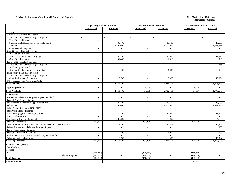#### **Exhibit 19. Summary of Student Aid Grants And Stipends New Mexico State University**

| Unrestricted<br>Unrestricted<br>Restricted<br>Restricted<br>Unrestricted<br>Restricted<br><b>Revenues</b><br>Govt Grants & Contracts - Federal:<br><b>Instruction and General Program Stipends</b><br>$\mathbb{S}$<br>$\mathcal{S}$<br>$\mathcal{S}$<br>$\mathcal{S}$<br>$\mathbf{\hat{s}}$<br>-S<br>$\sim$<br>$\sim$<br>$\sim$<br>$\overline{a}$<br>Work Study - External<br>$\sim$<br>$\sim$<br>$\sim$<br>$\sim$<br>$\sim$<br>$\overline{a}$<br>Supplemental Educational Opportunity Grants<br>39,400<br>30,596<br>18,600<br>$\sim$<br>$\sim$<br>$\sim$<br>Pell Grants<br>2.100.000<br>1.800,000<br>1,531,055<br>$\sim$<br>$\sim$<br>$\sim$<br>Other Federal Programs<br>$\sim$<br>$\sim$<br>$\sim$<br>$\sim$<br>$\overline{\phantom{a}}$<br>$\sim$<br>Govt Grants & Contracts - State:<br>Work Study - External<br>$\sim$<br>$\overline{a}$<br>$\sim$<br>$\overline{\phantom{a}}$<br>NM Leveraging Ed Assist Prgm (LEAP)<br>150,200<br>120,000<br>111,090<br>$\sim$<br>$\sim$<br>$\sim$<br>Other State Programs<br>151,400<br>111,815<br>69,085<br>$\sim$<br>$\sim$<br>Private Gifts, Grants & Contracts:<br><b>Instruction and General Program Stipends</b><br>336<br>$\mathcal{L}$<br>$\sim$<br>$\sim$<br>$\sim$<br>$\sim$<br>Work Study - External<br>$\sim$<br>$\sim$<br>$\overline{\phantom{a}}$<br>$\overline{\phantom{a}}$<br>$\sim$<br>$\overline{\phantom{a}}$<br>500<br>Gifts for Scholarships and Fellowships<br>400<br>4,000<br>$\sim$<br>$\sim$<br>$\sim$<br>Endowment, Land, & Perm Income<br><b>Instruction and General Program Stipends</b><br>$\sim$<br>$\overline{\phantom{a}}$<br>$\sim$<br>$\sim$<br>$\sim$<br>Other Endowment Funded Aid<br>19,700<br>15,004<br>16,000<br>$\sim$<br>$\sim$<br>$\sim$<br>Other Sources - Pan Am Center Rental<br>$\sim$<br>$\sim$<br>$\sim$<br><b>Total Revenue</b><br>2,461,100<br>2,082,411<br>1,745,670<br>$\sim$<br>$\sim$<br>$\sim$<br>34,338<br><b>Beginning Balance</b><br>34,338<br>2,461,100<br>34,338<br>2,082,411<br>34,338<br>1,745,670<br><b>Total Available</b><br><b>Expenditures</b><br>Instruction and General Program Stipends - Federal<br>$\sim$<br>$\sim$<br>$\sim$<br>$\overline{\phantom{a}}$<br>$\sim$<br>$\overline{\phantom{a}}$<br>Federal Work Study - External<br>$\sim$<br>$\sim$<br>$\sim$<br>$\sim$<br>$\overline{a}$<br>Supplemental Educational Opportunity Grants<br>39,400<br>30,596<br>18,600<br>$\overline{a}$<br>$\sim$<br>$\sim$<br>Pell Grants<br>2.100.000<br>1,800,000<br>1,531,055<br>$\sim$<br>$\sim$<br>$\sim$<br>Other Federal Programs (NSF, ONR)<br>$\sim$<br>$\sim$<br>$\overline{\phantom{a}}$<br>$\overline{\phantom{a}}$<br>$\sim$<br>$\sim$<br>State Work Study - External<br>$\sim$<br>$\sim$<br>$\sim$<br>$\sim$<br>$\sim$<br>NM Leveraging Ed Assist Prgm (LEAP)<br>150,200<br>120,000<br>111,090<br>$\sim$<br>$\overline{\phantom{a}}$<br>$\sim$<br><b>NMSU</b> Scholarships<br>$\sim$<br>$\sim$<br>$\sim$<br>$\sim$ |                                   | <b>Operating Budget 2017-2018</b> | Revised Budget 2017-2018 |        | <b>Unaudited Actuals 2017-2018</b> |        |
|---------------------------------------------------------------------------------------------------------------------------------------------------------------------------------------------------------------------------------------------------------------------------------------------------------------------------------------------------------------------------------------------------------------------------------------------------------------------------------------------------------------------------------------------------------------------------------------------------------------------------------------------------------------------------------------------------------------------------------------------------------------------------------------------------------------------------------------------------------------------------------------------------------------------------------------------------------------------------------------------------------------------------------------------------------------------------------------------------------------------------------------------------------------------------------------------------------------------------------------------------------------------------------------------------------------------------------------------------------------------------------------------------------------------------------------------------------------------------------------------------------------------------------------------------------------------------------------------------------------------------------------------------------------------------------------------------------------------------------------------------------------------------------------------------------------------------------------------------------------------------------------------------------------------------------------------------------------------------------------------------------------------------------------------------------------------------------------------------------------------------------------------------------------------------------------------------------------------------------------------------------------------------------------------------------------------------------------------------------------------------------------------------------------------------------------------------------------------------------------------------------------------------------------------------------------------------------------------------------------------------------------------------------------------------------------------------------------------------------------------------------------------------------------------------------------------------------------------------------------------------------------------------------------------------------------|-----------------------------------|-----------------------------------|--------------------------|--------|------------------------------------|--------|
|                                                                                                                                                                                                                                                                                                                                                                                                                                                                                                                                                                                                                                                                                                                                                                                                                                                                                                                                                                                                                                                                                                                                                                                                                                                                                                                                                                                                                                                                                                                                                                                                                                                                                                                                                                                                                                                                                                                                                                                                                                                                                                                                                                                                                                                                                                                                                                                                                                                                                                                                                                                                                                                                                                                                                                                                                                                                                                                                       |                                   |                                   |                          |        |                                    |        |
|                                                                                                                                                                                                                                                                                                                                                                                                                                                                                                                                                                                                                                                                                                                                                                                                                                                                                                                                                                                                                                                                                                                                                                                                                                                                                                                                                                                                                                                                                                                                                                                                                                                                                                                                                                                                                                                                                                                                                                                                                                                                                                                                                                                                                                                                                                                                                                                                                                                                                                                                                                                                                                                                                                                                                                                                                                                                                                                                       |                                   |                                   |                          |        |                                    |        |
|                                                                                                                                                                                                                                                                                                                                                                                                                                                                                                                                                                                                                                                                                                                                                                                                                                                                                                                                                                                                                                                                                                                                                                                                                                                                                                                                                                                                                                                                                                                                                                                                                                                                                                                                                                                                                                                                                                                                                                                                                                                                                                                                                                                                                                                                                                                                                                                                                                                                                                                                                                                                                                                                                                                                                                                                                                                                                                                                       |                                   |                                   |                          |        |                                    |        |
|                                                                                                                                                                                                                                                                                                                                                                                                                                                                                                                                                                                                                                                                                                                                                                                                                                                                                                                                                                                                                                                                                                                                                                                                                                                                                                                                                                                                                                                                                                                                                                                                                                                                                                                                                                                                                                                                                                                                                                                                                                                                                                                                                                                                                                                                                                                                                                                                                                                                                                                                                                                                                                                                                                                                                                                                                                                                                                                                       |                                   |                                   |                          |        |                                    |        |
|                                                                                                                                                                                                                                                                                                                                                                                                                                                                                                                                                                                                                                                                                                                                                                                                                                                                                                                                                                                                                                                                                                                                                                                                                                                                                                                                                                                                                                                                                                                                                                                                                                                                                                                                                                                                                                                                                                                                                                                                                                                                                                                                                                                                                                                                                                                                                                                                                                                                                                                                                                                                                                                                                                                                                                                                                                                                                                                                       |                                   |                                   |                          |        |                                    |        |
|                                                                                                                                                                                                                                                                                                                                                                                                                                                                                                                                                                                                                                                                                                                                                                                                                                                                                                                                                                                                                                                                                                                                                                                                                                                                                                                                                                                                                                                                                                                                                                                                                                                                                                                                                                                                                                                                                                                                                                                                                                                                                                                                                                                                                                                                                                                                                                                                                                                                                                                                                                                                                                                                                                                                                                                                                                                                                                                                       |                                   |                                   |                          |        |                                    |        |
|                                                                                                                                                                                                                                                                                                                                                                                                                                                                                                                                                                                                                                                                                                                                                                                                                                                                                                                                                                                                                                                                                                                                                                                                                                                                                                                                                                                                                                                                                                                                                                                                                                                                                                                                                                                                                                                                                                                                                                                                                                                                                                                                                                                                                                                                                                                                                                                                                                                                                                                                                                                                                                                                                                                                                                                                                                                                                                                                       |                                   |                                   |                          |        |                                    |        |
|                                                                                                                                                                                                                                                                                                                                                                                                                                                                                                                                                                                                                                                                                                                                                                                                                                                                                                                                                                                                                                                                                                                                                                                                                                                                                                                                                                                                                                                                                                                                                                                                                                                                                                                                                                                                                                                                                                                                                                                                                                                                                                                                                                                                                                                                                                                                                                                                                                                                                                                                                                                                                                                                                                                                                                                                                                                                                                                                       |                                   |                                   |                          |        |                                    |        |
|                                                                                                                                                                                                                                                                                                                                                                                                                                                                                                                                                                                                                                                                                                                                                                                                                                                                                                                                                                                                                                                                                                                                                                                                                                                                                                                                                                                                                                                                                                                                                                                                                                                                                                                                                                                                                                                                                                                                                                                                                                                                                                                                                                                                                                                                                                                                                                                                                                                                                                                                                                                                                                                                                                                                                                                                                                                                                                                                       |                                   |                                   |                          |        |                                    |        |
|                                                                                                                                                                                                                                                                                                                                                                                                                                                                                                                                                                                                                                                                                                                                                                                                                                                                                                                                                                                                                                                                                                                                                                                                                                                                                                                                                                                                                                                                                                                                                                                                                                                                                                                                                                                                                                                                                                                                                                                                                                                                                                                                                                                                                                                                                                                                                                                                                                                                                                                                                                                                                                                                                                                                                                                                                                                                                                                                       |                                   |                                   |                          |        |                                    |        |
|                                                                                                                                                                                                                                                                                                                                                                                                                                                                                                                                                                                                                                                                                                                                                                                                                                                                                                                                                                                                                                                                                                                                                                                                                                                                                                                                                                                                                                                                                                                                                                                                                                                                                                                                                                                                                                                                                                                                                                                                                                                                                                                                                                                                                                                                                                                                                                                                                                                                                                                                                                                                                                                                                                                                                                                                                                                                                                                                       |                                   |                                   |                          |        |                                    |        |
|                                                                                                                                                                                                                                                                                                                                                                                                                                                                                                                                                                                                                                                                                                                                                                                                                                                                                                                                                                                                                                                                                                                                                                                                                                                                                                                                                                                                                                                                                                                                                                                                                                                                                                                                                                                                                                                                                                                                                                                                                                                                                                                                                                                                                                                                                                                                                                                                                                                                                                                                                                                                                                                                                                                                                                                                                                                                                                                                       |                                   |                                   |                          |        |                                    |        |
|                                                                                                                                                                                                                                                                                                                                                                                                                                                                                                                                                                                                                                                                                                                                                                                                                                                                                                                                                                                                                                                                                                                                                                                                                                                                                                                                                                                                                                                                                                                                                                                                                                                                                                                                                                                                                                                                                                                                                                                                                                                                                                                                                                                                                                                                                                                                                                                                                                                                                                                                                                                                                                                                                                                                                                                                                                                                                                                                       |                                   |                                   |                          |        |                                    |        |
|                                                                                                                                                                                                                                                                                                                                                                                                                                                                                                                                                                                                                                                                                                                                                                                                                                                                                                                                                                                                                                                                                                                                                                                                                                                                                                                                                                                                                                                                                                                                                                                                                                                                                                                                                                                                                                                                                                                                                                                                                                                                                                                                                                                                                                                                                                                                                                                                                                                                                                                                                                                                                                                                                                                                                                                                                                                                                                                                       |                                   |                                   |                          |        |                                    |        |
|                                                                                                                                                                                                                                                                                                                                                                                                                                                                                                                                                                                                                                                                                                                                                                                                                                                                                                                                                                                                                                                                                                                                                                                                                                                                                                                                                                                                                                                                                                                                                                                                                                                                                                                                                                                                                                                                                                                                                                                                                                                                                                                                                                                                                                                                                                                                                                                                                                                                                                                                                                                                                                                                                                                                                                                                                                                                                                                                       |                                   |                                   |                          |        |                                    |        |
|                                                                                                                                                                                                                                                                                                                                                                                                                                                                                                                                                                                                                                                                                                                                                                                                                                                                                                                                                                                                                                                                                                                                                                                                                                                                                                                                                                                                                                                                                                                                                                                                                                                                                                                                                                                                                                                                                                                                                                                                                                                                                                                                                                                                                                                                                                                                                                                                                                                                                                                                                                                                                                                                                                                                                                                                                                                                                                                                       |                                   |                                   |                          |        |                                    |        |
|                                                                                                                                                                                                                                                                                                                                                                                                                                                                                                                                                                                                                                                                                                                                                                                                                                                                                                                                                                                                                                                                                                                                                                                                                                                                                                                                                                                                                                                                                                                                                                                                                                                                                                                                                                                                                                                                                                                                                                                                                                                                                                                                                                                                                                                                                                                                                                                                                                                                                                                                                                                                                                                                                                                                                                                                                                                                                                                                       |                                   |                                   |                          |        |                                    |        |
|                                                                                                                                                                                                                                                                                                                                                                                                                                                                                                                                                                                                                                                                                                                                                                                                                                                                                                                                                                                                                                                                                                                                                                                                                                                                                                                                                                                                                                                                                                                                                                                                                                                                                                                                                                                                                                                                                                                                                                                                                                                                                                                                                                                                                                                                                                                                                                                                                                                                                                                                                                                                                                                                                                                                                                                                                                                                                                                                       |                                   |                                   |                          |        |                                    |        |
|                                                                                                                                                                                                                                                                                                                                                                                                                                                                                                                                                                                                                                                                                                                                                                                                                                                                                                                                                                                                                                                                                                                                                                                                                                                                                                                                                                                                                                                                                                                                                                                                                                                                                                                                                                                                                                                                                                                                                                                                                                                                                                                                                                                                                                                                                                                                                                                                                                                                                                                                                                                                                                                                                                                                                                                                                                                                                                                                       |                                   |                                   |                          |        |                                    |        |
|                                                                                                                                                                                                                                                                                                                                                                                                                                                                                                                                                                                                                                                                                                                                                                                                                                                                                                                                                                                                                                                                                                                                                                                                                                                                                                                                                                                                                                                                                                                                                                                                                                                                                                                                                                                                                                                                                                                                                                                                                                                                                                                                                                                                                                                                                                                                                                                                                                                                                                                                                                                                                                                                                                                                                                                                                                                                                                                                       |                                   |                                   |                          |        |                                    |        |
|                                                                                                                                                                                                                                                                                                                                                                                                                                                                                                                                                                                                                                                                                                                                                                                                                                                                                                                                                                                                                                                                                                                                                                                                                                                                                                                                                                                                                                                                                                                                                                                                                                                                                                                                                                                                                                                                                                                                                                                                                                                                                                                                                                                                                                                                                                                                                                                                                                                                                                                                                                                                                                                                                                                                                                                                                                                                                                                                       |                                   |                                   |                          |        |                                    |        |
|                                                                                                                                                                                                                                                                                                                                                                                                                                                                                                                                                                                                                                                                                                                                                                                                                                                                                                                                                                                                                                                                                                                                                                                                                                                                                                                                                                                                                                                                                                                                                                                                                                                                                                                                                                                                                                                                                                                                                                                                                                                                                                                                                                                                                                                                                                                                                                                                                                                                                                                                                                                                                                                                                                                                                                                                                                                                                                                                       |                                   |                                   |                          |        |                                    |        |
|                                                                                                                                                                                                                                                                                                                                                                                                                                                                                                                                                                                                                                                                                                                                                                                                                                                                                                                                                                                                                                                                                                                                                                                                                                                                                                                                                                                                                                                                                                                                                                                                                                                                                                                                                                                                                                                                                                                                                                                                                                                                                                                                                                                                                                                                                                                                                                                                                                                                                                                                                                                                                                                                                                                                                                                                                                                                                                                                       |                                   |                                   |                          |        |                                    |        |
|                                                                                                                                                                                                                                                                                                                                                                                                                                                                                                                                                                                                                                                                                                                                                                                                                                                                                                                                                                                                                                                                                                                                                                                                                                                                                                                                                                                                                                                                                                                                                                                                                                                                                                                                                                                                                                                                                                                                                                                                                                                                                                                                                                                                                                                                                                                                                                                                                                                                                                                                                                                                                                                                                                                                                                                                                                                                                                                                       |                                   |                                   |                          |        |                                    |        |
|                                                                                                                                                                                                                                                                                                                                                                                                                                                                                                                                                                                                                                                                                                                                                                                                                                                                                                                                                                                                                                                                                                                                                                                                                                                                                                                                                                                                                                                                                                                                                                                                                                                                                                                                                                                                                                                                                                                                                                                                                                                                                                                                                                                                                                                                                                                                                                                                                                                                                                                                                                                                                                                                                                                                                                                                                                                                                                                                       |                                   |                                   |                          |        |                                    |        |
|                                                                                                                                                                                                                                                                                                                                                                                                                                                                                                                                                                                                                                                                                                                                                                                                                                                                                                                                                                                                                                                                                                                                                                                                                                                                                                                                                                                                                                                                                                                                                                                                                                                                                                                                                                                                                                                                                                                                                                                                                                                                                                                                                                                                                                                                                                                                                                                                                                                                                                                                                                                                                                                                                                                                                                                                                                                                                                                                       |                                   |                                   |                          |        |                                    |        |
|                                                                                                                                                                                                                                                                                                                                                                                                                                                                                                                                                                                                                                                                                                                                                                                                                                                                                                                                                                                                                                                                                                                                                                                                                                                                                                                                                                                                                                                                                                                                                                                                                                                                                                                                                                                                                                                                                                                                                                                                                                                                                                                                                                                                                                                                                                                                                                                                                                                                                                                                                                                                                                                                                                                                                                                                                                                                                                                                       |                                   |                                   |                          |        |                                    |        |
|                                                                                                                                                                                                                                                                                                                                                                                                                                                                                                                                                                                                                                                                                                                                                                                                                                                                                                                                                                                                                                                                                                                                                                                                                                                                                                                                                                                                                                                                                                                                                                                                                                                                                                                                                                                                                                                                                                                                                                                                                                                                                                                                                                                                                                                                                                                                                                                                                                                                                                                                                                                                                                                                                                                                                                                                                                                                                                                                       |                                   |                                   |                          |        |                                    |        |
|                                                                                                                                                                                                                                                                                                                                                                                                                                                                                                                                                                                                                                                                                                                                                                                                                                                                                                                                                                                                                                                                                                                                                                                                                                                                                                                                                                                                                                                                                                                                                                                                                                                                                                                                                                                                                                                                                                                                                                                                                                                                                                                                                                                                                                                                                                                                                                                                                                                                                                                                                                                                                                                                                                                                                                                                                                                                                                                                       |                                   |                                   |                          |        |                                    |        |
|                                                                                                                                                                                                                                                                                                                                                                                                                                                                                                                                                                                                                                                                                                                                                                                                                                                                                                                                                                                                                                                                                                                                                                                                                                                                                                                                                                                                                                                                                                                                                                                                                                                                                                                                                                                                                                                                                                                                                                                                                                                                                                                                                                                                                                                                                                                                                                                                                                                                                                                                                                                                                                                                                                                                                                                                                                                                                                                                       |                                   |                                   |                          |        |                                    |        |
|                                                                                                                                                                                                                                                                                                                                                                                                                                                                                                                                                                                                                                                                                                                                                                                                                                                                                                                                                                                                                                                                                                                                                                                                                                                                                                                                                                                                                                                                                                                                                                                                                                                                                                                                                                                                                                                                                                                                                                                                                                                                                                                                                                                                                                                                                                                                                                                                                                                                                                                                                                                                                                                                                                                                                                                                                                                                                                                                       |                                   |                                   |                          |        |                                    |        |
|                                                                                                                                                                                                                                                                                                                                                                                                                                                                                                                                                                                                                                                                                                                                                                                                                                                                                                                                                                                                                                                                                                                                                                                                                                                                                                                                                                                                                                                                                                                                                                                                                                                                                                                                                                                                                                                                                                                                                                                                                                                                                                                                                                                                                                                                                                                                                                                                                                                                                                                                                                                                                                                                                                                                                                                                                                                                                                                                       |                                   |                                   |                          |        |                                    |        |
|                                                                                                                                                                                                                                                                                                                                                                                                                                                                                                                                                                                                                                                                                                                                                                                                                                                                                                                                                                                                                                                                                                                                                                                                                                                                                                                                                                                                                                                                                                                                                                                                                                                                                                                                                                                                                                                                                                                                                                                                                                                                                                                                                                                                                                                                                                                                                                                                                                                                                                                                                                                                                                                                                                                                                                                                                                                                                                                                       | NM Lottery (Success) Scholarships | 80,300                            |                          | 75,000 | $\sim$                             | 54,138 |
| State 3% Scholarships<br>146,830<br>181,168<br>118,810                                                                                                                                                                                                                                                                                                                                                                                                                                                                                                                                                                                                                                                                                                                                                                                                                                                                                                                                                                                                                                                                                                                                                                                                                                                                                                                                                                                                                                                                                                                                                                                                                                                                                                                                                                                                                                                                                                                                                                                                                                                                                                                                                                                                                                                                                                                                                                                                                                                                                                                                                                                                                                                                                                                                                                                                                                                                                |                                   |                                   |                          |        |                                    |        |
| Other State Programs (College Afforability/NM Legis./NM Vietnam Vets)<br>71,100<br>36,815<br>14,947<br>$\overline{a}$                                                                                                                                                                                                                                                                                                                                                                                                                                                                                                                                                                                                                                                                                                                                                                                                                                                                                                                                                                                                                                                                                                                                                                                                                                                                                                                                                                                                                                                                                                                                                                                                                                                                                                                                                                                                                                                                                                                                                                                                                                                                                                                                                                                                                                                                                                                                                                                                                                                                                                                                                                                                                                                                                                                                                                                                                 |                                   |                                   |                          |        |                                    |        |
| Private Instruction and General Program Stipends<br>336<br>$\sim$<br>$\sim$<br>$\sim$<br>$\sim$<br>$\sim$                                                                                                                                                                                                                                                                                                                                                                                                                                                                                                                                                                                                                                                                                                                                                                                                                                                                                                                                                                                                                                                                                                                                                                                                                                                                                                                                                                                                                                                                                                                                                                                                                                                                                                                                                                                                                                                                                                                                                                                                                                                                                                                                                                                                                                                                                                                                                                                                                                                                                                                                                                                                                                                                                                                                                                                                                             |                                   |                                   |                          |        |                                    |        |
| Private Work Study - External<br>$\sim$<br>$\overline{a}$<br>$\sim$<br>$\sim$<br>$\sim$<br>$\sim$                                                                                                                                                                                                                                                                                                                                                                                                                                                                                                                                                                                                                                                                                                                                                                                                                                                                                                                                                                                                                                                                                                                                                                                                                                                                                                                                                                                                                                                                                                                                                                                                                                                                                                                                                                                                                                                                                                                                                                                                                                                                                                                                                                                                                                                                                                                                                                                                                                                                                                                                                                                                                                                                                                                                                                                                                                     |                                   |                                   |                          |        |                                    |        |
| Scholarships from Private Gifts<br>500<br>400<br>4,000<br>$\sim$<br>$\sim$<br>$\sim$                                                                                                                                                                                                                                                                                                                                                                                                                                                                                                                                                                                                                                                                                                                                                                                                                                                                                                                                                                                                                                                                                                                                                                                                                                                                                                                                                                                                                                                                                                                                                                                                                                                                                                                                                                                                                                                                                                                                                                                                                                                                                                                                                                                                                                                                                                                                                                                                                                                                                                                                                                                                                                                                                                                                                                                                                                                  |                                   |                                   |                          |        |                                    |        |
| Endowment Instruction and General Program Stipends<br>$\sim$<br>$\sim$<br>$\sim$<br>$\sim$<br>$\sim$<br>$\sim$                                                                                                                                                                                                                                                                                                                                                                                                                                                                                                                                                                                                                                                                                                                                                                                                                                                                                                                                                                                                                                                                                                                                                                                                                                                                                                                                                                                                                                                                                                                                                                                                                                                                                                                                                                                                                                                                                                                                                                                                                                                                                                                                                                                                                                                                                                                                                                                                                                                                                                                                                                                                                                                                                                                                                                                                                        |                                   |                                   |                          |        |                                    |        |
| Scholarships from Endowments<br>19,700<br>16,000<br>15,004<br>$\sim$<br>$\sim$<br>$\sim$                                                                                                                                                                                                                                                                                                                                                                                                                                                                                                                                                                                                                                                                                                                                                                                                                                                                                                                                                                                                                                                                                                                                                                                                                                                                                                                                                                                                                                                                                                                                                                                                                                                                                                                                                                                                                                                                                                                                                                                                                                                                                                                                                                                                                                                                                                                                                                                                                                                                                                                                                                                                                                                                                                                                                                                                                                              |                                   |                                   |                          |        |                                    |        |
| <b>Total Expenditures</b><br>2,082,411<br>146,830<br>2,461,100<br>181,168<br>118,810<br>1,745,670                                                                                                                                                                                                                                                                                                                                                                                                                                                                                                                                                                                                                                                                                                                                                                                                                                                                                                                                                                                                                                                                                                                                                                                                                                                                                                                                                                                                                                                                                                                                                                                                                                                                                                                                                                                                                                                                                                                                                                                                                                                                                                                                                                                                                                                                                                                                                                                                                                                                                                                                                                                                                                                                                                                                                                                                                                     |                                   |                                   |                          |        |                                    |        |
| <b>Transfer To or (From)</b>                                                                                                                                                                                                                                                                                                                                                                                                                                                                                                                                                                                                                                                                                                                                                                                                                                                                                                                                                                                                                                                                                                                                                                                                                                                                                                                                                                                                                                                                                                                                                                                                                                                                                                                                                                                                                                                                                                                                                                                                                                                                                                                                                                                                                                                                                                                                                                                                                                                                                                                                                                                                                                                                                                                                                                                                                                                                                                          |                                   |                                   |                          |        |                                    |        |
| Non-Mandatory                                                                                                                                                                                                                                                                                                                                                                                                                                                                                                                                                                                                                                                                                                                                                                                                                                                                                                                                                                                                                                                                                                                                                                                                                                                                                                                                                                                                                                                                                                                                                                                                                                                                                                                                                                                                                                                                                                                                                                                                                                                                                                                                                                                                                                                                                                                                                                                                                                                                                                                                                                                                                                                                                                                                                                                                                                                                                                                         |                                   |                                   |                          |        |                                    |        |
| Required                                                                                                                                                                                                                                                                                                                                                                                                                                                                                                                                                                                                                                                                                                                                                                                                                                                                                                                                                                                                                                                                                                                                                                                                                                                                                                                                                                                                                                                                                                                                                                                                                                                                                                                                                                                                                                                                                                                                                                                                                                                                                                                                                                                                                                                                                                                                                                                                                                                                                                                                                                                                                                                                                                                                                                                                                                                                                                                              |                                   |                                   |                          |        |                                    |        |
| I & G<br>(146, 830)<br>(146, 830)<br>(146, 830)                                                                                                                                                                                                                                                                                                                                                                                                                                                                                                                                                                                                                                                                                                                                                                                                                                                                                                                                                                                                                                                                                                                                                                                                                                                                                                                                                                                                                                                                                                                                                                                                                                                                                                                                                                                                                                                                                                                                                                                                                                                                                                                                                                                                                                                                                                                                                                                                                                                                                                                                                                                                                                                                                                                                                                                                                                                                                       |                                   |                                   |                          |        |                                    |        |
| <b>Subtotal Required</b><br>(146, 830)<br>(146, 830)<br>(146, 830)<br>$\sim$                                                                                                                                                                                                                                                                                                                                                                                                                                                                                                                                                                                                                                                                                                                                                                                                                                                                                                                                                                                                                                                                                                                                                                                                                                                                                                                                                                                                                                                                                                                                                                                                                                                                                                                                                                                                                                                                                                                                                                                                                                                                                                                                                                                                                                                                                                                                                                                                                                                                                                                                                                                                                                                                                                                                                                                                                                                          |                                   |                                   |                          |        |                                    |        |
| (146, 830)<br>(146, 830)<br><b>Total Transfers</b><br>(146, 830)<br>$\sim$<br>$\sim$                                                                                                                                                                                                                                                                                                                                                                                                                                                                                                                                                                                                                                                                                                                                                                                                                                                                                                                                                                                                                                                                                                                                                                                                                                                                                                                                                                                                                                                                                                                                                                                                                                                                                                                                                                                                                                                                                                                                                                                                                                                                                                                                                                                                                                                                                                                                                                                                                                                                                                                                                                                                                                                                                                                                                                                                                                                  |                                   |                                   |                          |        |                                    |        |
| 62,358<br><b>Ending Balance</b>                                                                                                                                                                                                                                                                                                                                                                                                                                                                                                                                                                                                                                                                                                                                                                                                                                                                                                                                                                                                                                                                                                                                                                                                                                                                                                                                                                                                                                                                                                                                                                                                                                                                                                                                                                                                                                                                                                                                                                                                                                                                                                                                                                                                                                                                                                                                                                                                                                                                                                                                                                                                                                                                                                                                                                                                                                                                                                       |                                   |                                   |                          |        |                                    |        |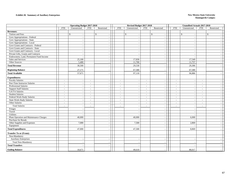|                                         |                          | <b>Operating Budget 2017-2018</b> |                          |                          |                          | Revised Budget 2017-2018 |            |                          |                          | <b>Unaudited Actuals 2017-2018</b> |                          |              |  |
|-----------------------------------------|--------------------------|-----------------------------------|--------------------------|--------------------------|--------------------------|--------------------------|------------|--------------------------|--------------------------|------------------------------------|--------------------------|--------------|--|
|                                         | <b>FTE</b>               | Unrestricted                      | <b>FTE</b>               | Restricted               | <b>FTE</b>               | Unrestricted             | <b>FTE</b> | Restricted               | <b>FTE</b>               | Unrestricted                       | <b>FTE</b>               | Restricted   |  |
| <b>Revenues:</b>                        |                          |                                   |                          |                          |                          |                          |            |                          |                          |                                    |                          |              |  |
| Tuition and Fees                        |                          | $\mathbb{S}$<br>$\sim$            |                          | $\mathbb{S}$             |                          | $\mathbb{S}$             |            | $\mathbb{S}$             |                          | $\mathbb{S}$                       |                          | $\mathbb{S}$ |  |
| Govt Appropriations - Federal           |                          | $\sim$                            |                          |                          |                          |                          |            |                          |                          |                                    |                          |              |  |
| Govt Appropriations - State             |                          | $\overline{\phantom{a}}$          |                          | $\overline{\phantom{a}}$ |                          |                          |            | $\overline{\phantom{a}}$ |                          |                                    |                          |              |  |
| Govt Appropriations - Local             |                          | $\sim$                            |                          |                          |                          |                          |            |                          |                          |                                    |                          |              |  |
| Govt Grants and Contracts - Federal     |                          | $\overline{\phantom{a}}$          |                          |                          |                          |                          |            |                          |                          |                                    |                          |              |  |
| Govt Grants and Contracts - State       |                          | $\sim$                            |                          | $\overline{a}$           |                          |                          |            |                          |                          |                                    |                          |              |  |
| Govt Grants and Contracts - Local       |                          | $\overline{\phantom{a}}$          |                          | $\overline{\phantom{a}}$ |                          |                          |            | ÷                        |                          |                                    |                          |              |  |
| Private Gifts, Grants and Contracts     |                          | $\sim$                            |                          | $\blacksquare$           |                          |                          |            | $\overline{\phantom{a}}$ |                          | $\sim$                             |                          |              |  |
| Endowment, Land, Permanent Fund Income  |                          | $\overline{\phantom{a}}$          |                          |                          |                          |                          |            |                          |                          |                                    |                          |              |  |
| Sales and Services                      |                          | 25,100                            |                          | $\overline{\phantom{a}}$ |                          | 17,830                   |            |                          |                          | 17,549                             |                          |              |  |
| Other Sources                           |                          | 5,400                             |                          | $\blacksquare$           |                          | 11,700                   |            | $\overline{\phantom{a}}$ |                          | 11,757                             |                          |              |  |
| <b>Total Revenue</b>                    |                          | 30,500                            |                          |                          |                          | 29,530                   |            |                          |                          | 29,306                             |                          |              |  |
| <b>Beginning Balance</b>                |                          | 27,171                            |                          |                          |                          | 67,580                   |            |                          |                          | 67,580                             |                          |              |  |
| <b>Total Available</b>                  |                          | 57,671                            |                          |                          |                          | 97,110                   |            |                          |                          | 96,886                             |                          |              |  |
| <b>Expenditures:</b>                    |                          |                                   |                          |                          |                          |                          |            |                          |                          |                                    |                          |              |  |
| <b>Faculty Salaries</b>                 | $\overline{\phantom{a}}$ | $\overline{\phantom{a}}$          | $\sim$                   |                          | $\sim$                   |                          | $\sim$     |                          | $\overline{\phantom{a}}$ | $\overline{\phantom{a}}$           | $\overline{\phantom{a}}$ |              |  |
| Part-Time Instructor Salaries           | $\sim$                   | $\sim$                            | $\sim$                   |                          | $\sim$                   |                          | $\sim$     |                          | $\overline{\phantom{a}}$ |                                    |                          |              |  |
| Professional Salaries                   | $\sim$                   | $\sim$                            | $\sim$                   | $\overline{\phantom{a}}$ | $\sim$                   |                          | $\sim$     | $\overline{\phantom{a}}$ | $\overline{\phantom{a}}$ | $\sim$                             | $\overline{\phantom{a}}$ |              |  |
| <b>Support Staff Salaries</b>           | $\sim$                   | $\sim$                            | $\sim$                   | $\blacksquare$           | $\sim$                   |                          | $\sim$     | $\overline{a}$           | $\overline{\phantom{a}}$ | $\sim$                             | $\overline{\phantom{a}}$ |              |  |
| <b>GA/TA Salaries</b>                   | $\sim$                   | $\overline{\phantom{a}}$          | $\sim$                   |                          | $\overline{\phantom{a}}$ |                          | $\sim$     |                          | $\overline{\phantom{a}}$ |                                    |                          |              |  |
| <b>Student Salaries</b>                 | $\overline{\phantom{a}}$ | $\sim$                            | $\sim$                   | $\overline{\phantom{a}}$ | $\sim$                   |                          | $\sim$     | $\overline{\phantom{a}}$ | $\overline{\phantom{a}}$ | $\blacksquare$                     | $\overline{\phantom{a}}$ |              |  |
| Federal Work-Study Salaries             | $\sim$                   | $\overline{\phantom{a}}$          | $\sim$                   | $\overline{a}$           | $\sim$                   |                          | $\sim$     |                          | $\overline{\phantom{a}}$ | $\overline{a}$                     |                          |              |  |
| <b>State Work-Study Salaries</b>        | $\sim$                   | $\sim$                            | $\sim$                   |                          | $\sim$                   |                          | $\sim$     |                          | $\overline{\phantom{a}}$ | $\overline{a}$                     |                          |              |  |
| Other Salaries                          | $\sim$                   | $\overline{\phantom{a}}$          | $\sim$                   |                          | $\sim$                   |                          | $\sim$     |                          |                          | $\sim$                             | $\overline{\phantom{a}}$ |              |  |
| <b>Total Salaries</b>                   | $\sim$                   | $\sim$                            | $\overline{\phantom{a}}$ |                          |                          |                          |            |                          |                          | $\overline{\phantom{a}}$           |                          |              |  |
| Fringes                                 |                          |                                   |                          |                          |                          |                          |            |                          |                          |                                    |                          |              |  |
| Travel                                  |                          | $\sim$                            |                          | $\overline{a}$           |                          |                          |            | $\overline{a}$           |                          | $\overline{a}$                     |                          |              |  |
| Utilities                               |                          |                                   |                          | $\overline{\phantom{a}}$ |                          |                          |            |                          |                          |                                    |                          |              |  |
| Plant Operation and Maintenance Charges |                          | 40,000                            |                          |                          |                          | 40,000                   |            |                          |                          | 6,000                              |                          |              |  |
| Purchase for Resale                     |                          |                                   |                          | $\overline{\phantom{a}}$ |                          |                          |            | $\overline{\phantom{a}}$ |                          |                                    |                          |              |  |
| Other Supplies and Expenses             |                          | 7,000                             |                          | $\overline{a}$           |                          | 7,500                    |            |                          |                          | 2,869                              |                          |              |  |
| Equipment                               |                          |                                   |                          |                          |                          |                          |            |                          |                          |                                    |                          |              |  |
| <b>Total Expenditures</b>               |                          | 47,000                            |                          |                          |                          | 47,500                   |            |                          |                          | 8,869                              |                          |              |  |
| <b>Transfer To or (From):</b>           |                          |                                   |                          |                          |                          |                          |            |                          |                          |                                    |                          |              |  |
| Non-Mandatory                           |                          |                                   |                          |                          |                          |                          |            |                          |                          |                                    |                          |              |  |
| <b>Auxiliary Enterprises</b>            |                          | $\sim$                            |                          |                          |                          |                          |            | $\overline{a}$           |                          |                                    |                          |              |  |
| <b>Total Non-Mandatory</b>              |                          |                                   |                          |                          |                          |                          |            |                          |                          |                                    |                          |              |  |
| <b>Total Transfers</b>                  |                          |                                   |                          |                          |                          |                          |            |                          |                          |                                    |                          |              |  |
| <b>Ending Balance</b>                   |                          | 10,671                            |                          |                          |                          | 49,610                   |            |                          |                          | 88,017                             |                          |              |  |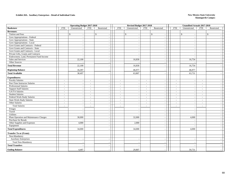### **Exhibit 20A. Auxiliary Enterprises - Detail of Individual Units New Mexico State University**

|                                         |              | <b>Operating Budget 2017-2018</b> |                          |                          |                          | Revised Budget 2017-2018 |                          |                          |                          | Unaudited Actuals 2017-2018 |                          |                    |
|-----------------------------------------|--------------|-----------------------------------|--------------------------|--------------------------|--------------------------|--------------------------|--------------------------|--------------------------|--------------------------|-----------------------------|--------------------------|--------------------|
| <b>Bookstore</b>                        | <b>FTE</b>   | Unrestricted                      | <b>FTE</b>               | Restricted               | <b>FTE</b>               | Unrestricted             | <b>FTE</b>               | Restricted               | <b>FTE</b>               | Unrestricted                | <b>FTE</b>               | Restricted         |
| <b>Revenues:</b>                        |              |                                   |                          |                          |                          |                          |                          |                          |                          |                             |                          |                    |
| Tuition and Fees                        | $\mathbb{S}$ | $\sim$                            |                          | $\mathbb{S}$             |                          | $\mathbb{S}$             |                          | $\mathbb{S}$             |                          | $\mathbb{S}$                |                          | $\mathbf{\hat{S}}$ |
| Govt Appropriations - Federal           |              | $\sim$                            |                          |                          |                          |                          |                          |                          |                          |                             |                          |                    |
| Govt Appropriations - State             |              | $\overline{\phantom{a}}$          |                          | $\overline{\phantom{a}}$ |                          |                          |                          | $\overline{a}$           |                          |                             |                          |                    |
| Govt Appropriations - Local             |              | $\overline{\phantom{a}}$          |                          | $\sim$                   |                          |                          |                          |                          |                          |                             |                          |                    |
| Govt Grants and Contracts - Federal     |              | $\overline{\phantom{a}}$          |                          |                          |                          |                          |                          |                          |                          |                             |                          |                    |
| Govt Grants and Contracts - State       |              | $\overline{\phantom{a}}$          |                          |                          |                          |                          |                          |                          |                          |                             |                          |                    |
| Govt Grants and Contracts - Local       |              | $\overline{\phantom{a}}$          |                          |                          |                          |                          |                          |                          |                          |                             |                          |                    |
| Private Gifts, Grants and Contracts     |              | $\sim$                            |                          |                          |                          |                          |                          | $\overline{\phantom{a}}$ |                          |                             |                          |                    |
| Endowment, Land, Permanent Fund Income  |              | $\overline{\phantom{a}}$          |                          | $\blacksquare$           |                          |                          |                          |                          |                          |                             |                          |                    |
| Sales and Services                      |              | 22,100                            |                          | $\overline{a}$           |                          | 16,830                   |                          |                          |                          | 16,754                      |                          |                    |
| Other Sources                           |              |                                   |                          | $\sim$                   |                          |                          |                          |                          |                          |                             |                          | $\sim$             |
| <b>Total Revenue</b>                    |              | 22,100                            |                          | $\overline{\phantom{a}}$ |                          | 16,830                   |                          |                          |                          | 16,754                      |                          |                    |
| <b>Beginning Balance</b>                |              | 16,397                            |                          |                          |                          | 46,977                   |                          |                          |                          | 46,977                      |                          |                    |
| <b>Total Available</b>                  |              | 38,497                            |                          |                          |                          | 63,807                   |                          |                          |                          | 63,731                      |                          |                    |
| <b>Expenditures:</b>                    |              |                                   |                          |                          |                          |                          |                          |                          |                          |                             |                          |                    |
| <b>Faculty Salaries</b>                 | $\sim$       | $\sim$                            | $\sim$                   |                          | $\sim$                   |                          | $\sim$                   |                          | $\sim$                   |                             | $\sim$                   |                    |
| Part-Time Instructor Salaries           | $\sim$       | $\sim$                            | $\sim$                   |                          | $\sim$                   |                          | $\overline{\phantom{a}}$ |                          | $\sim$                   |                             | $\overline{\phantom{a}}$ |                    |
| Professional Salaries                   | $\sim$       | $\sim$                            | $\sim$                   | $\sim$                   | $\sim$                   |                          | $\sim$                   | $\overline{a}$           | $\sim$                   | $\overline{\phantom{a}}$    | $\overline{\phantom{a}}$ | $\sim$             |
| <b>Support Staff Salaries</b>           | $\sim$       | $\overline{\phantom{a}}$          | $\overline{\phantom{a}}$ | $\overline{\phantom{a}}$ | $\sim$                   |                          | $\sim$                   |                          | $\overline{\phantom{a}}$ | $\overline{\phantom{a}}$    | $\overline{\phantom{a}}$ | $\sim$             |
| GA/TA Salaries                          | $\sim$       | $\sim$                            | $\sim$                   |                          | $\sim$                   |                          | $\sim$                   |                          | $\overline{\phantom{a}}$ |                             | $\overline{\phantom{a}}$ |                    |
| <b>Student Salaries</b>                 | $\sim$       | $\overline{\phantom{a}}$          | $\overline{\phantom{a}}$ |                          | $\sim$                   |                          | $\sim$                   | $\overline{\phantom{a}}$ |                          |                             | $\overline{\phantom{a}}$ |                    |
| Federal Work-Study Salaries             | $\sim$       | $\overline{\phantom{a}}$          | $\overline{\phantom{a}}$ |                          | $\overline{\phantom{a}}$ |                          | $\sim$                   |                          | $\overline{\phantom{a}}$ |                             | $\overline{\phantom{a}}$ |                    |
| <b>State Work-Study Salaries</b>        | $\sim$       | $\sim$                            | $\sim$                   |                          | $\sim$                   |                          | $\sim$                   |                          | $\overline{\phantom{a}}$ |                             | $\overline{\phantom{a}}$ |                    |
| Other Salaries                          | $\sim$       | $\overline{\phantom{a}}$          | $\overline{\phantom{a}}$ | $\sim$                   | $\sim$                   |                          | $\sim$                   |                          | $\overline{\phantom{a}}$ | $\blacksquare$              | $\overline{\phantom{a}}$ |                    |
| <b>Total Salaries</b>                   | $\sim$       | $\sim$                            | $\sim$                   |                          | $\sim$                   |                          | $\sim$                   |                          | $\sim$                   |                             | $\overline{\phantom{a}}$ |                    |
| Fringes                                 |              |                                   |                          |                          |                          |                          |                          |                          |                          |                             |                          |                    |
| Travel                                  |              | $\overline{\phantom{a}}$          |                          | $\sim$                   |                          |                          |                          | $\overline{\phantom{a}}$ |                          | $\overline{a}$              |                          | $\sim$             |
| Utilities                               |              |                                   |                          | $\overline{a}$           |                          |                          |                          |                          |                          |                             |                          |                    |
| Plant Operation and Maintenance Charges |              | 30,000                            |                          |                          |                          | 32,000                   |                          |                          |                          | 4,000                       |                          |                    |
| Purchase for Resale                     |              |                                   |                          | $\sim$                   |                          |                          |                          | $\overline{a}$           |                          |                             |                          |                    |
| Other Supplies and Expenses             |              | 4,000                             |                          | $\sim$                   |                          | 2,000                    |                          | $\overline{\phantom{a}}$ |                          |                             |                          |                    |
| Equipment                               |              |                                   |                          | $\sim$                   |                          |                          |                          |                          |                          |                             |                          |                    |
| <b>Total Expenditures</b>               |              | 34,000                            |                          |                          |                          | 34,000                   |                          |                          |                          | 4,000                       |                          |                    |
| <b>Transfer To or (From):</b>           |              |                                   |                          |                          |                          |                          |                          |                          |                          |                             |                          |                    |
| Non-Mandatory                           |              |                                   |                          |                          |                          |                          |                          |                          |                          |                             |                          |                    |
| <b>Auxiliary Enterprises</b>            |              | $\overline{\phantom{a}}$          |                          | $\sim$                   |                          |                          |                          | $\overline{\phantom{a}}$ |                          |                             |                          |                    |
| <b>Total Non-Mandatory</b>              |              |                                   |                          |                          |                          |                          |                          |                          |                          |                             |                          |                    |
| <b>Total Transfers</b>                  |              |                                   |                          |                          |                          |                          |                          |                          |                          |                             |                          |                    |
| <b>Ending Balance</b>                   |              | 4,497                             |                          |                          |                          | 29,807                   |                          |                          |                          | 59,731                      |                          |                    |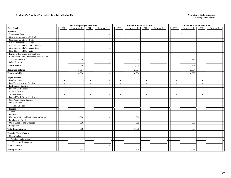### **Exhibit 20A. Auxiliary Enterprises - Detail of Individual Units New Mexico State University**

|                                         |                            | <b>Operating Budget 2017-2018</b>                    |                          |                          | Revised Budget 2017-2018 |            |                          |                          | Unaudited Actuals 2017-2018 |                          |                    |
|-----------------------------------------|----------------------------|------------------------------------------------------|--------------------------|--------------------------|--------------------------|------------|--------------------------|--------------------------|-----------------------------|--------------------------|--------------------|
| <b>Food Service</b>                     | Unrestricted<br><b>FTE</b> | <b>FTE</b>                                           | Restricted               | <b>FTE</b>               | Unrestricted             | <b>FTE</b> | Restricted               | <b>FTE</b>               | Unrestricted                | <b>FTE</b>               | Restricted         |
| <b>Revenues:</b>                        |                            |                                                      |                          |                          |                          |            |                          |                          |                             |                          |                    |
| Tuition and Fees                        | $\mathbb{S}$               | $\sim$                                               | $\mathcal{S}$            |                          | $\mathbb{S}$             |            | $\mathbf{\hat{S}}$       |                          | $\mathbf{\hat{s}}$          |                          | $\mathbf{\hat{S}}$ |
| Govt Appropriations - Federal           |                            | $\overline{\phantom{a}}$                             |                          |                          |                          |            |                          |                          |                             |                          |                    |
| Govt Appropriations - State             |                            | $\overline{\phantom{a}}$                             | $\sim$                   |                          |                          |            |                          |                          |                             |                          |                    |
| Govt Appropriations - Local             |                            | $\overline{\phantom{a}}$                             | $\sim$                   |                          |                          |            |                          |                          |                             |                          |                    |
| Govt Grants and Contracts - Federal     |                            |                                                      |                          |                          |                          |            |                          |                          |                             |                          |                    |
| Govt Grants and Contracts - State       |                            | $\sim$                                               | $\overline{\phantom{a}}$ |                          |                          |            |                          |                          |                             |                          |                    |
| Govt Grants and Contracts - Local       |                            | $\sim$                                               |                          |                          |                          |            |                          |                          |                             |                          |                    |
| Private Gifts, Grants and Contracts     |                            | $\sim$                                               | $\sim$                   |                          |                          |            | $\overline{\phantom{a}}$ |                          | $\overline{a}$              |                          | $\sim$             |
| Endowment, Land, Permanent Fund Income  |                            | $\overline{\phantom{a}}$                             | $\overline{\phantom{a}}$ |                          |                          |            |                          |                          |                             |                          |                    |
| Sales and Services                      |                            | 3,000                                                | $\sim$                   |                          | 1,000                    |            |                          |                          | 795                         |                          |                    |
| Other Sources                           |                            |                                                      | $\sim$                   |                          |                          |            |                          |                          |                             |                          | $\sim$             |
| <b>Total Revenue</b>                    |                            | 3,000                                                |                          |                          | 1,000                    |            |                          |                          | 795                         |                          |                    |
| <b>Beginning Balance</b>                |                            | 3,804                                                |                          |                          | 3,804                    |            |                          |                          | 3,804                       |                          |                    |
| <b>Total Available</b>                  |                            | 6,804                                                |                          |                          | 4,804                    |            |                          |                          | 4,599                       |                          |                    |
| <b>Expenditures:</b>                    |                            |                                                      |                          |                          |                          |            |                          |                          |                             |                          |                    |
| <b>Faculty Salaries</b>                 | $\sim$                     | $\sim$<br>$\sim$                                     |                          | $\sim$                   |                          | $\sim$     |                          | $\sim$                   |                             | $\sim$                   |                    |
| Part-Time Instructor Salaries           | $\sim$                     | $\sim$<br>$\sim$                                     |                          | $\sim$                   |                          | $\sim$     |                          | $\overline{\phantom{a}}$ |                             |                          |                    |
| Professional Salaries                   | $\sim$                     | $\overline{\phantom{a}}$<br>$\overline{\phantom{a}}$ | $\overline{\phantom{a}}$ | $\sim$                   |                          | $\sim$     | $\overline{\phantom{a}}$ | $\overline{\phantom{a}}$ | $\sim$                      | $\overline{\phantom{a}}$ |                    |
| <b>Support Staff Salaries</b>           | $\sim$                     | $\overline{\phantom{a}}$<br>$\sim$                   |                          | $\sim$                   |                          | $\sim$     |                          | $\overline{\phantom{a}}$ | $\sim$                      | $\sim$                   |                    |
| GA/TA Salaries                          | $\sim$                     | $\sim$<br>$\overline{\phantom{a}}$                   |                          | $\sim$                   |                          | $\sim$     |                          | $\overline{\phantom{a}}$ |                             | $\overline{\phantom{a}}$ |                    |
| <b>Student Salaries</b>                 | $\sim$                     | $\overline{\phantom{a}}$<br>$\sim$                   | $\blacksquare$           | $\sim$                   |                          | $\sim$     |                          | $\sim$                   | $\overline{a}$              | $\sim$                   |                    |
| Federal Work-Study Salaries             | $\sim$                     | $\overline{\phantom{a}}$<br>$\overline{\phantom{a}}$ | $\sim$                   | $\overline{\phantom{a}}$ |                          | $\sim$     |                          | $\overline{\phantom{a}}$ |                             | $\overline{\phantom{a}}$ |                    |
| <b>State Work-Study Salaries</b>        | $\sim$                     | $\sim$<br>$\sim$                                     | $\overline{a}$           | $\sim$                   |                          | $\sim$     |                          | $\sim$                   | $\sim$                      | $\sim$                   |                    |
| Other Salaries                          | $\sim$                     | $\overline{\phantom{a}}$<br>$\sim$                   |                          | $\sim$                   |                          | $\sim$     |                          | $\overline{\phantom{a}}$ | $\sim$                      | $\overline{\phantom{a}}$ |                    |
| <b>Total Salaries</b>                   | $\sim$                     | $\sim$<br>$\sim$                                     | $\sim$                   | $\overline{\phantom{a}}$ |                          | $\sim$     |                          | $\overline{\phantom{a}}$ | $\overline{\phantom{a}}$    | $\overline{\phantom{a}}$ |                    |
| Fringes                                 |                            |                                                      |                          |                          |                          |            |                          |                          |                             |                          |                    |
| Travel                                  |                            | $\overline{\phantom{a}}$                             | $\sim$                   |                          | ٠.                       |            | $\overline{\phantom{a}}$ |                          | $\blacksquare$              |                          |                    |
| Utilities                               |                            |                                                      |                          |                          |                          |            |                          |                          |                             |                          |                    |
| Plant Operation and Maintenance Charges |                            | 3,000                                                | $\overline{\phantom{a}}$ |                          | 500                      |            |                          |                          |                             |                          |                    |
| Purchase for Resale                     |                            |                                                      | $\overline{\phantom{a}}$ |                          |                          |            | $\overline{\phantom{a}}$ |                          |                             |                          |                    |
| Other Supplies and Expenses             |                            | 1,500                                                | $\sim$                   |                          | 500                      |            |                          |                          | 653                         |                          |                    |
| Equipment                               |                            |                                                      |                          |                          |                          |            |                          |                          |                             |                          |                    |
| <b>Total Expenditures</b>               |                            | 4,500                                                |                          |                          | 1,000                    |            |                          |                          | 653                         |                          |                    |
| <b>Transfer To or (From):</b>           |                            |                                                      |                          |                          |                          |            |                          |                          |                             |                          |                    |
| Non-Mandatory                           |                            |                                                      |                          |                          |                          |            |                          |                          |                             |                          |                    |
| <b>Auxiliary Enterprises</b>            |                            | $\overline{\phantom{a}}$                             | $\blacksquare$           |                          |                          |            |                          |                          |                             |                          |                    |
| <b>Total Non-Mandatory</b>              |                            | $\overline{\phantom{a}}$                             |                          |                          |                          |            |                          |                          |                             |                          |                    |
| <b>Total Transfers</b>                  |                            |                                                      |                          |                          |                          |            |                          |                          |                             |                          |                    |
| <b>Ending Balance</b>                   |                            | 2,304                                                |                          |                          | 3,804                    |            |                          |                          | 3,946                       |                          |                    |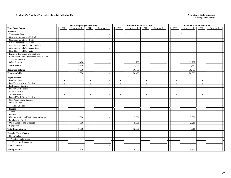### **Exhibit 20A. Auxiliary Enterprises - Detail of Individual Units New Mexico State University**

|                                         |                          | <b>Operating Budget 2017-2018</b>        |                          |                          | Revised Budget 2017-2018 |                          |                    | Unaudited Actuals 2017-2018 |                          |                          |                          |                          |              |  |
|-----------------------------------------|--------------------------|------------------------------------------|--------------------------|--------------------------|--------------------------|--------------------------|--------------------|-----------------------------|--------------------------|--------------------------|--------------------------|--------------------------|--------------|--|
| <b>Tays Event Center</b>                | <b>FTE</b>               | Unrestricted                             | FTE                      | Restricted               |                          | <b>FTE</b>               | Unrestricted       | <b>FTE</b>                  | Restricted               | <b>FTE</b>               | Unrestricted             | <b>FTE</b>               | Restricted   |  |
| <b>Revenues:</b>                        |                          |                                          |                          |                          |                          |                          |                    |                             |                          |                          |                          |                          |              |  |
| Tuition and Fees                        |                          | $\mathbb{S}$<br>$\overline{\phantom{a}}$ |                          | $\mathbf{\hat{S}}$       |                          |                          | $\mathbf{\hat{S}}$ |                             | $\mathbb{S}$             |                          | $\mathbf{\hat{S}}$       |                          | $\mathbb{S}$ |  |
| Govt Appropriations - Federal           |                          | $\overline{\phantom{a}}$                 |                          |                          |                          |                          |                    |                             |                          |                          |                          |                          |              |  |
| Govt Appropriations - State             |                          | $\overline{\phantom{a}}$                 |                          |                          |                          |                          |                    |                             |                          |                          |                          |                          |              |  |
| Govt Appropriations - Local             |                          | $\overline{\phantom{a}}$                 |                          | $\overline{a}$           |                          |                          |                    |                             |                          |                          |                          |                          |              |  |
| Govt Grants and Contracts - Federal     |                          | $\overline{\phantom{a}}$                 |                          |                          |                          |                          |                    |                             |                          |                          |                          |                          |              |  |
| Govt Grants and Contracts - State       |                          | $\overline{\phantom{a}}$                 |                          | $\overline{\phantom{a}}$ |                          |                          |                    |                             | $\overline{\phantom{a}}$ |                          |                          |                          |              |  |
| Govt Grants and Contracts - Local       |                          | $\overline{\phantom{a}}$                 |                          | $\overline{\phantom{a}}$ |                          |                          |                    |                             | $\overline{\phantom{a}}$ |                          |                          |                          |              |  |
| Private Gifts, Grants and Contracts     |                          | $\sim$                                   |                          | $\overline{\phantom{a}}$ |                          |                          |                    |                             | $\overline{a}$           |                          | $\overline{\phantom{a}}$ |                          |              |  |
| Endowment, Land, Permanent Fund Income  |                          | $\overline{\phantom{a}}$                 |                          |                          |                          |                          |                    |                             |                          |                          |                          |                          |              |  |
| Sales and Services                      |                          |                                          |                          |                          |                          |                          |                    |                             |                          |                          |                          |                          |              |  |
| Other Sources                           |                          | 5,400                                    |                          | $\blacksquare$           |                          |                          | 11,700             |                             |                          |                          | 11,757                   |                          |              |  |
| <b>Total Revenue</b>                    |                          | 5,400                                    |                          |                          |                          |                          | 11,700             |                             |                          |                          | 11,757                   |                          |              |  |
| <b>Beginning Balance</b>                |                          | 6,970                                    |                          |                          |                          |                          | 16,799             |                             |                          |                          | 16,799                   |                          |              |  |
| <b>Total Available</b>                  |                          | 12,370                                   |                          |                          |                          |                          | 28,499             |                             |                          |                          | 28,556                   |                          |              |  |
| <b>Expenditures:</b>                    |                          |                                          |                          |                          |                          |                          |                    |                             |                          |                          |                          |                          |              |  |
| <b>Faculty Salaries</b>                 | $\sim$                   | $\overline{\phantom{a}}$                 | $\sim$                   |                          |                          | $\sim$                   |                    | $\sim$                      |                          | $\sim$                   |                          | $\sim$                   |              |  |
| Part-Time Instructor Salaries           | $\sim$                   | $\overline{\phantom{a}}$                 | $\overline{\phantom{a}}$ | $\sim$                   |                          | $\overline{\phantom{a}}$ |                    | $\sim$                      |                          | $\overline{\phantom{a}}$ |                          |                          |              |  |
| Professional Salaries                   | $\sim$                   | $\sim$                                   | $\sim$                   | $\overline{\phantom{a}}$ |                          | $\sim$                   |                    | $\sim$                      | $\overline{\phantom{a}}$ | $\overline{\phantom{a}}$ | $\sim$                   | $\overline{\phantom{a}}$ |              |  |
| <b>Support Staff Salaries</b>           | $\sim$                   | $\sim$                                   | $\sim$                   | $\blacksquare$           |                          | $\sim$                   |                    | $\sim$                      |                          | $\overline{\phantom{a}}$ |                          | $\overline{\phantom{a}}$ |              |  |
| <b>GA/TA Salaries</b>                   | $\sim$                   | $\overline{a}$                           | $\sim$                   |                          |                          | $\sim$                   |                    | $\sim$                      |                          | $\overline{\phantom{a}}$ |                          | $\overline{\phantom{a}}$ |              |  |
| <b>Student Salaries</b>                 | $\overline{\phantom{a}}$ | $\overline{\phantom{a}}$                 | $\sim$                   | $\overline{a}$           |                          | $\overline{\phantom{a}}$ |                    | $\sim$                      |                          |                          |                          |                          |              |  |
| Federal Work-Study Salaries             | $\sim$                   | $\overline{\phantom{a}}$                 | $\sim$                   | $\overline{\phantom{a}}$ |                          | $\overline{\phantom{a}}$ |                    | $\sim$                      |                          | $\overline{\phantom{a}}$ |                          |                          |              |  |
| <b>State Work-Study Salaries</b>        | $\sim$                   | $\sim$                                   | $\sim$                   |                          |                          | $\overline{\phantom{a}}$ |                    | $\sim$                      | ÷,                       | $\overline{\phantom{a}}$ |                          | $\overline{\phantom{a}}$ |              |  |
| Other Salaries                          | $\sim$                   | $\overline{\phantom{a}}$                 | $\overline{\phantom{a}}$ | $\sim$                   |                          | $\sim$                   |                    | $\sim$                      |                          | $\overline{\phantom{a}}$ | $\sim$                   | $\overline{\phantom{a}}$ |              |  |
| <b>Total Salaries</b>                   | $\sim$                   | $\overline{a}$                           | $\sim$                   |                          |                          | $\sim$                   |                    | $\sim$                      |                          |                          |                          |                          |              |  |
| Fringes                                 |                          |                                          |                          |                          |                          |                          |                    |                             |                          |                          |                          |                          |              |  |
| Travel                                  |                          | $\overline{\phantom{a}}$                 |                          | $\overline{\phantom{a}}$ |                          |                          |                    |                             | $\overline{\phantom{a}}$ |                          | $\overline{\phantom{a}}$ |                          |              |  |
| Utilities                               |                          |                                          |                          | $\overline{a}$           |                          |                          |                    |                             |                          |                          |                          |                          |              |  |
| Plant Operation and Maintenance Charges |                          | 7,000                                    |                          |                          |                          |                          | 7,500              |                             |                          |                          | 2,000                    |                          |              |  |
| Purchase for Resale                     |                          |                                          |                          | $\sim$                   |                          |                          |                    |                             | $\overline{\phantom{a}}$ |                          |                          |                          |              |  |
| Other Supplies and Expenses             |                          | 1,500                                    |                          | $\blacksquare$           |                          |                          | 5,000              |                             | $\overline{\phantom{a}}$ |                          | 2,216                    |                          |              |  |
| Equipment                               |                          |                                          |                          | $\overline{\phantom{a}}$ |                          |                          |                    |                             |                          |                          |                          |                          |              |  |
| <b>Total Expenditures</b>               |                          | 8,500                                    |                          |                          |                          |                          | 12,500             |                             |                          |                          | 4,216                    |                          |              |  |
| <b>Transfer To or (From):</b>           |                          |                                          |                          |                          |                          |                          |                    |                             |                          |                          |                          |                          |              |  |
| Non-Mandatory                           |                          |                                          |                          |                          |                          |                          |                    |                             |                          |                          |                          |                          |              |  |
| <b>Auxiliary Enterprises</b>            |                          | $\sim$                                   |                          | $\sim$                   |                          |                          |                    |                             | $\overline{\phantom{a}}$ |                          |                          |                          |              |  |
| <b>Total Non-Mandatory</b>              |                          |                                          |                          |                          |                          |                          |                    |                             |                          |                          |                          |                          |              |  |
| <b>Total Transfers</b>                  |                          |                                          |                          |                          |                          |                          |                    |                             |                          |                          |                          |                          |              |  |
| <b>Ending Balance</b>                   |                          | 3,870                                    |                          |                          |                          |                          | 15,999             |                             |                          |                          | 24,340                   |                          |              |  |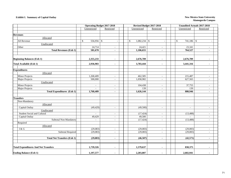### **Exhibit I. Summary of Capital Outlay New Mexico State University**

|                                             | <b>Operating Budget 2017-2018</b> |                | Revised Budget 2017-2018  |                          | Unaudited Actuals 2017-2018 |                          |  |
|---------------------------------------------|-----------------------------------|----------------|---------------------------|--------------------------|-----------------------------|--------------------------|--|
|                                             | Unrestricted                      | Restricted     | Unrestricted              | Restricted               | Unrestricted                | Restricted               |  |
|                                             |                                   |                |                           |                          |                             |                          |  |
| <b>Revenues</b>                             |                                   |                |                           |                          |                             |                          |  |
| Allocated                                   |                                   |                |                           |                          |                             |                          |  |
| All Revenue                                 | \$<br>556,956 \$                  |                | $\mathbb{S}$<br>1,082,234 | \$                       | \$<br>741,186 \$            |                          |  |
| Unallocated                                 |                                   |                |                           |                          |                             |                          |  |
| Other                                       | 24,714                            | $\sim$         | 24,421                    | $\overline{\phantom{a}}$ | 23,341                      | $\sim$                   |  |
| <b>Total Revenues (Exh 1)</b>               | 581,670                           | $\blacksquare$ | 1,106,655                 | $\overline{\phantom{a}}$ | 764,527                     | $\blacksquare$           |  |
|                                             |                                   |                |                           |                          |                             |                          |  |
| <b>Beginning Balances (Exh 1)</b>           | 2,355,233                         |                | 2,676,789                 | $\overline{\phantom{a}}$ | 2,676,789                   |                          |  |
| <b>Total Available (Exh 1)</b>              | 2,936,903                         | $\blacksquare$ | 3,783,444                 | $\blacksquare$           | 3,441,316                   | $\blacksquare$           |  |
|                                             |                                   |                |                           |                          |                             |                          |  |
| <b>Expenditures</b>                         |                                   |                |                           |                          |                             |                          |  |
| Allocated                                   |                                   |                |                           |                          |                             |                          |  |
| Minor Projects                              | $\overline{1,268,409}$            | $\sim$         | 462,585                   | $\overline{\phantom{a}}$ | 215,487                     | $\overline{\phantom{a}}$ |  |
| <b>Major Projects</b>                       | 500,000                           | $\sim$         | 1,058,982                 | $\overline{\phantom{a}}$ | 627,565                     | $\overline{\phantom{a}}$ |  |
| Unallocated                                 |                                   |                |                           |                          |                             |                          |  |
| <b>Minor Projects</b>                       | $\sim$                            | $\sim$         | 104,438                   | $\overline{\phantom{a}}$ | 37,755                      | $\overline{\phantom{a}}$ |  |
| Major Projects                              | $\sim$                            | $\sim$         | 139                       | $\overline{\phantom{a}}$ | 139                         | ÷                        |  |
| <b>Total Expenditures (Exh 1)</b>           | 1,768,409                         | $\blacksquare$ | 1,626,144                 | $\overline{\phantom{a}}$ | 880,946                     | $\blacksquare$           |  |
|                                             |                                   |                |                           |                          |                             |                          |  |
| <b>Transfers</b>                            |                                   |                |                           |                          |                             |                          |  |
| Non-Mandatory                               |                                   |                |                           |                          |                             |                          |  |
| Allocated                                   |                                   |                |                           |                          |                             |                          |  |
| Capital Outlay                              | (49, 429)                         | $\sim$         | (49,500)                  | $\overline{\phantom{a}}$ | $\overline{\phantom{a}}$    | $\overline{\phantom{a}}$ |  |
| Unallocated                                 |                                   |                |                           |                          |                             |                          |  |
| <b>Student Social and Cultural</b>          |                                   | $\sim$         | (17, 424)                 | $\blacksquare$           | (13, 488)                   | $\sim$                   |  |
| Capital Outlay                              | 49,429                            | $\sim$         | 49,500                    | $\overline{\phantom{a}}$ |                             | $\sim$                   |  |
| Subtotal Non-Mandatory                      |                                   | $\sim$         | (17, 424)                 | $\overline{\phantom{a}}$ | (13, 488)                   | ÷.                       |  |
| Required                                    |                                   |                |                           |                          |                             |                          |  |
| Allocated                                   |                                   |                |                           |                          |                             |                          |  |
| I & G                                       | (29,083)                          | $\blacksquare$ | (29,083)                  | $\blacksquare$           | (29,083)                    | $\sim$                   |  |
| Subtotal Required                           | (29,083)                          | $\sim$         | (29,083)                  | $\sim$                   | (29,083)                    | $\sim$                   |  |
|                                             |                                   |                |                           |                          |                             |                          |  |
| <b>Total Net Transfers (Exh 1)</b>          | (29,083)                          | $\blacksquare$ | (46, 507)                 | $\overline{\phantom{a}}$ | (42, 571)                   | $\overline{\phantom{a}}$ |  |
|                                             |                                   |                |                           |                          |                             |                          |  |
| <b>Total Expenditures And Net Transfers</b> | 1,739,326                         | $\blacksquare$ | 1,579,637                 | $\blacksquare$           | 838,375                     | $\overline{\phantom{a}}$ |  |
| <b>Ending Balance (Exh 1)</b>               | 1,197,577                         | $\blacksquare$ | 2,203,807                 | $\blacksquare$           | 2,602,941                   | $\blacksquare$           |  |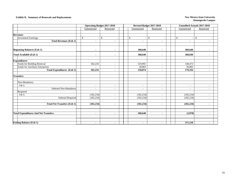### **Exhibit II. Summary of Renewals and Replacements New Mexico State University New Mexico State University**

|                                             |                | <b>Operating Budget 2017-2018</b> |                          | Revised Budget 2017-2018 |                                | <b>Unaudited Actuals 2017-2018</b> |  |  |
|---------------------------------------------|----------------|-----------------------------------|--------------------------|--------------------------|--------------------------------|------------------------------------|--|--|
|                                             | Unrestricted   | Restricted                        | Unrestricted             | Restricted               | Unrestricted                   | Restricted                         |  |  |
|                                             |                |                                   |                          |                          |                                |                                    |  |  |
| <b>Revenues</b>                             |                |                                   |                          |                          |                                |                                    |  |  |
| <b>Investment Earnings</b>                  | $\mathbb{S}$   | $\mathbb{S}$                      | \$                       | \$                       | \$<br>$\overline{\phantom{a}}$ | \$<br>$\overline{\phantom{a}}$     |  |  |
| <b>Total Revenues (Exh 1)</b>               | $\blacksquare$ | $\blacksquare$                    | $\blacksquare$           | $\blacksquare$           | $\blacksquare$                 | ۰                                  |  |  |
|                                             |                |                                   |                          |                          |                                |                                    |  |  |
| <b>Beginning Balances (Exh 1)</b>           | $\blacksquare$ | $\blacksquare$                    | 368,640                  | $\blacksquare$           | 368,640                        | $\blacksquare$                     |  |  |
| Total Available (Exh 1)                     | $\blacksquare$ | $\blacksquare$                    | 368,640                  | $\blacksquare$           | 368,640                        | ٠                                  |  |  |
| <b>Expenditures</b>                         |                |                                   |                          |                          |                                |                                    |  |  |
| Funds for Building Renewal                  | 182,234        | $\sim$                            | 519,991                  | $\overline{\phantom{a}}$ | 148,473                        | $\overline{\phantom{a}}$           |  |  |
| Funds for Auxiliary Enterprises             |                | $\sim$                            | 30,883                   | ٠                        | 30,883                         |                                    |  |  |
| <b>Total Expenditures (Exh 1)</b>           | 182,234        | $\blacksquare$                    | 550,874                  | $\overline{\phantom{a}}$ | 179,356                        | $\overline{\phantom{a}}$           |  |  |
| <b>Transfers</b>                            |                |                                   |                          |                          |                                |                                    |  |  |
| Non-Mandatory                               |                |                                   |                          |                          |                                |                                    |  |  |
| I & G                                       | $\sim$         | $\sim$                            | $\overline{\phantom{a}}$ | $\overline{\phantom{a}}$ | $\overline{\phantom{a}}$       | $\overline{\phantom{a}}$           |  |  |
| Subtotal Non-Mandatory                      | $\sim$         | $\sim$                            | $\overline{a}$           | $\overline{\phantom{a}}$ | $\overline{\phantom{a}}$       | $\overline{\phantom{a}}$           |  |  |
| Required                                    |                |                                   |                          |                          |                                |                                    |  |  |
| I & G                                       | (182, 234)     | $\sim$                            | (182, 234)               | $\overline{\phantom{a}}$ | (182, 234)                     | ÷                                  |  |  |
| <b>Subtotal Required</b>                    | (182, 234)     | $\sim$                            | (182, 234)               | ÷.                       | (182, 234)                     | $\overline{a}$                     |  |  |
| <b>Total Net Transfers (Exh 1)</b>          | (182, 234)     | $\blacksquare$                    | (182, 234)               | $\blacksquare$           | (182, 234)                     | $\blacksquare$                     |  |  |
|                                             |                |                                   |                          |                          |                                |                                    |  |  |
| <b>Total Expenditures And Net Transfers</b> | $\blacksquare$ | $\blacksquare$                    | 368,640                  | $\overline{\phantom{a}}$ | (2,878)                        | $\blacksquare$                     |  |  |
|                                             |                |                                   |                          |                          |                                |                                    |  |  |
| <b>Ending Balance (Exh 1)</b>               |                |                                   |                          |                          | 371,518                        |                                    |  |  |
|                                             | $\blacksquare$ | $\blacksquare$                    | $\blacksquare$           | $\blacksquare$           |                                | $\overline{\phantom{a}}$           |  |  |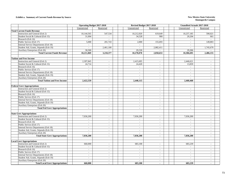#### **Exhibit a. Summary of Current Funds Revenue by Source New Mexico State University New Mexico State University**

|                                        | <b>Operating Budget 2017-2018</b> |                          | Revised Budget 2017-2018<br><b>Unaudited Actuals 2017-2018</b> |                             |                             |                          |                          |  |
|----------------------------------------|-----------------------------------|--------------------------|----------------------------------------------------------------|-----------------------------|-----------------------------|--------------------------|--------------------------|--|
|                                        | Unrestricted                      | Restricted               |                                                                | Unrestricted                | Restricted                  | Unrestricted             | Restricted               |  |
| <b>Total Current Funds Revenue</b>     |                                   |                          |                                                                |                             |                             |                          |                          |  |
| Instruction and General (Exh 2)        | 10,144,565                        | 547,534                  |                                                                | 10,212,020                  | 619,649                     | 10,257,185               | 590,021                  |  |
| Student Social & Cultural (Exh 15)     | 31,004                            | $\omega$                 |                                                                | 34,528                      | 900                         | 20,204                   | 661                      |  |
| Research (Exh 16)                      | $\sim$                            | $\sim$                   |                                                                | $\overline{a}$              | $\blacksquare$              | $\sim$                   | $\sim$                   |  |
| Public Service (Exh 17)                | 5,000                             | 201,743                  |                                                                | 2,000                       | 155,693                     | $\sim$                   | 149,803                  |  |
| Internal Service Departments (Exh 18)  | $\sim$                            | $\sim$                   |                                                                | $\mathcal{L}_{\mathcal{A}}$ | $\sim$                      | $\sim$                   |                          |  |
| Student Aid, Grants, Stipends (Exh 19) | $\mathcal{L}$                     | 2,461,100                |                                                                | $\overline{a}$              | 2,082,411                   | $\overline{\phantom{a}}$ | 1,745,670                |  |
| Auxiliary Enterprises (Exh 20)         | 30,500                            |                          |                                                                | 29,530                      |                             | 29,306                   |                          |  |
| <b>Total Current Funds Revenue</b>     | 10,211,069                        | 3,210,377                |                                                                | 10,278,078                  | 2,858,653                   | 10,306,695               | 2,486,155                |  |
|                                        |                                   |                          |                                                                |                             |                             |                          |                          |  |
| <b>Tuition and Fees Income</b>         |                                   |                          |                                                                |                             |                             |                          |                          |  |
| Instruction and General (Exh 2)        | 2,397,845                         | $\sim$                   |                                                                | 2,415,695                   | $\sim$                      | 2,446,621                | $\sim$                   |  |
| Student Social & Cultural (Exh 15)     | 24,714                            | $\overline{a}$           |                                                                | 24,420                      | $\sim$                      | 13,839                   | $\overline{\phantom{a}}$ |  |
| Research (Exh 16)                      | $\mathcal{L}_{\mathcal{A}}$       | $\overline{\phantom{a}}$ |                                                                | $\mathcal{L}^{\mathcal{A}}$ | $\overline{\phantom{a}}$    | $\sim$                   | $\overline{a}$           |  |
| Public Service (Exh 17)                | $\sim$                            | $\sim$                   |                                                                | $\sim$                      | $\sim$                      | $\sim$                   | $\sim$                   |  |
| Internal Service Departments (Exh 18)  | $\sim$                            | $\overline{\phantom{a}}$ |                                                                | $\overline{\phantom{a}}$    | $\blacksquare$              | $\sim$                   | $\overline{\phantom{a}}$ |  |
| Student Aid, Grants, Stipends (Exh 19) | $\overline{\phantom{a}}$          | $\overline{\phantom{a}}$ |                                                                | $\overline{\phantom{a}}$    | $\blacksquare$              | $\overline{\phantom{a}}$ | $\overline{\phantom{a}}$ |  |
| Auxiliary Enterprises (Exh 20)         | $\sim$                            | $\sim$                   |                                                                | $\sim$                      | $\sim$                      | $\sim$                   | $\sim$                   |  |
| <b>Total Tuition and Fees Income</b>   | 2,422,559                         | ÷                        |                                                                | 2,440,115                   | $\overline{\phantom{a}}$    | 2,460,460                | $\blacksquare$           |  |
|                                        |                                   |                          |                                                                |                             |                             |                          |                          |  |
| <b>Federal Govt Appropriations</b>     |                                   |                          |                                                                |                             |                             |                          |                          |  |
| Instruction and General (Exh 2)        | $\sim$                            | $\sim$                   |                                                                | $\overline{a}$              | $\blacksquare$              | $\blacksquare$           |                          |  |
| Student Social & Cultural (Exh 15)     | $\mathcal{L}^{\mathcal{A}}$       | $\omega$                 |                                                                | $\omega$                    | $\omega$                    | $\sim$                   | $\mathcal{L}$            |  |
| Research (Exh 16)                      | $\sim$                            | $\sim$                   |                                                                | $\sim$                      | $\sim$                      | $\sim$                   | $\overline{a}$           |  |
| Public Service (Exh 17)                | $\sim$                            | $\sim$                   |                                                                | $\mathcal{L}^{\mathcal{A}}$ | $\mathcal{L}^{\mathcal{A}}$ | $\sim$                   | $\overline{a}$           |  |
| Internal Service Departments (Exh 18)  | $\sim$                            | $\overline{\phantom{a}}$ |                                                                | $\overline{a}$              | $\overline{a}$              | $\sim$                   | $\sim$                   |  |
| Student Aid, Grants, Stipends (Exh 19) | $\sim$                            | $\sim$                   |                                                                | $\mathcal{L}_{\mathcal{A}}$ | $\blacksquare$              | $\sim$                   | $\omega$                 |  |
| Auxiliary Enterprises (Exh 20)         | $\sim$                            | $\sim$                   |                                                                | $\mathcal{L}_{\mathcal{A}}$ | $\overline{\phantom{a}}$    | $\blacksquare$           | $\sim$                   |  |
| <b>Total Fed Govt Appropriations</b>   | $\sim$                            | $\blacksquare$           |                                                                | $\sim$                      | $\blacksquare$              | $\sim$                   | $\blacksquare$           |  |
|                                        |                                   |                          |                                                                |                             |                             |                          |                          |  |
| <b>State Govt Appropriations</b>       |                                   |                          |                                                                |                             |                             |                          |                          |  |
| Instruction and General (Exh 2)        | 7,036,200                         | $\sim$                   |                                                                | 7,036,200                   | $\sim$                      | 7,036,200                | $\sim$                   |  |
| Student Social & Cultural (Exh 15)     | $\sim$                            | $\overline{\phantom{a}}$ |                                                                | $\overline{\phantom{a}}$    | $\overline{\phantom{a}}$    | $\blacksquare$           | $\frac{1}{2}$            |  |
| Research (Exh 16)                      | $\blacksquare$                    | $\overline{\phantom{a}}$ |                                                                | $\omega$                    | $\mathcal{L}_{\mathcal{A}}$ | $\overline{\phantom{a}}$ | $\mathcal{L}$            |  |
| Public Service (Exh 17)                | $\sim$                            | $\sim$                   |                                                                | $\sim$                      | $\sim$                      | $\sim$                   | $\overline{\phantom{a}}$ |  |
| Internal Service Departments (Exh 18)  | $\sim$                            | $\overline{a}$           |                                                                | $\overline{a}$              | $\mathcal{L}^{\mathcal{A}}$ | $\sim$                   | $\sim$                   |  |
| Student Aid, Grants, Stipends (Exh 19) | $\sim$                            | $\overline{\phantom{a}}$ |                                                                | $\overline{\phantom{a}}$    | $\overline{\phantom{a}}$    | $\overline{\phantom{a}}$ | $\sim$                   |  |
| Auxiliary Enterprises (Exh 20)         | $\sim$                            | $\overline{\phantom{a}}$ |                                                                | $\overline{a}$              | $\overline{a}$              | $\overline{a}$           | $\omega$                 |  |
| <b>Total State Govt Appropriations</b> | 7,036,200                         | $\blacksquare$           |                                                                | 7,036,200                   | $\blacksquare$              | 7,036,200                | $\blacksquare$           |  |
|                                        |                                   |                          |                                                                |                             |                             |                          |                          |  |
| <b>Local Govt Appropriations</b>       |                                   |                          |                                                                |                             |                             |                          |                          |  |
| Instruction and General (Exh 2)        | 660,000                           | $\sim$                   |                                                                | 683,100                     | $\overline{\phantom{a}}$    | 683,239                  | $\overline{\phantom{a}}$ |  |
| Student Social & Cultural (Exh 15)     | $\sim$                            | $\sim$                   |                                                                |                             | $\sim$                      | $\sim$                   | $\sim$                   |  |
| Research (Exh 16)                      | $\blacksquare$                    | $\overline{\phantom{a}}$ |                                                                | $\sim$                      | $\overline{\phantom{a}}$    | $\overline{\phantom{a}}$ | $\overline{\phantom{a}}$ |  |
| Public Service (Exh 17)                | $\sim$                            | $\overline{\phantom{a}}$ |                                                                | $\overline{a}$              | $\overline{\phantom{a}}$    | $\sim$                   | $\overline{a}$           |  |
| Internal Service Departments (Exh 18)  | $\sim$                            | $\sim$                   |                                                                | $\overline{\phantom{a}}$    | $\sim$                      | $\sim$                   | $\overline{\phantom{a}}$ |  |
| Student Aid, Grants, Stipends (Exh 19) | $\sim$                            | $\sim$                   |                                                                | $\sim$                      | $\mathcal{L}^{\mathcal{A}}$ | $\overline{a}$           | $\sim$                   |  |
| <b>Auxiliary Enterprises (Exh 20)</b>  | $\sim$                            | $\overline{a}$           |                                                                | $\overline{\phantom{a}}$    | $\overline{a}$              | $\overline{a}$           | $\overline{a}$           |  |
|                                        | 660.000                           | $\sim$                   |                                                                |                             | $\sim$                      | 683.239                  | $\sim$                   |  |
| <b>Total Local Govt Appropriations</b> |                                   |                          |                                                                | 683,100                     |                             |                          |                          |  |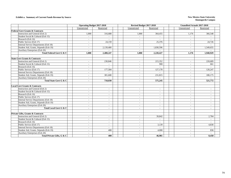#### **Exhibit a. Summary of Current Funds Revenue by Source New Mexico State University New Mexico State University**

|                                            | <b>Operating Budget 2017-2018</b> |                          | Revised Budget 2017-2018 |                           | <b>Unaudited Actuals 2017-2018</b> |                          |  |  |
|--------------------------------------------|-----------------------------------|--------------------------|--------------------------|---------------------------|------------------------------------|--------------------------|--|--|
|                                            | Unrestricted                      | Restricted               | Unrestricted             | Restricted                | Unrestricted                       | Restricted               |  |  |
| <b>Federal Govt Grants &amp; Contracts</b> |                                   |                          |                          |                           |                                    |                          |  |  |
| Instruction and General (Exh 2)            | 1,000                             | 316,688                  | 1,000                    | 364,455                   | 1,176                              | 366,548                  |  |  |
| Student Social & Cultural (Exh 15)         | $\overline{\phantom{a}}$          | $\sim$                   | $\mathbf{r}$             | $\sim$                    | $\equiv$                           | $\overline{\phantom{a}}$ |  |  |
| Research (Exh 16)                          | $\sim$                            |                          | $\blacksquare$           |                           | $\overline{\phantom{a}}$           |                          |  |  |
| Public Service (Exh 17)                    | $\overline{\phantom{a}}$          | 24,159                   | $\blacksquare$           | 25,376                    | $\overline{\phantom{a}}$           | 24,726                   |  |  |
| Internal Service Departments (Exh 18)      | $\sim$                            |                          | $\sim$                   |                           | $\sim$                             |                          |  |  |
| Student Aid, Grants, Stipends (Exh 19)     | $\sim$                            | 2,139,400                | $\sim$                   | 1,830,596                 | $\sim$                             | 1,549,655                |  |  |
| Auxiliary Enterprises (Exh 20)             | $\sim$                            |                          | $\sim$                   |                           | $\sim$                             |                          |  |  |
| Total Federal Govt G & C                   | 1.000                             | 2,480,247                | 1.000                    | 2,220,427                 | 1,176                              | 1,940,929                |  |  |
|                                            |                                   |                          |                          |                           |                                    |                          |  |  |
| <b>State Govt Grants &amp; Contracts</b>   |                                   |                          |                          |                           |                                    |                          |  |  |
| Instruction and General (Exh 2)            | $\sim$                            | 230,846                  | $\overline{a}$           | 215,352                   | $\sim$                             | 220,689                  |  |  |
| Student Social & Cultural (Exh 15)         | $\sim$                            | $\sim$                   | ÷.                       | 900                       | $\sim$                             | 661                      |  |  |
| Research (Exh 16)                          | $\overline{\phantom{a}}$          |                          | $\blacksquare$           | $\overline{\phantom{a}}$  | $\sim$                             |                          |  |  |
| Public Service (Exh 17)                    | $\sim$                            | 177,584                  | $\sim$                   | 127,178                   | $\sim$                             | 120,247                  |  |  |
| Internal Service Departments (Exh 18)      | $\sim$                            |                          | $\sim$                   |                           | $\sim$                             | $\overline{\phantom{a}}$ |  |  |
| Student Aid, Grants, Stipends (Exh 19)     | $\sim$                            | 301,600                  | $\overline{\phantom{a}}$ | 231,815                   | $\sim$                             | 180,175                  |  |  |
| Auxiliary Enterprises (Exh 20)             | $\sim$                            |                          | $\mathbf{r}$             | $\sim$                    | $\sim$                             |                          |  |  |
| Total State Govt G & C                     | $\blacksquare$                    | 710,030                  | $\sim$                   | 575,245                   | $\blacksquare$                     | 521,772                  |  |  |
|                                            |                                   |                          |                          |                           |                                    |                          |  |  |
| <b>Local Govt Grants &amp; Contracts</b>   |                                   |                          |                          |                           |                                    |                          |  |  |
| Instruction and General (Exh 2)            | $\overline{\phantom{a}}$          | $\sim$                   | $\blacksquare$           |                           | $\overline{\phantom{a}}$           |                          |  |  |
| Student Social & Cultural (Exh 15)         | $\sim$                            | $\sim$                   | $\mathbf{r}$             | $\sim$                    | $\sim$                             | $\overline{a}$           |  |  |
| Research (Exh 16)                          | $\sim$                            | $\sim$                   | $\sim$                   | $\sim$                    | $\sim$                             | $\overline{\phantom{a}}$ |  |  |
| Public Service (Exh 17)                    | $\sim$                            | $\overline{\phantom{a}}$ | $\blacksquare$           | $\blacksquare$            | $\overline{\phantom{a}}$           | $\overline{\phantom{0}}$ |  |  |
| Internal Service Departments (Exh 18)      | $\sim$                            | $\sim$                   | ÷.                       | $\sim$                    | $\sim$                             | $\sim$                   |  |  |
| Student Aid, Grants, Stipends (Exh 19)     | $\overline{\phantom{a}}$          | $\overline{\phantom{a}}$ | $\blacksquare$           | $\sim$                    | $\overline{\phantom{a}}$           | $\overline{a}$           |  |  |
| Auxiliary Enterprises (Exh 20)             | $\sim$                            | $\sim$                   | ÷.                       | $\sim$                    | $\overline{\phantom{a}}$           | $\overline{a}$           |  |  |
| Total Local Govt G & C                     | $\blacksquare$                    | $\sim$                   | $\sim$                   | $\sim$                    | $\sim$                             | $\sim$                   |  |  |
|                                            |                                   |                          |                          |                           |                                    |                          |  |  |
| Private Gifts, Grants & Contracts          |                                   |                          |                          |                           |                                    |                          |  |  |
| Instruction and General (Exh 2)            | $\overline{\phantom{a}}$          | $\sim$                   | $\overline{a}$           | 39,842                    | $\sim$                             | 2,784                    |  |  |
| Student Social & Cultural (Exh 15)         |                                   |                          | $\sim$                   |                           | $\overline{\phantom{a}}$           |                          |  |  |
| Research (Exh 16)                          | $\overline{\phantom{a}}$          | $\sim$                   | $\mathbf{r}$             | $\mathbb{L}^{\mathbb{N}}$ | $\sim$                             | $\sim$                   |  |  |
| Public Service (Exh 17)                    | $\sim$                            | $\sim$                   | $\sim$                   | 3,139                     | $\sim$                             | 4,830                    |  |  |
| Internal Service Departments (Exh 18)      | $\sim$                            | $\sim$                   | $\sim$                   | $\sim$                    | $\sim$                             | $\overline{\phantom{a}}$ |  |  |
| Student Aid, Grants, Stipends (Exh 19)     | $\sim$                            | 400                      | ÷.                       | 4.000                     | $\sim$                             | 836                      |  |  |
| Auxiliary Enterprises (Exh 20)             | $\sim$                            |                          | $\overline{a}$           |                           | $\blacksquare$                     |                          |  |  |
| Total Private Gifts, G & C                 | $\blacksquare$                    | 400                      | $\sim$                   | 46,981                    | $\sim$                             | 8,450                    |  |  |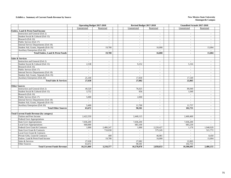#### **Exhibit a. Summary of Current Funds Revenue by Source New Mexico State University New Mexico State University**

|                                                  | <b>Operating Budget 2017-2018</b> |                          | Revised Budget 2017-2018  |                          | <b>Unaudited Actuals 2017-2018</b> |                          |  |
|--------------------------------------------------|-----------------------------------|--------------------------|---------------------------|--------------------------|------------------------------------|--------------------------|--|
|                                                  | Unrestricted                      | Restricted               | Unrestricted              | Restricted               | Unrestricted                       | Restricted               |  |
| <b>Endow, Land &amp; Perm Fund Income</b>        |                                   |                          |                           |                          |                                    |                          |  |
| Instruction and General (Exh 2)                  | $\overline{\phantom{a}}$          | $\sim$                   | $\mathbf{r}$              | $\sim$                   | $\sim$                             |                          |  |
| Student Social & Cultural (Exh 15)               | $\sim$                            | $\sim$                   | $\overline{a}$            | $\sim$                   | $\overline{a}$                     | $\overline{a}$           |  |
| Research (Exh 16)                                | $\overline{\phantom{a}}$          | $\blacksquare$           | $\blacksquare$            | $\overline{\phantom{0}}$ | $\blacksquare$                     | $\overline{\phantom{a}}$ |  |
| Public Service (Exh 17)                          | $\overline{a}$                    | $\overline{a}$           | $\sim$                    | $\sim$                   | $\sim$                             | $\overline{a}$           |  |
| Internal Service Departments (Exh 18)            | $\sim$                            | $\sim$                   | $\overline{\phantom{a}}$  | $\sim$                   | $\sim$                             | $\sim$                   |  |
| Student Aid, Grants, Stipends (Exh 19)           | $\sim$                            | 19,700                   | $\mathbf{r}$              | 16,000                   | $\sim$                             | 15,004                   |  |
| Auxiliary Enterprises (Exh 20)                   |                                   |                          |                           |                          | $\overline{a}$                     |                          |  |
| <b>Total Endow, Land &amp; Perm Funds</b>        | $\sim$                            | 19.700                   | $\sim$                    | 16.000                   | $\sim$                             | 15,004                   |  |
|                                                  |                                   |                          |                           |                          |                                    |                          |  |
| <b>Sales &amp; Services</b>                      |                                   |                          |                           |                          |                                    |                          |  |
| Instruction and General (Exh 2)                  | $\sim$                            | $\sim$                   | $\sim$                    | $\sim$                   | $\sim$                             | $\overline{\phantom{a}}$ |  |
| Student Social & Cultural (Exh 15)               | 2,538                             | $\sim$                   | 9,252                     | $\sim$                   | 5,316                              | $\sim$                   |  |
| Research (Exh 16)                                |                                   |                          | $\mathbf{r}$              | $\overline{\phantom{0}}$ | $\sim$                             |                          |  |
| Public Service (Exh 17)                          | $\sim$                            | $\overline{\phantom{0}}$ | $\sim$                    | $\sim$                   | $\sim$                             | $\sim$                   |  |
| Internal Service Departments (Exh 18)            | $\overline{a}$                    | $\overline{a}$           | $\sim$                    | $\sim$                   | $\sim$                             | $\overline{\phantom{a}}$ |  |
| Student Aid, Grants, Stipends (Exh 19)           | $\overline{a}$                    | $\overline{\phantom{a}}$ | $\overline{a}$            | $\sim$                   | $\sim$                             | $\overline{\phantom{a}}$ |  |
| Auxiliary Enterprises (Exh 20)                   | 25,100                            | $\sim$                   | 17,830                    | $\sim$                   | 17,549                             | $\overline{a}$           |  |
| <b>Total Sales &amp; Services</b>                | 27,638                            | $\sim$                   | 27,082                    | $\blacksquare$           | 22,865                             | $\blacksquare$           |  |
|                                                  |                                   |                          |                           |                          |                                    |                          |  |
| <b>Other Sources</b>                             |                                   |                          |                           |                          |                                    |                          |  |
| Instruction and General (Exh 2)                  | 49,520                            | $\sim$                   | 76,025                    | $\sim$                   | 89,949                             | $\sim$                   |  |
| Student Social & Cultural (Exh 15)               | 3,752                             | $\overline{\phantom{a}}$ | 856                       | $\sim$                   | 1,049                              | $\sim$                   |  |
| Research (Exh 16)                                | $\overline{a}$                    | $\overline{\phantom{a}}$ | $\mathbb{Z}^{\mathbb{Z}}$ | $\sim$                   | $\sim$                             | $\overline{a}$           |  |
| Public Service (Exh 17)                          | 5.000                             | $\blacksquare$           | 2,000                     | $\sim$                   | $\sim$                             | $\sim$                   |  |
| Internal Service Departments (Exh 18)            | $\overline{a}$                    | $\overline{\phantom{a}}$ | $\overline{a}$            | $\mathbf{r}$             | $\overline{a}$                     | $\sim$                   |  |
| Student Aid, Grants, Stipends (Exh 19)           | $\overline{a}$                    | $\sim$                   | $\overline{a}$            | $\sim$                   | $\overline{a}$                     | $\overline{\phantom{a}}$ |  |
| Auxiliary Enterprises (Exh 20)                   | 5,400                             | $\sim$                   | 11,700                    | $\sim$                   | 11,757                             | $\sim$                   |  |
| <b>Total Other Sources</b>                       | 63,672                            | $\sim$                   | 90.581                    | $\sim$                   | 102,755                            | $\sim$                   |  |
|                                                  |                                   |                          |                           |                          |                                    |                          |  |
| <b>Total Current Funds Revenue (by category)</b> |                                   |                          |                           |                          |                                    |                          |  |
| Tuition and Fees Income                          | 2,422,559                         | $\sim$                   | 2,440,115                 | $\sim$                   | 2,460,460                          | $\sim$                   |  |
| <b>Federal Govt Appropriations</b>               |                                   | $\sim$                   |                           | $\sim$                   |                                    | $\sim$                   |  |
| <b>State Govt Appropriations</b>                 | 7,036,200                         | $\overline{\phantom{a}}$ | 7,036,200                 | $\overline{\phantom{a}}$ | 7,036,200                          | $\overline{\phantom{a}}$ |  |
| <b>Local Govt Appropriations</b>                 | 660,000                           | $\sim$                   | 683,100                   | $\sim$                   | 683.239                            | $\sim$                   |  |
| Federal Govt Grant & Contracts                   | 1,000                             | 2,480,247                | 1,000                     | 2,220,427                | 1,176                              | 1,940,929                |  |
| State Govt Grant & Contracts                     |                                   | 710,030                  |                           | 575,245                  |                                    | 521,772                  |  |
| Local Govt Grant & Contracts                     | $\sim$                            | $\overline{a}$           | $\omega$                  | $\sim$                   | $\sim$                             | $\sim$                   |  |
| Private Gifts, Grant & Contracts                 | $\sim$                            | 400                      | $\overline{\phantom{a}}$  | 46,981                   | $\sim$                             | 8,450                    |  |
| Endow, Land & Perm Fund Income                   |                                   | 19,700                   |                           | 16,000                   |                                    | 15,004                   |  |
| Sales & Services                                 | 27,638                            | $\sim$                   | 27,082                    | $\sim$                   | 22,865                             | $\sim$                   |  |
| <b>Other Sources</b>                             | 63,672                            |                          | 90,581                    | $\overline{a}$           | 102,755                            |                          |  |
| <b>Total Current Funds Revenue</b>               | 10,211,069                        | 3,210,377                | 10,278,078                | 2,858,653                | 10,306,695                         | 2,486,155                |  |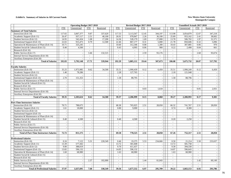#### **Exhibit b. Summary of Salaries in All Current Funds New Mexico State University**

|                                                |                          | <b>Operating Budget 2017-2018</b> |                             |                          |                          | Revised Budget 2017-2018    |                          |                          |                           | <b>Unaudited Actuals 2017-2018</b> |                             |                          |
|------------------------------------------------|--------------------------|-----------------------------------|-----------------------------|--------------------------|--------------------------|-----------------------------|--------------------------|--------------------------|---------------------------|------------------------------------|-----------------------------|--------------------------|
|                                                | <b>FTE</b>               | Unrestricted                      | <b>FTE</b>                  | Restricted               | <b>FTE</b>               | Unrestricted                | <b>FTE</b>               | Restricted               | <b>FTE</b>                | Unrestricted                       | <b>FTE</b>                  | Restricted               |
| <b>Summary of Total Salaries</b>               |                          |                                   |                             |                          |                          |                             |                          |                          |                           |                                    |                             |                          |
| Instruction (Exh 10)                           | 117.65                   | 3,067,377                         | 9.87                        | 337,629                  | 117.53                   | 3,113,567                   | 12.45                    | 344,197                  | 113.98                    | 3,054,879                          | 12.67                       | 347,218                  |
| Academic Support (Exh 11)                      | 26.47                    | 937,117                           | 2.51                        | 40.100                   | 26.91                    | 978,847                     | 2.26                     | 36,100                   | 25.89                     | 953,162                            | 2.41                        | 38,602                   |
| Student Services (Exh 12)                      | 14.95                    | 542,434                           | 1.08                        | 17,200                   | 14.36                    | 528,179                     | 1.69                     | 27,000                   | 13.78                     | 506,702                            | 1.97                        | 31,571                   |
| Institutional Support (Exh 13)                 | 22.65                    | 915,475                           | 0.79                        | 12,500                   | 22.46                    | 867,177                     | 0.31                     | 5,000                    | 21.78                     | 850,606                            | 0.32                        | 5,096                    |
| Operation & Maintenance of Plant (Exh 14)      | 10.71                    | 325,245                           | $\sim$                      |                          | 10.60                    | 312,346                     | 0.08                     | 1,300                    | 10.43                     | 307,885                            | 0.06                        | 970                      |
| Student Social & Cultural (Exh 15)             | 0.40                     | 4,500                             | $\sim$                      | $\sim$                   | 0.43                     | 4,995                       | 0.06                     | 900                      | 0.22                      | 2,498                              | 0.04                        | 661                      |
| Research (Exh 16)                              | $\bar{\phantom{a}}$      |                                   | $\omega$                    |                          | $\overline{\phantom{a}}$ | $\mathcal{L}_{\mathcal{A}}$ |                          | $\overline{a}$           | $\blacksquare$            |                                    |                             |                          |
| Public Service (Exh 17)                        | $\omega$                 |                                   | 3.46                        | 132,515                  | $\sim$                   | $\mathbb{Z}^2$              | 2.59                     | 93,176                   | $\overline{\phantom{a}}$  | $\blacksquare$                     | 2.60                        | 93,674                   |
| Internal Service Departments (Exh 18)          | $\sim$                   |                                   | $\sim$                      |                          | $\sim$                   | $\sim$                      | $\sim$                   | $\sim$                   | $\overline{\phantom{a}}$  | $\mathcal{L}$                      | $\sim$                      |                          |
| Auxiliary Enterprises (Exh 20)                 | $\sim$                   |                                   | $\sim$                      |                          | $\sim$                   | $\overline{\phantom{a}}$    | $\overline{\phantom{a}}$ | $\sim$                   | $\sim$                    | $\overline{\phantom{a}}$           | $\mathcal{L}_{\mathcal{A}}$ |                          |
| <b>Total of Salaries</b>                       | 192.83                   | 5,792,148                         | 17.71                       | 539,944                  | 192.29                   | 5,805,111                   | 19.44                    | 507,673                  | 186.08                    | 5,675,732                          | 20.07                       | 517,792                  |
|                                                |                          |                                   |                             |                          |                          |                             |                          |                          |                           |                                    |                             |                          |
| <b>Faculty Salaries</b>                        |                          |                                   |                             |                          |                          |                             |                          |                          |                           |                                    |                             |                          |
| Instruction (Exh 10)                           | 35.25                    | 1,973,985                         | 0.62                        | 34,500                   | 35.51                    | 1,990,439                   | 0.12                     | 6,450                    | 35.51                     | 1,990,249                          | 0.12                        | 6,450                    |
| Academic Support (Exh 11)                      | 1.40                     | 78,286                            | $\overline{a}$              |                          | 2.28                     | 127,765                     | $\mathcal{L}$            |                          | 2.18                      | 121,948                            | $\mathbb{L}^{\mathbb{N}}$   |                          |
| Student Services (Exh 12)                      |                          |                                   | $\overline{\phantom{a}}$    | $\overline{\phantom{a}}$ | $\sim$                   |                             | $\sim$                   | $\sim$                   | $\overline{\phantom{a}}$  |                                    | $\overline{\phantom{a}}$    | $\sim$                   |
| <b>Institutional Support (Exh 13)</b>          | 2.70                     | 151,353                           | $\mathbb{Z}^2$              | $\sim$                   | 1.58                     | 88,795                      | $\sim$                   | $\sim$                   | 1.58                      | 88,796                             | $\mathcal{L}^{\pm}$         | $\mathbb{Z}^2$           |
| Operation & Maintenance of Plant (Exh 14)      |                          |                                   |                             |                          |                          |                             |                          |                          | $\overline{\phantom{a}}$  |                                    | $\overline{\phantom{a}}$    | $\sim$                   |
| Student Social & Cultural (Exh 15)             |                          |                                   |                             | $\sim$                   |                          |                             |                          | $\overline{a}$           | $\overline{a}$            | $\bar{\phantom{a}}$                | $\overline{\phantom{a}}$    | $\sim$                   |
| Research (Exh 16)                              | $\overline{a}$           |                                   |                             | $\overline{\phantom{a}}$ | $\overline{\phantom{a}}$ | $\overline{a}$              | $\overline{a}$           |                          | $\sim$                    | $\mathbb{L}$                       | $\sim$                      | $\overline{a}$           |
| Public Service (Exh 17)                        |                          |                                   |                             | $\sim$                   | $\sim$                   |                             | 0.03                     | 1,618                    | $\overline{\phantom{a}}$  | $\sim$                             | 0.05                        | 2,931                    |
| Internal Service Departments (Exh 18)          | $\sim$                   |                                   | $\frac{1}{2}$               | $\sim$                   | $\overline{\phantom{a}}$ |                             | $\mathbb{L}$             |                          | $\mathbb{L}^{\mathbb{N}}$ | $\mathcal{L}_{\mathcal{A}}$        | $\sim$                      | $\overline{\phantom{a}}$ |
| Auxiliary Enterprises (Exh 20)                 |                          |                                   |                             |                          |                          |                             |                          |                          |                           |                                    |                             |                          |
| <b>Total of Faculty Salaries</b>               | 39.35                    | 2,203,624                         | 0.62                        | 34,500                   | 39.37                    | 2,206,999                   | 0.15                     | 8,068                    | 39.27                     | 2,200,993                          | 0.17                        | 9,381                    |
|                                                |                          |                                   |                             |                          |                          |                             |                          |                          |                           |                                    |                             |                          |
| <b>Part-Time Instructors Salaries</b>          |                          |                                   |                             |                          |                          |                             |                          |                          |                           |                                    |                             |                          |
| Instruction (Exh 10)                           | 70.71                    | 788,675                           | $\overline{\phantom{a}}$    | $\sim$                   | 68.38                    | 765,025                     | 2.51                     | 28,050                   | 66.32                     | 741,767                            | 2.51                        | 28,050                   |
| Academic Support (Exh 11)                      | 1.61                     | 18,000                            | $\overline{a}$              | $\sim$                   | 0.80                     | 9,000                       | $\overline{\phantom{a}}$ |                          | 0.74                      | 8.300                              | $\overline{\phantom{a}}$    |                          |
| Student Services (Exh 12)                      |                          |                                   |                             |                          |                          |                             |                          |                          | $\overline{a}$            |                                    | $\overline{\phantom{a}}$    |                          |
| Institutional Support (Exh 13)                 |                          |                                   |                             | $\sim$                   |                          |                             | $\sim$                   | $\overline{\phantom{a}}$ | $\overline{\phantom{a}}$  | $\overline{\phantom{a}}$           | $\overline{\phantom{a}}$    | $\sim$                   |
| Operation & Maintenance of Plant (Exh 14)      |                          |                                   |                             | $\mathbf{r}$             | $\overline{a}$           |                             | $\overline{a}$           | $\sim$                   | $\overline{a}$            | $\overline{a}$                     | $\overline{\phantom{a}}$    | $\sim$                   |
| Student Social & Cultural (Exh 15)             | 0.40                     | 4,500                             | $\frac{1}{2}$               | $\overline{\phantom{a}}$ | 0.40                     | 4,500                       | $\overline{\phantom{a}}$ | $\blacksquare$           | 0.20                      | 2,250                              | $\blacksquare$              | $\sim$                   |
| Research (Exh 16)                              | $\overline{a}$           |                                   | $\overline{a}$              | $\sim$                   | $\sim$                   |                             | $\overline{\phantom{a}}$ | $\sim$                   | $\overline{\phantom{a}}$  | $\overline{\phantom{a}}$           | $\overline{a}$              | $\sim$                   |
| Public Service (Exh 17)                        | $\sim$                   |                                   | $\overline{\phantom{a}}$    | $\sim$                   | $\overline{\phantom{a}}$ |                             | $\overline{\phantom{a}}$ | $\sim$                   | $\overline{\phantom{a}}$  | $\sim$                             | $\overline{\phantom{a}}$    | $\sim$                   |
| Internal Service Departments (Exh 18)          | Ĭ.                       |                                   |                             | $\sim$                   | $\sim$                   |                             | $\sim$                   | $\overline{a}$           | $\blacksquare$            | $\bar{\phantom{a}}$                | $\overline{\phantom{a}}$    | $\overline{\phantom{a}}$ |
| Auxiliary Enterprises (Exh 20)                 |                          |                                   | $\overline{a}$              | $\sim$                   | $\sim$                   |                             | $\overline{a}$           |                          | $\overline{a}$            | $\overline{a}$                     | $\overline{a}$              | $\sim$                   |
| <b>Total of Part-Time Instructors Salaries</b> | 72.72                    | 811,175                           | $\sim$                      | $\sim$                   | 69.58                    | 778,525                     | 2.51                     | 28,050                   | 67.26                     | 752,317                            | 2.51                        | 28,050                   |
|                                                |                          |                                   |                             |                          |                          |                             |                          |                          |                           |                                    |                             |                          |
| <b>Professional Salaries</b>                   |                          |                                   |                             |                          |                          |                             |                          |                          |                           |                                    |                             |                          |
| Instruction (Exh 10)                           | 0.16                     | 7,122                             | 5.31                        | 228,549                  | 0.46                     | 19,375                      | 5.53                     | 234,666                  | 0.50                      | 21,214                             | 5.50                        | 233,637                  |
| Academic Support (Exh 11)                      | 13.39                    | 577,442                           |                             |                          | 13.72                    | 581,608                     | $\overline{a}$           |                          | 13.72                     | 581,758                            | $\overline{a}$              |                          |
| Student Services (Exh 12)                      | 9.00                     | 388.019                           |                             | $\overline{\phantom{a}}$ | 9.70                     | 411,437                     | $\sim$                   | $\sim$                   | 9.30                      | 394,558                            | $\overline{a}$              |                          |
| <b>Institutional Support (Exh 13)</b>          | 13.82                    | 596,132                           | $\overline{\phantom{a}}$    | $\sim$                   | 14.05                    | 596,132                     | $\overline{\phantom{a}}$ | $\overline{\phantom{a}}$ | 14.07                     | 596,643                            | $\sim$                      | $\sim$                   |
| Operation & Maintenance of Plant (Exh 14)      | 1.60                     | 68,980                            | $\mathcal{L}_{\mathcal{A}}$ | $\sim$                   | 1.63                     | 68,980                      | $\overline{\phantom{a}}$ | $\overline{\phantom{a}}$ | 1.63                      | 68,980                             | $\omega$                    | $\overline{\phantom{a}}$ |
| Student Social & Cultural (Exh 15)             |                          |                                   |                             |                          | $\overline{\phantom{a}}$ |                             |                          | $\overline{a}$           | $\overline{a}$            |                                    | $\overline{a}$              | $\overline{a}$           |
| Research (Exh 16)                              | $\overline{\phantom{a}}$ |                                   | $\overline{\phantom{a}}$    |                          | $\sim$                   | $\sim$                      | $\sim$                   |                          | $\overline{\phantom{a}}$  | $\blacksquare$                     | $\overline{\phantom{a}}$    | $\sim$                   |
| Public Service (Exh 17)                        |                          |                                   | 2.37                        | 102,000                  | $\sim$                   |                             | 1.44                     | 61,043                   | $\overline{\phantom{a}}$  | $\sim$                             | 1.42                        | 60,149                   |
| Internal Service Departments (Exh 18)          |                          |                                   |                             |                          | $\sim$                   |                             | $\sim$                   |                          | $\sim$                    | $\sim$                             | $\sim$                      |                          |
| Auxiliary Enterprises (Exh 20)                 |                          |                                   | $\overline{a}$              |                          | $\sim$                   |                             | $\sim$                   |                          | $\overline{\phantom{a}}$  | $\overline{a}$                     | $\sim$                      |                          |
| <b>Total of Professional Salaries</b>          | 37.97                    | 1,637,695                         | 7.68                        | 330,549                  | 39.56                    | 1,677,532                   | 6.97                     | 295,709                  | 39.22                     | 1,663,153                          | 6.92                        | 293,786                  |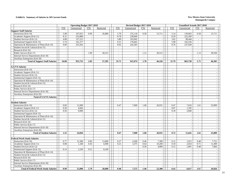#### **Exhibit b. Summary of Salaries in All Current Funds New Mexico State University**

|                                             |                          | <b>Operating Budget 2017-2018</b> |                          |                          |                          | Revised Budget 2017-2018 |                          | <b>Unaudited Actuals 2017-2018</b> |                          |                          |                             |                          |  |  |
|---------------------------------------------|--------------------------|-----------------------------------|--------------------------|--------------------------|--------------------------|--------------------------|--------------------------|------------------------------------|--------------------------|--------------------------|-----------------------------|--------------------------|--|--|
|                                             | <b>FTE</b>               | Unrestricted                      | <b>FTE</b>               | Restricted               | <b>FTE</b>               | Unrestricted             | <b>FTE</b>               | Restricted                         | <b>FTE</b>               | Unrestricted             | <b>FTE</b>                  | Restricted               |  |  |
| <b>Support Staff Salaries</b>               |                          |                                   |                          |                          |                          |                          |                          |                                    |                          |                          |                             |                          |  |  |
| Instruction (Exh 10)                        | 5.98                     | 167,815                           | 0.96                     | 26,880                   | 5.70                     | 155,118                  | 0.58                     | 15,711                             | 5.14                     | 139,603                  | 0.58                        | 15,711                   |  |  |
| Academic Support (Exh 11)                   | 8.31                     | 233,880                           |                          |                          | 8.78                     | 238,849                  | $\sim$                   |                                    | 8.29                     | 225,209                  | $\sim$                      |                          |  |  |
| Student Services (Exh 12)                   | 4.88                     | 137,215                           |                          |                          | 3.80                     | 103,042                  | $\mathcal{L}$            | $\mathcal{L}$                      | 3.62                     | 98,444                   | $\mathcal{L}$               |                          |  |  |
| Institutional Support (Exh 13)              | 5.74                     | 161,277                           | $\overline{\phantom{a}}$ | $\sim$                   | 6.51                     | 176,662                  | $\sim$                   | $\overline{a}$                     | 5.98                     | 162,536                  | $\mathcal{L}_{\mathcal{A}}$ |                          |  |  |
| Operation & Maintenance of Plant (Exh 14)   | 9.09                     | 255,565                           |                          | $\sim$                   | 8.92                     | 242,303                  | $\sim$                   | $\sim$                             | 8.76                     | 237,928                  | $\sim$                      |                          |  |  |
| Student Social & Cultural (Exh 15)          | ÷.                       |                                   |                          | $\overline{\phantom{a}}$ | $\sim$                   |                          | $\overline{\phantom{a}}$ | $\sim$                             | $\sim$                   | $\overline{\phantom{a}}$ | $\sim$                      | $\overline{\phantom{a}}$ |  |  |
| Research (Exh 16)                           | $\overline{\phantom{a}}$ |                                   |                          |                          | $\sim$                   |                          | $\sim$                   |                                    | $\overline{\phantom{a}}$ | $\sim$                   | $\mathcal{L}_{\mathcal{A}}$ |                          |  |  |
| Public Service (Exh 17)                     | $\overline{a}$           |                                   | 1.09                     | 30,515                   | $\sim$                   |                          | 1.12                     | 30,515                             | $\overline{\phantom{a}}$ | $\overline{\phantom{a}}$ | 1.13                        | 30,594                   |  |  |
| Internal Service Departments (Exh 18)       | $\overline{a}$           |                                   |                          |                          | $\overline{\phantom{a}}$ | $\overline{a}$           | $\overline{a}$           |                                    | $\overline{a}$           | $\sim$                   | $\mathcal{L}^{\mathcal{A}}$ |                          |  |  |
| Auxiliary Enterprises (Exh 20)              |                          |                                   |                          |                          |                          |                          | $\sim$                   |                                    | $\overline{a}$           |                          | $\sim$                      |                          |  |  |
| <b>Total of Support Staff Salaries</b>      | 34.00                    | 955,752                           | 2.05                     | 57,395                   | 33.71                    | 915.974                  | 1.70                     | 46,226                             | 31.79                    | 863,720                  | 1.71                        | 46,305                   |  |  |
|                                             |                          |                                   |                          |                          |                          |                          |                          |                                    |                          |                          |                             |                          |  |  |
| <b>GA/TA Salaries</b>                       |                          |                                   |                          |                          |                          |                          |                          |                                    |                          |                          |                             |                          |  |  |
| Instruction (Exh 10)                        |                          |                                   |                          | $\overline{\phantom{a}}$ |                          |                          | $\overline{a}$           | $\overline{a}$                     | $\sim$                   | $\sim$                   | $\sim$                      |                          |  |  |
| Academic Support (Exh 11)                   | $\overline{a}$           |                                   | $\overline{a}$           | $\sim$                   | $\sim$                   | $\overline{\phantom{a}}$ | $\sim$                   | $\sim$                             | $\overline{a}$           | $\sim$                   | $\sim$                      |                          |  |  |
| Student Services (Exh 12)                   |                          |                                   |                          | $\sim$                   | $\sim$                   |                          | $\sim$                   | $\sim$                             | $\overline{\phantom{a}}$ | $\sim$                   | $\overline{\phantom{a}}$    |                          |  |  |
| Institutional Support (Exh 13)              | $\blacksquare$           | $\sim$                            | $\overline{\phantom{a}}$ | $\overline{\phantom{a}}$ | $\blacksquare$           | $\overline{\phantom{a}}$ | $\overline{\phantom{a}}$ | $\overline{\phantom{a}}$           | $\overline{\phantom{a}}$ | $\overline{\phantom{a}}$ | $\overline{\phantom{a}}$    | $\overline{\phantom{a}}$ |  |  |
| Operation & Maintenance of Plant (Exh 14)   | $\overline{a}$           |                                   |                          | $\overline{\phantom{a}}$ | $\overline{\phantom{a}}$ |                          | $\overline{\phantom{a}}$ | $\sim$                             | $\sim$                   | $\sim$                   | $\sim$                      |                          |  |  |
| Student Social & Cultural (Exh 15)          | $\overline{a}$           |                                   |                          | $\sim$                   |                          |                          | $\overline{a}$           | $\sim$                             | $\sim$                   | $\sim$                   |                             |                          |  |  |
| Research (Exh 16)                           | $\overline{a}$           |                                   |                          | $\overline{\phantom{a}}$ | $\sim$                   |                          | $\overline{a}$           | $\mathcal{L}$                      | $\sim$                   | $\sim$                   | $\sim$                      |                          |  |  |
| Public Service (Exh 17)                     | $\overline{a}$           |                                   |                          | $\sim$                   | $\overline{\phantom{a}}$ |                          | $\sim$                   | $\overline{a}$                     | $\sim$                   | $\sim$                   | $\sim$                      |                          |  |  |
| Internal Service Departments (Exh 18)       | $\sim$                   |                                   | $\blacksquare$           | $\overline{\phantom{a}}$ | $\sim$                   |                          | $\overline{\phantom{a}}$ | $\overline{\phantom{a}}$           | $\mathbf{r}$             | $\overline{\phantom{a}}$ | $\sim$                      |                          |  |  |
| Auxiliary Enterprises (Exh 20)              |                          |                                   |                          | $\overline{\phantom{a}}$ | $\overline{\phantom{a}}$ |                          | $\sim$                   | $\overline{\phantom{a}}$           | $\sim$                   | $\sim$                   | $\sim$                      | $\sim$                   |  |  |
| <b>Total of GA/TA Salaries</b>              | $\sim$                   | ÷.                                | $\blacksquare$           | $\blacksquare$           |                          | $\overline{a}$           | $\overline{a}$           | $\sim$                             | $\blacksquare$           | $\overline{\phantom{a}}$ | $\sim$                      | $\sim$                   |  |  |
|                                             |                          |                                   |                          |                          |                          |                          |                          |                                    |                          |                          |                             |                          |  |  |
| <b>Student Salaries</b>                     |                          |                                   |                          |                          |                          |                          |                          |                                    |                          |                          |                             |                          |  |  |
| Instruction (Exh 10)                        | 0.69                     | 11,000                            |                          | $\sim$                   | 0.47                     | 7,600                    | 1.68                     | 26,931                             | 0.47                     | 7,616                    | 1.61                        | 25,809                   |  |  |
| Academic Support (Exh 11)                   | 0.30                     | 4,844                             | $\sim$                   | $\sim$                   | $\overline{\phantom{a}}$ |                          | $\overline{\phantom{a}}$ | $\sim$                             | 0.07                     | 1,185                    | $\sim$                      |                          |  |  |
| Student Services (Exh 12)                   | 0.56                     | 9,000                             | $\bar{\phantom{a}}$      | $\overline{\phantom{a}}$ | $\blacksquare$           |                          | $\sim$                   | $\overline{\phantom{a}}$           | 0.18                     | 2,840                    | $\mathcal{L}_{\mathcal{A}}$ |                          |  |  |
| Institutional Support (Exh 13)              |                          |                                   |                          | $\sim$                   |                          |                          | $\sim$                   | $\sim$                             | $\mathbf{r}$             |                          | $\sim$                      |                          |  |  |
| Operation & Maintenance of Plant (Exh 14)   | $\overline{a}$           |                                   | $\sim$                   | $\sim$                   | i.                       | $\sim$                   | $\sim$                   | $\sim$                             | $\overline{a}$           | $\sim$                   | $\sim$                      |                          |  |  |
| Student Social & Cultural (Exh 15)          | $\overline{a}$           |                                   |                          | $\sim$                   | $\overline{\phantom{a}}$ |                          | $\sim$                   | $\sim$                             | $\sim$                   | $\sim$                   | $\sim$                      |                          |  |  |
| Research (Exh 16)                           | $\overline{\phantom{a}}$ |                                   |                          | $\overline{\phantom{a}}$ | $\sim$                   |                          | $\sim$                   | $\sim$                             | $\mathbf{r}$             | $\overline{\phantom{a}}$ | $\sim$                      |                          |  |  |
| Public Service (Exh 17)                     | $\mathbb{Z}$             |                                   | $\sim$                   | $\overline{a}$           | $\overline{\phantom{a}}$ | $\overline{\phantom{a}}$ | $\sim$                   | $\sim$                             | $\sim$                   | $\sim$                   | $\sim$                      | $\sim$                   |  |  |
| Internal Service Departments (Exh 18)       | $\overline{a}$           |                                   |                          | $\sim$                   |                          |                          | $\sim$                   | $\overline{a}$                     | $\overline{a}$           | $\overline{a}$           | $\sim$                      |                          |  |  |
| Auxiliary Enterprises (Exh 20)              | $\sim$                   |                                   | $\overline{\phantom{a}}$ | $\overline{\phantom{a}}$ |                          | $\overline{\phantom{a}}$ | $\sim$                   | $\overline{\phantom{a}}$           | $\sim$                   | $\sim$                   | $\sim$                      |                          |  |  |
| <b>Total of Student Salaries</b>            | 1.55                     | 24,844                            | $\mathbf{r}$             | $\sim$                   | 0.47                     | 7,600                    | 1.68                     | 26,931                             | 0.72                     | 11,641                   | 1.61                        | 25,809                   |  |  |
|                                             |                          |                                   |                          |                          |                          |                          |                          |                                    |                          |                          |                             |                          |  |  |
| <b>Federal Work Study Salaries</b>          |                          |                                   |                          |                          |                          |                          |                          |                                    |                          |                          |                             |                          |  |  |
| Instruction (Exh 10)                        | 0.77                     | 12,300                            | 0.85                     | 13.600                   | 0.27                     | 4,200                    | 0.46                     | 7,300                              | 0.12                     | 1.912                    | 0.48                        | 7,751                    |  |  |
| Academic Support (Exh 11)                   | 0.08                     | 1,340                             | 0.43                     | 6,900                    | 0.21                     | 3,375                    | 0.64                     | 10,200                             | 0.18                     | 2,814                    | 0.71                        | 11,409                   |  |  |
| Student Services (Exh 12)                   |                          |                                   |                          |                          | $\sim$                   |                          | 0.30                     | 4,800                              | 0.12                     | 1,891                    | 0.48                        | 7,666                    |  |  |
| Institutional Support (Exh 13)              | 0.14                     | 2,250                             | 0.51                     | 8,100                    | $\sim$                   |                          | $\sim$                   |                                    | $\sim$                   |                          | $\sim$                      |                          |  |  |
| Operation & Maintenance of Plant (Exh 14)   | $\overline{a}$           |                                   | $\sim$                   |                          | $\sim$                   |                          | $\sim$                   | $\sim$                             | $\overline{\phantom{a}}$ | $\sim$                   | $\mathcal{L}_{\mathcal{A}}$ |                          |  |  |
| Student Social & Cultural (Exh 15)          | $\overline{\phantom{a}}$ |                                   | $\overline{a}$           | $\sim$                   | $\overline{\phantom{a}}$ | $\overline{\phantom{a}}$ | $\sim$                   | $\sim$                             | $\sim$                   | $\sim$                   | $\sim$                      |                          |  |  |
| Research (Exh 16)                           | $\overline{a}$           |                                   |                          | $\overline{\phantom{a}}$ | $\overline{\phantom{a}}$ |                          | $\overline{\phantom{a}}$ | $\overline{\phantom{a}}$           | $\sim$                   | $\sim$                   | $\overline{\phantom{a}}$    |                          |  |  |
| Public Service (Exh 17)                     |                          |                                   |                          | $\overline{\phantom{a}}$ | $\sim$                   |                          | $\overline{\phantom{a}}$ | $\overline{\phantom{a}}$           | $\overline{\phantom{a}}$ | $\sim$                   | $\mathcal{L}_{\mathcal{A}}$ |                          |  |  |
| Internal Service Departments (Exh 18)       | $\overline{a}$           |                                   |                          | $\overline{\phantom{a}}$ | $\overline{\phantom{a}}$ |                          | $\overline{\phantom{a}}$ | $\sim$                             | $\sim$                   | $\sim$                   | $\sim$                      |                          |  |  |
| Auxiliary Enterprises (Exh 20)              | $\sim$                   |                                   |                          |                          | $\sim$                   |                          | $\sim$                   |                                    | $\sim$                   | $\sim$                   | $\sim$                      |                          |  |  |
| <b>Total of Federal Work Study Salaries</b> | 0.99                     | 15,890                            | 1.79                     | 28,600                   | 0.48                     | 7,575                    | 1.40                     | 22,300                             | 0.42                     | 6,617                    | 1.67                        | 26,826                   |  |  |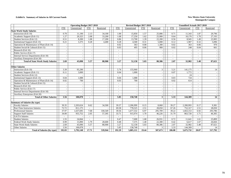#### **Exhibit b. Summary of Salaries in All Current Funds New Mexico State University**

|                                           | <b>Operating Budget 2017-2018</b> |              |                |            |                          | Revised Budget 2017-2018 |                          |                          |                          | <b>Unaudited Actuals 2017-2018</b> |            |                          |  |
|-------------------------------------------|-----------------------------------|--------------|----------------|------------|--------------------------|--------------------------|--------------------------|--------------------------|--------------------------|------------------------------------|------------|--------------------------|--|
|                                           | <b>FTE</b>                        | Unrestricted | FTE.           | Restricted | <b>FTE</b>               | Unrestricted             | <b>FTE</b>               | Restricted               | <b>FTE</b>               | Unrestricted                       | <b>FTE</b> | Restricted               |  |
| <b>State Work Study Salaries</b>          |                                   |              |                |            |                          |                          |                          |                          |                          |                                    |            |                          |  |
| Instruction (Exh 10)                      | 0.70                              | 11,190       | 2.13           | 34,100     | 1.00                     | 15,850                   | 1.57                     | 25,086                   | 0.71                     | 11,343                             | 1.87       | 29,796                   |  |
| Academic Support (Exh 11)                 | 1.27                              | 20,325       | 2.08           | 33,200     | 1.08                     | 17,250                   | 1.62                     | 25,900                   | 0.64                     | 10,176                             | 1.70       | 27,193                   |  |
| Student Services (Exh 12)                 | 0.51                              | 8,200        | 1.08           | 17,200     | 0.86                     | 13,700                   | 1.39                     | 22,200                   | 0.56                     | 8,945                              | 1.49       | 23,905                   |  |
| Institutional Support (Exh 13)            | 0.21                              | 3,375        | 0.28           | 4,400      | 0.28                     | 4,500                    | 0.31                     | 5,000                    | 0.12                     | 1,907                              | 0.32       | 5,096                    |  |
| Operation & Maintenance of Plant (Exh 14) |                                   |              |                |            | 0.02                     | 363                      | 0.08                     | 1,300                    | 0.02                     | 363                                | 0.06       | 970                      |  |
| Student Social & Cultural (Exh 15)        |                                   |              |                |            | 0.03                     | 495                      | 0.06                     | 900                      | 0.02                     | 248                                | 0.04       | 661                      |  |
| Research (Exh 16)                         | $\overline{\phantom{a}}$          |              |                |            |                          |                          | $\overline{\phantom{a}}$ |                          | $\sim$                   |                                    | $\sim$     |                          |  |
| Public Service (Exh 17)                   | $\overline{\phantom{a}}$          |              |                |            |                          |                          | $\overline{\phantom{a}}$ | $\sim$                   | $\overline{\phantom{a}}$ | $\overline{\phantom{a}}$           |            |                          |  |
| Internal Service Departments (Exh 18)     |                                   |              |                |            | $\overline{a}$           |                          | $\overline{a}$           | $\overline{\phantom{a}}$ | $\sim$                   | $\overline{\phantom{a}}$           |            |                          |  |
| Auxiliary Enterprises (Exh 20)            |                                   |              |                |            |                          |                          |                          |                          |                          |                                    |            |                          |  |
| <b>Total of State Work Study Salaries</b> | 2.69                              | 43,090       | 5.57           | 88,900     | 3.27                     | 52,158                   | 5.03                     | 80,386                   | 2.07                     | 32,982                             | 5.48       | 87,621                   |  |
|                                           |                                   |              |                |            |                          |                          |                          |                          |                          |                                    |            |                          |  |
| <b>Other Salaries</b>                     |                                   |              |                |            |                          |                          |                          |                          |                          |                                    |            |                          |  |
| Instruction (Exh 10)                      | 3.39                              | 95,290       |                |            | 5.74                     | 155,960                  |                          | $\overline{3}$           | 5.21                     | 141,175                            |            | 14                       |  |
| Academic Support (Exh 11)                 | 0.11                              | 3,000        |                |            | 0.04                     | 1,000                    | L.                       | $\sim$                   | 0.07                     | 1,772                              |            |                          |  |
| Student Services (Exh 12)                 |                                   |              |                |            |                          |                          | L.                       | $\sim$                   | $\sim$                   | 24                                 | $\sim$     |                          |  |
| <b>Institutional Support (Exh 13)</b>     | 0.04                              | 1,088        |                |            | 0.04                     | 1,088                    | $\overline{\phantom{a}}$ | $\sim$                   | 0.03                     | 724                                | $\sim$     | $\overline{\phantom{a}}$ |  |
| Operation & Maintenance of Plant (Exh 14) | $0.02\,$                          | 700          |                |            | 0.03                     | 700                      | $\overline{\phantom{a}}$ | $\overline{\phantom{a}}$ | 0.02                     | 614                                |            |                          |  |
| Student Social & Cultural (Exh 15)        | $\overline{\phantom{a}}$          |              |                |            | $\tilde{\phantom{a}}$    |                          | ۰                        | $\overline{\phantom{a}}$ | $\sim$                   | $\overline{a}$                     |            |                          |  |
| Research (Exh 16)                         | $\overline{\phantom{a}}$          |              |                |            | $\overline{\phantom{a}}$ |                          | $\overline{a}$           |                          | $\overline{a}$           |                                    |            |                          |  |
| Public Service (Exh 17)                   |                                   |              |                |            | $\overline{\phantom{a}}$ |                          | $\overline{\phantom{a}}$ |                          | $\overline{\phantom{a}}$ |                                    |            |                          |  |
| Internal Service Departments (Exh 18)     |                                   |              |                |            | $\overline{\phantom{a}}$ |                          | ۰                        | $\sim$                   | $\overline{\phantom{a}}$ |                                    |            |                          |  |
| Auxiliary Enterprises (Exh 20)            |                                   |              |                |            |                          |                          |                          |                          |                          |                                    |            |                          |  |
| <b>Total of Other Salaries</b>            | 3.56                              | 100.078      | $\blacksquare$ |            | 5.85                     | 158,748                  | $\blacksquare$           | 3 <sup>1</sup>           | 5.33                     | 144,309                            |            | $\overline{14}$          |  |
|                                           |                                   |              |                |            |                          |                          |                          |                          |                          |                                    |            |                          |  |
| <b>Summary of Salaries (by type)</b>      |                                   |              |                |            |                          |                          |                          |                          |                          |                                    |            |                          |  |
| <b>Faculty Salaries</b>                   | 39.35                             | 2.203.624    | 0.62           | 34,500     | 39.37                    | 2.206.999                | 0.15                     | 8.068                    | 39.27                    | 2.200.993                          | 0.17       | 9.381                    |  |
| Part-Time Instructors Salaries            | 72.72                             | 811,175      | $\sim$         |            | 69.58                    | 778,525                  | 2.51                     | 28,050                   | 67.26                    | 752,317                            | 2.51       | 28,050                   |  |
| <b>Professional Salaries</b>              | 37.97                             | 1,637,695    | 7.68           | 330,549    | 39.56                    | 1,677,532                | 6.97                     | 295,709                  | 39.22                    | 1,663,153                          | 6.92       | 293,786                  |  |
| <b>Support Staff Salaries</b>             | 34.00                             | 955,752      | 2.05           | 57,395     | 33.71                    | 915,974                  | 1.70                     | 46,226                   | 31.79                    | 863,720                            | 1.71       | 46,305                   |  |
| <b>GA/TA Salaries</b>                     | $\overline{\phantom{a}}$          |              | $\sim$         |            | $\overline{\phantom{a}}$ | $\overline{a}$           | $\overline{a}$           | $\overline{a}$           | $\sim$                   |                                    | $\sim$     |                          |  |
| <b>Student Salaries</b>                   | 1.55                              | 24,844       | $\sim$         |            | 0.47                     | 7,600                    | 1.68                     | 26,931                   | 0.72                     | 11,641                             | 1.61       | 25,809                   |  |
| <b>Federal Work Study Salaries</b>        | 0.99                              | 15,890       | 1.79           | 28,600     | 0.48                     | 7,575                    | 1.40                     | 22,300                   | 0.42                     | 6,617                              | 1.67       | 26,826                   |  |
| <b>State Work Study Salaries</b>          | 2.69                              | 43,090       | 5.57           | 88,900     | 3.27                     | 52,158                   | 5.03                     | 80,386                   | 2.07                     | 32,982                             | 5.48       | 87,621                   |  |
| <b>Other Salaries</b>                     | 3.56                              | 100,078      | $\sim$         |            | 5.85                     | 158,748                  |                          | $\mathfrak{Z}$           | 5.33                     | 144,309                            |            | 14                       |  |
| <b>Total of Salaries (by type)</b>        | 192.83                            | 5,792,148    | 17.71          | 539,944    | 192.29                   | 5,805,111                | 19.44                    | 507,673                  | 186.08                   | 5,675,732                          | 20.07      | 517,792                  |  |